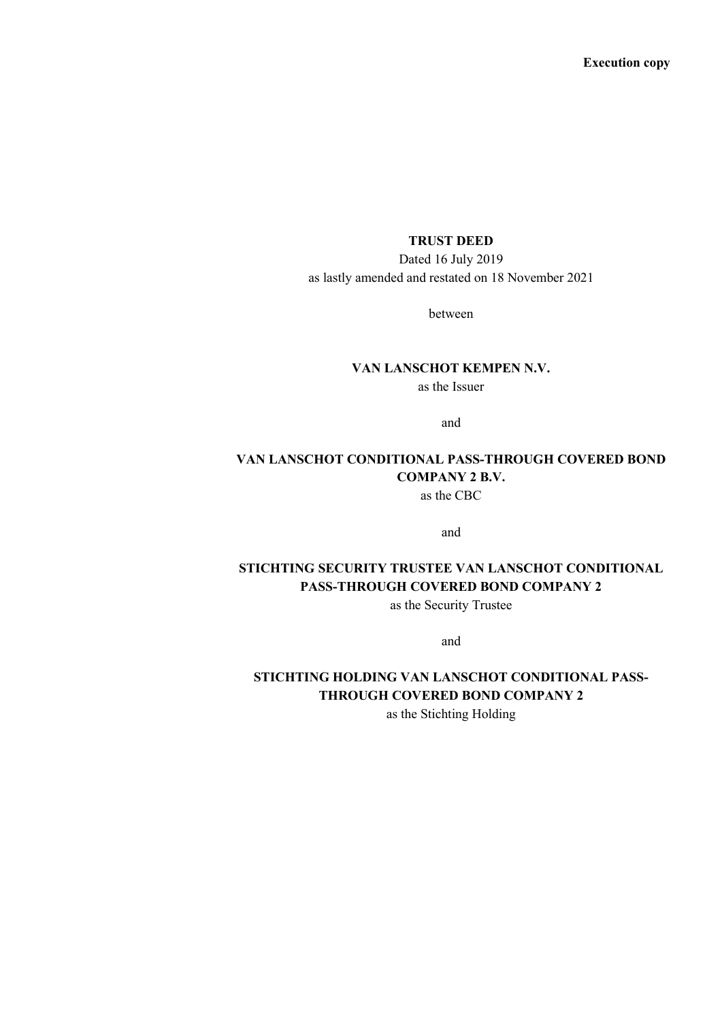## **TRUST DEED**

Dated 16 July 2019 as lastly amended and restated on 18 November 2021

between

**VAN LANSCHOT KEMPEN N.V.** as the Issuer

and

### **VAN LANSCHOT CONDITIONAL PASS-THROUGH COVERED BOND COMPANY 2 B.V.** as the CBC

and

# **STICHTING SECURITY TRUSTEE VAN LANSCHOT CONDITIONAL PASS-THROUGH COVERED BOND COMPANY 2**

as the Security Trustee

and

# **STICHTING HOLDING VAN LANSCHOT CONDITIONAL PASS-THROUGH COVERED BOND COMPANY 2**

as the Stichting Holding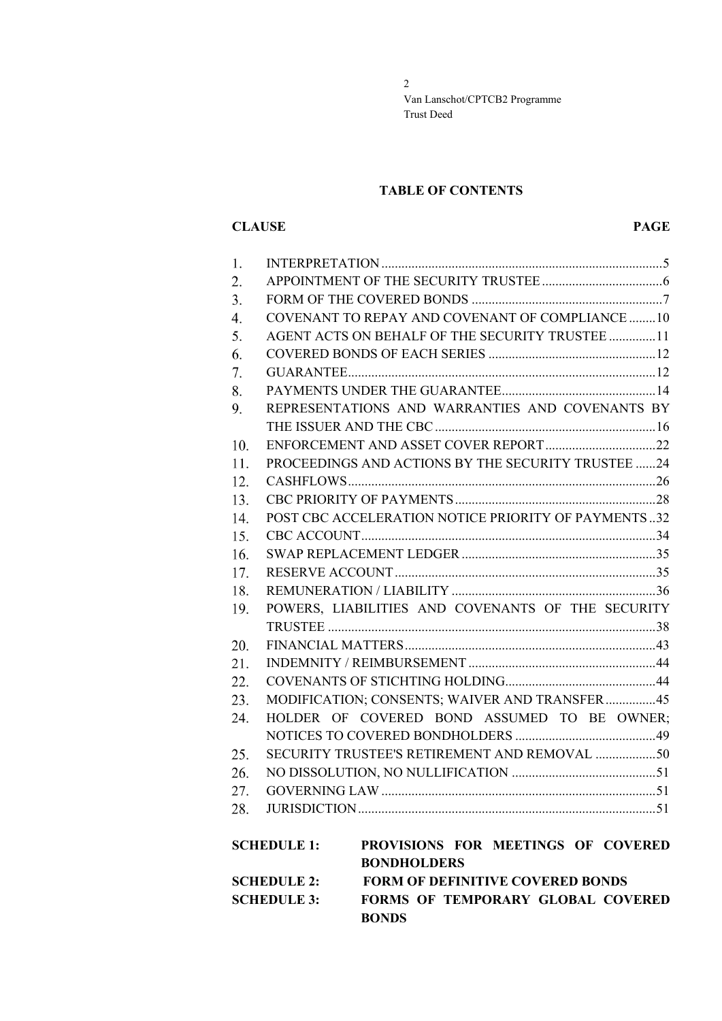### **TABLE OF CONTENTS**

### **CLAUSE PAGE**

| 1.                 |  |                                                     |  |  |  |  |
|--------------------|--|-----------------------------------------------------|--|--|--|--|
| 2.                 |  |                                                     |  |  |  |  |
| 3.                 |  |                                                     |  |  |  |  |
| $\overline{4}$ .   |  | COVENANT TO REPAY AND COVENANT OF COMPLIANCE 10     |  |  |  |  |
| 5.                 |  | AGENT ACTS ON BEHALF OF THE SECURITY TRUSTEE 11     |  |  |  |  |
| 6.                 |  |                                                     |  |  |  |  |
| 7.                 |  |                                                     |  |  |  |  |
| 8.                 |  |                                                     |  |  |  |  |
| 9.                 |  | REPRESENTATIONS AND WARRANTIES AND COVENANTS BY     |  |  |  |  |
|                    |  |                                                     |  |  |  |  |
| 10.                |  |                                                     |  |  |  |  |
| 11.                |  | PROCEEDINGS AND ACTIONS BY THE SECURITY TRUSTEE 24  |  |  |  |  |
| 12.                |  |                                                     |  |  |  |  |
| 13.                |  |                                                     |  |  |  |  |
| 14.                |  | POST CBC ACCELERATION NOTICE PRIORITY OF PAYMENTS32 |  |  |  |  |
| 15.                |  |                                                     |  |  |  |  |
| 16.                |  |                                                     |  |  |  |  |
| 17.                |  |                                                     |  |  |  |  |
| 18.                |  |                                                     |  |  |  |  |
| 19.                |  | POWERS, LIABILITIES AND COVENANTS OF THE SECURITY   |  |  |  |  |
|                    |  |                                                     |  |  |  |  |
| 20.                |  |                                                     |  |  |  |  |
| 21.                |  |                                                     |  |  |  |  |
| 22.                |  |                                                     |  |  |  |  |
| 23.                |  | MODIFICATION; CONSENTS; WAIVER AND TRANSFER45       |  |  |  |  |
| 24.                |  | HOLDER OF COVERED BOND ASSUMED TO BE OWNER;         |  |  |  |  |
|                    |  |                                                     |  |  |  |  |
| 25.                |  |                                                     |  |  |  |  |
| 26.                |  |                                                     |  |  |  |  |
| 27.                |  |                                                     |  |  |  |  |
|                    |  |                                                     |  |  |  |  |
|                    |  |                                                     |  |  |  |  |
| <b>SCHEDULE 1:</b> |  | PROVISIONS FOR MEETINGS OF COVERED                  |  |  |  |  |
|                    |  | <b>BONDHOLDERS</b>                                  |  |  |  |  |
| <b>SCHEDULE 2:</b> |  | <b>FORM OF DEFINITIVE COVERED BONDS</b>             |  |  |  |  |
| <b>SCHEDULE 3:</b> |  | FORMS OF TEMPORARY GLOBAL COVERED                   |  |  |  |  |
|                    |  | <b>BONDS</b>                                        |  |  |  |  |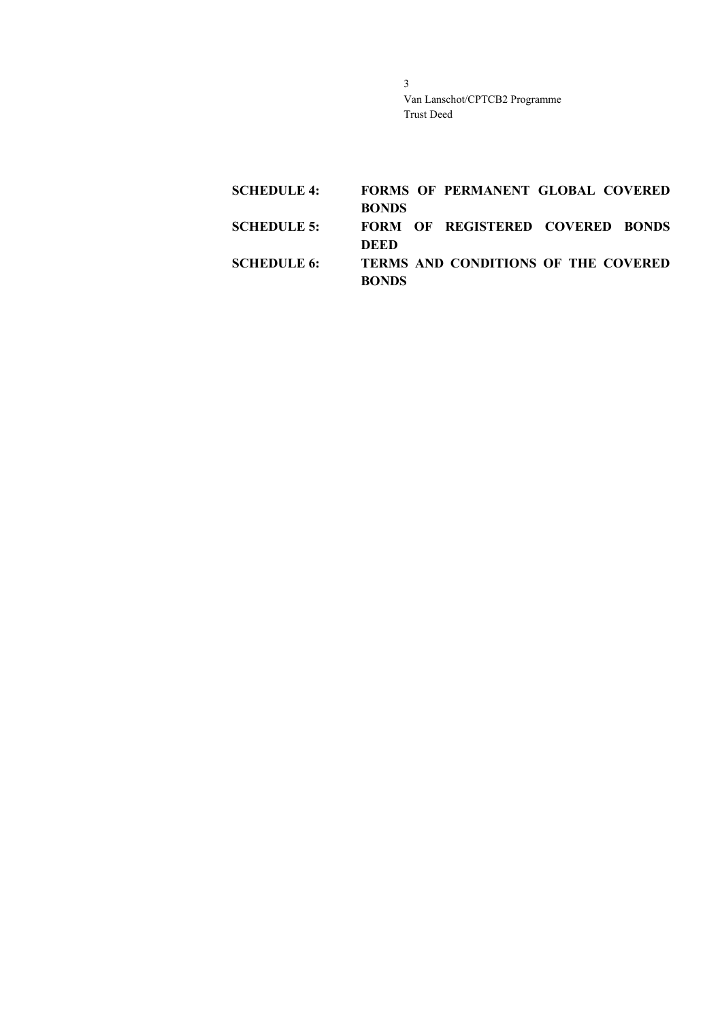| <b>SCHEDULE 4:</b> |              | <b>FORMS OF PERMANENT GLOBAL COVERED</b> |  |
|--------------------|--------------|------------------------------------------|--|
|                    | <b>BONDS</b> |                                          |  |
| <b>SCHEDULE 5:</b> |              | FORM OF REGISTERED COVERED BONDS         |  |
|                    | DEED         |                                          |  |
| <b>SCHEDULE 6:</b> |              | TERMS AND CONDITIONS OF THE COVERED      |  |
|                    | <b>RONDS</b> |                                          |  |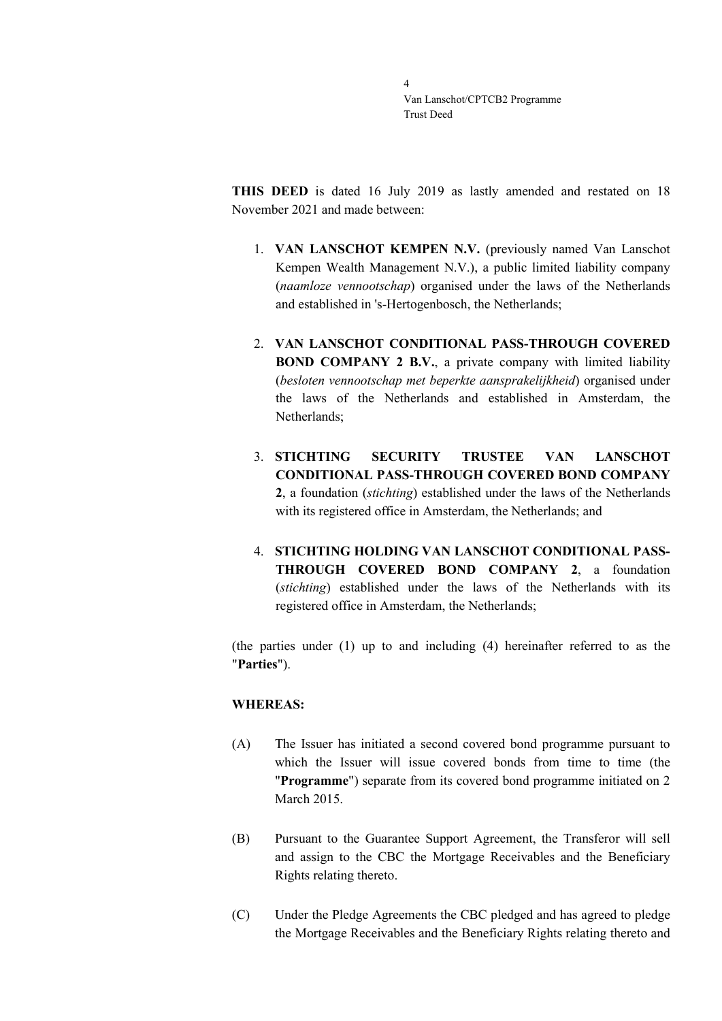**THIS DEED** is dated 16 July 2019 as lastly amended and restated on 18 November 2021 and made between:

- 1. **VAN LANSCHOT KEMPEN N.V.** (previously named Van Lanschot Kempen Wealth Management N.V.), a public limited liability company (*naamloze vennootschap*) organised under the laws of the Netherlands and established in 's-Hertogenbosch, the Netherlands;
- 2. **VAN LANSCHOT CONDITIONAL PASS-THROUGH COVERED BOND COMPANY 2 B.V.**, a private company with limited liability (*besloten vennootschap met beperkte aansprakelijkheid*) organised under the laws of the Netherlands and established in Amsterdam, the Netherlands;
- 3. **STICHTING SECURITY TRUSTEE VAN LANSCHOT CONDITIONAL PASS-THROUGH COVERED BOND COMPANY 2**, a foundation (*stichting*) established under the laws of the Netherlands with its registered office in Amsterdam, the Netherlands; and
- 4. **STICHTING HOLDING VAN LANSCHOT CONDITIONAL PASS-THROUGH COVERED BOND COMPANY 2**, a foundation (*stichting*) established under the laws of the Netherlands with its registered office in Amsterdam, the Netherlands;

(the parties under (1) up to and including (4) hereinafter referred to as the "**Parties**").

### **WHEREAS:**

- (A) The Issuer has initiated a second covered bond programme pursuant to which the Issuer will issue covered bonds from time to time (the "**Programme**") separate from its covered bond programme initiated on 2 March 2015.
- (B) Pursuant to the Guarantee Support Agreement, the Transferor will sell and assign to the CBC the Mortgage Receivables and the Beneficiary Rights relating thereto.
- (C) Under the Pledge Agreements the CBC pledged and has agreed to pledge the Mortgage Receivables and the Beneficiary Rights relating thereto and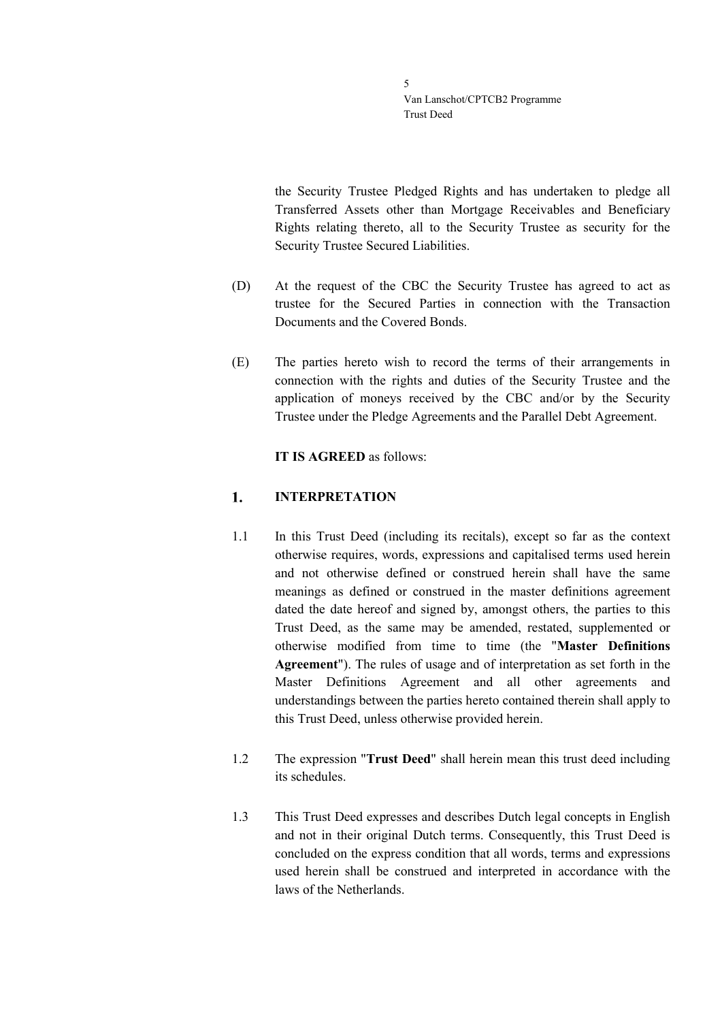the Security Trustee Pledged Rights and has undertaken to pledge all Transferred Assets other than Mortgage Receivables and Beneficiary Rights relating thereto, all to the Security Trustee as security for the Security Trustee Secured Liabilities.

- (D) At the request of the CBC the Security Trustee has agreed to act as trustee for the Secured Parties in connection with the Transaction Documents and the Covered Bonds.
- (E) The parties hereto wish to record the terms of their arrangements in connection with the rights and duties of the Security Trustee and the application of moneys received by the CBC and/or by the Security Trustee under the Pledge Agreements and the Parallel Debt Agreement.

### **IT IS AGREED** as follows:

#### <span id="page-4-0"></span>1. **INTERPRETATION**

- 1.1 In this Trust Deed (including its recitals), except so far as the context otherwise requires, words, expressions and capitalised terms used herein and not otherwise defined or construed herein shall have the same meanings as defined or construed in the master definitions agreement dated the date hereof and signed by, amongst others, the parties to this Trust Deed, as the same may be amended, restated, supplemented or otherwise modified from time to time (the "**Master Definitions Agreement**"). The rules of usage and of interpretation as set forth in the Master Definitions Agreement and all other agreements and understandings between the parties hereto contained therein shall apply to this Trust Deed, unless otherwise provided herein.
- 1.2 The expression "**Trust Deed**" shall herein mean this trust deed including its schedules.
- 1.3 This Trust Deed expresses and describes Dutch legal concepts in English and not in their original Dutch terms. Consequently, this Trust Deed is concluded on the express condition that all words, terms and expressions used herein shall be construed and interpreted in accordance with the laws of the Netherlands.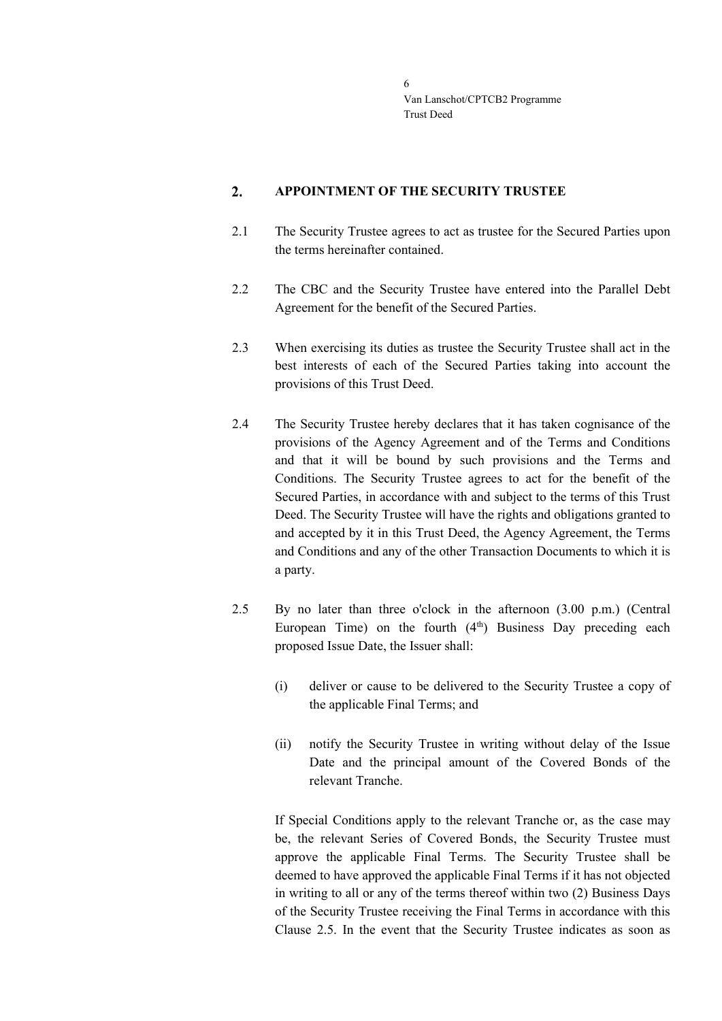#### <span id="page-5-0"></span> $2.$ **APPOINTMENT OF THE SECURITY TRUSTEE**

- 2.1 The Security Trustee agrees to act as trustee for the Secured Parties upon the terms hereinafter contained.
- 2.2 The CBC and the Security Trustee have entered into the Parallel Debt Agreement for the benefit of the Secured Parties.
- 2.3 When exercising its duties as trustee the Security Trustee shall act in the best interests of each of the Secured Parties taking into account the provisions of this Trust Deed.
- 2.4 The Security Trustee hereby declares that it has taken cognisance of the provisions of the Agency Agreement and of the Terms and Conditions and that it will be bound by such provisions and the Terms and Conditions. The Security Trustee agrees to act for the benefit of the Secured Parties, in accordance with and subject to the terms of this Trust Deed. The Security Trustee will have the rights and obligations granted to and accepted by it in this Trust Deed, the Agency Agreement, the Terms and Conditions and any of the other Transaction Documents to which it is a party.
- <span id="page-5-1"></span>2.5 By no later than three o'clock in the afternoon (3.00 p.m.) (Central European Time) on the fourth  $(4<sup>th</sup>)$  Business Day preceding each proposed Issue Date, the Issuer shall:
	- (i) deliver or cause to be delivered to the Security Trustee a copy of the applicable Final Terms; and
	- (ii) notify the Security Trustee in writing without delay of the Issue Date and the principal amount of the Covered Bonds of the relevant Tranche.

If Special Conditions apply to the relevant Tranche or, as the case may be, the relevant Series of Covered Bonds, the Security Trustee must approve the applicable Final Terms. The Security Trustee shall be deemed to have approved the applicable Final Terms if it has not objected in writing to all or any of the terms thereof within two (2) Business Days of the Security Trustee receiving the Final Terms in accordance with this Clause [2.5.](#page-5-1) In the event that the Security Trustee indicates as soon as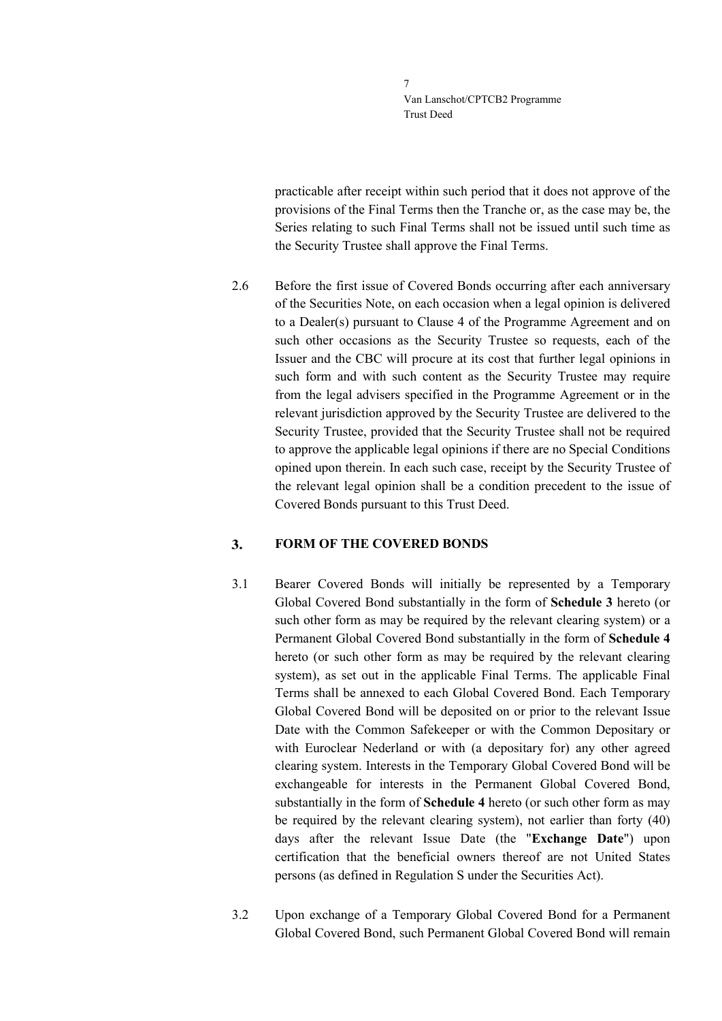practicable after receipt within such period that it does not approve of the provisions of the Final Terms then the Tranche or, as the case may be, the Series relating to such Final Terms shall not be issued until such time as the Security Trustee shall approve the Final Terms.

2.6 Before the first issue of Covered Bonds occurring after each anniversary of the Securities Note, on each occasion when a legal opinion is delivered to a Dealer(s) pursuant to Clause 4 of the Programme Agreement and on such other occasions as the Security Trustee so requests, each of the Issuer and the CBC will procure at its cost that further legal opinions in such form and with such content as the Security Trustee may require from the legal advisers specified in the Programme Agreement or in the relevant jurisdiction approved by the Security Trustee are delivered to the Security Trustee, provided that the Security Trustee shall not be required to approve the applicable legal opinions if there are no Special Conditions opined upon therein. In each such case, receipt by the Security Trustee of the relevant legal opinion shall be a condition precedent to the issue of Covered Bonds pursuant to this Trust Deed.

#### <span id="page-6-0"></span> $3<sub>1</sub>$ **FORM OF THE COVERED BONDS**

- 3.1 Bearer Covered Bonds will initially be represented by a Temporary Global Covered Bond substantially in the form of **Schedule 3** hereto (or such other form as may be required by the relevant clearing system) or a Permanent Global Covered Bond substantially in the form of **Schedule 4** hereto (or such other form as may be required by the relevant clearing system), as set out in the applicable Final Terms. The applicable Final Terms shall be annexed to each Global Covered Bond. Each Temporary Global Covered Bond will be deposited on or prior to the relevant Issue Date with the Common Safekeeper or with the Common Depositary or with Euroclear Nederland or with (a depositary for) any other agreed clearing system. Interests in the Temporary Global Covered Bond will be exchangeable for interests in the Permanent Global Covered Bond, substantially in the form of **Schedule 4** hereto (or such other form as may be required by the relevant clearing system), not earlier than forty (40) days after the relevant Issue Date (the "**Exchange Date**") upon certification that the beneficial owners thereof are not United States persons (as defined in Regulation S under the Securities Act).
- 3.2 Upon exchange of a Temporary Global Covered Bond for a Permanent Global Covered Bond, such Permanent Global Covered Bond will remain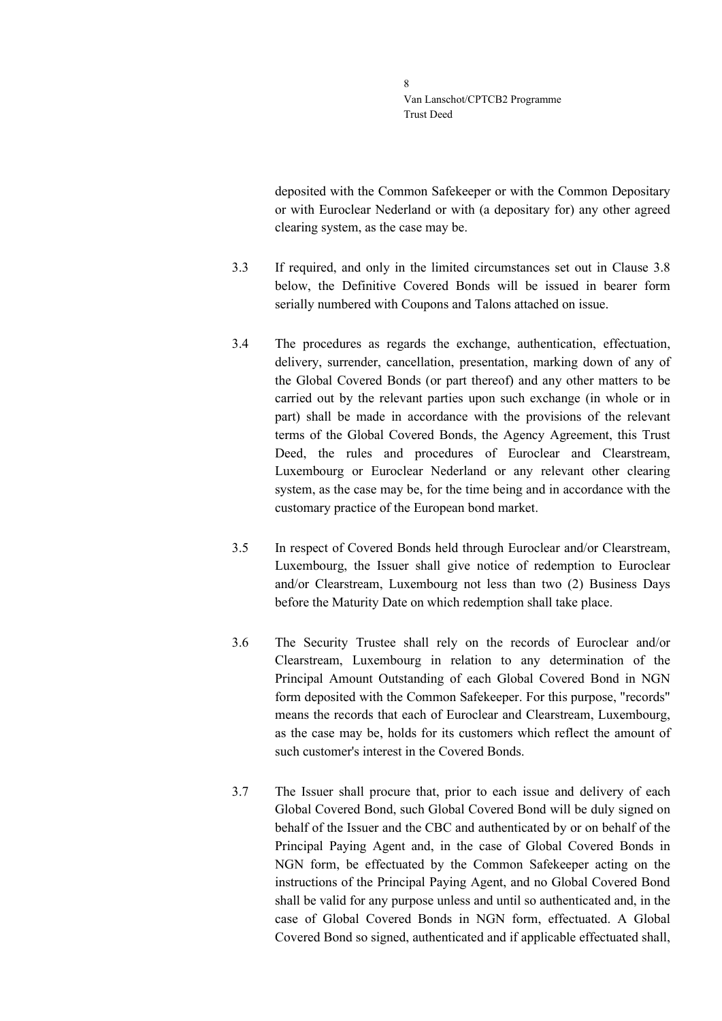deposited with the Common Safekeeper or with the Common Depositary or with Euroclear Nederland or with (a depositary for) any other agreed clearing system, as the case may be.

- 3.3 If required, and only in the limited circumstances set out in Clause [3.8](#page-8-0) below, the Definitive Covered Bonds will be issued in bearer form serially numbered with Coupons and Talons attached on issue.
- 3.4 The procedures as regards the exchange, authentication, effectuation, delivery, surrender, cancellation, presentation, marking down of any of the Global Covered Bonds (or part thereof) and any other matters to be carried out by the relevant parties upon such exchange (in whole or in part) shall be made in accordance with the provisions of the relevant terms of the Global Covered Bonds, the Agency Agreement, this Trust Deed, the rules and procedures of Euroclear and Clearstream, Luxembourg or Euroclear Nederland or any relevant other clearing system, as the case may be, for the time being and in accordance with the customary practice of the European bond market.
- 3.5 In respect of Covered Bonds held through Euroclear and/or Clearstream, Luxembourg, the Issuer shall give notice of redemption to Euroclear and/or Clearstream, Luxembourg not less than two (2) Business Days before the Maturity Date on which redemption shall take place.
- 3.6 The Security Trustee shall rely on the records of Euroclear and/or Clearstream, Luxembourg in relation to any determination of the Principal Amount Outstanding of each Global Covered Bond in NGN form deposited with the Common Safekeeper. For this purpose, "records" means the records that each of Euroclear and Clearstream, Luxembourg, as the case may be, holds for its customers which reflect the amount of such customer's interest in the Covered Bonds.
- 3.7 The Issuer shall procure that, prior to each issue and delivery of each Global Covered Bond, such Global Covered Bond will be duly signed on behalf of the Issuer and the CBC and authenticated by or on behalf of the Principal Paying Agent and, in the case of Global Covered Bonds in NGN form, be effectuated by the Common Safekeeper acting on the instructions of the Principal Paying Agent, and no Global Covered Bond shall be valid for any purpose unless and until so authenticated and, in the case of Global Covered Bonds in NGN form, effectuated. A Global Covered Bond so signed, authenticated and if applicable effectuated shall,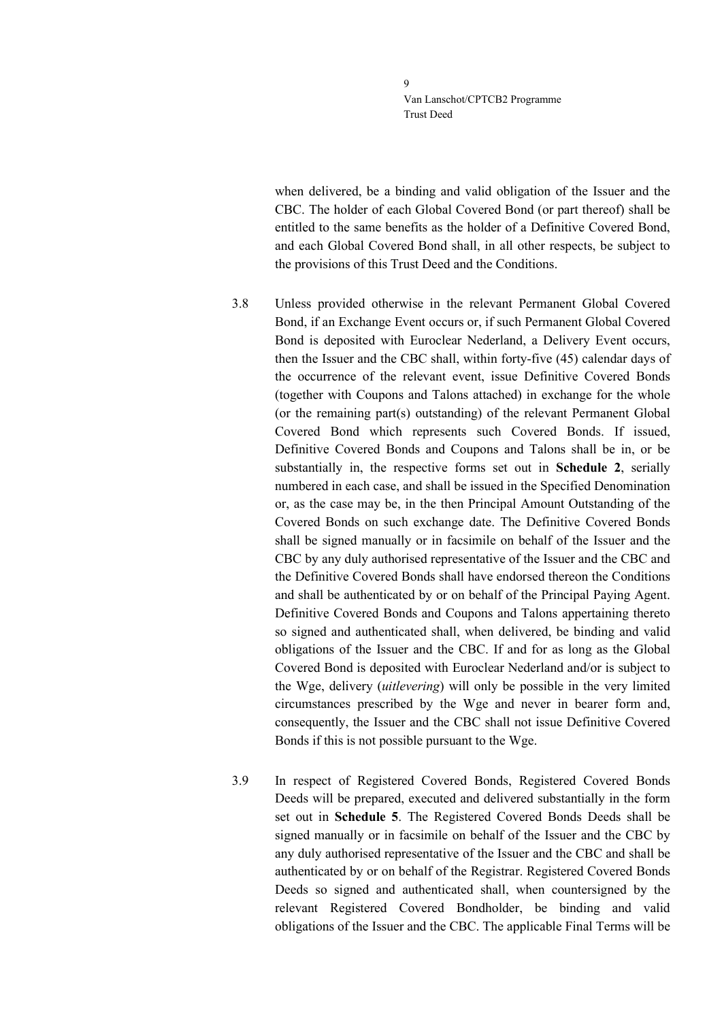$\overline{Q}$ Van Lanschot/CPTCB2 Programme Trust Deed

when delivered, be a binding and valid obligation of the Issuer and the CBC. The holder of each Global Covered Bond (or part thereof) shall be entitled to the same benefits as the holder of a Definitive Covered Bond, and each Global Covered Bond shall, in all other respects, be subject to the provisions of this Trust Deed and the Conditions.

<span id="page-8-0"></span>

3.8 Unless provided otherwise in the relevant Permanent Global Covered Bond, if an Exchange Event occurs or, if such Permanent Global Covered Bond is deposited with Euroclear Nederland, a Delivery Event occurs, then the Issuer and the CBC shall, within forty-five (45) calendar days of the occurrence of the relevant event, issue Definitive Covered Bonds (together with Coupons and Talons attached) in exchange for the whole (or the remaining part(s) outstanding) of the relevant Permanent Global Covered Bond which represents such Covered Bonds. If issued, Definitive Covered Bonds and Coupons and Talons shall be in, or be substantially in, the respective forms set out in **Schedule 2**, serially numbered in each case, and shall be issued in the Specified Denomination or, as the case may be, in the then Principal Amount Outstanding of the Covered Bonds on such exchange date. The Definitive Covered Bonds shall be signed manually or in facsimile on behalf of the Issuer and the CBC by any duly authorised representative of the Issuer and the CBC and the Definitive Covered Bonds shall have endorsed thereon the Conditions and shall be authenticated by or on behalf of the Principal Paying Agent. Definitive Covered Bonds and Coupons and Talons appertaining thereto so signed and authenticated shall, when delivered, be binding and valid obligations of the Issuer and the CBC. If and for as long as the Global Covered Bond is deposited with Euroclear Nederland and/or is subject to the Wge, delivery (*uitlevering*) will only be possible in the very limited circumstances prescribed by the Wge and never in bearer form and, consequently, the Issuer and the CBC shall not issue Definitive Covered Bonds if this is not possible pursuant to the Wge.

3.9 In respect of Registered Covered Bonds, Registered Covered Bonds Deeds will be prepared, executed and delivered substantially in the form set out in **Schedule 5**. The Registered Covered Bonds Deeds shall be signed manually or in facsimile on behalf of the Issuer and the CBC by any duly authorised representative of the Issuer and the CBC and shall be authenticated by or on behalf of the Registrar. Registered Covered Bonds Deeds so signed and authenticated shall, when countersigned by the relevant Registered Covered Bondholder, be binding and valid obligations of the Issuer and the CBC. The applicable Final Terms will be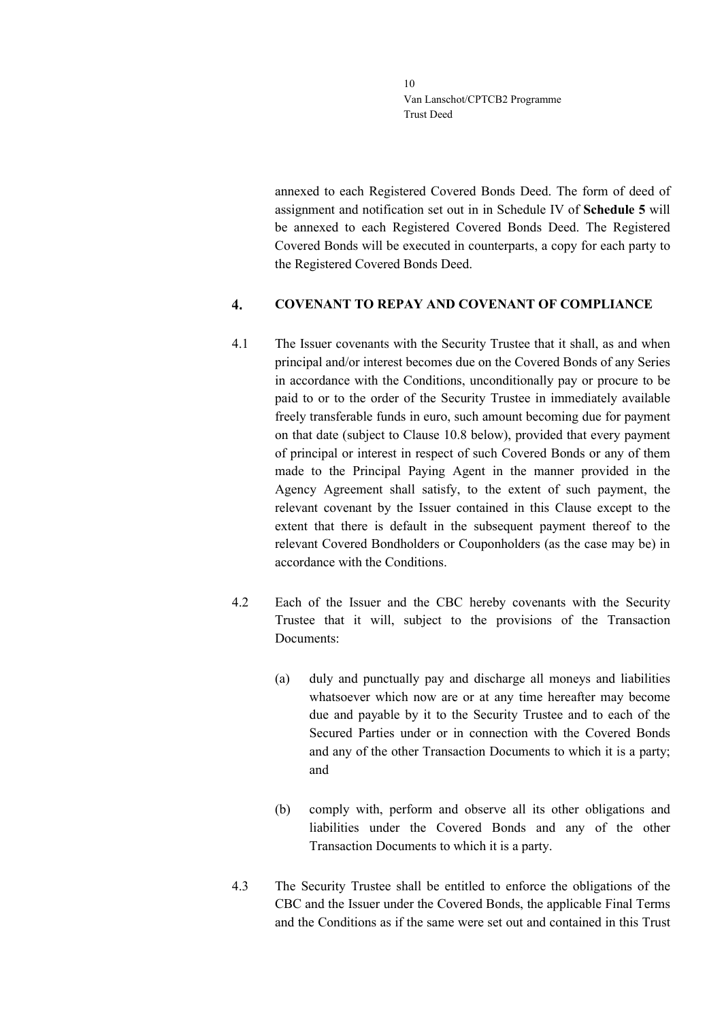annexed to each Registered Covered Bonds Deed. The form of deed of assignment and notification set out in in Schedule IV of **Schedule 5** will be annexed to each Registered Covered Bonds Deed. The Registered Covered Bonds will be executed in counterparts, a copy for each party to the Registered Covered Bonds Deed.

#### <span id="page-9-0"></span> $\boldsymbol{4}$ . **COVENANT TO REPAY AND COVENANT OF COMPLIANCE**

- 4.1 The Issuer covenants with the Security Trustee that it shall, as and when principal and/or interest becomes due on the Covered Bonds of any Series in accordance with the Conditions, unconditionally pay or procure to be paid to or to the order of the Security Trustee in immediately available freely transferable funds in euro, such amount becoming due for payment on that date (subject to Clause [10.8](#page-22-0) below), provided that every payment of principal or interest in respect of such Covered Bonds or any of them made to the Principal Paying Agent in the manner provided in the Agency Agreement shall satisfy, to the extent of such payment, the relevant covenant by the Issuer contained in this Clause except to the extent that there is default in the subsequent payment thereof to the relevant Covered Bondholders or Couponholders (as the case may be) in accordance with the Conditions.
- 4.2 Each of the Issuer and the CBC hereby covenants with the Security Trustee that it will, subject to the provisions of the Transaction Documents:
	- (a) duly and punctually pay and discharge all moneys and liabilities whatsoever which now are or at any time hereafter may become due and payable by it to the Security Trustee and to each of the Secured Parties under or in connection with the Covered Bonds and any of the other Transaction Documents to which it is a party; and
	- (b) comply with, perform and observe all its other obligations and liabilities under the Covered Bonds and any of the other Transaction Documents to which it is a party.
- 4.3 The Security Trustee shall be entitled to enforce the obligations of the CBC and the Issuer under the Covered Bonds, the applicable Final Terms and the Conditions as if the same were set out and contained in this Trust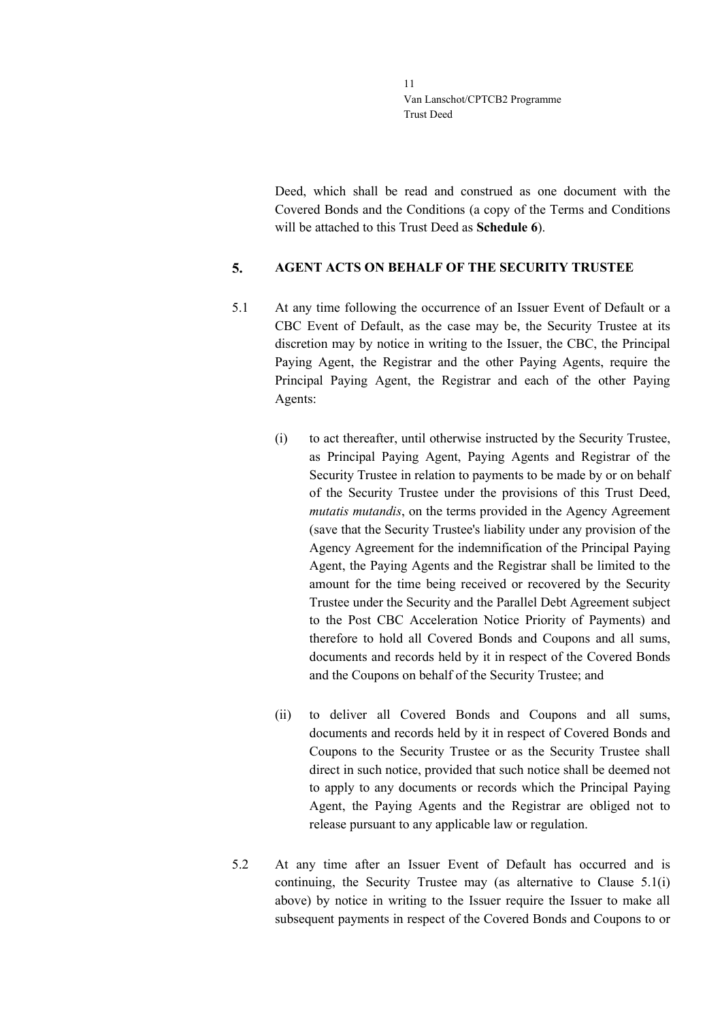Deed, which shall be read and construed as one document with the Covered Bonds and the Conditions (a copy of the Terms and Conditions will be attached to this Trust Deed as **Schedule 6**).

#### <span id="page-10-0"></span>5. **AGENT ACTS ON BEHALF OF THE SECURITY TRUSTEE**

- <span id="page-10-1"></span>5.1 At any time following the occurrence of an Issuer Event of Default or a CBC Event of Default, as the case may be, the Security Trustee at its discretion may by notice in writing to the Issuer, the CBC, the Principal Paying Agent, the Registrar and the other Paying Agents, require the Principal Paying Agent, the Registrar and each of the other Paying Agents:
	- (i) to act thereafter, until otherwise instructed by the Security Trustee, as Principal Paying Agent, Paying Agents and Registrar of the Security Trustee in relation to payments to be made by or on behalf of the Security Trustee under the provisions of this Trust Deed, *mutatis mutandis*, on the terms provided in the Agency Agreement (save that the Security Trustee's liability under any provision of the Agency Agreement for the indemnification of the Principal Paying Agent, the Paying Agents and the Registrar shall be limited to the amount for the time being received or recovered by the Security Trustee under the Security and the Parallel Debt Agreement subject to the Post CBC Acceleration Notice Priority of Payments) and therefore to hold all Covered Bonds and Coupons and all sums, documents and records held by it in respect of the Covered Bonds and the Coupons on behalf of the Security Trustee; and
	- (ii) to deliver all Covered Bonds and Coupons and all sums, documents and records held by it in respect of Covered Bonds and Coupons to the Security Trustee or as the Security Trustee shall direct in such notice, provided that such notice shall be deemed not to apply to any documents or records which the Principal Paying Agent, the Paying Agents and the Registrar are obliged not to release pursuant to any applicable law or regulation.
- 5.2 At any time after an Issuer Event of Default has occurred and is continuing, the Security Trustee may (as alternative to Clause [5.1\(](#page-10-1)i) above) by notice in writing to the Issuer require the Issuer to make all subsequent payments in respect of the Covered Bonds and Coupons to or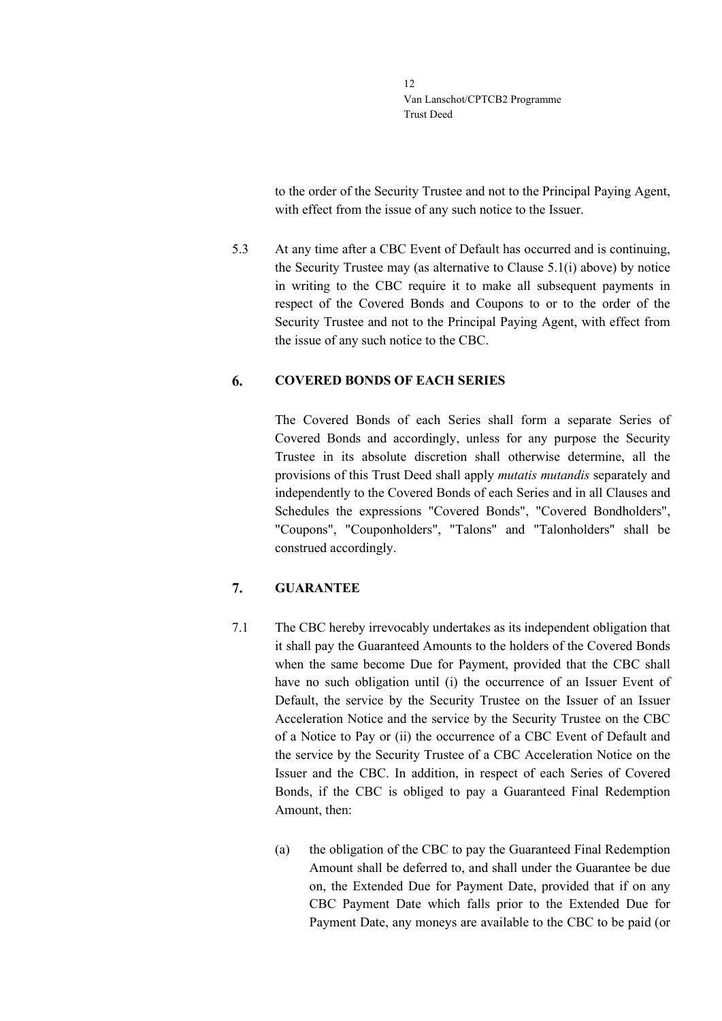to the order of the Security Trustee and not to the Principal Paying Agent, with effect from the issue of any such notice to the Issuer.

5.3 At any time after a CBC Event of Default has occurred and is continuing, the Security Trustee may (as alternative to Clause [5.1\(](#page-10-1)i) above) by notice in writing to the CBC require it to make all subsequent payments in respect of the Covered Bonds and Coupons to or to the order of the Security Trustee and not to the Principal Paying Agent, with effect from the issue of any such notice to the CBC.

#### <span id="page-11-0"></span>6. **COVERED BONDS OF EACH SERIES**

The Covered Bonds of each Series shall form a separate Series of Covered Bonds and accordingly, unless for any purpose the Security Trustee in its absolute discretion shall otherwise determine, all the provisions of this Trust Deed shall apply *mutatis mutandis* separately and independently to the Covered Bonds of each Series and in all Clauses and Schedules the expressions "Covered Bonds", "Covered Bondholders", "Coupons", "Couponholders", "Talons" and "Talonholders" shall be construed accordingly.

### <span id="page-11-1"></span>7. **GUARANTEE**

- 7.1 The CBC hereby irrevocably undertakes as its independent obligation that it shall pay the Guaranteed Amounts to the holders of the Covered Bonds when the same become Due for Payment, provided that the CBC shall have no such obligation until (i) the occurrence of an Issuer Event of Default, the service by the Security Trustee on the Issuer of an Issuer Acceleration Notice and the service by the Security Trustee on the CBC of a Notice to Pay or (ii) the occurrence of a CBC Event of Default and the service by the Security Trustee of a CBC Acceleration Notice on the Issuer and the CBC. In addition, in respect of each Series of Covered Bonds, if the CBC is obliged to pay a Guaranteed Final Redemption Amount, then:
	- (a) the obligation of the CBC to pay the Guaranteed Final Redemption Amount shall be deferred to, and shall under the Guarantee be due on, the Extended Due for Payment Date, provided that if on any CBC Payment Date which falls prior to the Extended Due for Payment Date, any moneys are available to the CBC to be paid (or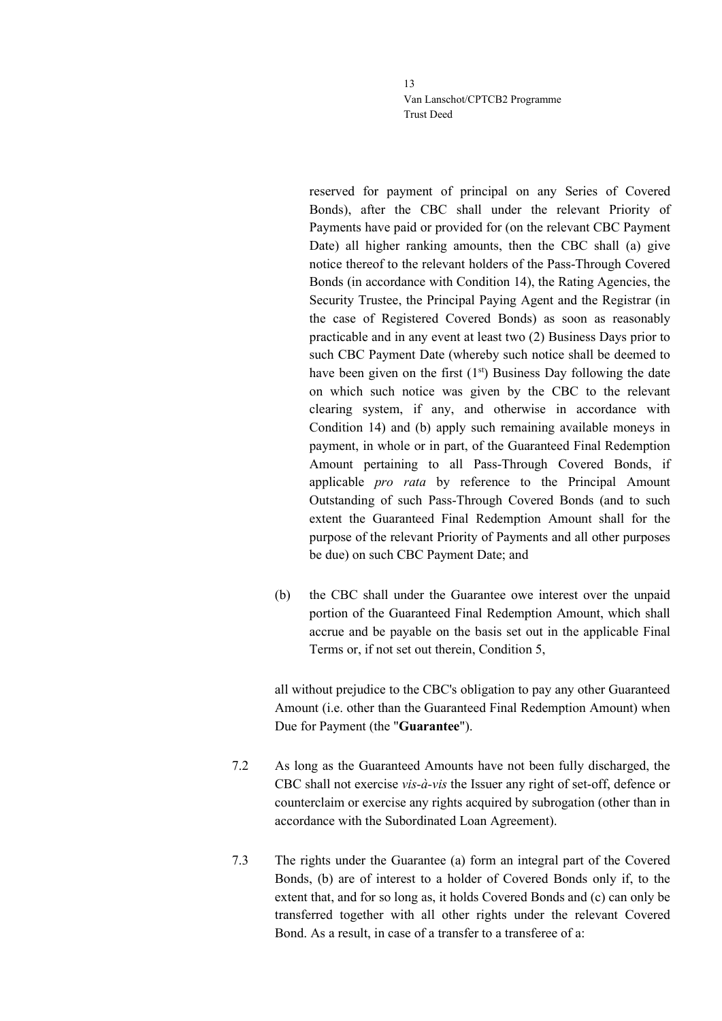reserved for payment of principal on any Series of Covered Bonds), after the CBC shall under the relevant Priority of Payments have paid or provided for (on the relevant CBC Payment Date) all higher ranking amounts, then the CBC shall (a) give notice thereof to the relevant holders of the Pass-Through Covered Bonds (in accordance with Condition 14), the Rating Agencies, the Security Trustee, the Principal Paying Agent and the Registrar (in the case of Registered Covered Bonds) as soon as reasonably practicable and in any event at least two (2) Business Days prior to such CBC Payment Date (whereby such notice shall be deemed to have been given on the first  $(1<sup>st</sup>)$  Business Day following the date on which such notice was given by the CBC to the relevant clearing system, if any, and otherwise in accordance with Condition 14) and (b) apply such remaining available moneys in payment, in whole or in part, of the Guaranteed Final Redemption Amount pertaining to all Pass-Through Covered Bonds, if applicable *pro rata* by reference to the Principal Amount Outstanding of such Pass-Through Covered Bonds (and to such extent the Guaranteed Final Redemption Amount shall for the purpose of the relevant Priority of Payments and all other purposes be due) on such CBC Payment Date; and

(b) the CBC shall under the Guarantee owe interest over the unpaid portion of the Guaranteed Final Redemption Amount, which shall accrue and be payable on the basis set out in the applicable Final Terms or, if not set out therein, Condition 5,

all without prejudice to the CBC's obligation to pay any other Guaranteed Amount (i.e. other than the Guaranteed Final Redemption Amount) when Due for Payment (the "**Guarantee**").

- 7.2 As long as the Guaranteed Amounts have not been fully discharged, the CBC shall not exercise *vis-à-vis* the Issuer any right of set-off, defence or counterclaim or exercise any rights acquired by subrogation (other than in accordance with the Subordinated Loan Agreement).
- 7.3 The rights under the Guarantee (a) form an integral part of the Covered Bonds, (b) are of interest to a holder of Covered Bonds only if, to the extent that, and for so long as, it holds Covered Bonds and (c) can only be transferred together with all other rights under the relevant Covered Bond. As a result, in case of a transfer to a transferee of a: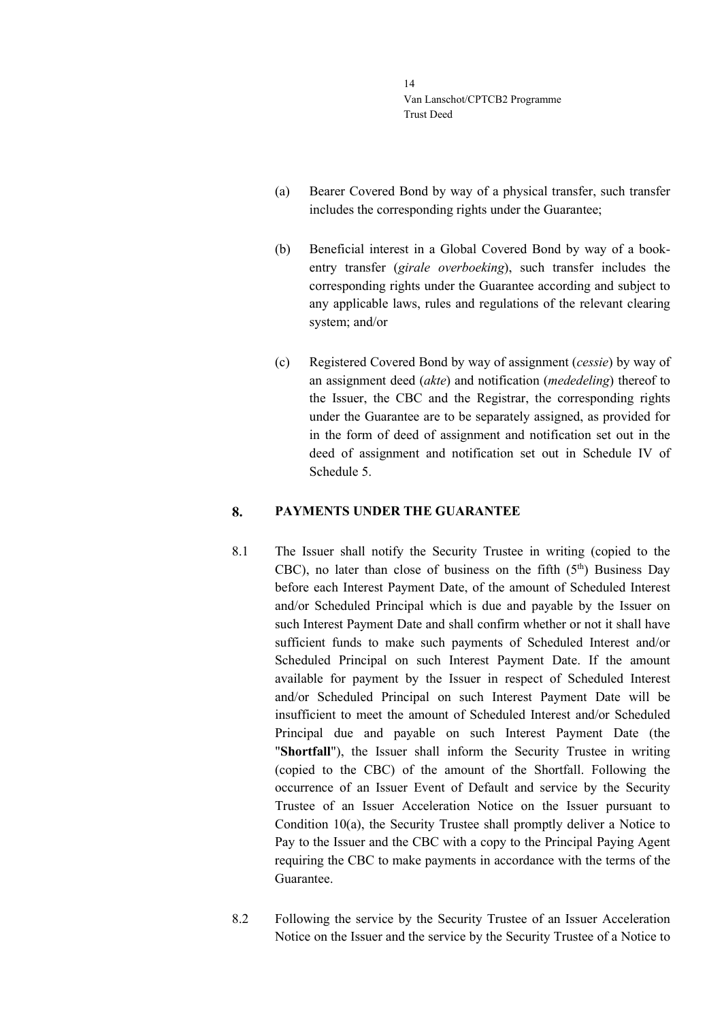- (a) Bearer Covered Bond by way of a physical transfer, such transfer includes the corresponding rights under the Guarantee;
- (b) Beneficial interest in a Global Covered Bond by way of a bookentry transfer (*girale overboeking*), such transfer includes the corresponding rights under the Guarantee according and subject to any applicable laws, rules and regulations of the relevant clearing system; and/or
- (c) Registered Covered Bond by way of assignment (*cessie*) by way of an assignment deed (*akte*) and notification (*mededeling*) thereof to the Issuer, the CBC and the Registrar, the corresponding rights under the Guarantee are to be separately assigned, as provided for in the form of deed of assignment and notification set out in the deed of assignment and notification set out in Schedule IV of Schedule 5.

#### <span id="page-13-0"></span>8. **PAYMENTS UNDER THE GUARANTEE**

- 8.1 The Issuer shall notify the Security Trustee in writing (copied to the CBC), no later than close of business on the fifth  $(5<sup>th</sup>)$  Business Day before each Interest Payment Date, of the amount of Scheduled Interest and/or Scheduled Principal which is due and payable by the Issuer on such Interest Payment Date and shall confirm whether or not it shall have sufficient funds to make such payments of Scheduled Interest and/or Scheduled Principal on such Interest Payment Date. If the amount available for payment by the Issuer in respect of Scheduled Interest and/or Scheduled Principal on such Interest Payment Date will be insufficient to meet the amount of Scheduled Interest and/or Scheduled Principal due and payable on such Interest Payment Date (the "**Shortfall**"), the Issuer shall inform the Security Trustee in writing (copied to the CBC) of the amount of the Shortfall. Following the occurrence of an Issuer Event of Default and service by the Security Trustee of an Issuer Acceleration Notice on the Issuer pursuant to Condition 10(a), the Security Trustee shall promptly deliver a Notice to Pay to the Issuer and the CBC with a copy to the Principal Paying Agent requiring the CBC to make payments in accordance with the terms of the Guarantee.
- 8.2 Following the service by the Security Trustee of an Issuer Acceleration Notice on the Issuer and the service by the Security Trustee of a Notice to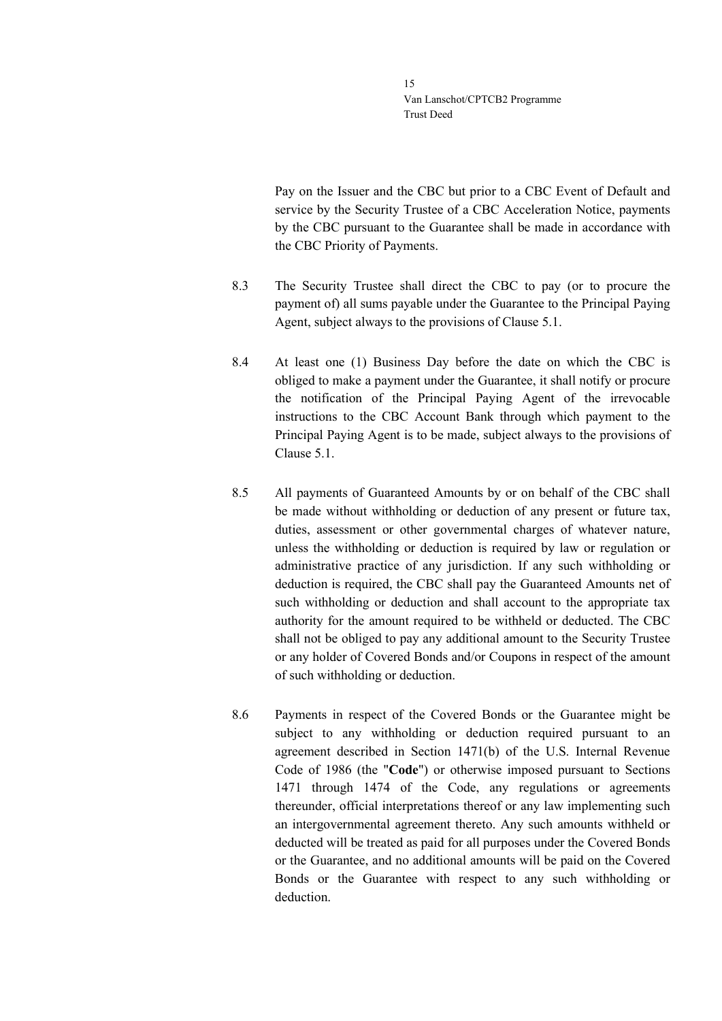Pay on the Issuer and the CBC but prior to a CBC Event of Default and service by the Security Trustee of a CBC Acceleration Notice, payments by the CBC pursuant to the Guarantee shall be made in accordance with the CBC Priority of Payments.

- 8.3 The Security Trustee shall direct the CBC to pay (or to procure the payment of) all sums payable under the Guarantee to the Principal Paying Agent, subject always to the provisions of Clause [5.1.](#page-10-1)
- 8.4 At least one (1) Business Day before the date on which the CBC is obliged to make a payment under the Guarantee, it shall notify or procure the notification of the Principal Paying Agent of the irrevocable instructions to the CBC Account Bank through which payment to the Principal Paying Agent is to be made, subject always to the provisions of Clause [5.1.](#page-10-1)
- <span id="page-14-0"></span>8.5 All payments of Guaranteed Amounts by or on behalf of the CBC shall be made without withholding or deduction of any present or future tax, duties, assessment or other governmental charges of whatever nature, unless the withholding or deduction is required by law or regulation or administrative practice of any jurisdiction. If any such withholding or deduction is required, the CBC shall pay the Guaranteed Amounts net of such withholding or deduction and shall account to the appropriate tax authority for the amount required to be withheld or deducted. The CBC shall not be obliged to pay any additional amount to the Security Trustee or any holder of Covered Bonds and/or Coupons in respect of the amount of such withholding or deduction.
- 8.6 Payments in respect of the Covered Bonds or the Guarantee might be subject to any withholding or deduction required pursuant to an agreement described in Section 1471(b) of the U.S. Internal Revenue Code of 1986 (the "**Code**") or otherwise imposed pursuant to Sections 1471 through 1474 of the Code, any regulations or agreements thereunder, official interpretations thereof or any law implementing such an intergovernmental agreement thereto. Any such amounts withheld or deducted will be treated as paid for all purposes under the Covered Bonds or the Guarantee, and no additional amounts will be paid on the Covered Bonds or the Guarantee with respect to any such withholding or deduction.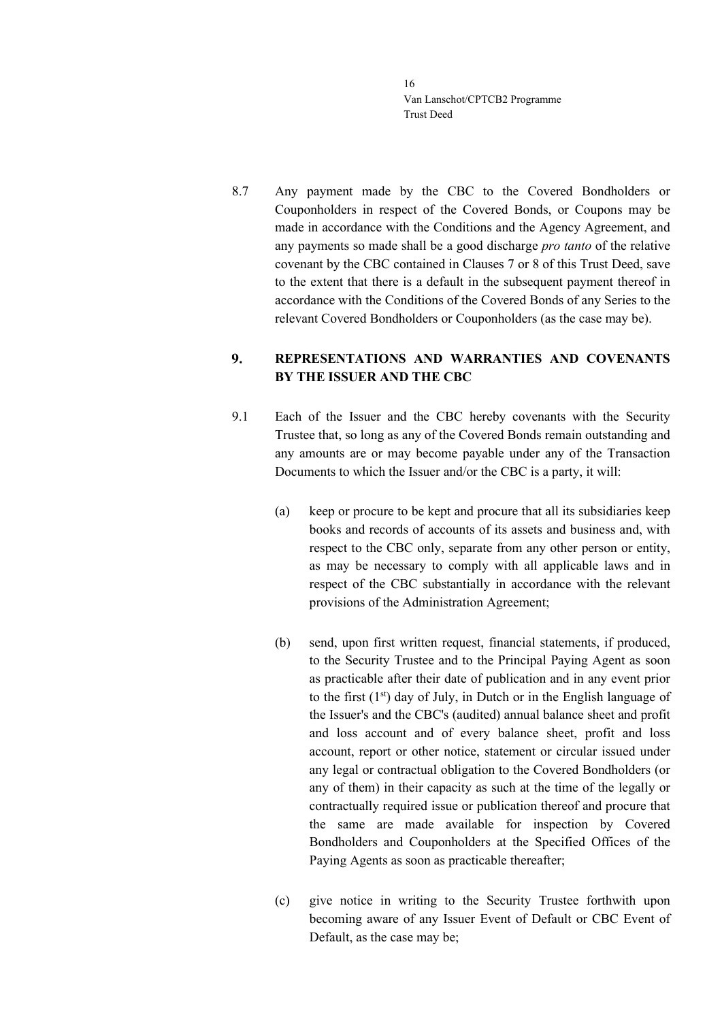8.7 Any payment made by the CBC to the Covered Bondholders or Couponholders in respect of the Covered Bonds, or Coupons may be made in accordance with the Conditions and the Agency Agreement, and any payments so made shall be a good discharge *pro tanto* of the relative covenant by the CBC contained in Clauses [7](#page-11-1) or [8](#page-13-0) of this Trust Deed, save to the extent that there is a default in the subsequent payment thereof in accordance with the Conditions of the Covered Bonds of any Series to the relevant Covered Bondholders or Couponholders (as the case may be).

### <span id="page-15-0"></span> $9<sub>1</sub>$ **REPRESENTATIONS AND WARRANTIES AND COVENANTS BY THE ISSUER AND THE CBC**

- 9.1 Each of the Issuer and the CBC hereby covenants with the Security Trustee that, so long as any of the Covered Bonds remain outstanding and any amounts are or may become payable under any of the Transaction Documents to which the Issuer and/or the CBC is a party, it will:
	- (a) keep or procure to be kept and procure that all its subsidiaries keep books and records of accounts of its assets and business and, with respect to the CBC only, separate from any other person or entity, as may be necessary to comply with all applicable laws and in respect of the CBC substantially in accordance with the relevant provisions of the Administration Agreement;
	- (b) send, upon first written request, financial statements, if produced, to the Security Trustee and to the Principal Paying Agent as soon as practicable after their date of publication and in any event prior to the first  $(1<sup>st</sup>)$  day of July, in Dutch or in the English language of the Issuer's and the CBC's (audited) annual balance sheet and profit and loss account and of every balance sheet, profit and loss account, report or other notice, statement or circular issued under any legal or contractual obligation to the Covered Bondholders (or any of them) in their capacity as such at the time of the legally or contractually required issue or publication thereof and procure that the same are made available for inspection by Covered Bondholders and Couponholders at the Specified Offices of the Paying Agents as soon as practicable thereafter;
	- (c) give notice in writing to the Security Trustee forthwith upon becoming aware of any Issuer Event of Default or CBC Event of Default, as the case may be;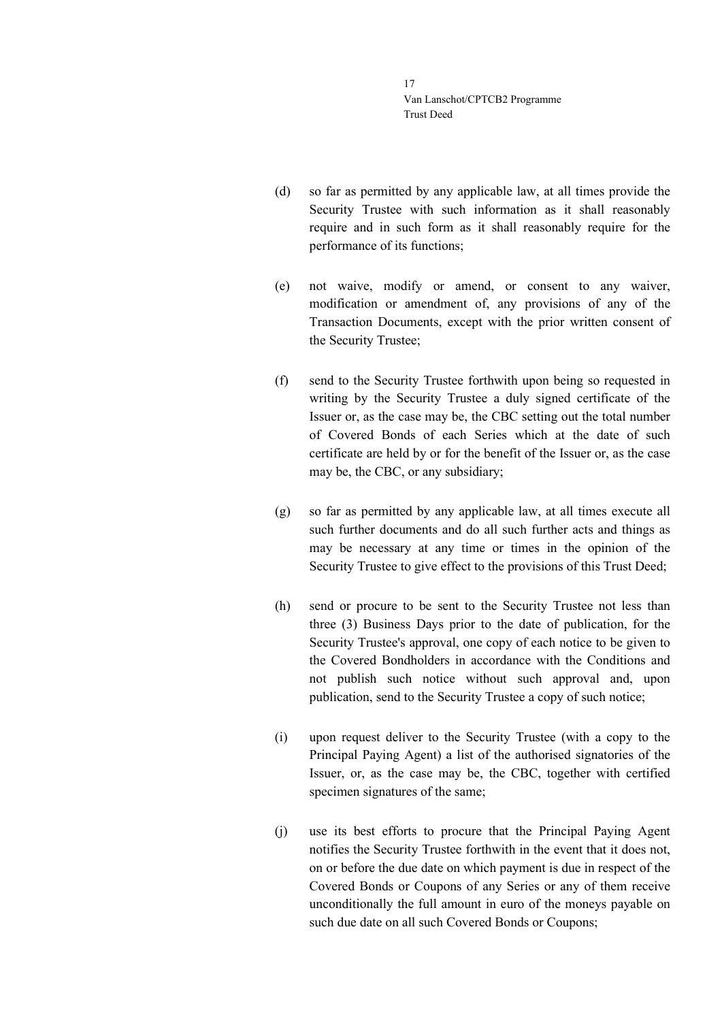- (d) so far as permitted by any applicable law, at all times provide the Security Trustee with such information as it shall reasonably require and in such form as it shall reasonably require for the performance of its functions;
- (e) not waive, modify or amend, or consent to any waiver, modification or amendment of, any provisions of any of the Transaction Documents, except with the prior written consent of the Security Trustee;
- (f) send to the Security Trustee forthwith upon being so requested in writing by the Security Trustee a duly signed certificate of the Issuer or, as the case may be, the CBC setting out the total number of Covered Bonds of each Series which at the date of such certificate are held by or for the benefit of the Issuer or, as the case may be, the CBC, or any subsidiary;
- (g) so far as permitted by any applicable law, at all times execute all such further documents and do all such further acts and things as may be necessary at any time or times in the opinion of the Security Trustee to give effect to the provisions of this Trust Deed;
- (h) send or procure to be sent to the Security Trustee not less than three (3) Business Days prior to the date of publication, for the Security Trustee's approval, one copy of each notice to be given to the Covered Bondholders in accordance with the Conditions and not publish such notice without such approval and, upon publication, send to the Security Trustee a copy of such notice;
- (i) upon request deliver to the Security Trustee (with a copy to the Principal Paying Agent) a list of the authorised signatories of the Issuer, or, as the case may be, the CBC, together with certified specimen signatures of the same;
- (j) use its best efforts to procure that the Principal Paying Agent notifies the Security Trustee forthwith in the event that it does not, on or before the due date on which payment is due in respect of the Covered Bonds or Coupons of any Series or any of them receive unconditionally the full amount in euro of the moneys payable on such due date on all such Covered Bonds or Coupons;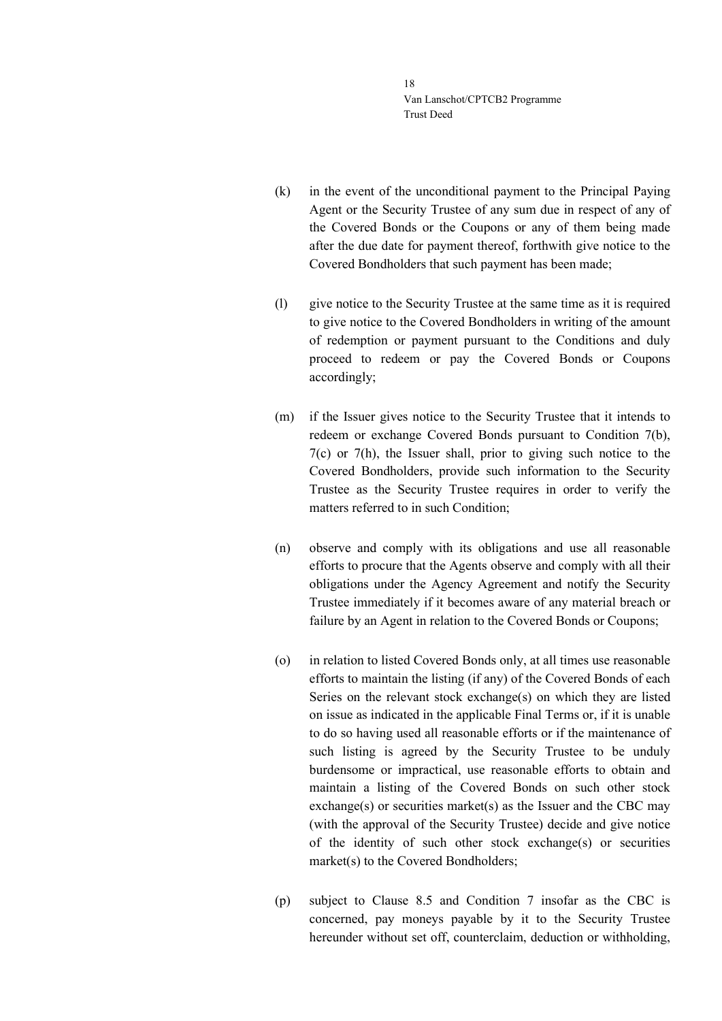- (k) in the event of the unconditional payment to the Principal Paying Agent or the Security Trustee of any sum due in respect of any of the Covered Bonds or the Coupons or any of them being made after the due date for payment thereof, forthwith give notice to the Covered Bondholders that such payment has been made;
- (l) give notice to the Security Trustee at the same time as it is required to give notice to the Covered Bondholders in writing of the amount of redemption or payment pursuant to the Conditions and duly proceed to redeem or pay the Covered Bonds or Coupons accordingly;
- (m) if the Issuer gives notice to the Security Trustee that it intends to redeem or exchange Covered Bonds pursuant to Condition 7(b), 7(c) or 7(h), the Issuer shall, prior to giving such notice to the Covered Bondholders, provide such information to the Security Trustee as the Security Trustee requires in order to verify the matters referred to in such Condition;
- (n) observe and comply with its obligations and use all reasonable efforts to procure that the Agents observe and comply with all their obligations under the Agency Agreement and notify the Security Trustee immediately if it becomes aware of any material breach or failure by an Agent in relation to the Covered Bonds or Coupons;
- (o) in relation to listed Covered Bonds only, at all times use reasonable efforts to maintain the listing (if any) of the Covered Bonds of each Series on the relevant stock exchange(s) on which they are listed on issue as indicated in the applicable Final Terms or, if it is unable to do so having used all reasonable efforts or if the maintenance of such listing is agreed by the Security Trustee to be unduly burdensome or impractical, use reasonable efforts to obtain and maintain a listing of the Covered Bonds on such other stock exchange(s) or securities market(s) as the Issuer and the CBC may (with the approval of the Security Trustee) decide and give notice of the identity of such other stock exchange(s) or securities market(s) to the Covered Bondholders;
- (p) subject to Clause [8.5](#page-14-0) and Condition 7 insofar as the CBC is concerned, pay moneys payable by it to the Security Trustee hereunder without set off, counterclaim, deduction or withholding,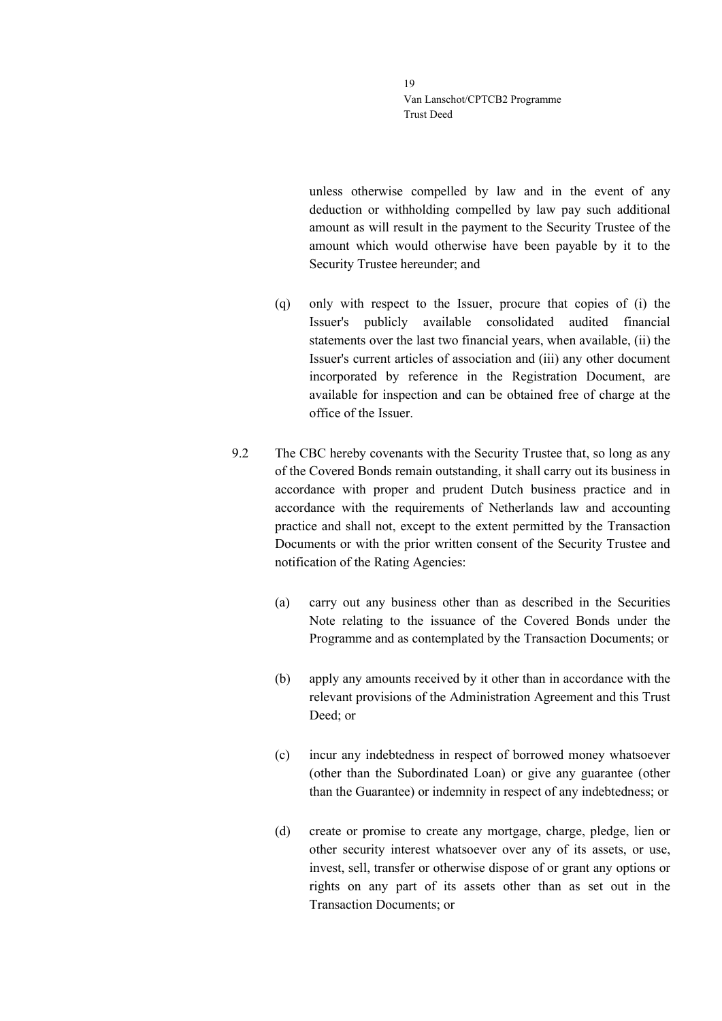unless otherwise compelled by law and in the event of any deduction or withholding compelled by law pay such additional amount as will result in the payment to the Security Trustee of the amount which would otherwise have been payable by it to the Security Trustee hereunder; and

- (q) only with respect to the Issuer, procure that copies of (i) the Issuer's publicly available consolidated audited financial statements over the last two financial years, when available, (ii) the Issuer's current articles of association and (iii) any other document incorporated by reference in the Registration Document, are available for inspection and can be obtained free of charge at the office of the Issuer.
- 9.2 The CBC hereby covenants with the Security Trustee that, so long as any of the Covered Bonds remain outstanding, it shall carry out its business in accordance with proper and prudent Dutch business practice and in accordance with the requirements of Netherlands law and accounting practice and shall not, except to the extent permitted by the Transaction Documents or with the prior written consent of the Security Trustee and notification of the Rating Agencies:
	- (a) carry out any business other than as described in the Securities Note relating to the issuance of the Covered Bonds under the Programme and as contemplated by the Transaction Documents; or
	- (b) apply any amounts received by it other than in accordance with the relevant provisions of the Administration Agreement and this Trust Deed; or
	- (c) incur any indebtedness in respect of borrowed money whatsoever (other than the Subordinated Loan) or give any guarantee (other than the Guarantee) or indemnity in respect of any indebtedness; or
	- (d) create or promise to create any mortgage, charge, pledge, lien or other security interest whatsoever over any of its assets, or use, invest, sell, transfer or otherwise dispose of or grant any options or rights on any part of its assets other than as set out in the Transaction Documents; or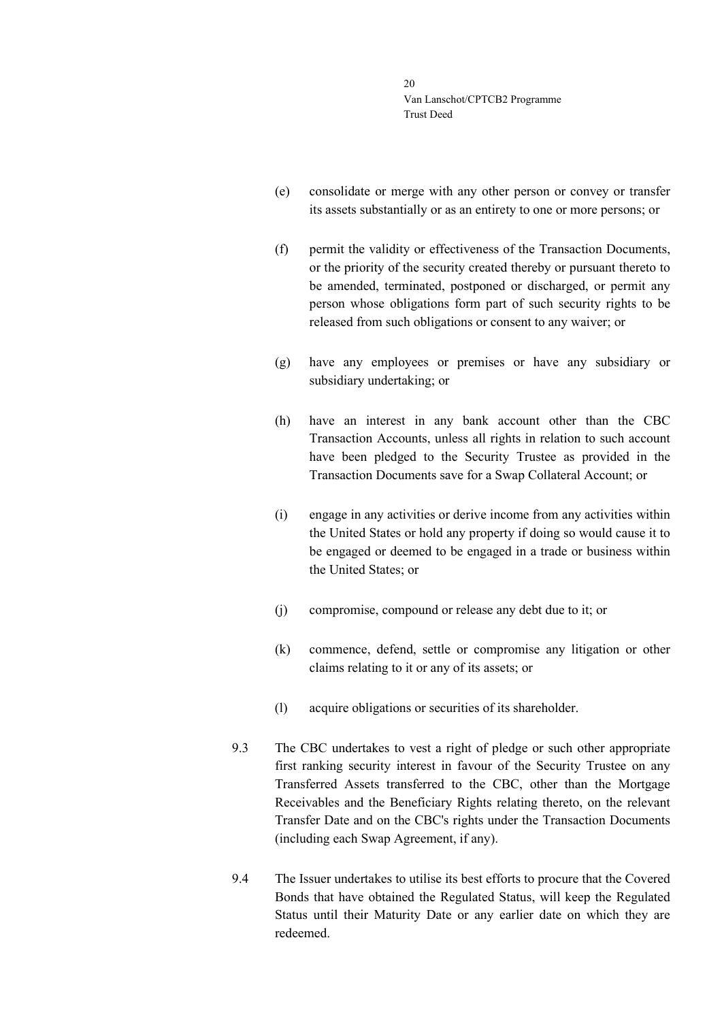- (e) consolidate or merge with any other person or convey or transfer its assets substantially or as an entirety to one or more persons; or
- (f) permit the validity or effectiveness of the Transaction Documents, or the priority of the security created thereby or pursuant thereto to be amended, terminated, postponed or discharged, or permit any person whose obligations form part of such security rights to be released from such obligations or consent to any waiver; or
- (g) have any employees or premises or have any subsidiary or subsidiary undertaking; or
- (h) have an interest in any bank account other than the CBC Transaction Accounts, unless all rights in relation to such account have been pledged to the Security Trustee as provided in the Transaction Documents save for a Swap Collateral Account; or
- (i) engage in any activities or derive income from any activities within the United States or hold any property if doing so would cause it to be engaged or deemed to be engaged in a trade or business within the United States; or
- (j) compromise, compound or release any debt due to it; or
- (k) commence, defend, settle or compromise any litigation or other claims relating to it or any of its assets; or
- (l) acquire obligations or securities of its shareholder.
- 9.3 The CBC undertakes to vest a right of pledge or such other appropriate first ranking security interest in favour of the Security Trustee on any Transferred Assets transferred to the CBC, other than the Mortgage Receivables and the Beneficiary Rights relating thereto, on the relevant Transfer Date and on the CBC's rights under the Transaction Documents (including each Swap Agreement, if any).
- <span id="page-19-0"></span>9.4 The Issuer undertakes to utilise its best efforts to procure that the Covered Bonds that have obtained the Regulated Status, will keep the Regulated Status until their Maturity Date or any earlier date on which they are redeemed.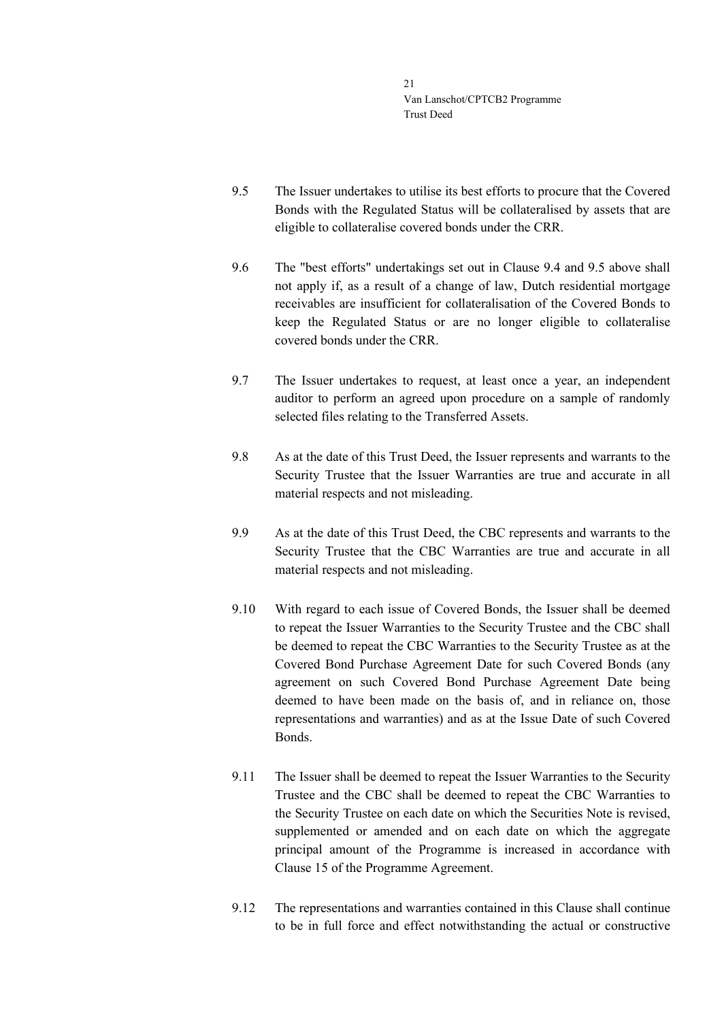- <span id="page-20-0"></span>9.5 The Issuer undertakes to utilise its best efforts to procure that the Covered Bonds with the Regulated Status will be collateralised by assets that are eligible to collateralise covered bonds under the CRR.
- 9.6 The "best efforts" undertakings set out in Clause [9.4](#page-19-0) and [9.5](#page-20-0) above shall not apply if, as a result of a change of law, Dutch residential mortgage receivables are insufficient for collateralisation of the Covered Bonds to keep the Regulated Status or are no longer eligible to collateralise covered bonds under the CRR.
- 9.7 The Issuer undertakes to request, at least once a year, an independent auditor to perform an agreed upon procedure on a sample of randomly selected files relating to the Transferred Assets.
- 9.8 As at the date of this Trust Deed, the Issuer represents and warrants to the Security Trustee that the Issuer Warranties are true and accurate in all material respects and not misleading.
- 9.9 As at the date of this Trust Deed, the CBC represents and warrants to the Security Trustee that the CBC Warranties are true and accurate in all material respects and not misleading.
- 9.10 With regard to each issue of Covered Bonds, the Issuer shall be deemed to repeat the Issuer Warranties to the Security Trustee and the CBC shall be deemed to repeat the CBC Warranties to the Security Trustee as at the Covered Bond Purchase Agreement Date for such Covered Bonds (any agreement on such Covered Bond Purchase Agreement Date being deemed to have been made on the basis of, and in reliance on, those representations and warranties) and as at the Issue Date of such Covered Bonds.
- 9.11 The Issuer shall be deemed to repeat the Issuer Warranties to the Security Trustee and the CBC shall be deemed to repeat the CBC Warranties to the Security Trustee on each date on which the Securities Note is revised, supplemented or amended and on each date on which the aggregate principal amount of the Programme is increased in accordance with Clause 15 of the Programme Agreement.
- 9.12 The representations and warranties contained in this Clause shall continue to be in full force and effect notwithstanding the actual or constructive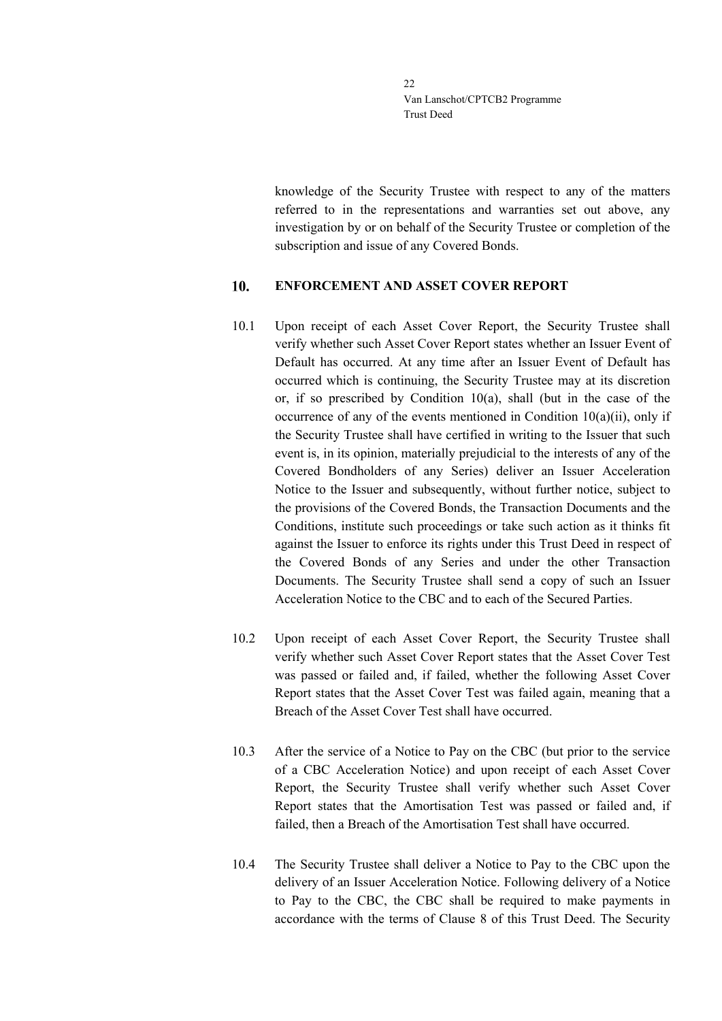knowledge of the Security Trustee with respect to any of the matters referred to in the representations and warranties set out above, any investigation by or on behalf of the Security Trustee or completion of the subscription and issue of any Covered Bonds.

#### <span id="page-21-0"></span>10. **ENFORCEMENT AND ASSET COVER REPORT**

- 10.1 Upon receipt of each Asset Cover Report, the Security Trustee shall verify whether such Asset Cover Report states whether an Issuer Event of Default has occurred. At any time after an Issuer Event of Default has occurred which is continuing, the Security Trustee may at its discretion or, if so prescribed by Condition  $10(a)$ , shall (but in the case of the occurrence of any of the events mentioned in Condition 10(a)(ii), only if the Security Trustee shall have certified in writing to the Issuer that such event is, in its opinion, materially prejudicial to the interests of any of the Covered Bondholders of any Series) deliver an Issuer Acceleration Notice to the Issuer and subsequently, without further notice, subject to the provisions of the Covered Bonds, the Transaction Documents and the Conditions, institute such proceedings or take such action as it thinks fit against the Issuer to enforce its rights under this Trust Deed in respect of the Covered Bonds of any Series and under the other Transaction Documents. The Security Trustee shall send a copy of such an Issuer Acceleration Notice to the CBC and to each of the Secured Parties.
- 10.2 Upon receipt of each Asset Cover Report, the Security Trustee shall verify whether such Asset Cover Report states that the Asset Cover Test was passed or failed and, if failed, whether the following Asset Cover Report states that the Asset Cover Test was failed again, meaning that a Breach of the Asset Cover Test shall have occurred.
- 10.3 After the service of a Notice to Pay on the CBC (but prior to the service of a CBC Acceleration Notice) and upon receipt of each Asset Cover Report, the Security Trustee shall verify whether such Asset Cover Report states that the Amortisation Test was passed or failed and, if failed, then a Breach of the Amortisation Test shall have occurred.
- 10.4 The Security Trustee shall deliver a Notice to Pay to the CBC upon the delivery of an Issuer Acceleration Notice. Following delivery of a Notice to Pay to the CBC, the CBC shall be required to make payments in accordance with the terms of Clause [8](#page-13-0) of this Trust Deed. The Security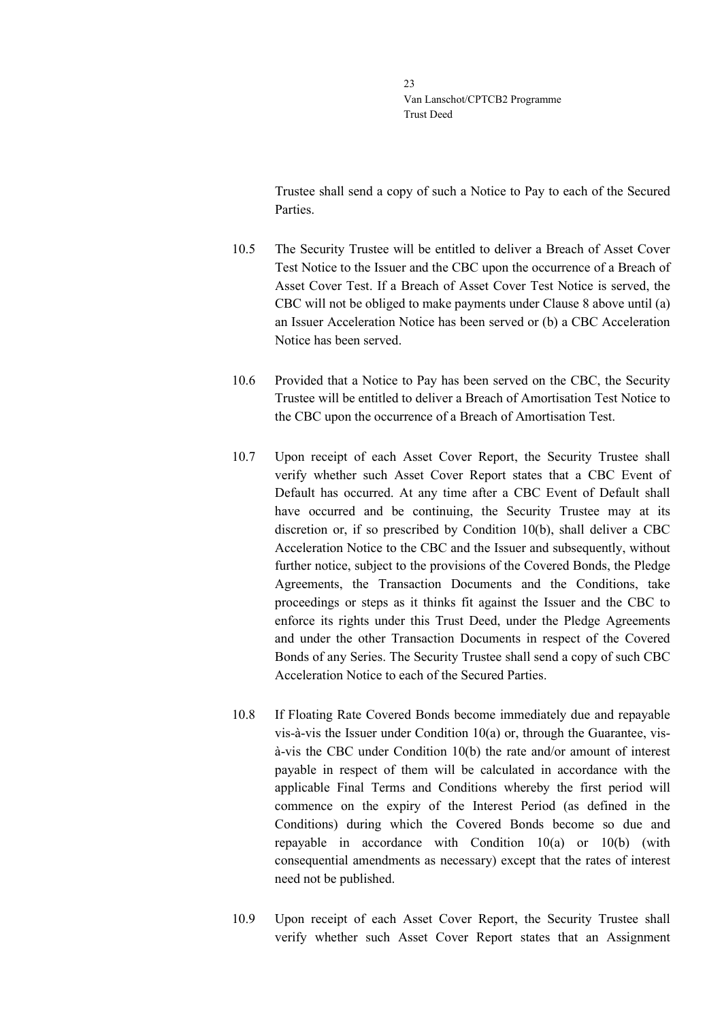Trustee shall send a copy of such a Notice to Pay to each of the Secured Parties.

- 10.5 The Security Trustee will be entitled to deliver a Breach of Asset Cover Test Notice to the Issuer and the CBC upon the occurrence of a Breach of Asset Cover Test. If a Breach of Asset Cover Test Notice is served, the CBC will not be obliged to make payments under Clause [8](#page-13-0) above until (a) an Issuer Acceleration Notice has been served or (b) a CBC Acceleration Notice has been served.
- 10.6 Provided that a Notice to Pay has been served on the CBC, the Security Trustee will be entitled to deliver a Breach of Amortisation Test Notice to the CBC upon the occurrence of a Breach of Amortisation Test.
- 10.7 Upon receipt of each Asset Cover Report, the Security Trustee shall verify whether such Asset Cover Report states that a CBC Event of Default has occurred. At any time after a CBC Event of Default shall have occurred and be continuing, the Security Trustee may at its discretion or, if so prescribed by Condition 10(b), shall deliver a CBC Acceleration Notice to the CBC and the Issuer and subsequently, without further notice, subject to the provisions of the Covered Bonds, the Pledge Agreements, the Transaction Documents and the Conditions, take proceedings or steps as it thinks fit against the Issuer and the CBC to enforce its rights under this Trust Deed, under the Pledge Agreements and under the other Transaction Documents in respect of the Covered Bonds of any Series. The Security Trustee shall send a copy of such CBC Acceleration Notice to each of the Secured Parties.
- <span id="page-22-0"></span>10.8 If Floating Rate Covered Bonds become immediately due and repayable vis-à-vis the Issuer under Condition 10(a) or, through the Guarantee, visà-vis the CBC under Condition 10(b) the rate and/or amount of interest payable in respect of them will be calculated in accordance with the applicable Final Terms and Conditions whereby the first period will commence on the expiry of the Interest Period (as defined in the Conditions) during which the Covered Bonds become so due and repayable in accordance with Condition 10(a) or 10(b) (with consequential amendments as necessary) except that the rates of interest need not be published.
- 10.9 Upon receipt of each Asset Cover Report, the Security Trustee shall verify whether such Asset Cover Report states that an Assignment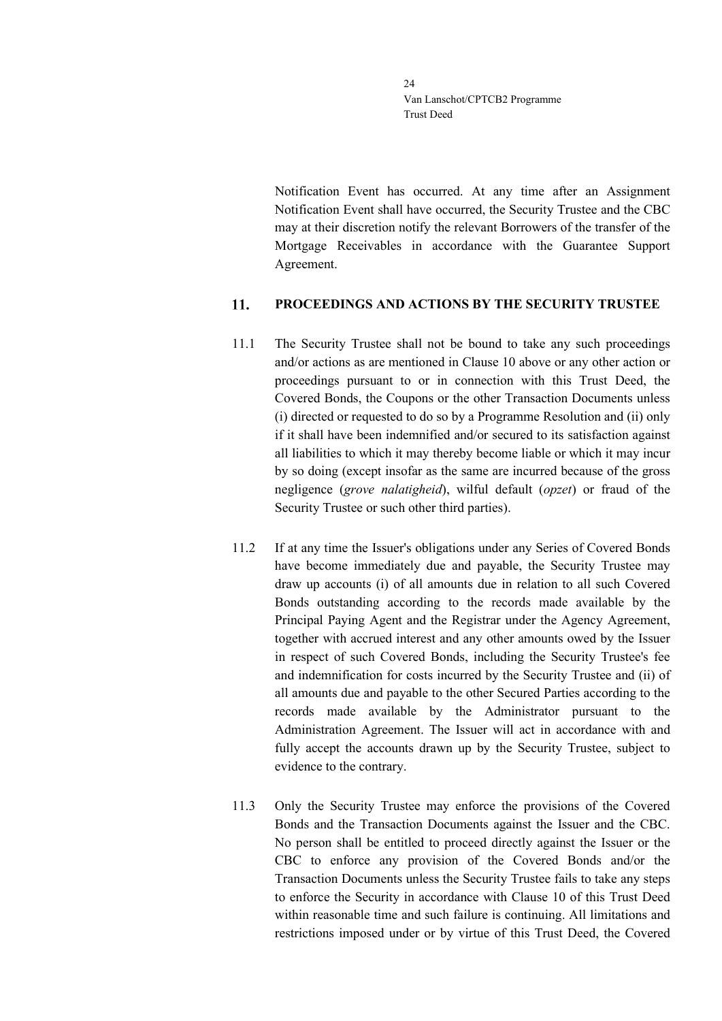Notification Event has occurred. At any time after an Assignment Notification Event shall have occurred, the Security Trustee and the CBC may at their discretion notify the relevant Borrowers of the transfer of the Mortgage Receivables in accordance with the Guarantee Support Agreement.

#### <span id="page-23-0"></span> $11.$ **PROCEEDINGS AND ACTIONS BY THE SECURITY TRUSTEE**

- 11.1 The Security Trustee shall not be bound to take any such proceedings and/or actions as are mentioned in Clause [10](#page-21-0) above or any other action or proceedings pursuant to or in connection with this Trust Deed, the Covered Bonds, the Coupons or the other Transaction Documents unless (i) directed or requested to do so by a Programme Resolution and (ii) only if it shall have been indemnified and/or secured to its satisfaction against all liabilities to which it may thereby become liable or which it may incur by so doing (except insofar as the same are incurred because of the gross negligence (*grove nalatigheid*), wilful default (*opzet*) or fraud of the Security Trustee or such other third parties).
- 11.2 If at any time the Issuer's obligations under any Series of Covered Bonds have become immediately due and payable, the Security Trustee may draw up accounts (i) of all amounts due in relation to all such Covered Bonds outstanding according to the records made available by the Principal Paying Agent and the Registrar under the Agency Agreement, together with accrued interest and any other amounts owed by the Issuer in respect of such Covered Bonds, including the Security Trustee's fee and indemnification for costs incurred by the Security Trustee and (ii) of all amounts due and payable to the other Secured Parties according to the records made available by the Administrator pursuant to the Administration Agreement. The Issuer will act in accordance with and fully accept the accounts drawn up by the Security Trustee, subject to evidence to the contrary.
- 11.3 Only the Security Trustee may enforce the provisions of the Covered Bonds and the Transaction Documents against the Issuer and the CBC. No person shall be entitled to proceed directly against the Issuer or the CBC to enforce any provision of the Covered Bonds and/or the Transaction Documents unless the Security Trustee fails to take any steps to enforce the Security in accordance with Clause [10](#page-21-0) of this Trust Deed within reasonable time and such failure is continuing. All limitations and restrictions imposed under or by virtue of this Trust Deed, the Covered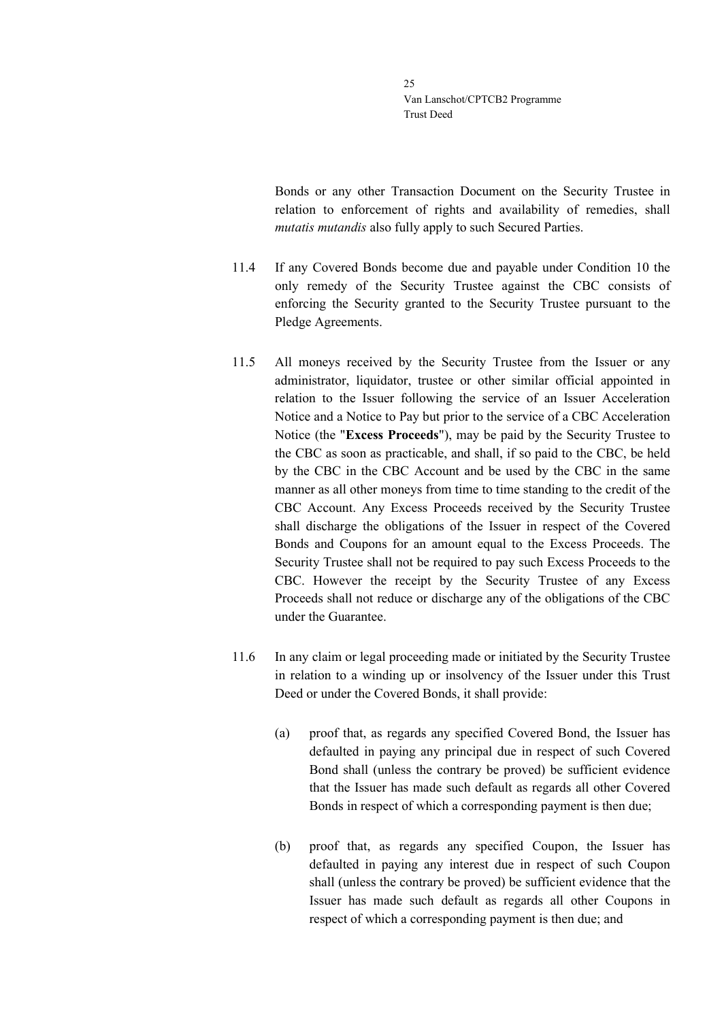Bonds or any other Transaction Document on the Security Trustee in relation to enforcement of rights and availability of remedies, shall *mutatis mutandis* also fully apply to such Secured Parties.

- 11.4 If any Covered Bonds become due and payable under Condition 10 the only remedy of the Security Trustee against the CBC consists of enforcing the Security granted to the Security Trustee pursuant to the Pledge Agreements.
- 11.5 All moneys received by the Security Trustee from the Issuer or any administrator, liquidator, trustee or other similar official appointed in relation to the Issuer following the service of an Issuer Acceleration Notice and a Notice to Pay but prior to the service of a CBC Acceleration Notice (the "**Excess Proceeds**"), may be paid by the Security Trustee to the CBC as soon as practicable, and shall, if so paid to the CBC, be held by the CBC in the CBC Account and be used by the CBC in the same manner as all other moneys from time to time standing to the credit of the CBC Account. Any Excess Proceeds received by the Security Trustee shall discharge the obligations of the Issuer in respect of the Covered Bonds and Coupons for an amount equal to the Excess Proceeds. The Security Trustee shall not be required to pay such Excess Proceeds to the CBC. However the receipt by the Security Trustee of any Excess Proceeds shall not reduce or discharge any of the obligations of the CBC under the Guarantee.
- 11.6 In any claim or legal proceeding made or initiated by the Security Trustee in relation to a winding up or insolvency of the Issuer under this Trust Deed or under the Covered Bonds, it shall provide:
	- (a) proof that, as regards any specified Covered Bond, the Issuer has defaulted in paying any principal due in respect of such Covered Bond shall (unless the contrary be proved) be sufficient evidence that the Issuer has made such default as regards all other Covered Bonds in respect of which a corresponding payment is then due;
	- (b) proof that, as regards any specified Coupon, the Issuer has defaulted in paying any interest due in respect of such Coupon shall (unless the contrary be proved) be sufficient evidence that the Issuer has made such default as regards all other Coupons in respect of which a corresponding payment is then due; and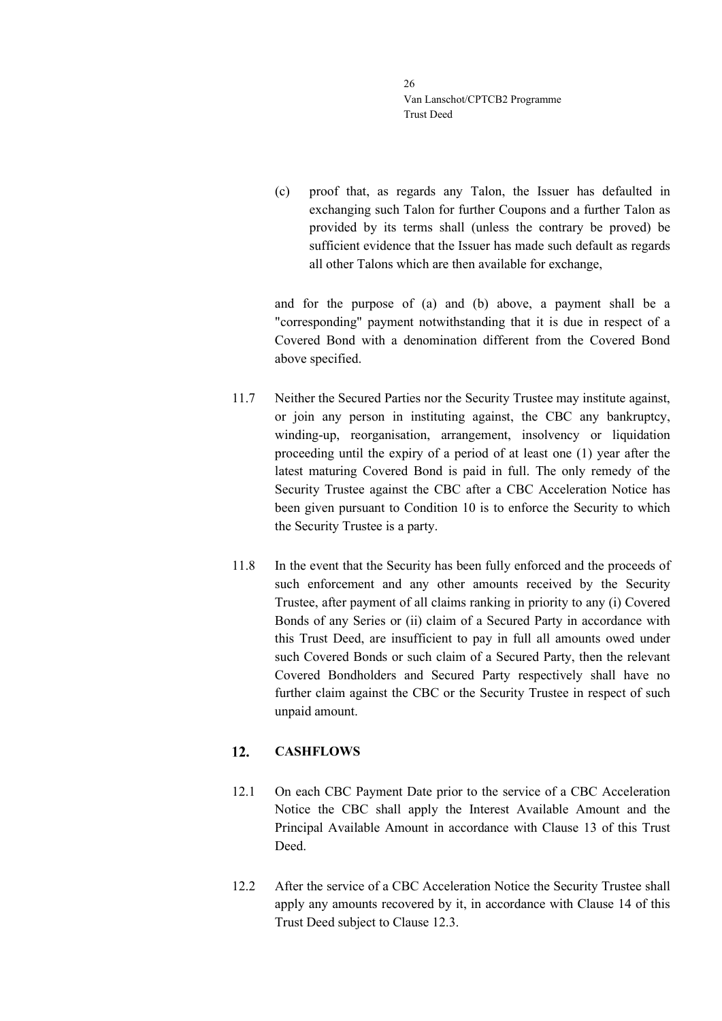(c) proof that, as regards any Talon, the Issuer has defaulted in exchanging such Talon for further Coupons and a further Talon as provided by its terms shall (unless the contrary be proved) be sufficient evidence that the Issuer has made such default as regards all other Talons which are then available for exchange,

and for the purpose of (a) and (b) above, a payment shall be a "corresponding" payment notwithstanding that it is due in respect of a Covered Bond with a denomination different from the Covered Bond above specified.

- 11.7 Neither the Secured Parties nor the Security Trustee may institute against, or join any person in instituting against, the CBC any bankruptcy, winding-up, reorganisation, arrangement, insolvency or liquidation proceeding until the expiry of a period of at least one (1) year after the latest maturing Covered Bond is paid in full. The only remedy of the Security Trustee against the CBC after a CBC Acceleration Notice has been given pursuant to Condition 10 is to enforce the Security to which the Security Trustee is a party.
- 11.8 In the event that the Security has been fully enforced and the proceeds of such enforcement and any other amounts received by the Security Trustee, after payment of all claims ranking in priority to any (i) Covered Bonds of any Series or (ii) claim of a Secured Party in accordance with this Trust Deed, are insufficient to pay in full all amounts owed under such Covered Bonds or such claim of a Secured Party, then the relevant Covered Bondholders and Secured Party respectively shall have no further claim against the CBC or the Security Trustee in respect of such unpaid amount.

#### <span id="page-25-0"></span>**CASHFLOWS**  $12.$

- 12.1 On each CBC Payment Date prior to the service of a CBC Acceleration Notice the CBC shall apply the Interest Available Amount and the Principal Available Amount in accordance with Clause [13](#page-27-0) of this Trust Deed.
- 12.2 After the service of a CBC Acceleration Notice the Security Trustee shall apply any amounts recovered by it, in accordance with Clause [14](#page-31-0) of this Trust Deed subject to Clause [12.3.](#page-26-0)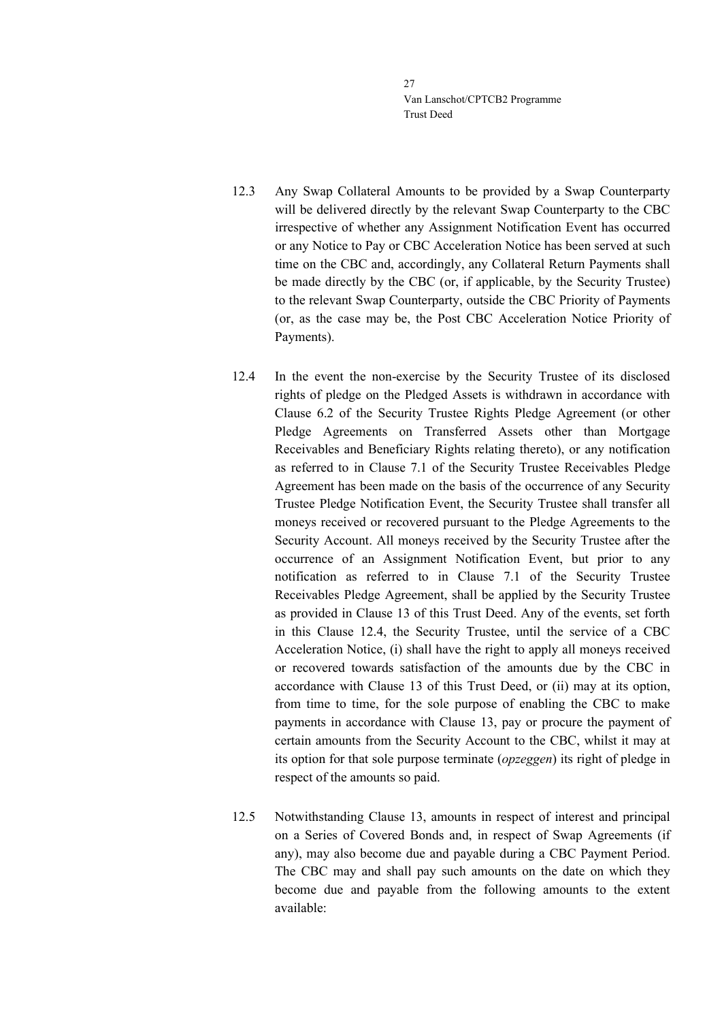- <span id="page-26-0"></span>12.3 Any Swap Collateral Amounts to be provided by a Swap Counterparty will be delivered directly by the relevant Swap Counterparty to the CBC irrespective of whether any Assignment Notification Event has occurred or any Notice to Pay or CBC Acceleration Notice has been served at such time on the CBC and, accordingly, any Collateral Return Payments shall be made directly by the CBC (or, if applicable, by the Security Trustee) to the relevant Swap Counterparty, outside the CBC Priority of Payments (or, as the case may be, the Post CBC Acceleration Notice Priority of Payments).
- <span id="page-26-1"></span>12.4 In the event the non-exercise by the Security Trustee of its disclosed rights of pledge on the Pledged Assets is withdrawn in accordance with Clause 6.2 of the Security Trustee Rights Pledge Agreement (or other Pledge Agreements on Transferred Assets other than Mortgage Receivables and Beneficiary Rights relating thereto), or any notification as referred to in Clause 7.1 of the Security Trustee Receivables Pledge Agreement has been made on the basis of the occurrence of any Security Trustee Pledge Notification Event, the Security Trustee shall transfer all moneys received or recovered pursuant to the Pledge Agreements to the Security Account. All moneys received by the Security Trustee after the occurrence of an Assignment Notification Event, but prior to any notification as referred to in Clause 7.1 of the Security Trustee Receivables Pledge Agreement, shall be applied by the Security Trustee as provided in Clause [13](#page-27-0) of this Trust Deed. Any of the events, set forth in this Clause [12.4,](#page-26-1) the Security Trustee, until the service of a CBC Acceleration Notice, (i) shall have the right to apply all moneys received or recovered towards satisfaction of the amounts due by the CBC in accordance with Clause [13](#page-27-0) of this Trust Deed, or (ii) may at its option, from time to time, for the sole purpose of enabling the CBC to make payments in accordance with Clause [13,](#page-27-0) pay or procure the payment of certain amounts from the Security Account to the CBC, whilst it may at its option for that sole purpose terminate (*opzeggen*) its right of pledge in respect of the amounts so paid.
- 12.5 Notwithstanding Clause [13,](#page-27-0) amounts in respect of interest and principal on a Series of Covered Bonds and, in respect of Swap Agreements (if any), may also become due and payable during a CBC Payment Period. The CBC may and shall pay such amounts on the date on which they become due and payable from the following amounts to the extent available: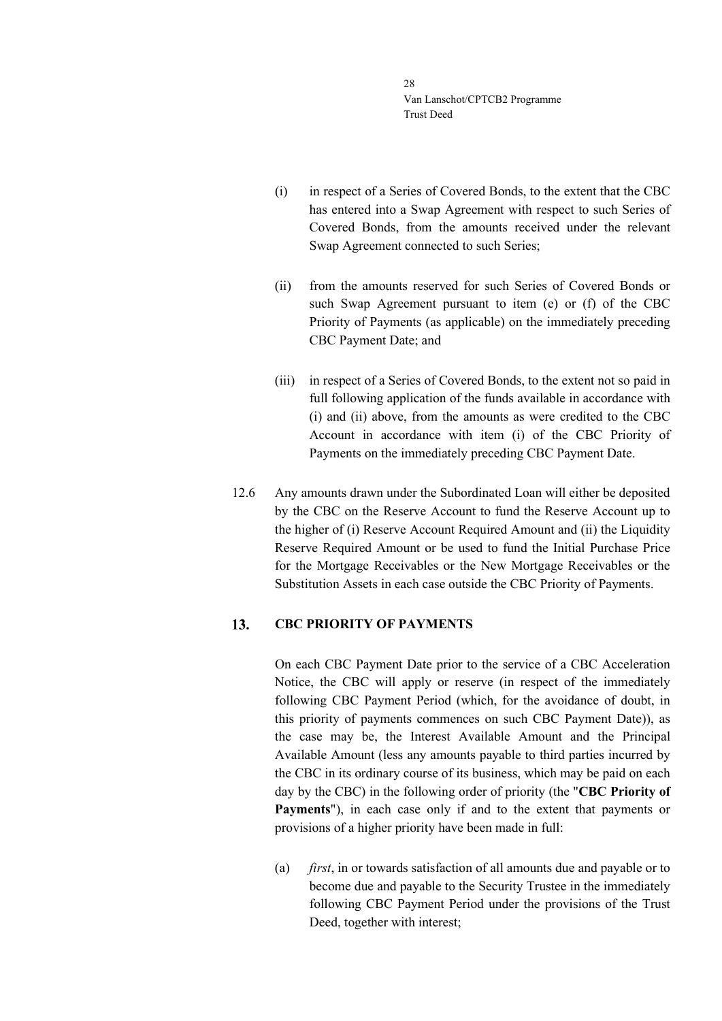- (i) in respect of a Series of Covered Bonds, to the extent that the CBC has entered into a Swap Agreement with respect to such Series of Covered Bonds, from the amounts received under the relevant Swap Agreement connected to such Series;
- (ii) from the amounts reserved for such Series of Covered Bonds or such Swap Agreement pursuant to item (e) or (f) of the CBC Priority of Payments (as applicable) on the immediately preceding CBC Payment Date; and
- (iii) in respect of a Series of Covered Bonds, to the extent not so paid in full following application of the funds available in accordance with (i) and (ii) above, from the amounts as were credited to the CBC Account in accordance with item (i) of the CBC Priority of Payments on the immediately preceding CBC Payment Date.
- 12.6 Any amounts drawn under the Subordinated Loan will either be deposited by the CBC on the Reserve Account to fund the Reserve Account up to the higher of (i) Reserve Account Required Amount and (ii) the Liquidity Reserve Required Amount or be used to fund the Initial Purchase Price for the Mortgage Receivables or the New Mortgage Receivables or the Substitution Assets in each case outside the CBC Priority of Payments.

#### <span id="page-27-0"></span>**CBC PRIORITY OF PAYMENTS** 13.

On each CBC Payment Date prior to the service of a CBC Acceleration Notice, the CBC will apply or reserve (in respect of the immediately following CBC Payment Period (which, for the avoidance of doubt, in this priority of payments commences on such CBC Payment Date)), as the case may be, the Interest Available Amount and the Principal Available Amount (less any amounts payable to third parties incurred by the CBC in its ordinary course of its business, which may be paid on each day by the CBC) in the following order of priority (the "**CBC Priority of Payments**"), in each case only if and to the extent that payments or provisions of a higher priority have been made in full:

(a) *first*, in or towards satisfaction of all amounts due and payable or to become due and payable to the Security Trustee in the immediately following CBC Payment Period under the provisions of the Trust Deed, together with interest;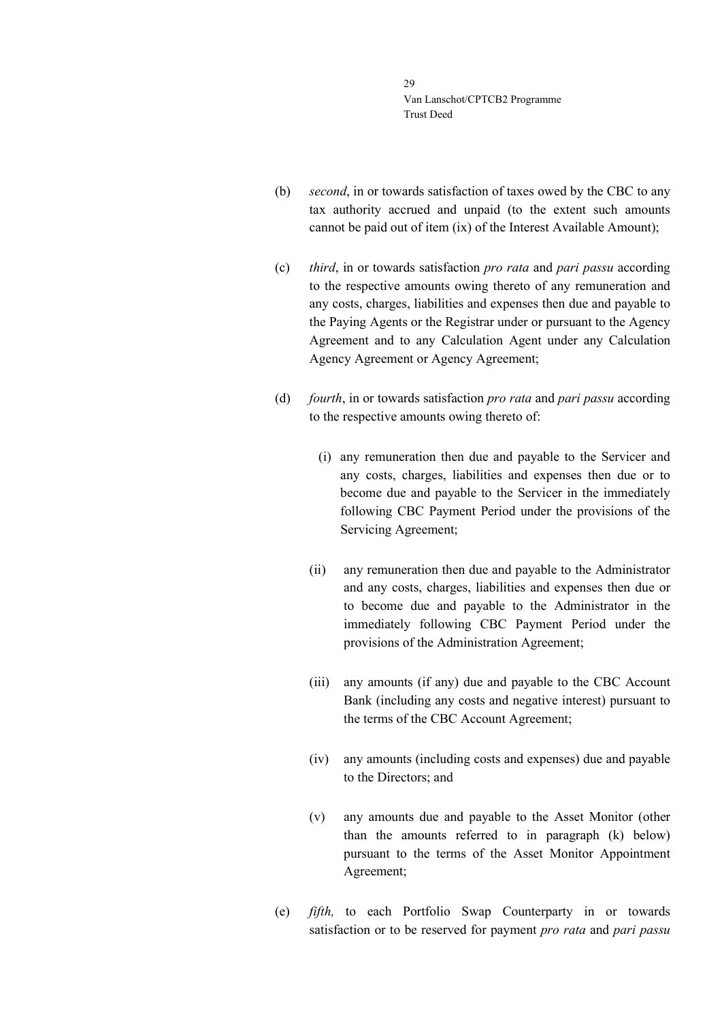- (b) *second*, in or towards satisfaction of taxes owed by the CBC to any tax authority accrued and unpaid (to the extent such amounts cannot be paid out of item (ix) of the Interest Available Amount);
- (c) *third*, in or towards satisfaction *pro rata* and *pari passu* according to the respective amounts owing thereto of any remuneration and any costs, charges, liabilities and expenses then due and payable to the Paying Agents or the Registrar under or pursuant to the Agency Agreement and to any Calculation Agent under any Calculation Agency Agreement or Agency Agreement;
- (d) *fourth*, in or towards satisfaction *pro rata* and *pari passu* according to the respective amounts owing thereto of:
	- (i) any remuneration then due and payable to the Servicer and any costs, charges, liabilities and expenses then due or to become due and payable to the Servicer in the immediately following CBC Payment Period under the provisions of the Servicing Agreement;
	- (ii) any remuneration then due and payable to the Administrator and any costs, charges, liabilities and expenses then due or to become due and payable to the Administrator in the immediately following CBC Payment Period under the provisions of the Administration Agreement;
	- (iii) any amounts (if any) due and payable to the CBC Account Bank (including any costs and negative interest) pursuant to the terms of the CBC Account Agreement;
	- (iv) any amounts (including costs and expenses) due and payable to the Directors; and
	- (v) any amounts due and payable to the Asset Monitor (other than the amounts referred to in paragraph (k) below) pursuant to the terms of the Asset Monitor Appointment Agreement;
- (e) *fifth,* to each Portfolio Swap Counterparty in or towards satisfaction or to be reserved for payment *pro rata* and *pari passu*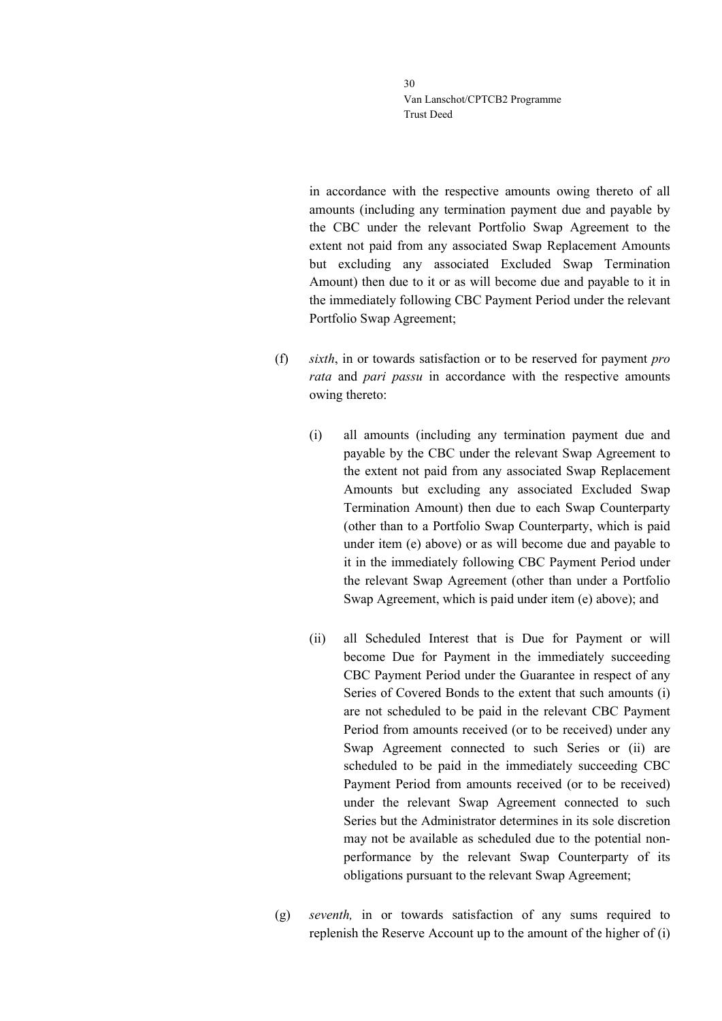in accordance with the respective amounts owing thereto of all amounts (including any termination payment due and payable by the CBC under the relevant Portfolio Swap Agreement to the extent not paid from any associated Swap Replacement Amounts but excluding any associated Excluded Swap Termination Amount) then due to it or as will become due and payable to it in the immediately following CBC Payment Period under the relevant Portfolio Swap Agreement;

- (f) *sixth*, in or towards satisfaction or to be reserved for payment *pro rata* and *pari passu* in accordance with the respective amounts owing thereto:
	- (i) all amounts (including any termination payment due and payable by the CBC under the relevant Swap Agreement to the extent not paid from any associated Swap Replacement Amounts but excluding any associated Excluded Swap Termination Amount) then due to each Swap Counterparty (other than to a Portfolio Swap Counterparty, which is paid under item (e) above) or as will become due and payable to it in the immediately following CBC Payment Period under the relevant Swap Agreement (other than under a Portfolio Swap Agreement, which is paid under item (e) above); and
	- (ii) all Scheduled Interest that is Due for Payment or will become Due for Payment in the immediately succeeding CBC Payment Period under the Guarantee in respect of any Series of Covered Bonds to the extent that such amounts (i) are not scheduled to be paid in the relevant CBC Payment Period from amounts received (or to be received) under any Swap Agreement connected to such Series or (ii) are scheduled to be paid in the immediately succeeding CBC Payment Period from amounts received (or to be received) under the relevant Swap Agreement connected to such Series but the Administrator determines in its sole discretion may not be available as scheduled due to the potential nonperformance by the relevant Swap Counterparty of its obligations pursuant to the relevant Swap Agreement;
- (g) *seventh,* in or towards satisfaction of any sums required to replenish the Reserve Account up to the amount of the higher of (i)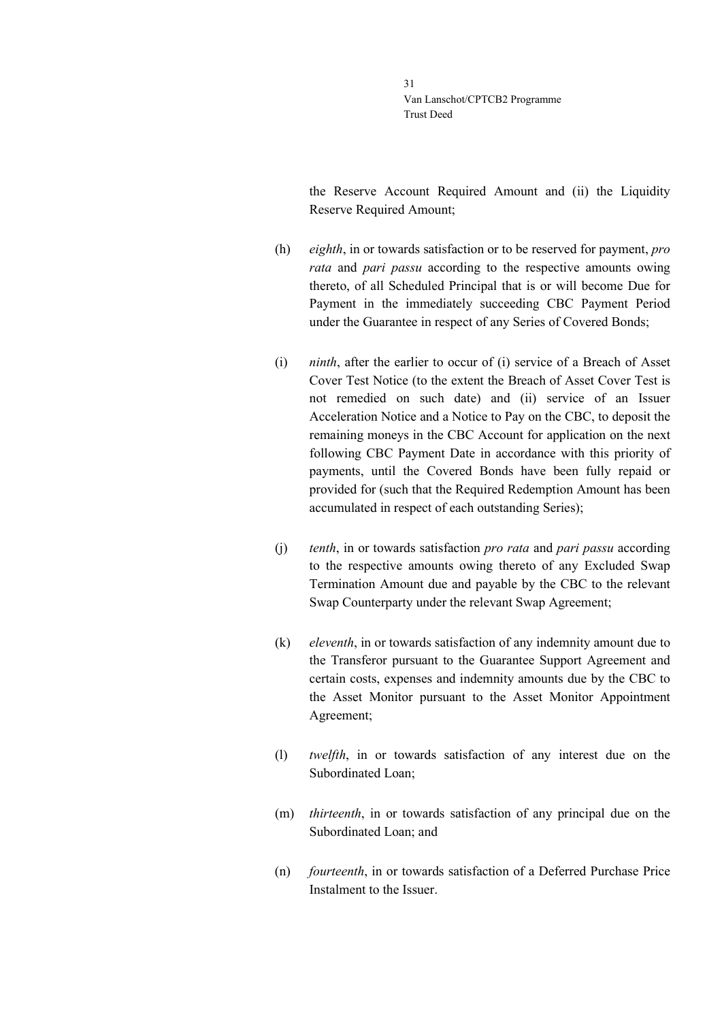the Reserve Account Required Amount and (ii) the Liquidity Reserve Required Amount;

- (h) *eighth*, in or towards satisfaction or to be reserved for payment, *pro rata* and *pari passu* according to the respective amounts owing thereto, of all Scheduled Principal that is or will become Due for Payment in the immediately succeeding CBC Payment Period under the Guarantee in respect of any Series of Covered Bonds;
- (i) *ninth*, after the earlier to occur of (i) service of a Breach of Asset Cover Test Notice (to the extent the Breach of Asset Cover Test is not remedied on such date) and (ii) service of an Issuer Acceleration Notice and a Notice to Pay on the CBC, to deposit the remaining moneys in the CBC Account for application on the next following CBC Payment Date in accordance with this priority of payments, until the Covered Bonds have been fully repaid or provided for (such that the Required Redemption Amount has been accumulated in respect of each outstanding Series);
- (j) *tenth*, in or towards satisfaction *pro rata* and *pari passu* according to the respective amounts owing thereto of any Excluded Swap Termination Amount due and payable by the CBC to the relevant Swap Counterparty under the relevant Swap Agreement;
- (k) *eleventh*, in or towards satisfaction of any indemnity amount due to the Transferor pursuant to the Guarantee Support Agreement and certain costs, expenses and indemnity amounts due by the CBC to the Asset Monitor pursuant to the Asset Monitor Appointment Agreement;
- (l) *twelfth*, in or towards satisfaction of any interest due on the Subordinated Loan;
- (m) *thirteenth*, in or towards satisfaction of any principal due on the Subordinated Loan; and
- (n) *fourteenth*, in or towards satisfaction of a Deferred Purchase Price Instalment to the Issuer.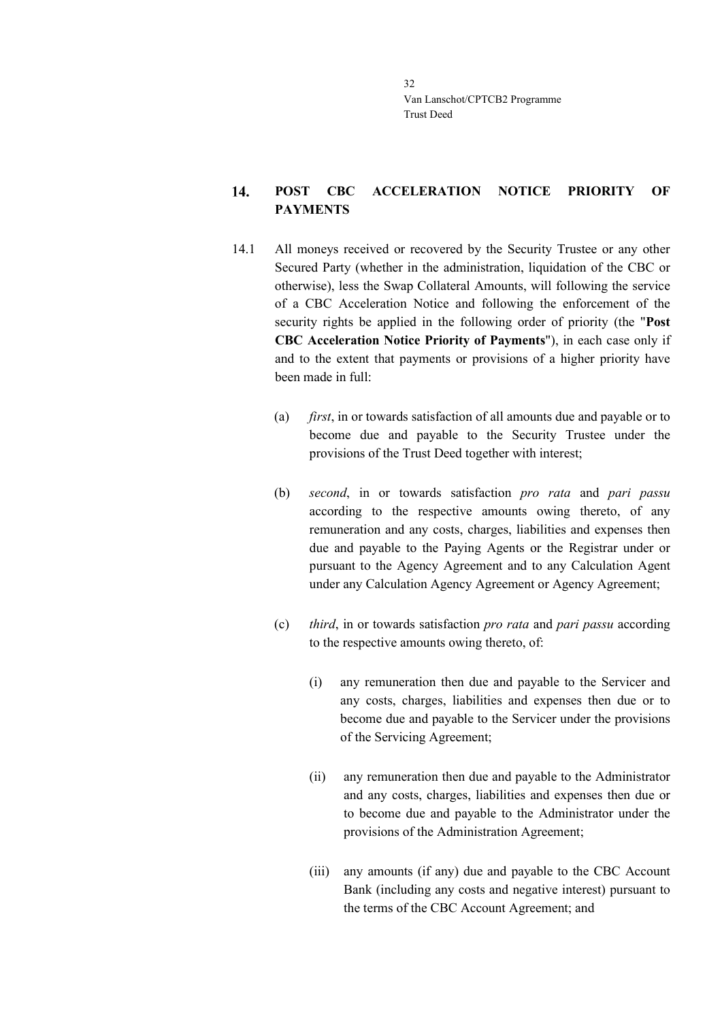### <span id="page-31-0"></span>14. **POST CBC ACCELERATION NOTICE PRIORITY OF PAYMENTS**

- 14.1 All moneys received or recovered by the Security Trustee or any other Secured Party (whether in the administration, liquidation of the CBC or otherwise), less the Swap Collateral Amounts, will following the service of a CBC Acceleration Notice and following the enforcement of the security rights be applied in the following order of priority (the "**Post CBC Acceleration Notice Priority of Payments**"), in each case only if and to the extent that payments or provisions of a higher priority have been made in full:
	- (a) *first*, in or towards satisfaction of all amounts due and payable or to become due and payable to the Security Trustee under the provisions of the Trust Deed together with interest;
	- (b) *second*, in or towards satisfaction *pro rata* and *pari passu* according to the respective amounts owing thereto, of any remuneration and any costs, charges, liabilities and expenses then due and payable to the Paying Agents or the Registrar under or pursuant to the Agency Agreement and to any Calculation Agent under any Calculation Agency Agreement or Agency Agreement;
	- (c) *third*, in or towards satisfaction *pro rata* and *pari passu* according to the respective amounts owing thereto, of:
		- (i) any remuneration then due and payable to the Servicer and any costs, charges, liabilities and expenses then due or to become due and payable to the Servicer under the provisions of the Servicing Agreement;
		- (ii) any remuneration then due and payable to the Administrator and any costs, charges, liabilities and expenses then due or to become due and payable to the Administrator under the provisions of the Administration Agreement;
		- (iii) any amounts (if any) due and payable to the CBC Account Bank (including any costs and negative interest) pursuant to the terms of the CBC Account Agreement; and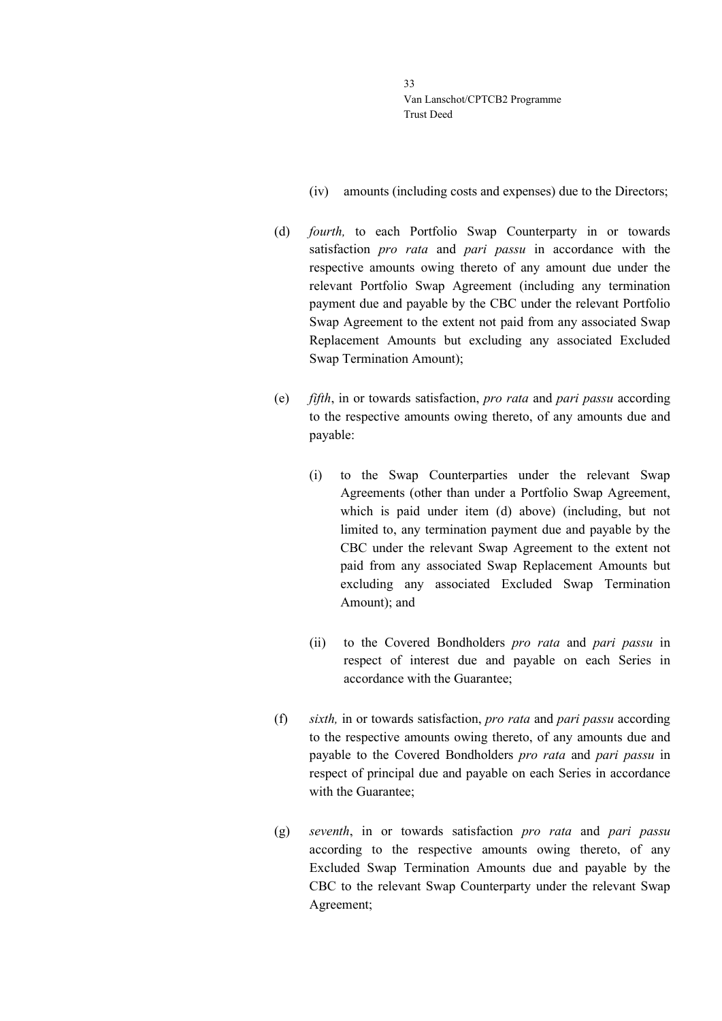- (iv) amounts (including costs and expenses) due to the Directors;
- (d) *fourth,* to each Portfolio Swap Counterparty in or towards satisfaction *pro rata* and *pari passu* in accordance with the respective amounts owing thereto of any amount due under the relevant Portfolio Swap Agreement (including any termination payment due and payable by the CBC under the relevant Portfolio Swap Agreement to the extent not paid from any associated Swap Replacement Amounts but excluding any associated Excluded Swap Termination Amount);
- (e) *fifth*, in or towards satisfaction, *pro rata* and *pari passu* according to the respective amounts owing thereto, of any amounts due and payable:
	- (i) to the Swap Counterparties under the relevant Swap Agreements (other than under a Portfolio Swap Agreement, which is paid under item (d) above) (including, but not limited to, any termination payment due and payable by the CBC under the relevant Swap Agreement to the extent not paid from any associated Swap Replacement Amounts but excluding any associated Excluded Swap Termination Amount); and
	- (ii) to the Covered Bondholders *pro rata* and *pari passu* in respect of interest due and payable on each Series in accordance with the Guarantee;
- (f) *sixth,* in or towards satisfaction, *pro rata* and *pari passu* according to the respective amounts owing thereto, of any amounts due and payable to the Covered Bondholders *pro rata* and *pari passu* in respect of principal due and payable on each Series in accordance with the Guarantee;
- (g) *seventh*, in or towards satisfaction *pro rata* and *pari passu* according to the respective amounts owing thereto, of any Excluded Swap Termination Amounts due and payable by the CBC to the relevant Swap Counterparty under the relevant Swap Agreement;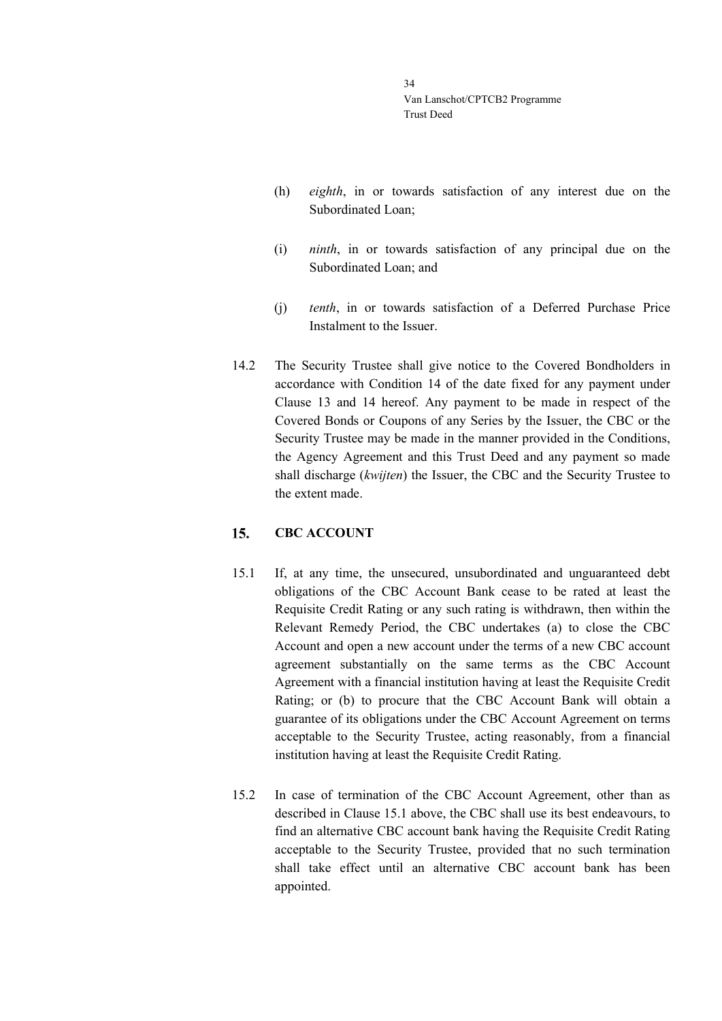- (h) *eighth*, in or towards satisfaction of any interest due on the Subordinated Loan;
- (i) *ninth*, in or towards satisfaction of any principal due on the Subordinated Loan; and
- (j) *tenth*, in or towards satisfaction of a Deferred Purchase Price Instalment to the Issuer.
- 14.2 The Security Trustee shall give notice to the Covered Bondholders in accordance with Condition 14 of the date fixed for any payment under Clause [13](#page-27-0) and [14](#page-31-0) hereof. Any payment to be made in respect of the Covered Bonds or Coupons of any Series by the Issuer, the CBC or the Security Trustee may be made in the manner provided in the Conditions, the Agency Agreement and this Trust Deed and any payment so made shall discharge (*kwijten*) the Issuer, the CBC and the Security Trustee to the extent made.

#### <span id="page-33-0"></span>15. **CBC ACCOUNT**

- <span id="page-33-1"></span>15.1 If, at any time, the unsecured, unsubordinated and unguaranteed debt obligations of the CBC Account Bank cease to be rated at least the Requisite Credit Rating or any such rating is withdrawn, then within the Relevant Remedy Period, the CBC undertakes (a) to close the CBC Account and open a new account under the terms of a new CBC account agreement substantially on the same terms as the CBC Account Agreement with a financial institution having at least the Requisite Credit Rating; or (b) to procure that the CBC Account Bank will obtain a guarantee of its obligations under the CBC Account Agreement on terms acceptable to the Security Trustee, acting reasonably, from a financial institution having at least the Requisite Credit Rating.
- 15.2 In case of termination of the CBC Account Agreement, other than as described in Clause [15.1](#page-33-1) above, the CBC shall use its best endeavours, to find an alternative CBC account bank having the Requisite Credit Rating acceptable to the Security Trustee, provided that no such termination shall take effect until an alternative CBC account bank has been appointed.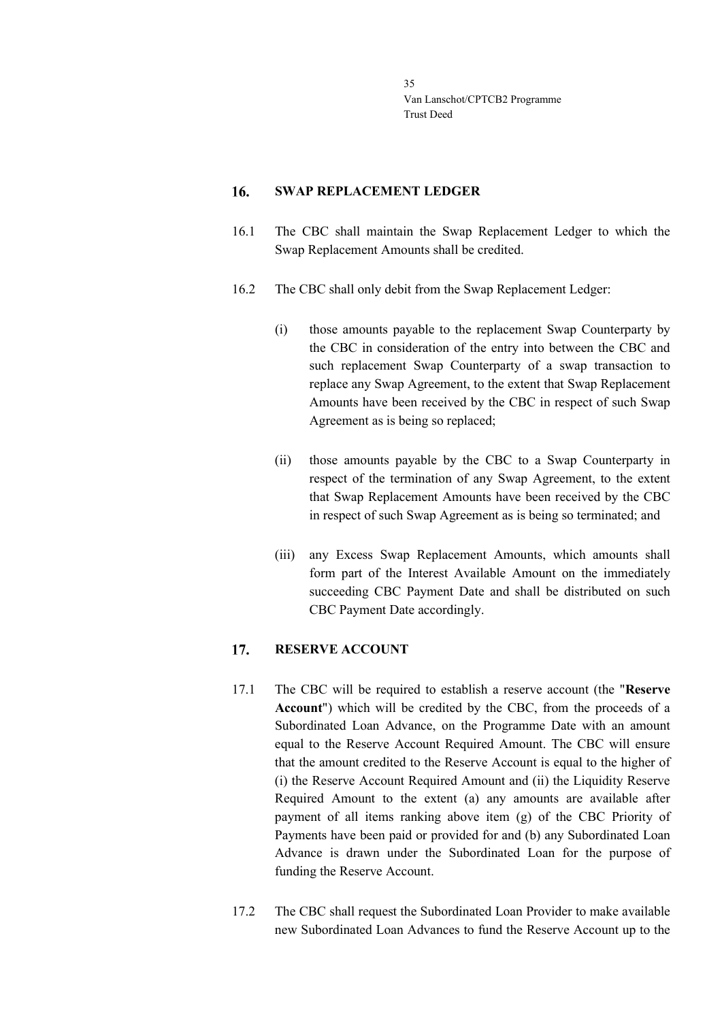#### <span id="page-34-0"></span>16. **SWAP REPLACEMENT LEDGER**

- 16.1 The CBC shall maintain the Swap Replacement Ledger to which the Swap Replacement Amounts shall be credited.
- 16.2 The CBC shall only debit from the Swap Replacement Ledger:
	- (i) those amounts payable to the replacement Swap Counterparty by the CBC in consideration of the entry into between the CBC and such replacement Swap Counterparty of a swap transaction to replace any Swap Agreement, to the extent that Swap Replacement Amounts have been received by the CBC in respect of such Swap Agreement as is being so replaced;
	- (ii) those amounts payable by the CBC to a Swap Counterparty in respect of the termination of any Swap Agreement, to the extent that Swap Replacement Amounts have been received by the CBC in respect of such Swap Agreement as is being so terminated; and
	- (iii) any Excess Swap Replacement Amounts, which amounts shall form part of the Interest Available Amount on the immediately succeeding CBC Payment Date and shall be distributed on such CBC Payment Date accordingly.

#### <span id="page-34-1"></span>**RESERVE ACCOUNT** 17.

- 17.1 The CBC will be required to establish a reserve account (the "**Reserve Account**") which will be credited by the CBC, from the proceeds of a Subordinated Loan Advance, on the Programme Date with an amount equal to the Reserve Account Required Amount. The CBC will ensure that the amount credited to the Reserve Account is equal to the higher of (i) the Reserve Account Required Amount and (ii) the Liquidity Reserve Required Amount to the extent (a) any amounts are available after payment of all items ranking above item (g) of the CBC Priority of Payments have been paid or provided for and (b) any Subordinated Loan Advance is drawn under the Subordinated Loan for the purpose of funding the Reserve Account.
- 17.2 The CBC shall request the Subordinated Loan Provider to make available new Subordinated Loan Advances to fund the Reserve Account up to the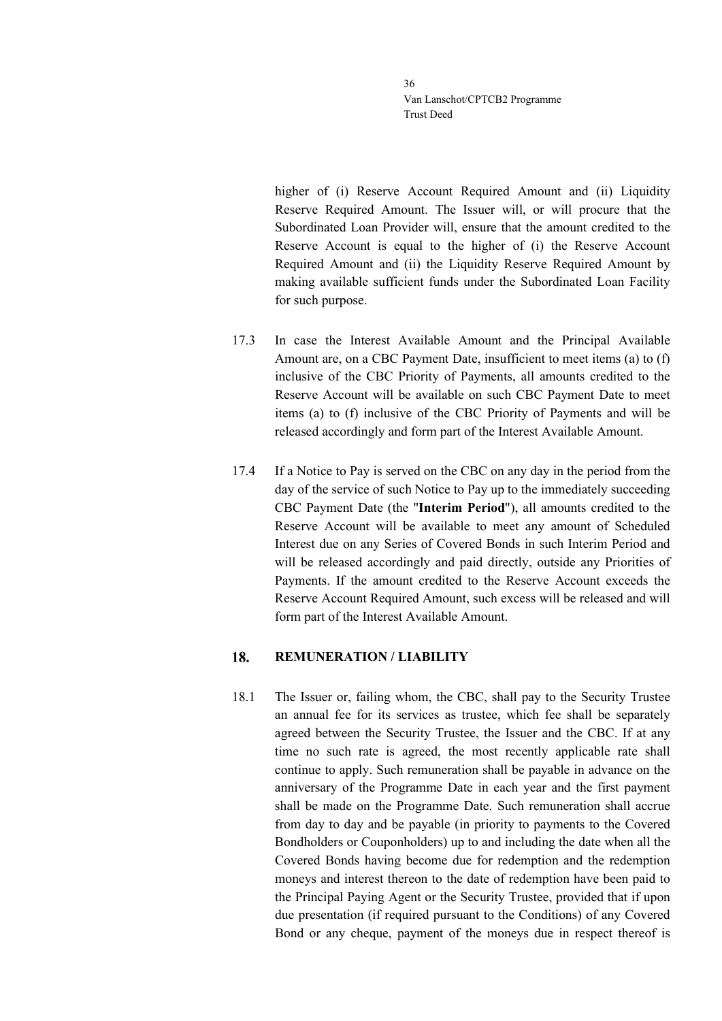higher of (i) Reserve Account Required Amount and (ii) Liquidity Reserve Required Amount. The Issuer will, or will procure that the Subordinated Loan Provider will, ensure that the amount credited to the Reserve Account is equal to the higher of (i) the Reserve Account Required Amount and (ii) the Liquidity Reserve Required Amount by making available sufficient funds under the Subordinated Loan Facility for such purpose.

- 17.3 In case the Interest Available Amount and the Principal Available Amount are, on a CBC Payment Date, insufficient to meet items (a) to (f) inclusive of the CBC Priority of Payments, all amounts credited to the Reserve Account will be available on such CBC Payment Date to meet items (a) to (f) inclusive of the CBC Priority of Payments and will be released accordingly and form part of the Interest Available Amount.
- 17.4 If a Notice to Pay is served on the CBC on any day in the period from the day of the service of such Notice to Pay up to the immediately succeeding CBC Payment Date (the "**Interim Period**"), all amounts credited to the Reserve Account will be available to meet any amount of Scheduled Interest due on any Series of Covered Bonds in such Interim Period and will be released accordingly and paid directly, outside any Priorities of Payments. If the amount credited to the Reserve Account exceeds the Reserve Account Required Amount, such excess will be released and will form part of the Interest Available Amount.

#### <span id="page-35-0"></span>18. **REMUNERATION / LIABILITY**

18.1 The Issuer or, failing whom, the CBC, shall pay to the Security Trustee an annual fee for its services as trustee, which fee shall be separately agreed between the Security Trustee, the Issuer and the CBC. If at any time no such rate is agreed, the most recently applicable rate shall continue to apply. Such remuneration shall be payable in advance on the anniversary of the Programme Date in each year and the first payment shall be made on the Programme Date. Such remuneration shall accrue from day to day and be payable (in priority to payments to the Covered Bondholders or Couponholders) up to and including the date when all the Covered Bonds having become due for redemption and the redemption moneys and interest thereon to the date of redemption have been paid to the Principal Paying Agent or the Security Trustee, provided that if upon due presentation (if required pursuant to the Conditions) of any Covered Bond or any cheque, payment of the moneys due in respect thereof is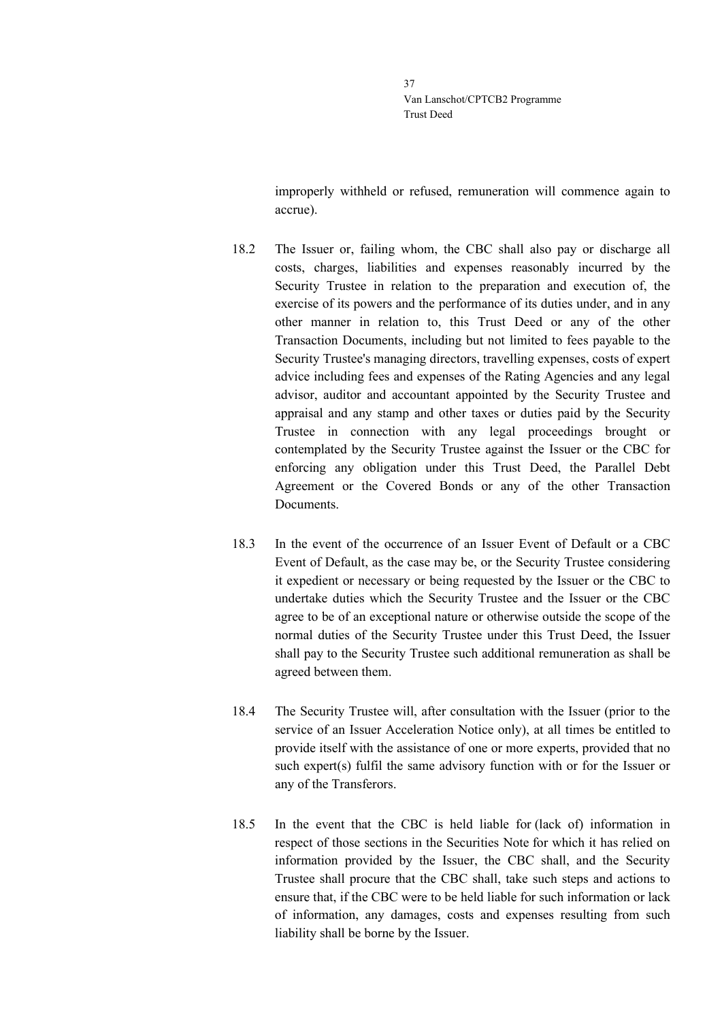improperly withheld or refused, remuneration will commence again to accrue).

- 18.2 The Issuer or, failing whom, the CBC shall also pay or discharge all costs, charges, liabilities and expenses reasonably incurred by the Security Trustee in relation to the preparation and execution of, the exercise of its powers and the performance of its duties under, and in any other manner in relation to, this Trust Deed or any of the other Transaction Documents, including but not limited to fees payable to the Security Trustee's managing directors, travelling expenses, costs of expert advice including fees and expenses of the Rating Agencies and any legal advisor, auditor and accountant appointed by the Security Trustee and appraisal and any stamp and other taxes or duties paid by the Security Trustee in connection with any legal proceedings brought or contemplated by the Security Trustee against the Issuer or the CBC for enforcing any obligation under this Trust Deed, the Parallel Debt Agreement or the Covered Bonds or any of the other Transaction Documents.
- 18.3 In the event of the occurrence of an Issuer Event of Default or a CBC Event of Default, as the case may be, or the Security Trustee considering it expedient or necessary or being requested by the Issuer or the CBC to undertake duties which the Security Trustee and the Issuer or the CBC agree to be of an exceptional nature or otherwise outside the scope of the normal duties of the Security Trustee under this Trust Deed, the Issuer shall pay to the Security Trustee such additional remuneration as shall be agreed between them.
- 18.4 The Security Trustee will, after consultation with the Issuer (prior to the service of an Issuer Acceleration Notice only), at all times be entitled to provide itself with the assistance of one or more experts, provided that no such expert(s) fulfil the same advisory function with or for the Issuer or any of the Transferors.
- 18.5 In the event that the CBC is held liable for (lack of) information in respect of those sections in the Securities Note for which it has relied on information provided by the Issuer, the CBC shall, and the Security Trustee shall procure that the CBC shall, take such steps and actions to ensure that, if the CBC were to be held liable for such information or lack of information, any damages, costs and expenses resulting from such liability shall be borne by the Issuer.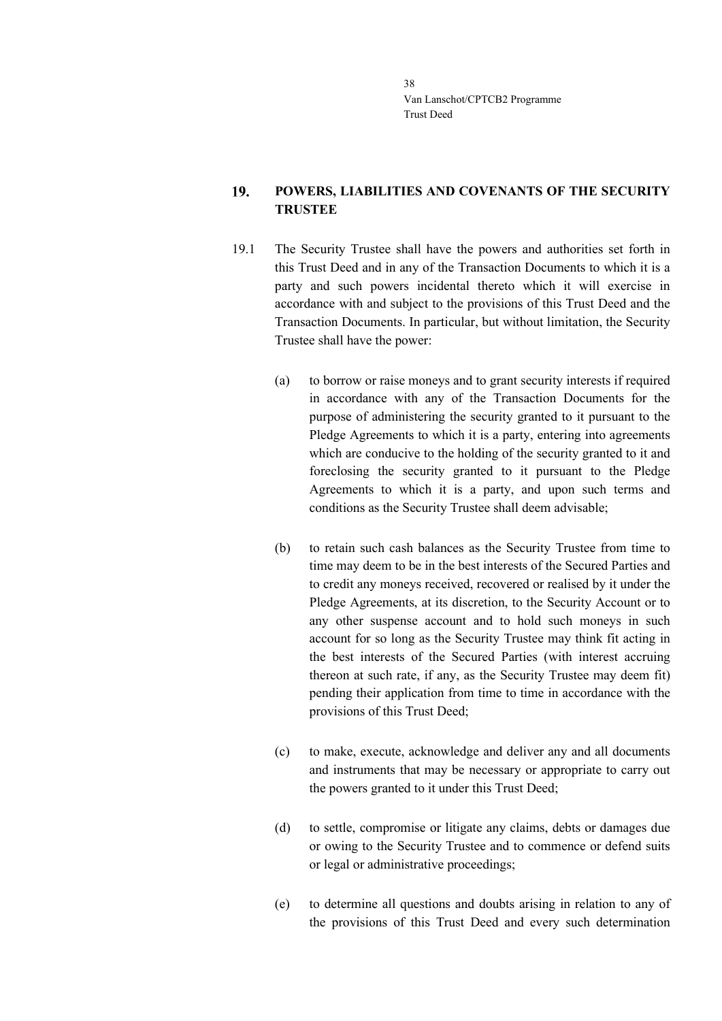### 19. **POWERS, LIABILITIES AND COVENANTS OF THE SECURITY TRUSTEE**

- 19.1 The Security Trustee shall have the powers and authorities set forth in this Trust Deed and in any of the Transaction Documents to which it is a party and such powers incidental thereto which it will exercise in accordance with and subject to the provisions of this Trust Deed and the Transaction Documents. In particular, but without limitation, the Security Trustee shall have the power:
	- (a) to borrow or raise moneys and to grant security interests if required in accordance with any of the Transaction Documents for the purpose of administering the security granted to it pursuant to the Pledge Agreements to which it is a party, entering into agreements which are conducive to the holding of the security granted to it and foreclosing the security granted to it pursuant to the Pledge Agreements to which it is a party, and upon such terms and conditions as the Security Trustee shall deem advisable;
	- (b) to retain such cash balances as the Security Trustee from time to time may deem to be in the best interests of the Secured Parties and to credit any moneys received, recovered or realised by it under the Pledge Agreements, at its discretion, to the Security Account or to any other suspense account and to hold such moneys in such account for so long as the Security Trustee may think fit acting in the best interests of the Secured Parties (with interest accruing thereon at such rate, if any, as the Security Trustee may deem fit) pending their application from time to time in accordance with the provisions of this Trust Deed;
	- (c) to make, execute, acknowledge and deliver any and all documents and instruments that may be necessary or appropriate to carry out the powers granted to it under this Trust Deed;
	- (d) to settle, compromise or litigate any claims, debts or damages due or owing to the Security Trustee and to commence or defend suits or legal or administrative proceedings;
	- (e) to determine all questions and doubts arising in relation to any of the provisions of this Trust Deed and every such determination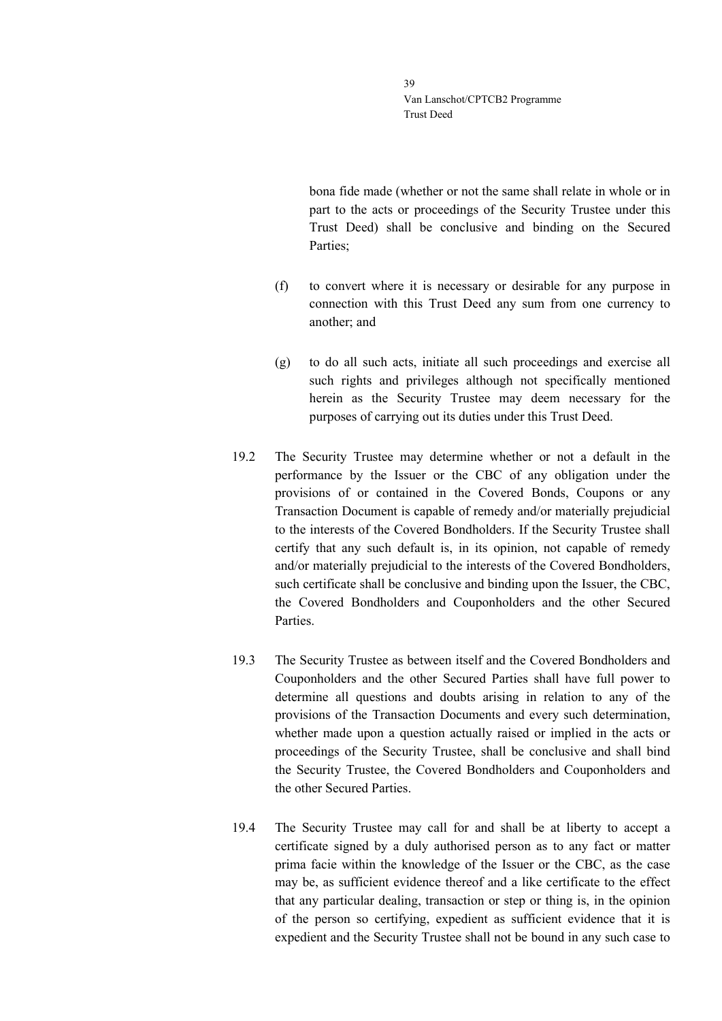bona fide made (whether or not the same shall relate in whole or in part to the acts or proceedings of the Security Trustee under this Trust Deed) shall be conclusive and binding on the Secured Parties;

- (f) to convert where it is necessary or desirable for any purpose in connection with this Trust Deed any sum from one currency to another; and
- (g) to do all such acts, initiate all such proceedings and exercise all such rights and privileges although not specifically mentioned herein as the Security Trustee may deem necessary for the purposes of carrying out its duties under this Trust Deed.
- 19.2 The Security Trustee may determine whether or not a default in the performance by the Issuer or the CBC of any obligation under the provisions of or contained in the Covered Bonds, Coupons or any Transaction Document is capable of remedy and/or materially prejudicial to the interests of the Covered Bondholders. If the Security Trustee shall certify that any such default is, in its opinion, not capable of remedy and/or materially prejudicial to the interests of the Covered Bondholders, such certificate shall be conclusive and binding upon the Issuer, the CBC, the Covered Bondholders and Couponholders and the other Secured Parties.
- 19.3 The Security Trustee as between itself and the Covered Bondholders and Couponholders and the other Secured Parties shall have full power to determine all questions and doubts arising in relation to any of the provisions of the Transaction Documents and every such determination, whether made upon a question actually raised or implied in the acts or proceedings of the Security Trustee, shall be conclusive and shall bind the Security Trustee, the Covered Bondholders and Couponholders and the other Secured Parties.
- 19.4 The Security Trustee may call for and shall be at liberty to accept a certificate signed by a duly authorised person as to any fact or matter prima facie within the knowledge of the Issuer or the CBC, as the case may be, as sufficient evidence thereof and a like certificate to the effect that any particular dealing, transaction or step or thing is, in the opinion of the person so certifying, expedient as sufficient evidence that it is expedient and the Security Trustee shall not be bound in any such case to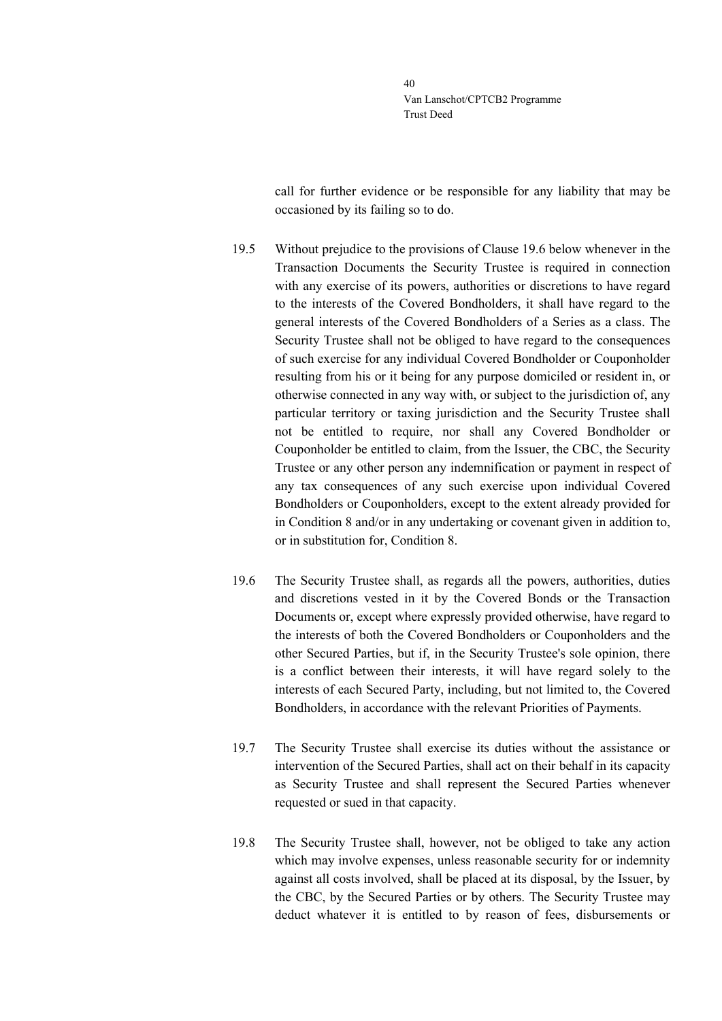call for further evidence or be responsible for any liability that may be occasioned by its failing so to do.

- 19.5 Without prejudice to the provisions of Clause [19.6](#page-39-0) below whenever in the Transaction Documents the Security Trustee is required in connection with any exercise of its powers, authorities or discretions to have regard to the interests of the Covered Bondholders, it shall have regard to the general interests of the Covered Bondholders of a Series as a class. The Security Trustee shall not be obliged to have regard to the consequences of such exercise for any individual Covered Bondholder or Couponholder resulting from his or it being for any purpose domiciled or resident in, or otherwise connected in any way with, or subject to the jurisdiction of, any particular territory or taxing jurisdiction and the Security Trustee shall not be entitled to require, nor shall any Covered Bondholder or Couponholder be entitled to claim, from the Issuer, the CBC, the Security Trustee or any other person any indemnification or payment in respect of any tax consequences of any such exercise upon individual Covered Bondholders or Couponholders, except to the extent already provided for in Condition 8 and/or in any undertaking or covenant given in addition to, or in substitution for, Condition 8.
- <span id="page-39-0"></span>19.6 The Security Trustee shall, as regards all the powers, authorities, duties and discretions vested in it by the Covered Bonds or the Transaction Documents or, except where expressly provided otherwise, have regard to the interests of both the Covered Bondholders or Couponholders and the other Secured Parties, but if, in the Security Trustee's sole opinion, there is a conflict between their interests, it will have regard solely to the interests of each Secured Party, including, but not limited to, the Covered Bondholders, in accordance with the relevant Priorities of Payments.
- 19.7 The Security Trustee shall exercise its duties without the assistance or intervention of the Secured Parties, shall act on their behalf in its capacity as Security Trustee and shall represent the Secured Parties whenever requested or sued in that capacity.
- 19.8 The Security Trustee shall, however, not be obliged to take any action which may involve expenses, unless reasonable security for or indemnity against all costs involved, shall be placed at its disposal, by the Issuer, by the CBC, by the Secured Parties or by others. The Security Trustee may deduct whatever it is entitled to by reason of fees, disbursements or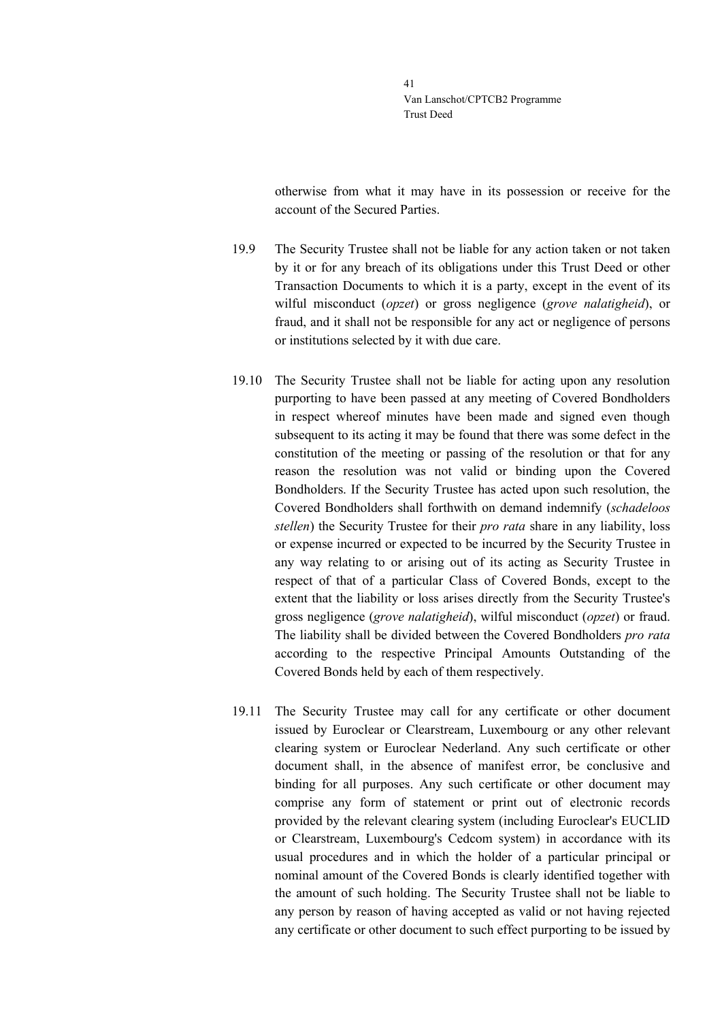otherwise from what it may have in its possession or receive for the account of the Secured Parties.

- 19.9 The Security Trustee shall not be liable for any action taken or not taken by it or for any breach of its obligations under this Trust Deed or other Transaction Documents to which it is a party, except in the event of its wilful misconduct (*opzet*) or gross negligence (*grove nalatigheid*), or fraud, and it shall not be responsible for any act or negligence of persons or institutions selected by it with due care.
- 19.10 The Security Trustee shall not be liable for acting upon any resolution purporting to have been passed at any meeting of Covered Bondholders in respect whereof minutes have been made and signed even though subsequent to its acting it may be found that there was some defect in the constitution of the meeting or passing of the resolution or that for any reason the resolution was not valid or binding upon the Covered Bondholders. If the Security Trustee has acted upon such resolution, the Covered Bondholders shall forthwith on demand indemnify (*schadeloos stellen*) the Security Trustee for their *pro rata* share in any liability, loss or expense incurred or expected to be incurred by the Security Trustee in any way relating to or arising out of its acting as Security Trustee in respect of that of a particular Class of Covered Bonds, except to the extent that the liability or loss arises directly from the Security Trustee's gross negligence (*grove nalatigheid*), wilful misconduct (*opzet*) or fraud. The liability shall be divided between the Covered Bondholders *pro rata* according to the respective Principal Amounts Outstanding of the Covered Bonds held by each of them respectively.
- 19.11 The Security Trustee may call for any certificate or other document issued by Euroclear or Clearstream, Luxembourg or any other relevant clearing system or Euroclear Nederland. Any such certificate or other document shall, in the absence of manifest error, be conclusive and binding for all purposes. Any such certificate or other document may comprise any form of statement or print out of electronic records provided by the relevant clearing system (including Euroclear's EUCLID or Clearstream, Luxembourg's Cedcom system) in accordance with its usual procedures and in which the holder of a particular principal or nominal amount of the Covered Bonds is clearly identified together with the amount of such holding. The Security Trustee shall not be liable to any person by reason of having accepted as valid or not having rejected any certificate or other document to such effect purporting to be issued by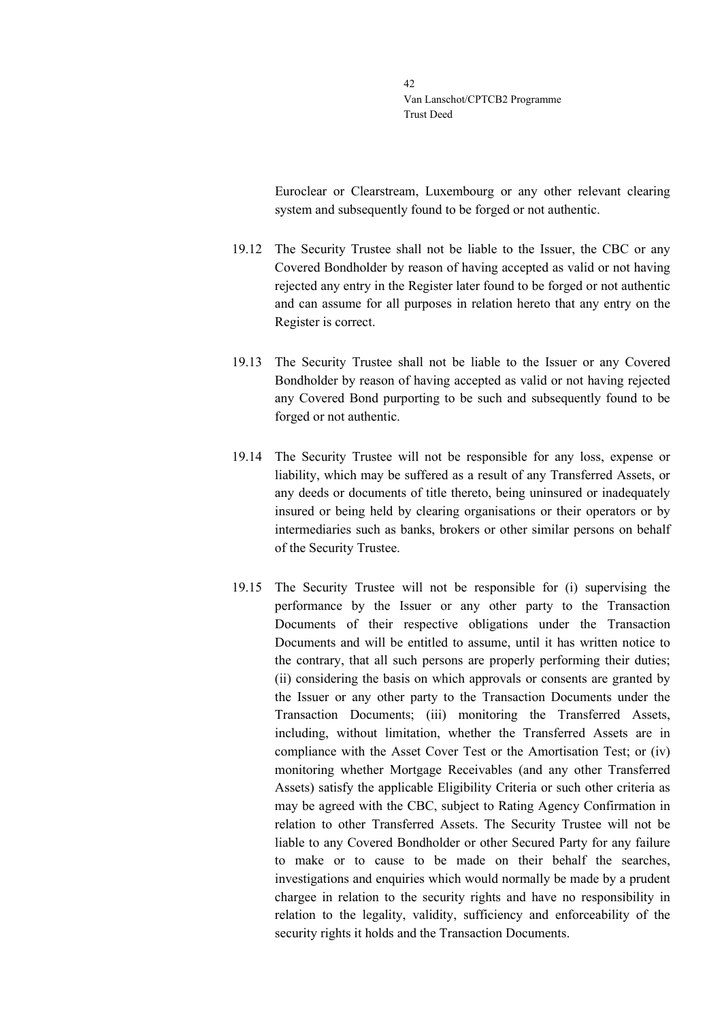Euroclear or Clearstream, Luxembourg or any other relevant clearing system and subsequently found to be forged or not authentic.

- 19.12 The Security Trustee shall not be liable to the Issuer, the CBC or any Covered Bondholder by reason of having accepted as valid or not having rejected any entry in the Register later found to be forged or not authentic and can assume for all purposes in relation hereto that any entry on the Register is correct.
- 19.13 The Security Trustee shall not be liable to the Issuer or any Covered Bondholder by reason of having accepted as valid or not having rejected any Covered Bond purporting to be such and subsequently found to be forged or not authentic.
- 19.14 The Security Trustee will not be responsible for any loss, expense or liability, which may be suffered as a result of any Transferred Assets, or any deeds or documents of title thereto, being uninsured or inadequately insured or being held by clearing organisations or their operators or by intermediaries such as banks, brokers or other similar persons on behalf of the Security Trustee.
- 19.15 The Security Trustee will not be responsible for (i) supervising the performance by the Issuer or any other party to the Transaction Documents of their respective obligations under the Transaction Documents and will be entitled to assume, until it has written notice to the contrary, that all such persons are properly performing their duties; (ii) considering the basis on which approvals or consents are granted by the Issuer or any other party to the Transaction Documents under the Transaction Documents; (iii) monitoring the Transferred Assets, including, without limitation, whether the Transferred Assets are in compliance with the Asset Cover Test or the Amortisation Test; or (iv) monitoring whether Mortgage Receivables (and any other Transferred Assets) satisfy the applicable Eligibility Criteria or such other criteria as may be agreed with the CBC, subject to Rating Agency Confirmation in relation to other Transferred Assets. The Security Trustee will not be liable to any Covered Bondholder or other Secured Party for any failure to make or to cause to be made on their behalf the searches, investigations and enquiries which would normally be made by a prudent chargee in relation to the security rights and have no responsibility in relation to the legality, validity, sufficiency and enforceability of the security rights it holds and the Transaction Documents.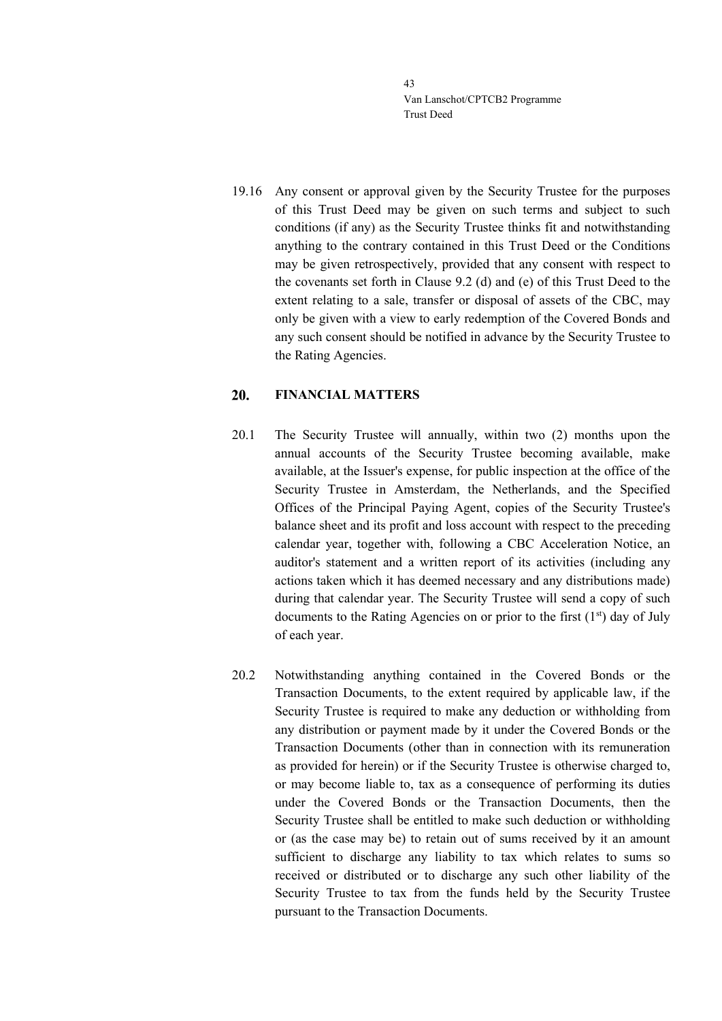19.16 Any consent or approval given by the Security Trustee for the purposes of this Trust Deed may be given on such terms and subject to such conditions (if any) as the Security Trustee thinks fit and notwithstanding anything to the contrary contained in this Trust Deed or the Conditions may be given retrospectively, provided that any consent with respect to the covenants set forth in Clause [9.2](#page-18-0) (d) and (e) of this Trust Deed to the extent relating to a sale, transfer or disposal of assets of the CBC, may only be given with a view to early redemption of the Covered Bonds and any such consent should be notified in advance by the Security Trustee to the Rating Agencies.

#### 20. **FINANCIAL MATTERS**

- 20.1 The Security Trustee will annually, within two (2) months upon the annual accounts of the Security Trustee becoming available, make available, at the Issuer's expense, for public inspection at the office of the Security Trustee in Amsterdam, the Netherlands, and the Specified Offices of the Principal Paying Agent, copies of the Security Trustee's balance sheet and its profit and loss account with respect to the preceding calendar year, together with, following a CBC Acceleration Notice, an auditor's statement and a written report of its activities (including any actions taken which it has deemed necessary and any distributions made) during that calendar year. The Security Trustee will send a copy of such documents to the Rating Agencies on or prior to the first  $(1<sup>st</sup>)$  day of July of each year.
- 20.2 Notwithstanding anything contained in the Covered Bonds or the Transaction Documents, to the extent required by applicable law, if the Security Trustee is required to make any deduction or withholding from any distribution or payment made by it under the Covered Bonds or the Transaction Documents (other than in connection with its remuneration as provided for herein) or if the Security Trustee is otherwise charged to, or may become liable to, tax as a consequence of performing its duties under the Covered Bonds or the Transaction Documents, then the Security Trustee shall be entitled to make such deduction or withholding or (as the case may be) to retain out of sums received by it an amount sufficient to discharge any liability to tax which relates to sums so received or distributed or to discharge any such other liability of the Security Trustee to tax from the funds held by the Security Trustee pursuant to the Transaction Documents.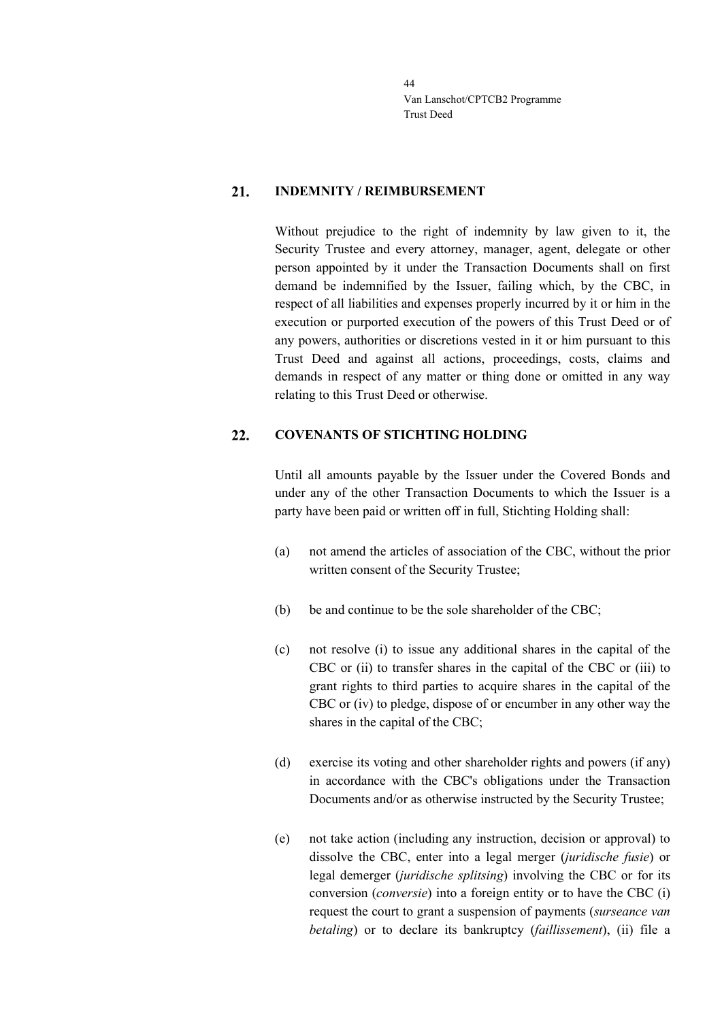#### 21. **INDEMNITY / REIMBURSEMENT**

Without prejudice to the right of indemnity by law given to it, the Security Trustee and every attorney, manager, agent, delegate or other person appointed by it under the Transaction Documents shall on first demand be indemnified by the Issuer, failing which, by the CBC, in respect of all liabilities and expenses properly incurred by it or him in the execution or purported execution of the powers of this Trust Deed or of any powers, authorities or discretions vested in it or him pursuant to this Trust Deed and against all actions, proceedings, costs, claims and demands in respect of any matter or thing done or omitted in any way relating to this Trust Deed or otherwise.

#### 22. **COVENANTS OF STICHTING HOLDING**

Until all amounts payable by the Issuer under the Covered Bonds and under any of the other Transaction Documents to which the Issuer is a party have been paid or written off in full, Stichting Holding shall:

- (a) not amend the articles of association of the CBC, without the prior written consent of the Security Trustee;
- (b) be and continue to be the sole shareholder of the CBC;
- (c) not resolve (i) to issue any additional shares in the capital of the CBC or (ii) to transfer shares in the capital of the CBC or (iii) to grant rights to third parties to acquire shares in the capital of the CBC or (iv) to pledge, dispose of or encumber in any other way the shares in the capital of the CBC;
- (d) exercise its voting and other shareholder rights and powers (if any) in accordance with the CBC's obligations under the Transaction Documents and/or as otherwise instructed by the Security Trustee;
- (e) not take action (including any instruction, decision or approval) to dissolve the CBC, enter into a legal merger (*juridische fusie*) or legal demerger (*juridische splitsing*) involving the CBC or for its conversion (*conversie*) into a foreign entity or to have the CBC (i) request the court to grant a suspension of payments (*surseance van betaling*) or to declare its bankruptcy (*faillissement*), (ii) file a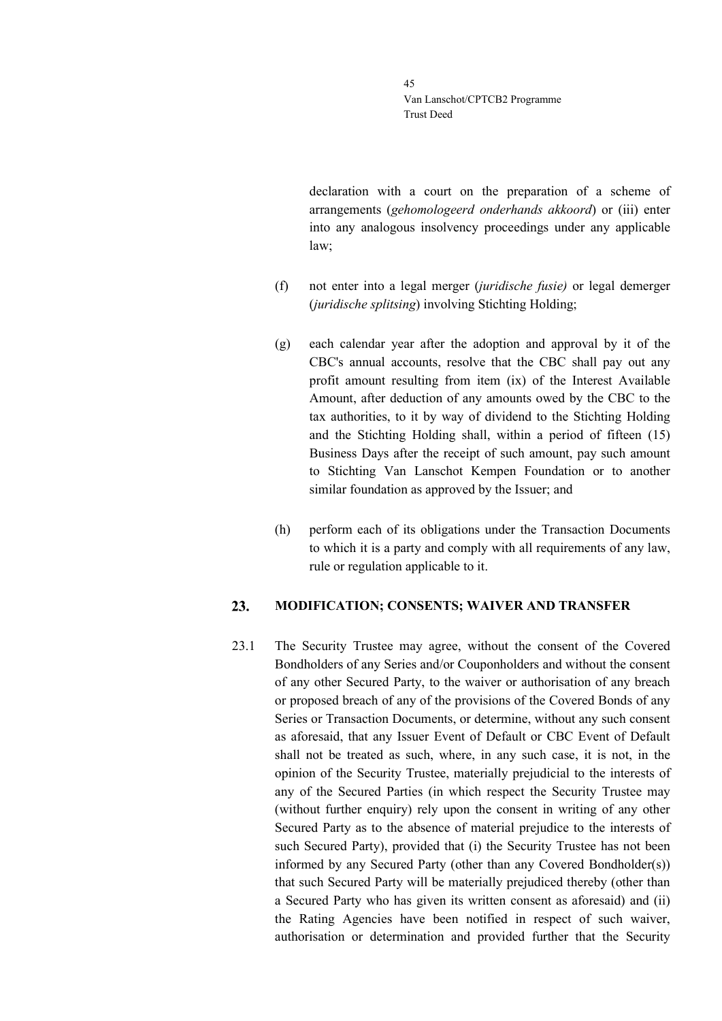declaration with a court on the preparation of a scheme of arrangements (*gehomologeerd onderhands akkoord*) or (iii) enter into any analogous insolvency proceedings under any applicable law;

- (f) not enter into a legal merger (*juridische fusie)* or legal demerger (*juridische splitsing*) involving Stichting Holding;
- (g) each calendar year after the adoption and approval by it of the CBC's annual accounts, resolve that the CBC shall pay out any profit amount resulting from item (ix) of the Interest Available Amount, after deduction of any amounts owed by the CBC to the tax authorities, to it by way of dividend to the Stichting Holding and the Stichting Holding shall, within a period of fifteen (15) Business Days after the receipt of such amount, pay such amount to Stichting Van Lanschot Kempen Foundation or to another similar foundation as approved by the Issuer; and
- (h) perform each of its obligations under the Transaction Documents to which it is a party and comply with all requirements of any law, rule or regulation applicable to it.

#### 23. **MODIFICATION; CONSENTS; WAIVER AND TRANSFER**

<span id="page-44-0"></span>23.1 The Security Trustee may agree, without the consent of the Covered Bondholders of any Series and/or Couponholders and without the consent of any other Secured Party, to the waiver or authorisation of any breach or proposed breach of any of the provisions of the Covered Bonds of any Series or Transaction Documents, or determine, without any such consent as aforesaid, that any Issuer Event of Default or CBC Event of Default shall not be treated as such, where, in any such case, it is not, in the opinion of the Security Trustee, materially prejudicial to the interests of any of the Secured Parties (in which respect the Security Trustee may (without further enquiry) rely upon the consent in writing of any other Secured Party as to the absence of material prejudice to the interests of such Secured Party), provided that (i) the Security Trustee has not been informed by any Secured Party (other than any Covered Bondholder(s)) that such Secured Party will be materially prejudiced thereby (other than a Secured Party who has given its written consent as aforesaid) and (ii) the Rating Agencies have been notified in respect of such waiver, authorisation or determination and provided further that the Security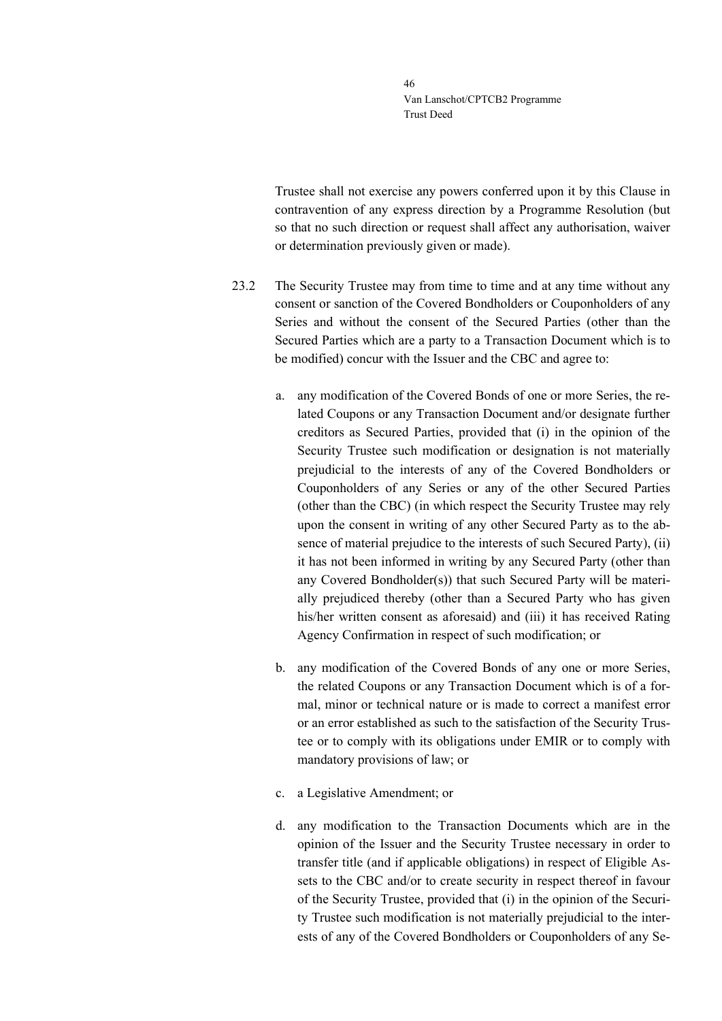Trustee shall not exercise any powers conferred upon it by this Clause in contravention of any express direction by a Programme Resolution (but so that no such direction or request shall affect any authorisation, waiver or determination previously given or made).

- <span id="page-45-0"></span>23.2 The Security Trustee may from time to time and at any time without any consent or sanction of the Covered Bondholders or Couponholders of any Series and without the consent of the Secured Parties (other than the Secured Parties which are a party to a Transaction Document which is to be modified) concur with the Issuer and the CBC and agree to:
	- a. any modification of the Covered Bonds of one or more Series, the related Coupons or any Transaction Document and/or designate further creditors as Secured Parties, provided that (i) in the opinion of the Security Trustee such modification or designation is not materially prejudicial to the interests of any of the Covered Bondholders or Couponholders of any Series or any of the other Secured Parties (other than the CBC) (in which respect the Security Trustee may rely upon the consent in writing of any other Secured Party as to the absence of material prejudice to the interests of such Secured Party), (ii) it has not been informed in writing by any Secured Party (other than any Covered Bondholder(s)) that such Secured Party will be materially prejudiced thereby (other than a Secured Party who has given his/her written consent as aforesaid) and (iii) it has received Rating Agency Confirmation in respect of such modification; or
	- b. any modification of the Covered Bonds of any one or more Series, the related Coupons or any Transaction Document which is of a formal, minor or technical nature or is made to correct a manifest error or an error established as such to the satisfaction of the Security Trustee or to comply with its obligations under EMIR or to comply with mandatory provisions of law; or
	- c. a Legislative Amendment; or
	- d. any modification to the Transaction Documents which are in the opinion of the Issuer and the Security Trustee necessary in order to transfer title (and if applicable obligations) in respect of Eligible Assets to the CBC and/or to create security in respect thereof in favour of the Security Trustee, provided that (i) in the opinion of the Security Trustee such modification is not materially prejudicial to the interests of any of the Covered Bondholders or Couponholders of any Se-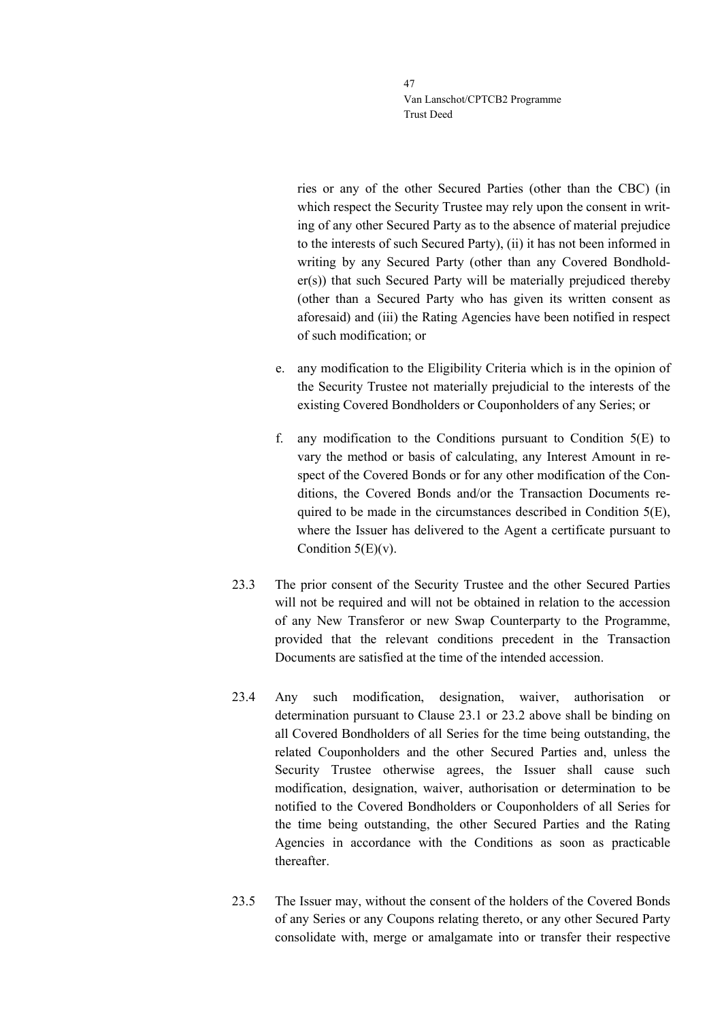ries or any of the other Secured Parties (other than the CBC) (in which respect the Security Trustee may rely upon the consent in writing of any other Secured Party as to the absence of material prejudice to the interests of such Secured Party), (ii) it has not been informed in writing by any Secured Party (other than any Covered Bondholder(s)) that such Secured Party will be materially prejudiced thereby (other than a Secured Party who has given its written consent as aforesaid) and (iii) the Rating Agencies have been notified in respect of such modification; or

- e. any modification to the Eligibility Criteria which is in the opinion of the Security Trustee not materially prejudicial to the interests of the existing Covered Bondholders or Couponholders of any Series; or
- f. any modification to the Conditions pursuant to Condition 5(E) to vary the method or basis of calculating, any Interest Amount in respect of the Covered Bonds or for any other modification of the Conditions, the Covered Bonds and/or the Transaction Documents required to be made in the circumstances described in Condition 5(E), where the Issuer has delivered to the Agent a certificate pursuant to Condition  $5(E)(v)$ .
- 23.3 The prior consent of the Security Trustee and the other Secured Parties will not be required and will not be obtained in relation to the accession of any New Transferor or new Swap Counterparty to the Programme, provided that the relevant conditions precedent in the Transaction Documents are satisfied at the time of the intended accession.
- 23.4 Any such modification, designation, waiver, authorisation or determination pursuant to Clause [23.1](#page-44-0) or [23.2](#page-45-0) above shall be binding on all Covered Bondholders of all Series for the time being outstanding, the related Couponholders and the other Secured Parties and, unless the Security Trustee otherwise agrees, the Issuer shall cause such modification, designation, waiver, authorisation or determination to be notified to the Covered Bondholders or Couponholders of all Series for the time being outstanding, the other Secured Parties and the Rating Agencies in accordance with the Conditions as soon as practicable thereafter.
- <span id="page-46-0"></span>23.5 The Issuer may, without the consent of the holders of the Covered Bonds of any Series or any Coupons relating thereto, or any other Secured Party consolidate with, merge or amalgamate into or transfer their respective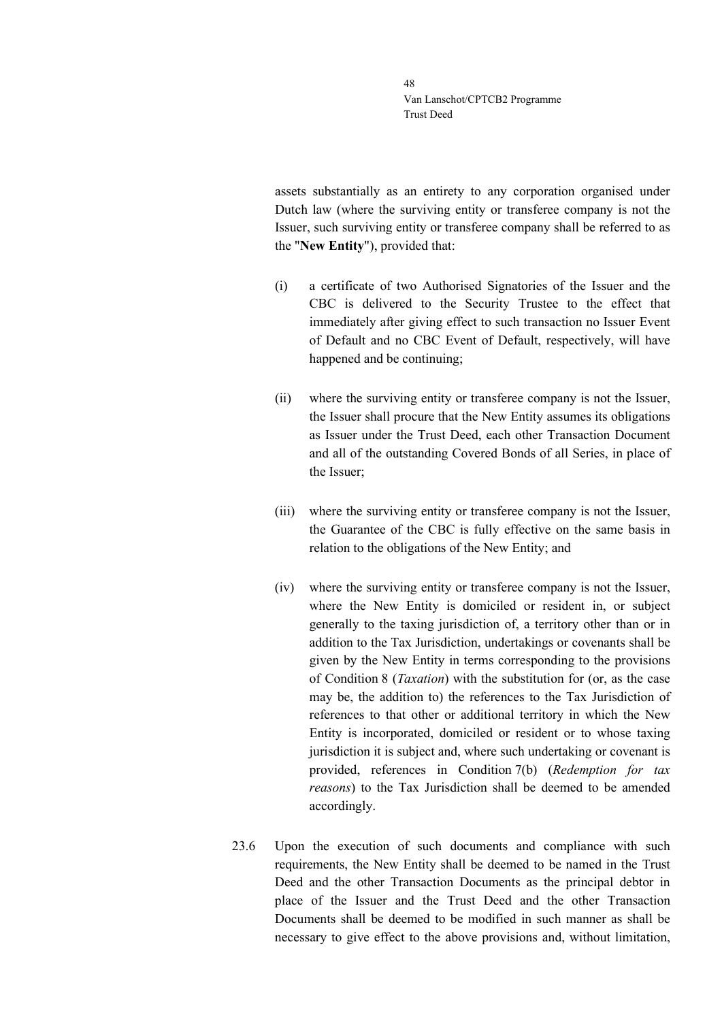assets substantially as an entirety to any corporation organised under Dutch law (where the surviving entity or transferee company is not the Issuer, such surviving entity or transferee company shall be referred to as the "**New Entity**"), provided that:

- (i) a certificate of two Authorised Signatories of the Issuer and the CBC is delivered to the Security Trustee to the effect that immediately after giving effect to such transaction no Issuer Event of Default and no CBC Event of Default, respectively, will have happened and be continuing;
- (ii) where the surviving entity or transferee company is not the Issuer, the Issuer shall procure that the New Entity assumes its obligations as Issuer under the Trust Deed, each other Transaction Document and all of the outstanding Covered Bonds of all Series, in place of the Issuer;
- (iii) where the surviving entity or transferee company is not the Issuer, the Guarantee of the CBC is fully effective on the same basis in relation to the obligations of the New Entity; and
- (iv) where the surviving entity or transferee company is not the Issuer, where the New Entity is domiciled or resident in, or subject generally to the taxing jurisdiction of, a territory other than or in addition to the Tax Jurisdiction, undertakings or covenants shall be given by the New Entity in terms corresponding to the provisions of Condition 8 (*Taxation*) with the substitution for (or, as the case may be, the addition to) the references to the Tax Jurisdiction of references to that other or additional territory in which the New Entity is incorporated, domiciled or resident or to whose taxing jurisdiction it is subject and, where such undertaking or covenant is provided, references in Condition 7(b) (*Redemption for tax reasons*) to the Tax Jurisdiction shall be deemed to be amended accordingly.
- 23.6 Upon the execution of such documents and compliance with such requirements, the New Entity shall be deemed to be named in the Trust Deed and the other Transaction Documents as the principal debtor in place of the Issuer and the Trust Deed and the other Transaction Documents shall be deemed to be modified in such manner as shall be necessary to give effect to the above provisions and, without limitation,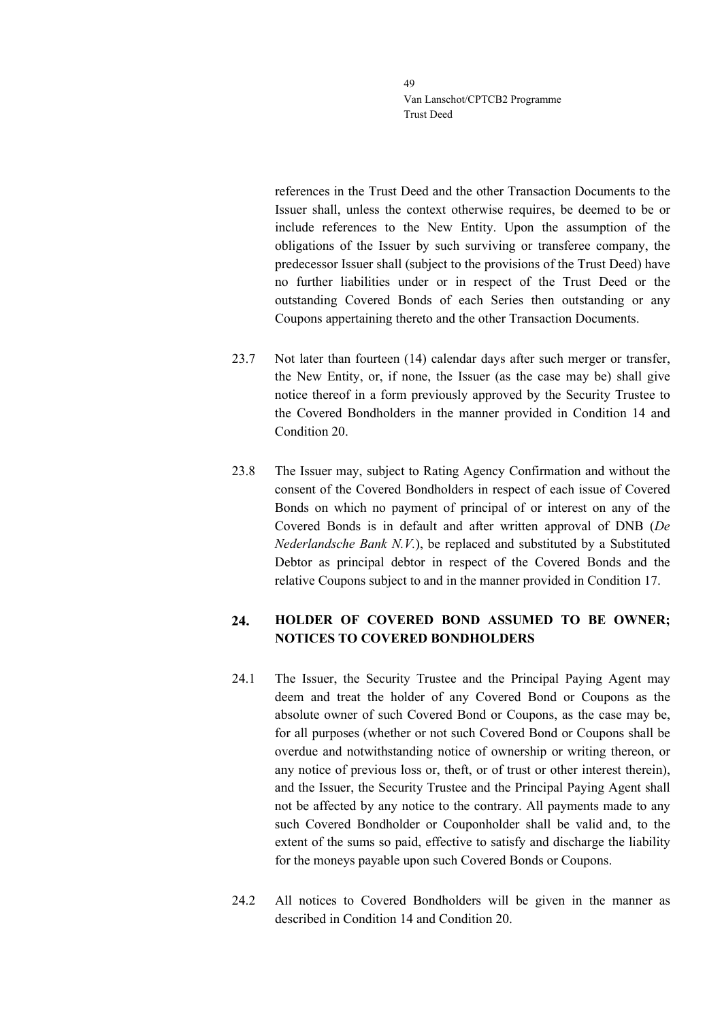references in the Trust Deed and the other Transaction Documents to the Issuer shall, unless the context otherwise requires, be deemed to be or include references to the New Entity. Upon the assumption of the obligations of the Issuer by such surviving or transferee company, the predecessor Issuer shall (subject to the provisions of the Trust Deed) have no further liabilities under or in respect of the Trust Deed or the outstanding Covered Bonds of each Series then outstanding or any Coupons appertaining thereto and the other Transaction Documents.

- 23.7 Not later than fourteen (14) calendar days after such merger or transfer, the New Entity, or, if none, the Issuer (as the case may be) shall give notice thereof in a form previously approved by the Security Trustee to the Covered Bondholders in the manner provided in Condition 14 and Condition 20.
- 23.8 The Issuer may, subject to Rating Agency Confirmation and without the consent of the Covered Bondholders in respect of each issue of Covered Bonds on which no payment of principal of or interest on any of the Covered Bonds is in default and after written approval of DNB (*De Nederlandsche Bank N.V.*), be replaced and substituted by a Substituted Debtor as principal debtor in respect of the Covered Bonds and the relative Coupons subject to and in the manner provided in Condition 17.

### $24.$ **HOLDER OF COVERED BOND ASSUMED TO BE OWNER; NOTICES TO COVERED BONDHOLDERS**

- 24.1 The Issuer, the Security Trustee and the Principal Paying Agent may deem and treat the holder of any Covered Bond or Coupons as the absolute owner of such Covered Bond or Coupons, as the case may be, for all purposes (whether or not such Covered Bond or Coupons shall be overdue and notwithstanding notice of ownership or writing thereon, or any notice of previous loss or, theft, or of trust or other interest therein), and the Issuer, the Security Trustee and the Principal Paying Agent shall not be affected by any notice to the contrary. All payments made to any such Covered Bondholder or Couponholder shall be valid and, to the extent of the sums so paid, effective to satisfy and discharge the liability for the moneys payable upon such Covered Bonds or Coupons.
- 24.2 All notices to Covered Bondholders will be given in the manner as described in Condition 14 and Condition 20.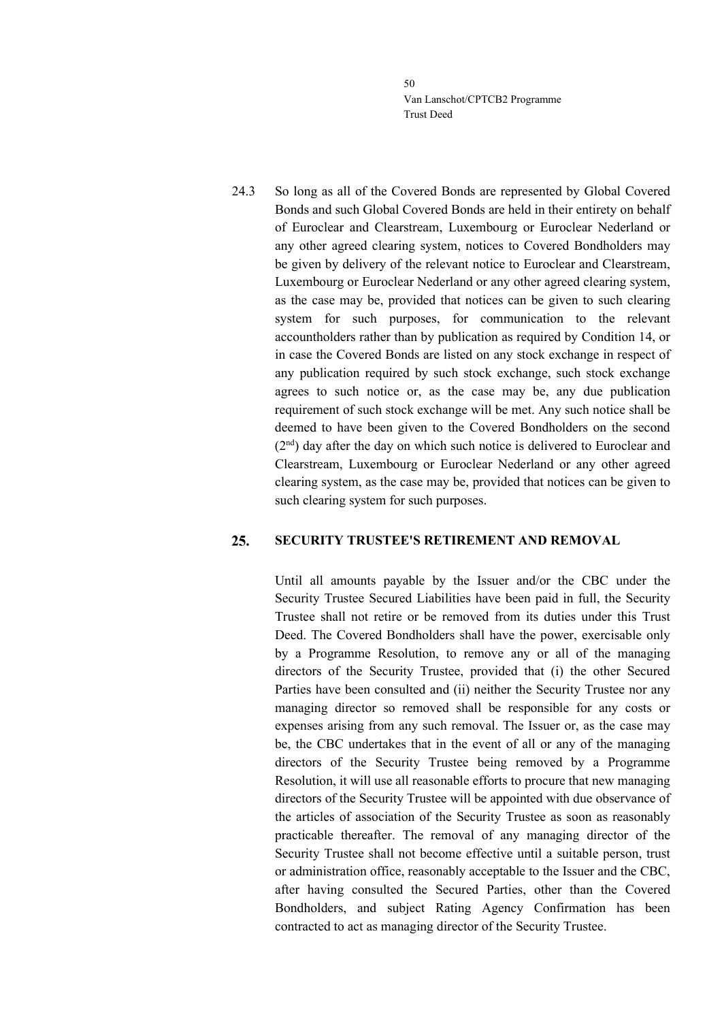24.3 So long as all of the Covered Bonds are represented by Global Covered Bonds and such Global Covered Bonds are held in their entirety on behalf of Euroclear and Clearstream, Luxembourg or Euroclear Nederland or any other agreed clearing system, notices to Covered Bondholders may be given by delivery of the relevant notice to Euroclear and Clearstream, Luxembourg or Euroclear Nederland or any other agreed clearing system, as the case may be, provided that notices can be given to such clearing system for such purposes, for communication to the relevant accountholders rather than by publication as required by Condition 14, or in case the Covered Bonds are listed on any stock exchange in respect of any publication required by such stock exchange, such stock exchange agrees to such notice or, as the case may be, any due publication requirement of such stock exchange will be met. Any such notice shall be deemed to have been given to the Covered Bondholders on the second (2<sup>nd</sup>) day after the day on which such notice is delivered to Euroclear and Clearstream, Luxembourg or Euroclear Nederland or any other agreed clearing system, as the case may be, provided that notices can be given to such clearing system for such purposes.

#### 25. **SECURITY TRUSTEE'S RETIREMENT AND REMOVAL**

Until all amounts payable by the Issuer and/or the CBC under the Security Trustee Secured Liabilities have been paid in full, the Security Trustee shall not retire or be removed from its duties under this Trust Deed. The Covered Bondholders shall have the power, exercisable only by a Programme Resolution, to remove any or all of the managing directors of the Security Trustee, provided that (i) the other Secured Parties have been consulted and (ii) neither the Security Trustee nor any managing director so removed shall be responsible for any costs or expenses arising from any such removal. The Issuer or, as the case may be, the CBC undertakes that in the event of all or any of the managing directors of the Security Trustee being removed by a Programme Resolution, it will use all reasonable efforts to procure that new managing directors of the Security Trustee will be appointed with due observance of the articles of association of the Security Trustee as soon as reasonably practicable thereafter. The removal of any managing director of the Security Trustee shall not become effective until a suitable person, trust or administration office, reasonably acceptable to the Issuer and the CBC, after having consulted the Secured Parties, other than the Covered Bondholders, and subject Rating Agency Confirmation has been contracted to act as managing director of the Security Trustee.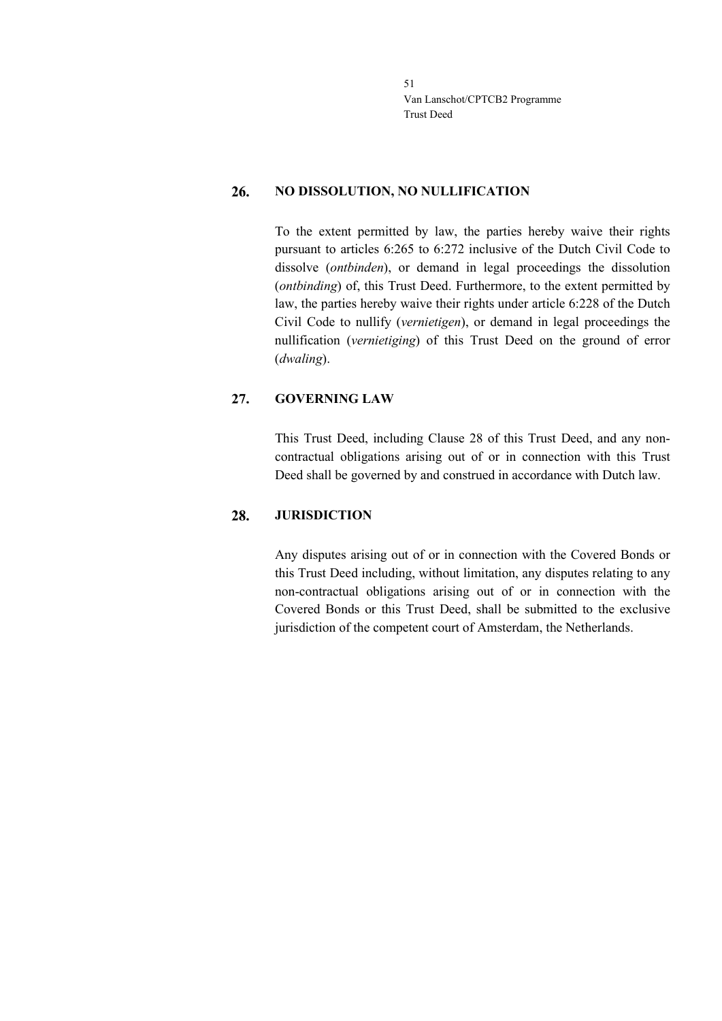#### 26. **NO DISSOLUTION, NO NULLIFICATION**

To the extent permitted by law, the parties hereby waive their rights pursuant to articles 6:265 to 6:272 inclusive of the Dutch Civil Code to dissolve (*ontbinden*), or demand in legal proceedings the dissolution (*ontbinding*) of, this Trust Deed. Furthermore, to the extent permitted by law, the parties hereby waive their rights under article 6:228 of the Dutch Civil Code to nullify (*vernietigen*), or demand in legal proceedings the nullification (*vernietiging*) of this Trust Deed on the ground of error (*dwaling*).

#### 27. **GOVERNING LAW**

This Trust Deed, including Clause [28](#page-50-0) of this Trust Deed, and any noncontractual obligations arising out of or in connection with this Trust Deed shall be governed by and construed in accordance with Dutch law.

#### <span id="page-50-0"></span>28. **JURISDICTION**

Any disputes arising out of or in connection with the Covered Bonds or this Trust Deed including, without limitation, any disputes relating to any non-contractual obligations arising out of or in connection with the Covered Bonds or this Trust Deed, shall be submitted to the exclusive jurisdiction of the competent court of Amsterdam, the Netherlands.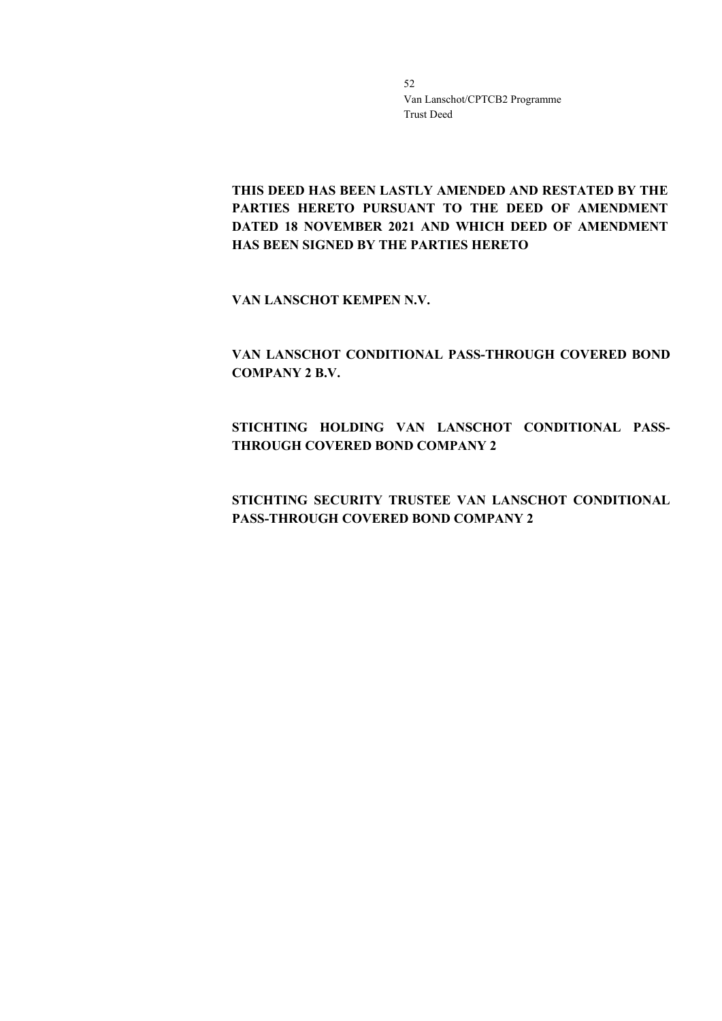**THIS DEED HAS BEEN LASTLY AMENDED AND RESTATED BY THE PARTIES HERETO PURSUANT TO THE DEED OF AMENDMENT DATED 18 NOVEMBER 2021 AND WHICH DEED OF AMENDMENT HAS BEEN SIGNED BY THE PARTIES HERETO**

**VAN LANSCHOT KEMPEN N.V.**

**VAN LANSCHOT CONDITIONAL PASS-THROUGH COVERED BOND COMPANY 2 B.V.**

**STICHTING HOLDING VAN LANSCHOT CONDITIONAL PASS-THROUGH COVERED BOND COMPANY 2**

**STICHTING SECURITY TRUSTEE VAN LANSCHOT CONDITIONAL PASS-THROUGH COVERED BOND COMPANY 2**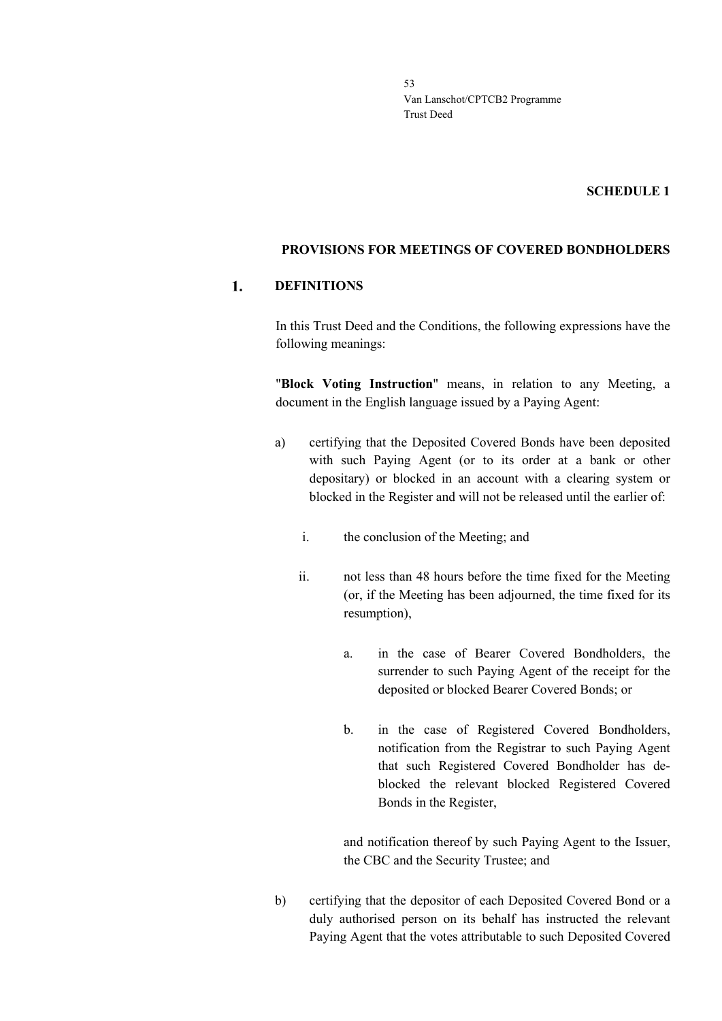### **SCHEDULE 1**

### **PROVISIONS FOR MEETINGS OF COVERED BONDHOLDERS**

#### 1. **DEFINITIONS**

In this Trust Deed and the Conditions, the following expressions have the following meanings:

"**Block Voting Instruction**" means, in relation to any Meeting, a document in the English language issued by a Paying Agent:

- a) certifying that the Deposited Covered Bonds have been deposited with such Paying Agent (or to its order at a bank or other depositary) or blocked in an account with a clearing system or blocked in the Register and will not be released until the earlier of:
	- i. the conclusion of the Meeting; and
	- ii. not less than 48 hours before the time fixed for the Meeting (or, if the Meeting has been adjourned, the time fixed for its resumption),
		- a. in the case of Bearer Covered Bondholders, the surrender to such Paying Agent of the receipt for the deposited or blocked Bearer Covered Bonds; or
		- b. in the case of Registered Covered Bondholders, notification from the Registrar to such Paying Agent that such Registered Covered Bondholder has deblocked the relevant blocked Registered Covered Bonds in the Register,

and notification thereof by such Paying Agent to the Issuer, the CBC and the Security Trustee; and

b) certifying that the depositor of each Deposited Covered Bond or a duly authorised person on its behalf has instructed the relevant Paying Agent that the votes attributable to such Deposited Covered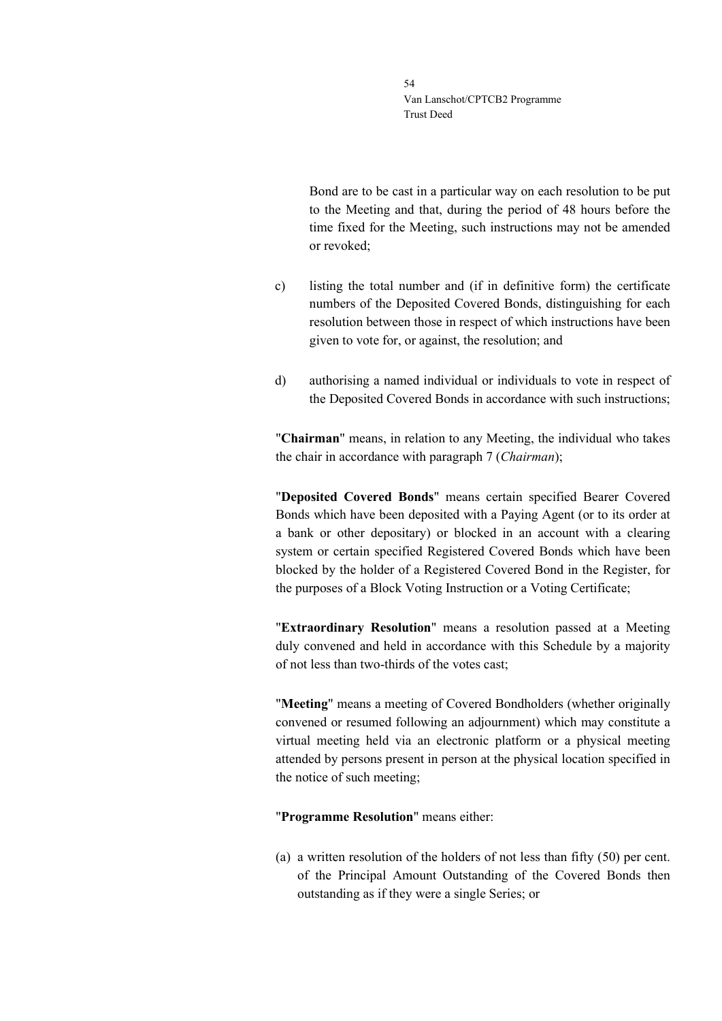Bond are to be cast in a particular way on each resolution to be put to the Meeting and that, during the period of 48 hours before the time fixed for the Meeting, such instructions may not be amended or revoked;

- c) listing the total number and (if in definitive form) the certificate numbers of the Deposited Covered Bonds, distinguishing for each resolution between those in respect of which instructions have been given to vote for, or against, the resolution; and
- d) authorising a named individual or individuals to vote in respect of the Deposited Covered Bonds in accordance with such instructions;

"**Chairman**" means, in relation to any Meeting, the individual who takes the chair in accordance with paragraph 7 (*Chairman*);

"**Deposited Covered Bonds**" means certain specified Bearer Covered Bonds which have been deposited with a Paying Agent (or to its order at a bank or other depositary) or blocked in an account with a clearing system or certain specified Registered Covered Bonds which have been blocked by the holder of a Registered Covered Bond in the Register, for the purposes of a Block Voting Instruction or a Voting Certificate;

"**Extraordinary Resolution**" means a resolution passed at a Meeting duly convened and held in accordance with this Schedule by a majority of not less than two-thirds of the votes cast;

"**Meeting**" means a meeting of Covered Bondholders (whether originally convened or resumed following an adjournment) which may constitute a virtual meeting held via an electronic platform or a physical meeting attended by persons present in person at the physical location specified in the notice of such meeting;

### "**Programme Resolution**" means either:

(a) a written resolution of the holders of not less than fifty (50) per cent. of the Principal Amount Outstanding of the Covered Bonds then outstanding as if they were a single Series; or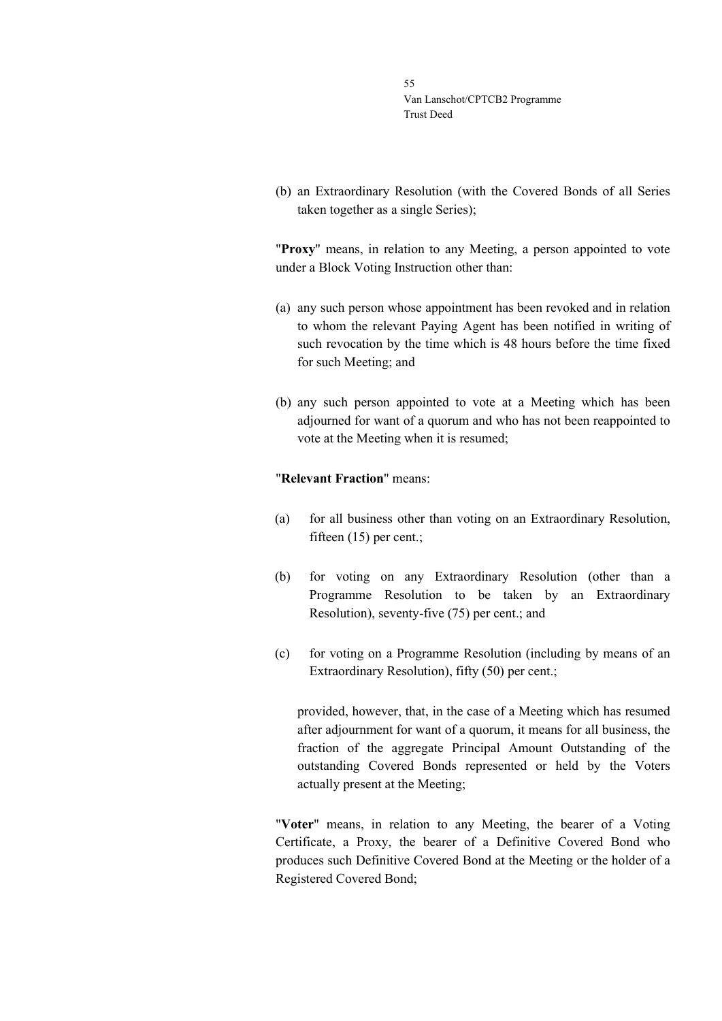(b) an Extraordinary Resolution (with the Covered Bonds of all Series taken together as a single Series);

"**Proxy**" means, in relation to any Meeting, a person appointed to vote under a Block Voting Instruction other than:

- (a) any such person whose appointment has been revoked and in relation to whom the relevant Paying Agent has been notified in writing of such revocation by the time which is 48 hours before the time fixed for such Meeting; and
- (b) any such person appointed to vote at a Meeting which has been adjourned for want of a quorum and who has not been reappointed to vote at the Meeting when it is resumed;

### "**Relevant Fraction**" means:

- (a) for all business other than voting on an Extraordinary Resolution, fifteen (15) per cent.;
- (b) for voting on any Extraordinary Resolution (other than a Programme Resolution to be taken by an Extraordinary Resolution), seventy-five (75) per cent.; and
- (c) for voting on a Programme Resolution (including by means of an Extraordinary Resolution), fifty (50) per cent.;

provided, however, that, in the case of a Meeting which has resumed after adjournment for want of a quorum, it means for all business, the fraction of the aggregate Principal Amount Outstanding of the outstanding Covered Bonds represented or held by the Voters actually present at the Meeting;

"**Voter**" means, in relation to any Meeting, the bearer of a Voting Certificate, a Proxy, the bearer of a Definitive Covered Bond who produces such Definitive Covered Bond at the Meeting or the holder of a Registered Covered Bond;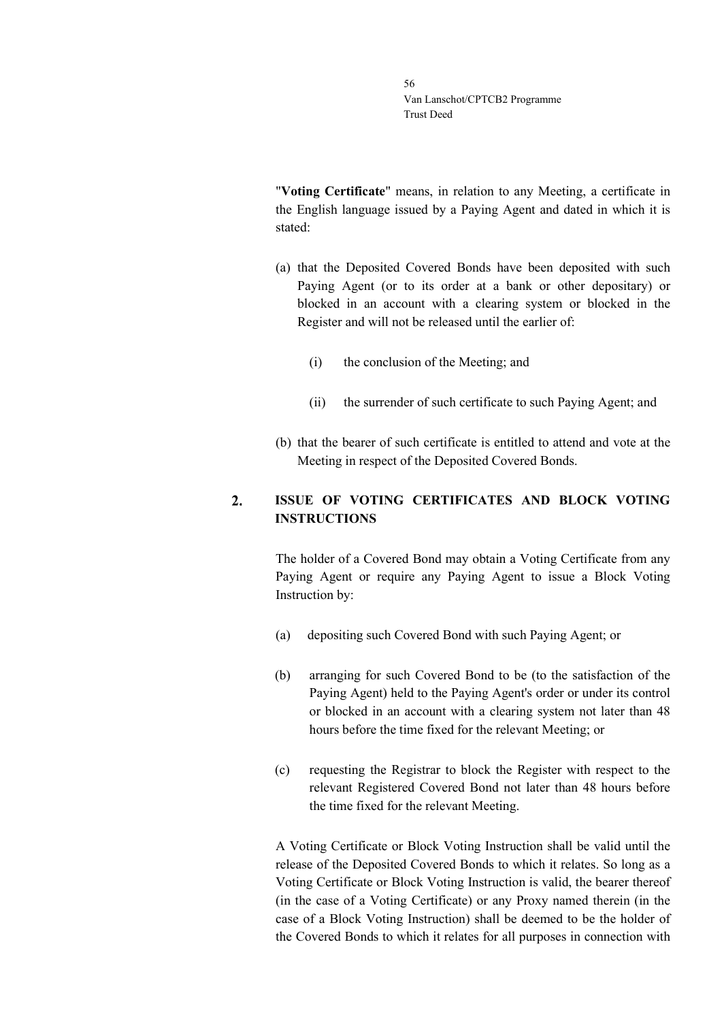"**Voting Certificate**" means, in relation to any Meeting, a certificate in the English language issued by a Paying Agent and dated in which it is stated:

- (a) that the Deposited Covered Bonds have been deposited with such Paying Agent (or to its order at a bank or other depositary) or blocked in an account with a clearing system or blocked in the Register and will not be released until the earlier of:
	- (i) the conclusion of the Meeting; and
	- (ii) the surrender of such certificate to such Paying Agent; and
- (b) that the bearer of such certificate is entitled to attend and vote at the Meeting in respect of the Deposited Covered Bonds.

### $2.$ **ISSUE OF VOTING CERTIFICATES AND BLOCK VOTING INSTRUCTIONS**

The holder of a Covered Bond may obtain a Voting Certificate from any Paying Agent or require any Paying Agent to issue a Block Voting Instruction by:

- (a) depositing such Covered Bond with such Paying Agent; or
- (b) arranging for such Covered Bond to be (to the satisfaction of the Paying Agent) held to the Paying Agent's order or under its control or blocked in an account with a clearing system not later than 48 hours before the time fixed for the relevant Meeting; or
- (c) requesting the Registrar to block the Register with respect to the relevant Registered Covered Bond not later than 48 hours before the time fixed for the relevant Meeting.

A Voting Certificate or Block Voting Instruction shall be valid until the release of the Deposited Covered Bonds to which it relates. So long as a Voting Certificate or Block Voting Instruction is valid, the bearer thereof (in the case of a Voting Certificate) or any Proxy named therein (in the case of a Block Voting Instruction) shall be deemed to be the holder of the Covered Bonds to which it relates for all purposes in connection with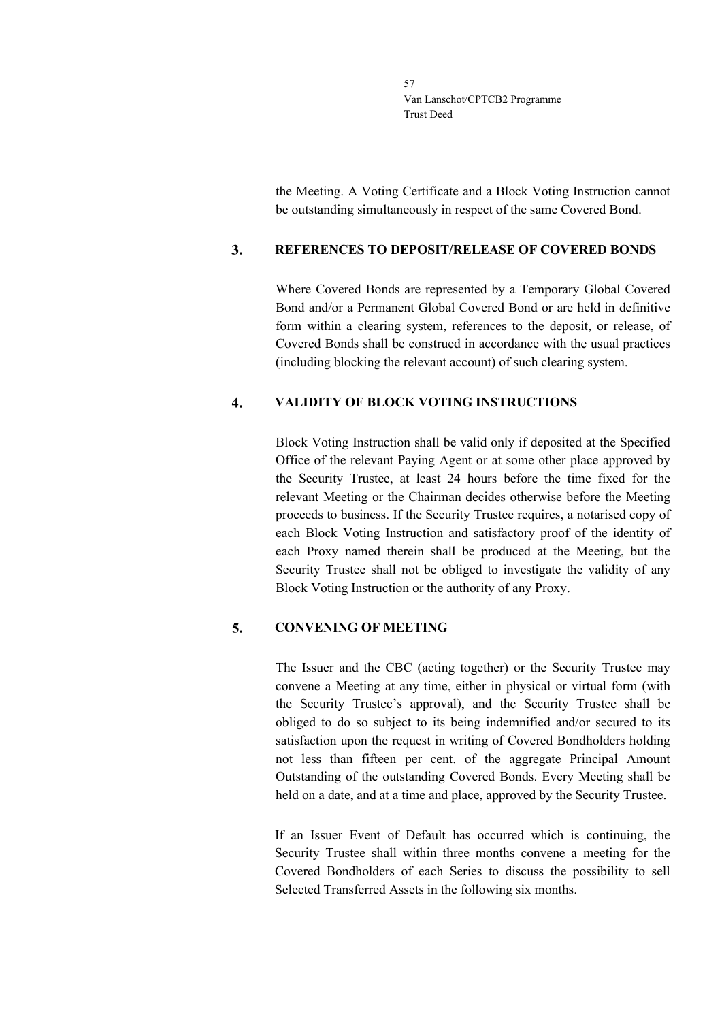the Meeting. A Voting Certificate and a Block Voting Instruction cannot be outstanding simultaneously in respect of the same Covered Bond.

#### $\mathbf{3}$ . **REFERENCES TO DEPOSIT/RELEASE OF COVERED BONDS**

Where Covered Bonds are represented by a Temporary Global Covered Bond and/or a Permanent Global Covered Bond or are held in definitive form within a clearing system, references to the deposit, or release, of Covered Bonds shall be construed in accordance with the usual practices (including blocking the relevant account) of such clearing system.

#### $\overline{4}$ . **VALIDITY OF BLOCK VOTING INSTRUCTIONS**

Block Voting Instruction shall be valid only if deposited at the Specified Office of the relevant Paying Agent or at some other place approved by the Security Trustee, at least 24 hours before the time fixed for the relevant Meeting or the Chairman decides otherwise before the Meeting proceeds to business. If the Security Trustee requires, a notarised copy of each Block Voting Instruction and satisfactory proof of the identity of each Proxy named therein shall be produced at the Meeting, but the Security Trustee shall not be obliged to investigate the validity of any Block Voting Instruction or the authority of any Proxy.

#### 5. **CONVENING OF MEETING**

The Issuer and the CBC (acting together) or the Security Trustee may convene a Meeting at any time, either in physical or virtual form (with the Security Trustee's approval), and the Security Trustee shall be obliged to do so subject to its being indemnified and/or secured to its satisfaction upon the request in writing of Covered Bondholders holding not less than fifteen per cent. of the aggregate Principal Amount Outstanding of the outstanding Covered Bonds. Every Meeting shall be held on a date, and at a time and place, approved by the Security Trustee.

If an Issuer Event of Default has occurred which is continuing, the Security Trustee shall within three months convene a meeting for the Covered Bondholders of each Series to discuss the possibility to sell Selected Transferred Assets in the following six months.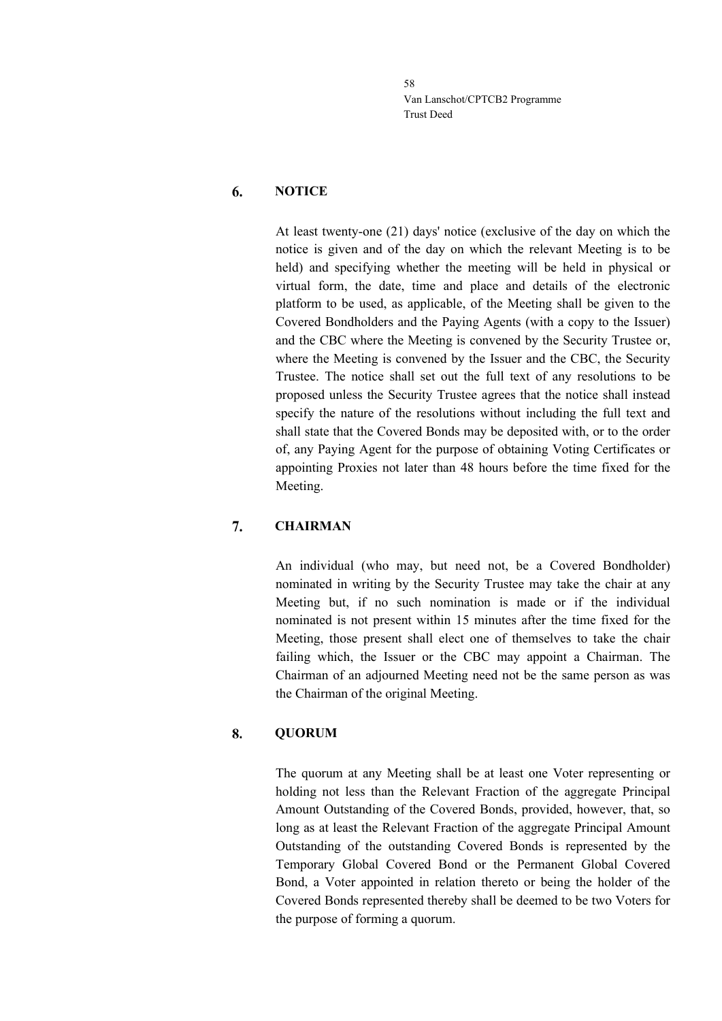#### 6. **NOTICE**

At least twenty-one (21) days' notice (exclusive of the day on which the notice is given and of the day on which the relevant Meeting is to be held) and specifying whether the meeting will be held in physical or virtual form, the date, time and place and details of the electronic platform to be used, as applicable, of the Meeting shall be given to the Covered Bondholders and the Paying Agents (with a copy to the Issuer) and the CBC where the Meeting is convened by the Security Trustee or, where the Meeting is convened by the Issuer and the CBC, the Security Trustee. The notice shall set out the full text of any resolutions to be proposed unless the Security Trustee agrees that the notice shall instead specify the nature of the resolutions without including the full text and shall state that the Covered Bonds may be deposited with, or to the order of, any Paying Agent for the purpose of obtaining Voting Certificates or appointing Proxies not later than 48 hours before the time fixed for the Meeting.

#### 7. **CHAIRMAN**

An individual (who may, but need not, be a Covered Bondholder) nominated in writing by the Security Trustee may take the chair at any Meeting but, if no such nomination is made or if the individual nominated is not present within 15 minutes after the time fixed for the Meeting, those present shall elect one of themselves to take the chair failing which, the Issuer or the CBC may appoint a Chairman. The Chairman of an adjourned Meeting need not be the same person as was the Chairman of the original Meeting.

#### 8. **QUORUM**

The quorum at any Meeting shall be at least one Voter representing or holding not less than the Relevant Fraction of the aggregate Principal Amount Outstanding of the Covered Bonds, provided, however, that, so long as at least the Relevant Fraction of the aggregate Principal Amount Outstanding of the outstanding Covered Bonds is represented by the Temporary Global Covered Bond or the Permanent Global Covered Bond, a Voter appointed in relation thereto or being the holder of the Covered Bonds represented thereby shall be deemed to be two Voters for the purpose of forming a quorum.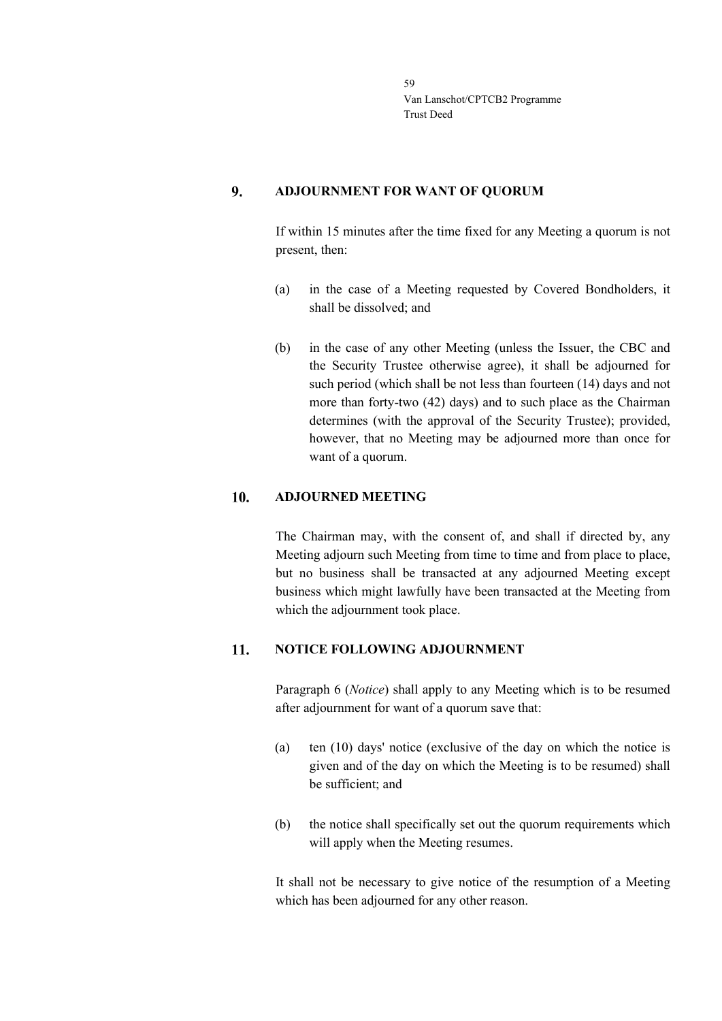#### 9. **ADJOURNMENT FOR WANT OF QUORUM**

If within 15 minutes after the time fixed for any Meeting a quorum is not present, then:

- (a) in the case of a Meeting requested by Covered Bondholders, it shall be dissolved; and
- (b) in the case of any other Meeting (unless the Issuer, the CBC and the Security Trustee otherwise agree), it shall be adjourned for such period (which shall be not less than fourteen (14) days and not more than forty-two (42) days) and to such place as the Chairman determines (with the approval of the Security Trustee); provided, however, that no Meeting may be adjourned more than once for want of a quorum.

#### 10. **ADJOURNED MEETING**

The Chairman may, with the consent of, and shall if directed by, any Meeting adjourn such Meeting from time to time and from place to place, but no business shall be transacted at any adjourned Meeting except business which might lawfully have been transacted at the Meeting from which the adjournment took place.

#### **NOTICE FOLLOWING ADJOURNMENT** 11.

Paragraph 6 (*Notice*) shall apply to any Meeting which is to be resumed after adjournment for want of a quorum save that:

- (a) ten (10) days' notice (exclusive of the day on which the notice is given and of the day on which the Meeting is to be resumed) shall be sufficient; and
- (b) the notice shall specifically set out the quorum requirements which will apply when the Meeting resumes.

It shall not be necessary to give notice of the resumption of a Meeting which has been adjourned for any other reason.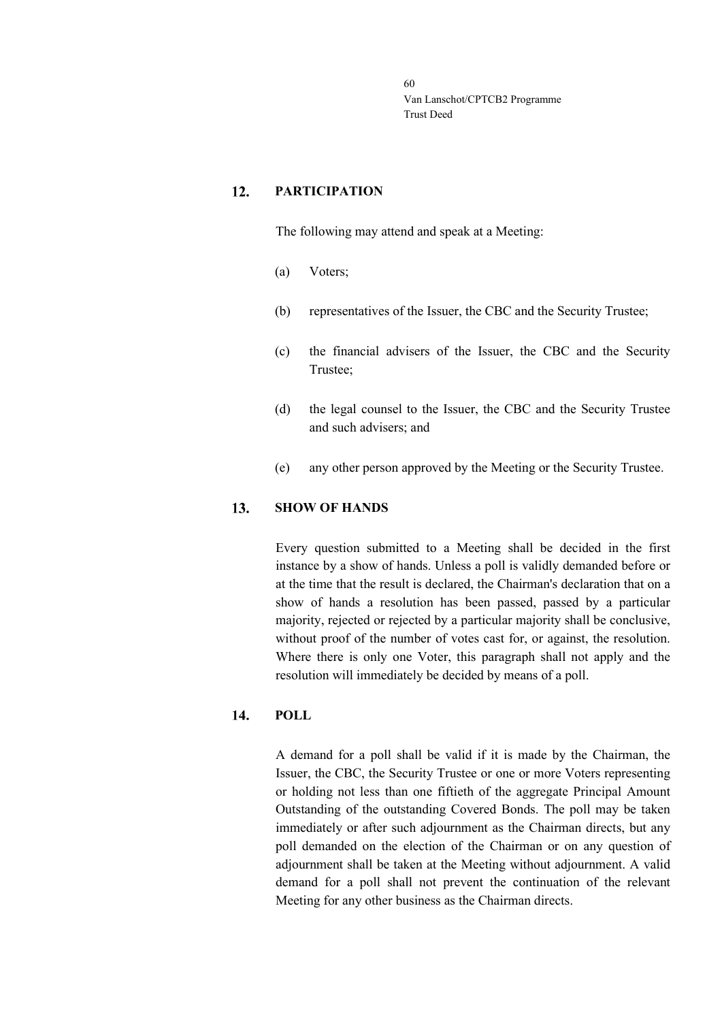#### 12. **PARTICIPATION**

The following may attend and speak at a Meeting:

- (a) Voters;
- (b) representatives of the Issuer, the CBC and the Security Trustee;
- (c) the financial advisers of the Issuer, the CBC and the Security Trustee;
- (d) the legal counsel to the Issuer, the CBC and the Security Trustee and such advisers; and
- (e) any other person approved by the Meeting or the Security Trustee.

#### 13. **SHOW OF HANDS**

Every question submitted to a Meeting shall be decided in the first instance by a show of hands. Unless a poll is validly demanded before or at the time that the result is declared, the Chairman's declaration that on a show of hands a resolution has been passed, passed by a particular majority, rejected or rejected by a particular majority shall be conclusive, without proof of the number of votes cast for, or against, the resolution. Where there is only one Voter, this paragraph shall not apply and the resolution will immediately be decided by means of a poll.

#### 14. **POLL**

A demand for a poll shall be valid if it is made by the Chairman, the Issuer, the CBC, the Security Trustee or one or more Voters representing or holding not less than one fiftieth of the aggregate Principal Amount Outstanding of the outstanding Covered Bonds. The poll may be taken immediately or after such adjournment as the Chairman directs, but any poll demanded on the election of the Chairman or on any question of adjournment shall be taken at the Meeting without adjournment. A valid demand for a poll shall not prevent the continuation of the relevant Meeting for any other business as the Chairman directs.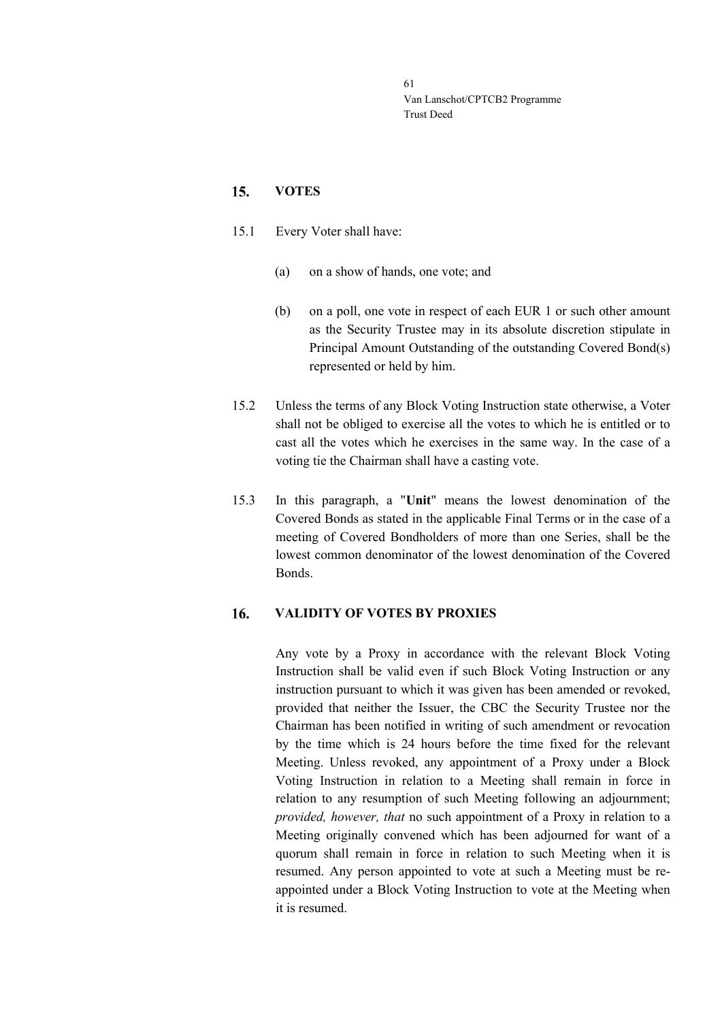#### $15.$ **VOTES**

- 15.1 Every Voter shall have:
	- (a) on a show of hands, one vote; and
	- (b) on a poll, one vote in respect of each EUR 1 or such other amount as the Security Trustee may in its absolute discretion stipulate in Principal Amount Outstanding of the outstanding Covered Bond(s) represented or held by him.
- 15.2 Unless the terms of any Block Voting Instruction state otherwise, a Voter shall not be obliged to exercise all the votes to which he is entitled or to cast all the votes which he exercises in the same way. In the case of a voting tie the Chairman shall have a casting vote.
- 15.3 In this paragraph, a "**Unit**" means the lowest denomination of the Covered Bonds as stated in the applicable Final Terms or in the case of a meeting of Covered Bondholders of more than one Series, shall be the lowest common denominator of the lowest denomination of the Covered Bonds.

#### 16. **VALIDITY OF VOTES BY PROXIES**

Any vote by a Proxy in accordance with the relevant Block Voting Instruction shall be valid even if such Block Voting Instruction or any instruction pursuant to which it was given has been amended or revoked, provided that neither the Issuer, the CBC the Security Trustee nor the Chairman has been notified in writing of such amendment or revocation by the time which is 24 hours before the time fixed for the relevant Meeting. Unless revoked, any appointment of a Proxy under a Block Voting Instruction in relation to a Meeting shall remain in force in relation to any resumption of such Meeting following an adjournment; *provided, however, that* no such appointment of a Proxy in relation to a Meeting originally convened which has been adjourned for want of a quorum shall remain in force in relation to such Meeting when it is resumed. Any person appointed to vote at such a Meeting must be reappointed under a Block Voting Instruction to vote at the Meeting when it is resumed.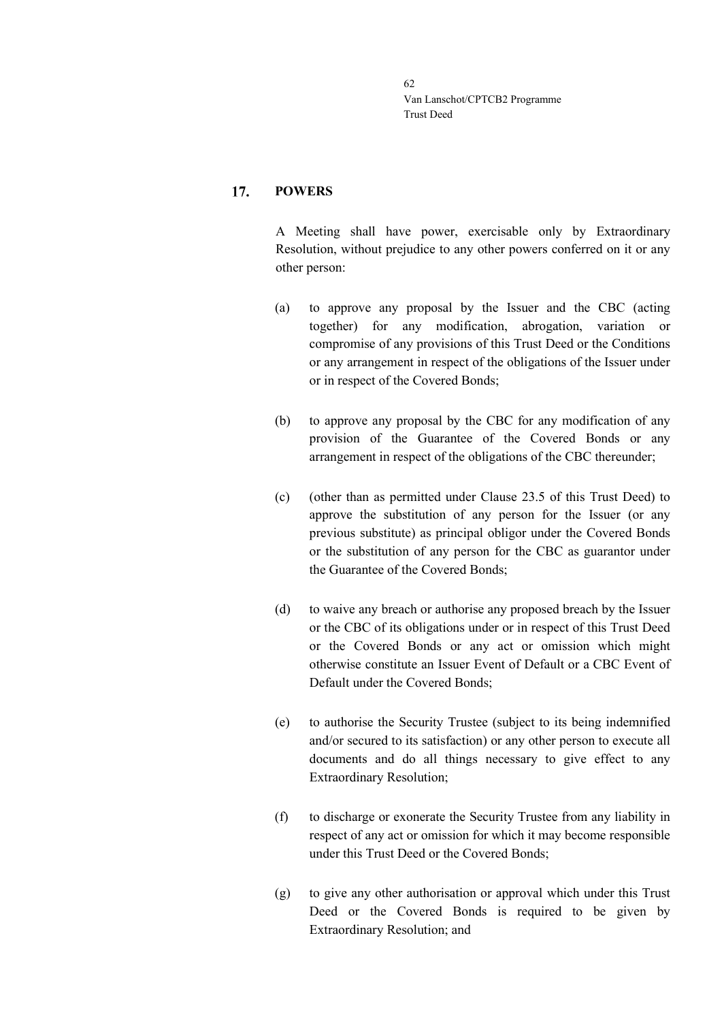#### 17. **POWERS**

A Meeting shall have power, exercisable only by Extraordinary Resolution, without prejudice to any other powers conferred on it or any other person:

- (a) to approve any proposal by the Issuer and the CBC (acting together) for any modification, abrogation, variation or compromise of any provisions of this Trust Deed or the Conditions or any arrangement in respect of the obligations of the Issuer under or in respect of the Covered Bonds;
- (b) to approve any proposal by the CBC for any modification of any provision of the Guarantee of the Covered Bonds or any arrangement in respect of the obligations of the CBC thereunder;
- (c) (other than as permitted under Clause [23.5](#page-46-0) of this Trust Deed) to approve the substitution of any person for the Issuer (or any previous substitute) as principal obligor under the Covered Bonds or the substitution of any person for the CBC as guarantor under the Guarantee of the Covered Bonds;
- (d) to waive any breach or authorise any proposed breach by the Issuer or the CBC of its obligations under or in respect of this Trust Deed or the Covered Bonds or any act or omission which might otherwise constitute an Issuer Event of Default or a CBC Event of Default under the Covered Bonds;
- (e) to authorise the Security Trustee (subject to its being indemnified and/or secured to its satisfaction) or any other person to execute all documents and do all things necessary to give effect to any Extraordinary Resolution;
- (f) to discharge or exonerate the Security Trustee from any liability in respect of any act or omission for which it may become responsible under this Trust Deed or the Covered Bonds;
- (g) to give any other authorisation or approval which under this Trust Deed or the Covered Bonds is required to be given by Extraordinary Resolution; and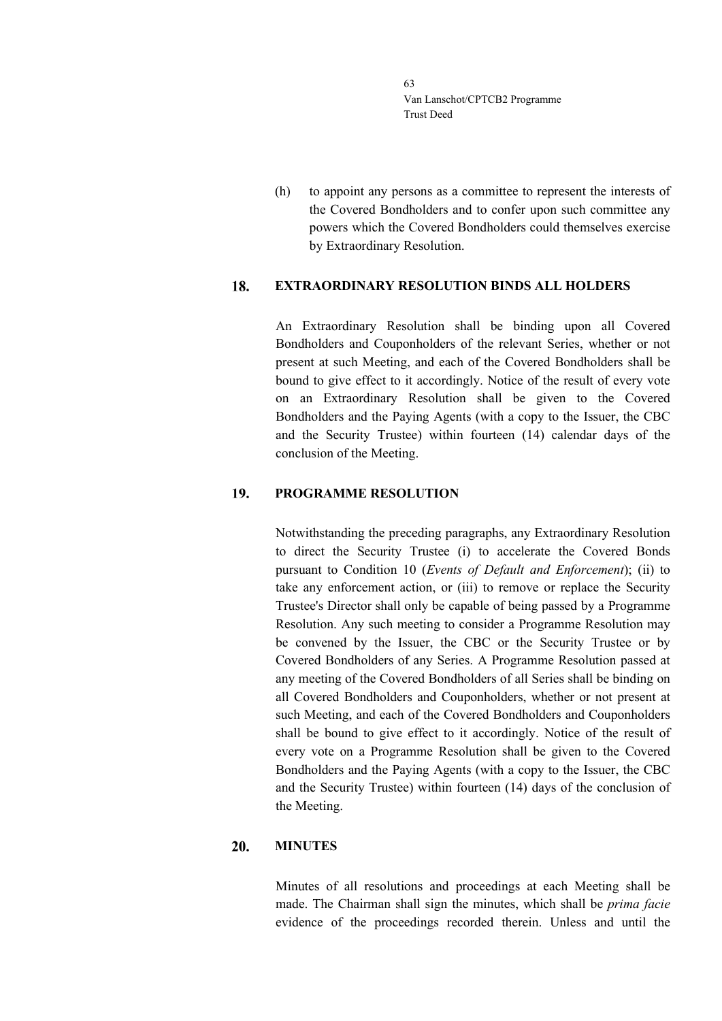(h) to appoint any persons as a committee to represent the interests of the Covered Bondholders and to confer upon such committee any powers which the Covered Bondholders could themselves exercise by Extraordinary Resolution.

#### 18. **EXTRAORDINARY RESOLUTION BINDS ALL HOLDERS**

An Extraordinary Resolution shall be binding upon all Covered Bondholders and Couponholders of the relevant Series, whether or not present at such Meeting, and each of the Covered Bondholders shall be bound to give effect to it accordingly. Notice of the result of every vote on an Extraordinary Resolution shall be given to the Covered Bondholders and the Paying Agents (with a copy to the Issuer, the CBC and the Security Trustee) within fourteen (14) calendar days of the conclusion of the Meeting.

#### 19. **PROGRAMME RESOLUTION**

Notwithstanding the preceding paragraphs, any Extraordinary Resolution to direct the Security Trustee (i) to accelerate the Covered Bonds pursuant to Condition 10 (*Events of Default and Enforcement*); (ii) to take any enforcement action, or (iii) to remove or replace the Security Trustee's Director shall only be capable of being passed by a Programme Resolution. Any such meeting to consider a Programme Resolution may be convened by the Issuer, the CBC or the Security Trustee or by Covered Bondholders of any Series. A Programme Resolution passed at any meeting of the Covered Bondholders of all Series shall be binding on all Covered Bondholders and Couponholders, whether or not present at such Meeting, and each of the Covered Bondholders and Couponholders shall be bound to give effect to it accordingly. Notice of the result of every vote on a Programme Resolution shall be given to the Covered Bondholders and the Paying Agents (with a copy to the Issuer, the CBC and the Security Trustee) within fourteen (14) days of the conclusion of the Meeting.

#### 20. **MINUTES**

Minutes of all resolutions and proceedings at each Meeting shall be made. The Chairman shall sign the minutes, which shall be *prima facie* evidence of the proceedings recorded therein. Unless and until the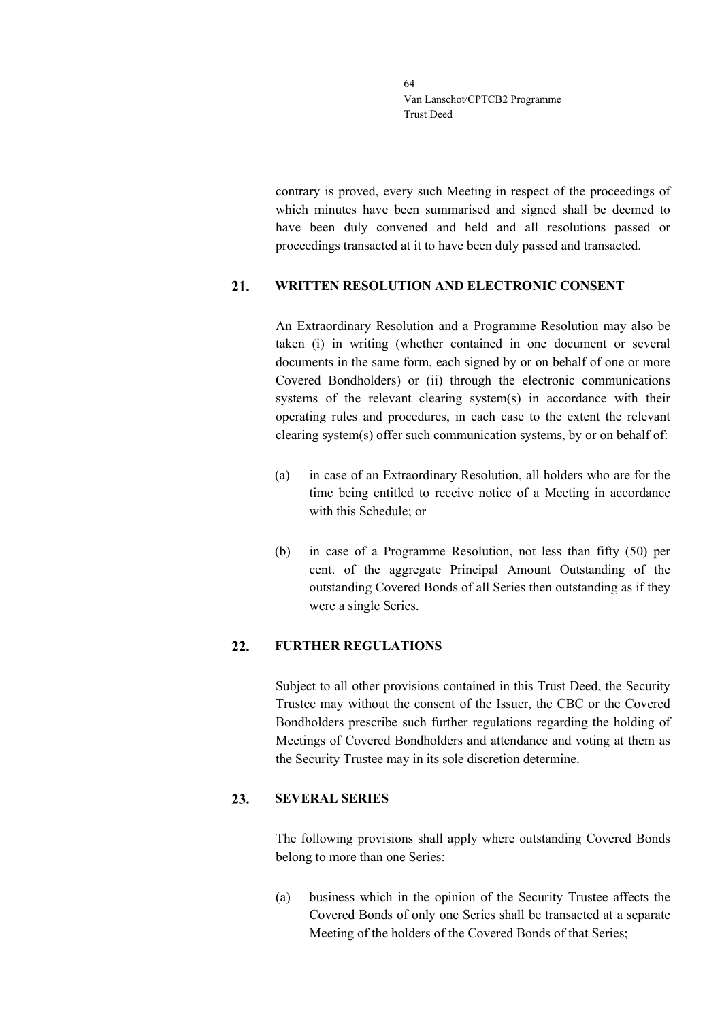contrary is proved, every such Meeting in respect of the proceedings of which minutes have been summarised and signed shall be deemed to have been duly convened and held and all resolutions passed or proceedings transacted at it to have been duly passed and transacted.

#### $21.$ **WRITTEN RESOLUTION AND ELECTRONIC CONSENT**

An Extraordinary Resolution and a Programme Resolution may also be taken (i) in writing (whether contained in one document or several documents in the same form, each signed by or on behalf of one or more Covered Bondholders) or (ii) through the electronic communications systems of the relevant clearing system(s) in accordance with their operating rules and procedures, in each case to the extent the relevant clearing system(s) offer such communication systems, by or on behalf of:

- (a) in case of an Extraordinary Resolution, all holders who are for the time being entitled to receive notice of a Meeting in accordance with this Schedule; or
- (b) in case of a Programme Resolution, not less than fifty (50) per cent. of the aggregate Principal Amount Outstanding of the outstanding Covered Bonds of all Series then outstanding as if they were a single Series.

#### $22.$ **FURTHER REGULATIONS**

Subject to all other provisions contained in this Trust Deed, the Security Trustee may without the consent of the Issuer, the CBC or the Covered Bondholders prescribe such further regulations regarding the holding of Meetings of Covered Bondholders and attendance and voting at them as the Security Trustee may in its sole discretion determine.

#### **SEVERAL SERIES** 23.

The following provisions shall apply where outstanding Covered Bonds belong to more than one Series:

(a) business which in the opinion of the Security Trustee affects the Covered Bonds of only one Series shall be transacted at a separate Meeting of the holders of the Covered Bonds of that Series;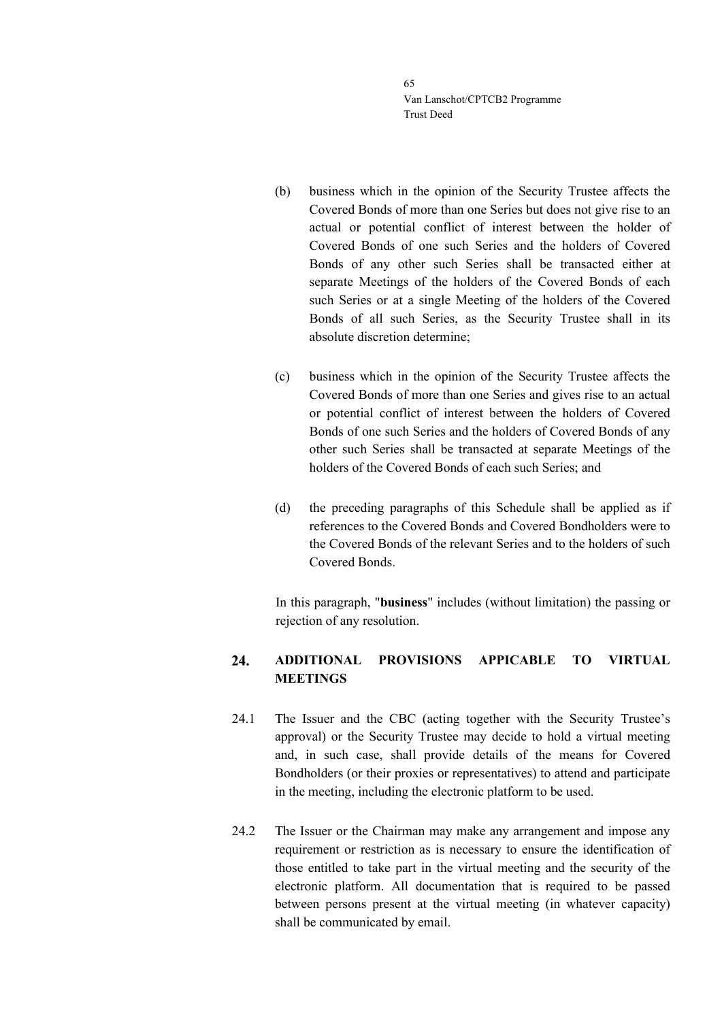- (b) business which in the opinion of the Security Trustee affects the Covered Bonds of more than one Series but does not give rise to an actual or potential conflict of interest between the holder of Covered Bonds of one such Series and the holders of Covered Bonds of any other such Series shall be transacted either at separate Meetings of the holders of the Covered Bonds of each such Series or at a single Meeting of the holders of the Covered Bonds of all such Series, as the Security Trustee shall in its absolute discretion determine;
- (c) business which in the opinion of the Security Trustee affects the Covered Bonds of more than one Series and gives rise to an actual or potential conflict of interest between the holders of Covered Bonds of one such Series and the holders of Covered Bonds of any other such Series shall be transacted at separate Meetings of the holders of the Covered Bonds of each such Series; and
- (d) the preceding paragraphs of this Schedule shall be applied as if references to the Covered Bonds and Covered Bondholders were to the Covered Bonds of the relevant Series and to the holders of such Covered Bonds.

In this paragraph, "**business**" includes (without limitation) the passing or rejection of any resolution.

### $24.$ **ADDITIONAL PROVISIONS APPICABLE TO VIRTUAL MEETINGS**

- 24.1 The Issuer and the CBC (acting together with the Security Trustee's approval) or the Security Trustee may decide to hold a virtual meeting and, in such case, shall provide details of the means for Covered Bondholders (or their proxies or representatives) to attend and participate in the meeting, including the electronic platform to be used.
- 24.2 The Issuer or the Chairman may make any arrangement and impose any requirement or restriction as is necessary to ensure the identification of those entitled to take part in the virtual meeting and the security of the electronic platform. All documentation that is required to be passed between persons present at the virtual meeting (in whatever capacity) shall be communicated by email.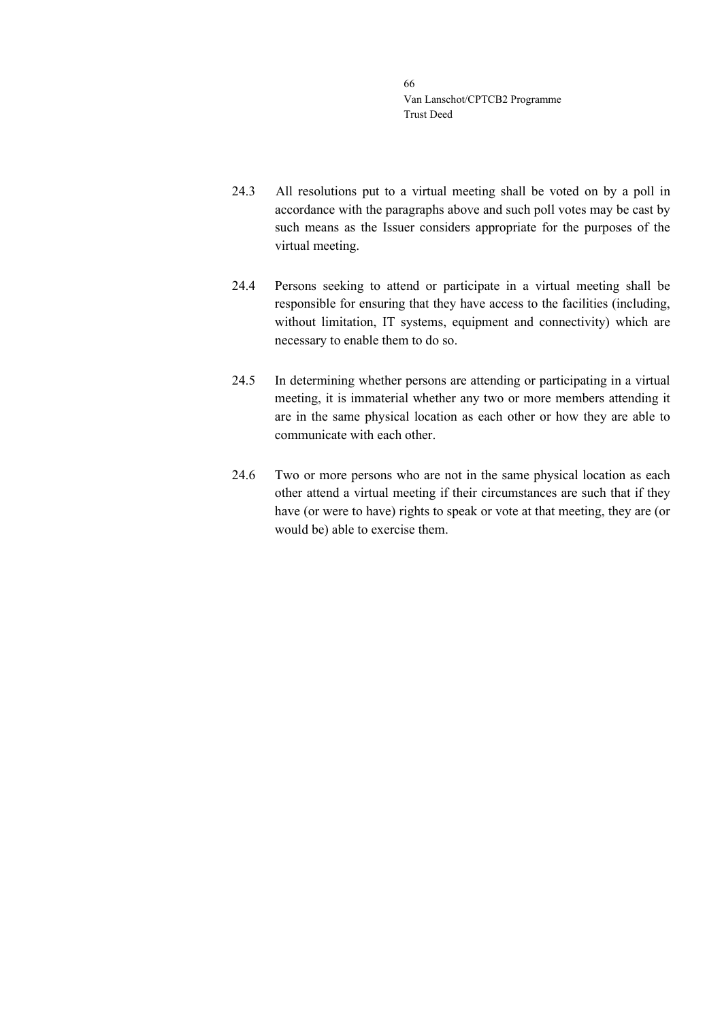- 24.3 All resolutions put to a virtual meeting shall be voted on by a poll in accordance with the paragraphs above and such poll votes may be cast by such means as the Issuer considers appropriate for the purposes of the virtual meeting.
- 24.4 Persons seeking to attend or participate in a virtual meeting shall be responsible for ensuring that they have access to the facilities (including, without limitation, IT systems, equipment and connectivity) which are necessary to enable them to do so.
- 24.5 In determining whether persons are attending or participating in a virtual meeting, it is immaterial whether any two or more members attending it are in the same physical location as each other or how they are able to communicate with each other.
- 24.6 Two or more persons who are not in the same physical location as each other attend a virtual meeting if their circumstances are such that if they have (or were to have) rights to speak or vote at that meeting, they are (or would be) able to exercise them.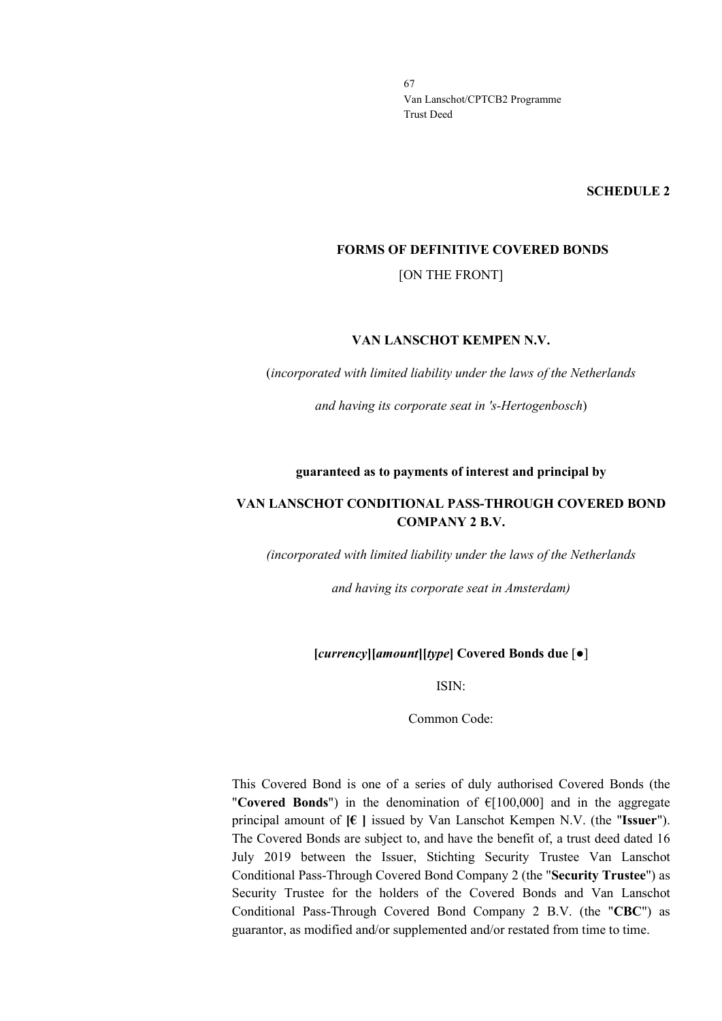**SCHEDULE 2**

### **FORMS OF DEFINITIVE COVERED BONDS**

[ON THE FRONT]

### **VAN LANSCHOT KEMPEN N.V.**

(*incorporated with limited liability under the laws of the Netherlands*

*and having its corporate seat in 's-Hertogenbosch*)

### **guaranteed as to payments of interest and principal by**

## **VAN LANSCHOT CONDITIONAL PASS-THROUGH COVERED BOND COMPANY 2 B.V.**

*(incorporated with limited liability under the laws of the Netherlands*

*and having its corporate seat in Amsterdam)*

### **[***currency***][***amount***][***type***] Covered Bonds due** [●]

ISIN:

Common Code:

This Covered Bond is one of a series of duly authorised Covered Bonds (the "**Covered Bonds**") in the denomination of €[100,000] and in the aggregate principal amount of **[€ ]** issued by Van Lanschot Kempen N.V. (the "**Issuer**"). The Covered Bonds are subject to, and have the benefit of, a trust deed dated 16 July 2019 between the Issuer, Stichting Security Trustee Van Lanschot Conditional Pass-Through Covered Bond Company 2 (the "**Security Trustee**") as Security Trustee for the holders of the Covered Bonds and Van Lanschot Conditional Pass-Through Covered Bond Company 2 B.V. (the "**CBC**") as guarantor, as modified and/or supplemented and/or restated from time to time.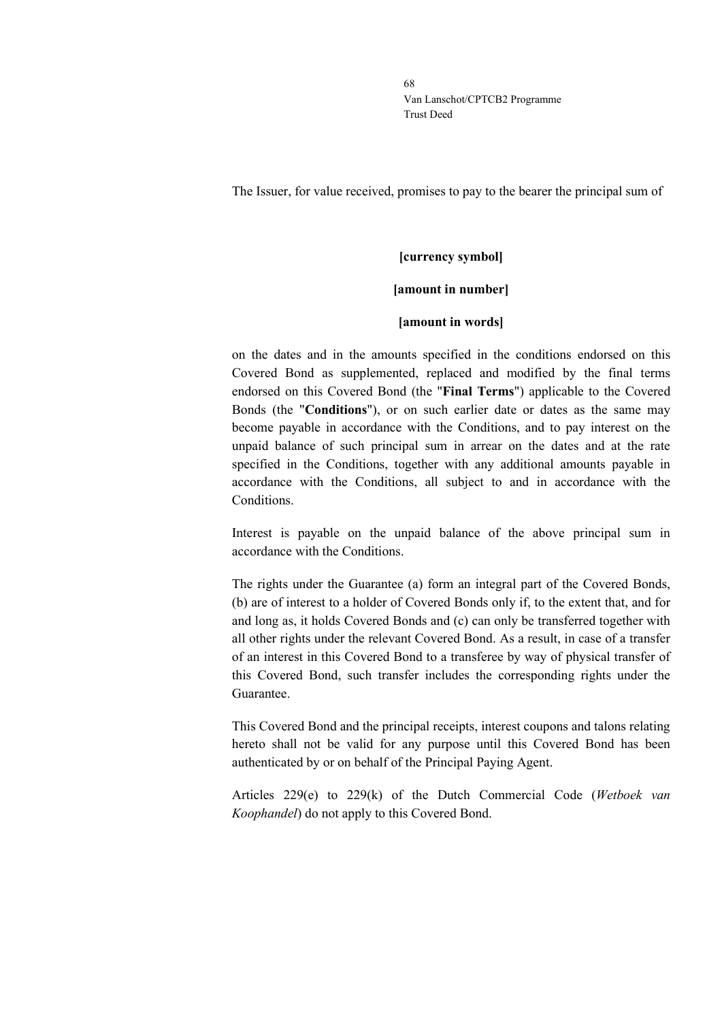The Issuer, for value received, promises to pay to the bearer the principal sum of

# **[currency symbol] [amount in number]**

### **[amount in words]**

on the dates and in the amounts specified in the conditions endorsed on this Covered Bond as supplemented, replaced and modified by the final terms endorsed on this Covered Bond (the "**Final Terms**") applicable to the Covered Bonds (the "**Conditions**"), or on such earlier date or dates as the same may become payable in accordance with the Conditions, and to pay interest on the unpaid balance of such principal sum in arrear on the dates and at the rate specified in the Conditions, together with any additional amounts payable in accordance with the Conditions, all subject to and in accordance with the Conditions.

Interest is payable on the unpaid balance of the above principal sum in accordance with the Conditions.

The rights under the Guarantee (a) form an integral part of the Covered Bonds, (b) are of interest to a holder of Covered Bonds only if, to the extent that, and for and long as, it holds Covered Bonds and (c) can only be transferred together with all other rights under the relevant Covered Bond. As a result, in case of a transfer of an interest in this Covered Bond to a transferee by way of physical transfer of this Covered Bond, such transfer includes the corresponding rights under the Guarantee.

This Covered Bond and the principal receipts, interest coupons and talons relating hereto shall not be valid for any purpose until this Covered Bond has been authenticated by or on behalf of the Principal Paying Agent.

Articles 229(e) to 229(k) of the Dutch Commercial Code (*Wetboek van Koophandel*) do not apply to this Covered Bond.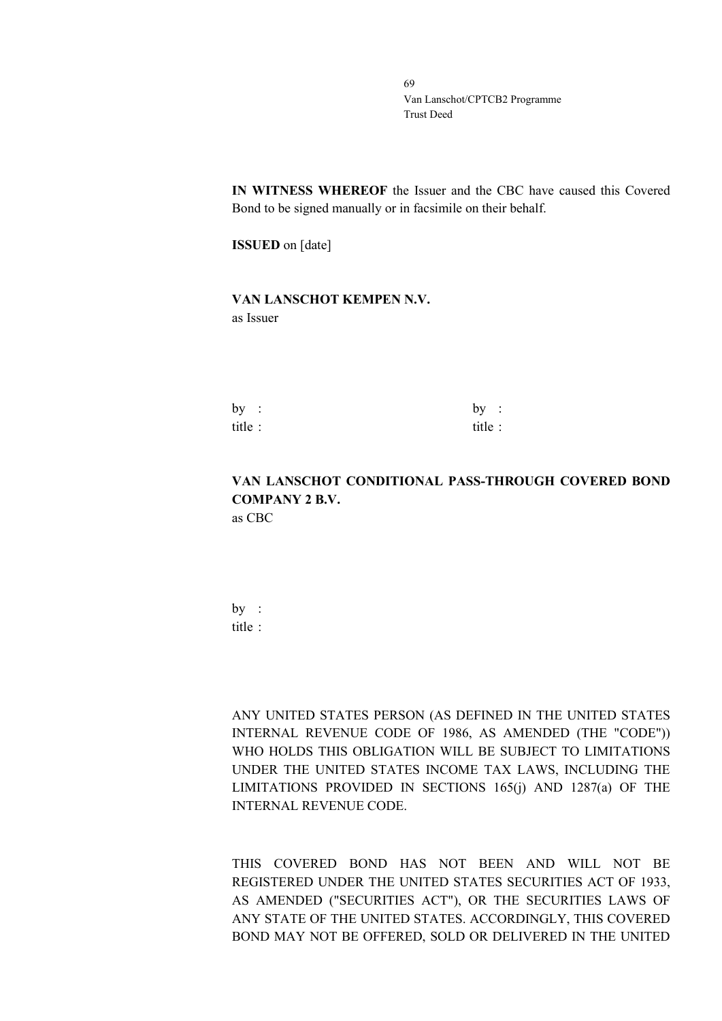**IN WITNESS WHEREOF** the Issuer and the CBC have caused this Covered Bond to be signed manually or in facsimile on their behalf.

**ISSUED** on [date]

## **VAN LANSCHOT KEMPEN N.V.** as Issuer

| by :   | by:     |  |
|--------|---------|--|
| title: | title : |  |

# **VAN LANSCHOT CONDITIONAL PASS-THROUGH COVERED BOND COMPANY 2 B.V.**

as CBC

by : title :

ANY UNITED STATES PERSON (AS DEFINED IN THE UNITED STATES INTERNAL REVENUE CODE OF 1986, AS AMENDED (THE "CODE")) WHO HOLDS THIS OBLIGATION WILL BE SUBJECT TO LIMITATIONS UNDER THE UNITED STATES INCOME TAX LAWS, INCLUDING THE LIMITATIONS PROVIDED IN SECTIONS 165(j) AND 1287(a) OF THE INTERNAL REVENUE CODE.

THIS COVERED BOND HAS NOT BEEN AND WILL NOT BE REGISTERED UNDER THE UNITED STATES SECURITIES ACT OF 1933, AS AMENDED ("SECURITIES ACT"), OR THE SECURITIES LAWS OF ANY STATE OF THE UNITED STATES. ACCORDINGLY, THIS COVERED BOND MAY NOT BE OFFERED, SOLD OR DELIVERED IN THE UNITED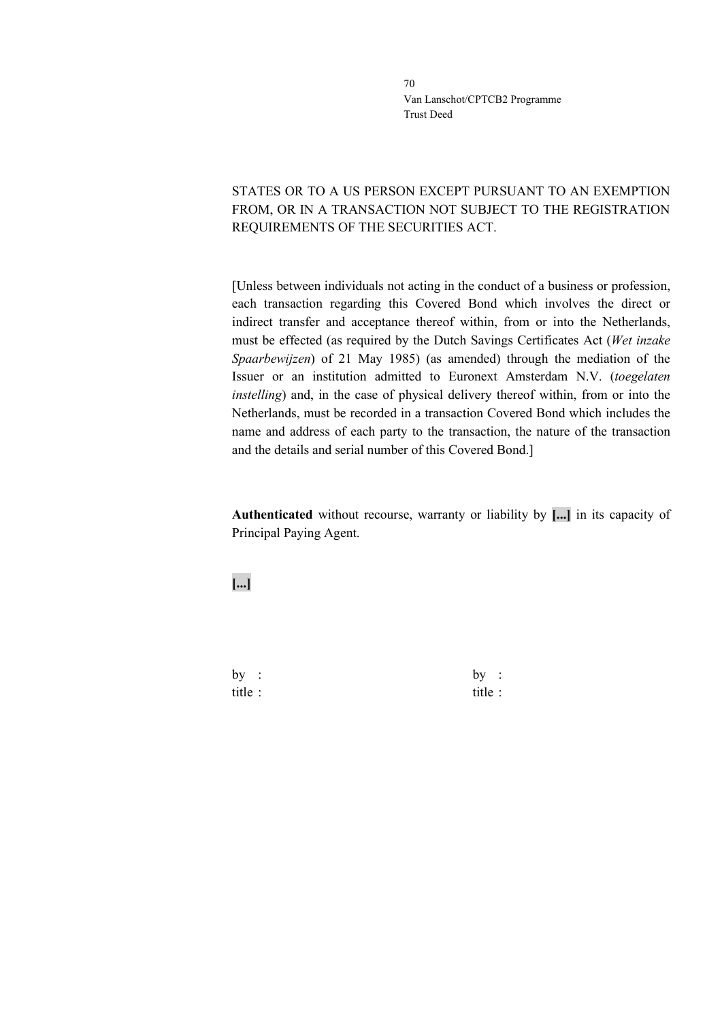# STATES OR TO A US PERSON EXCEPT PURSUANT TO AN EXEMPTION FROM, OR IN A TRANSACTION NOT SUBJECT TO THE REGISTRATION REQUIREMENTS OF THE SECURITIES ACT.

[Unless between individuals not acting in the conduct of a business or profession, each transaction regarding this Covered Bond which involves the direct or indirect transfer and acceptance thereof within, from or into the Netherlands, must be effected (as required by the Dutch Savings Certificates Act (*Wet inzake Spaarbewijzen*) of 21 May 1985) (as amended) through the mediation of the Issuer or an institution admitted to Euronext Amsterdam N.V. (*toegelaten instelling*) and, in the case of physical delivery thereof within, from or into the Netherlands, must be recorded in a transaction Covered Bond which includes the name and address of each party to the transaction, the nature of the transaction and the details and serial number of this Covered Bond.]

**Authenticated** without recourse, warranty or liability by **[...]** in its capacity of Principal Paying Agent.

**[...]**

by : by : title : title :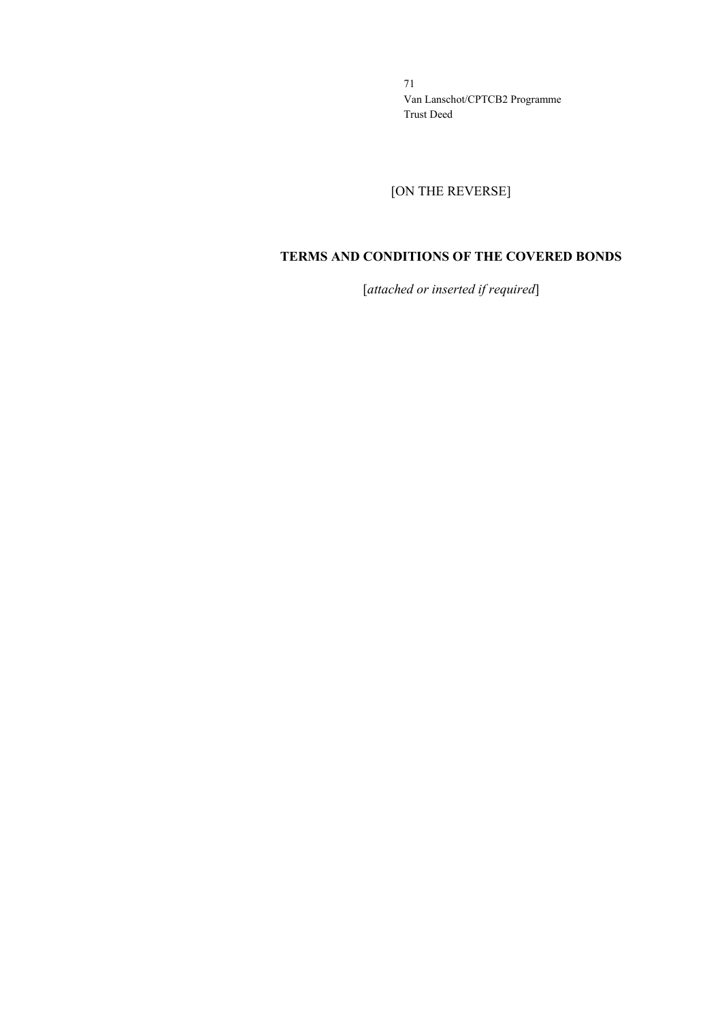[ON THE REVERSE]

### **TERMS AND CONDITIONS OF THE COVERED BONDS**

[*attached or inserted if required*]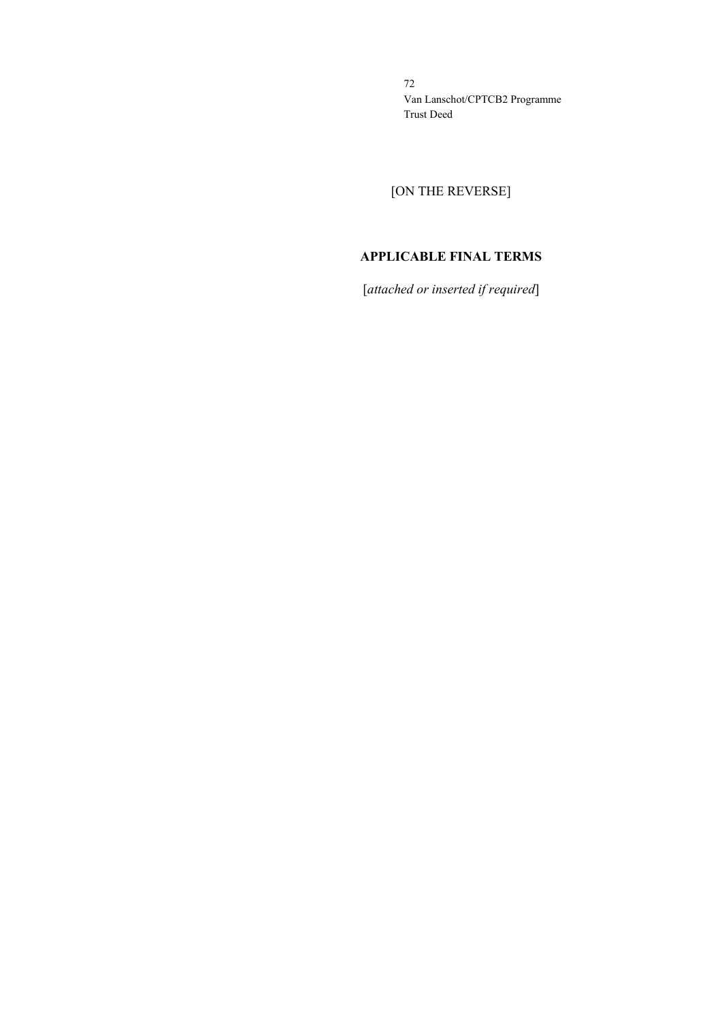[ON THE REVERSE]

# **APPLICABLE FINAL TERMS**

[*attached or inserted if required*]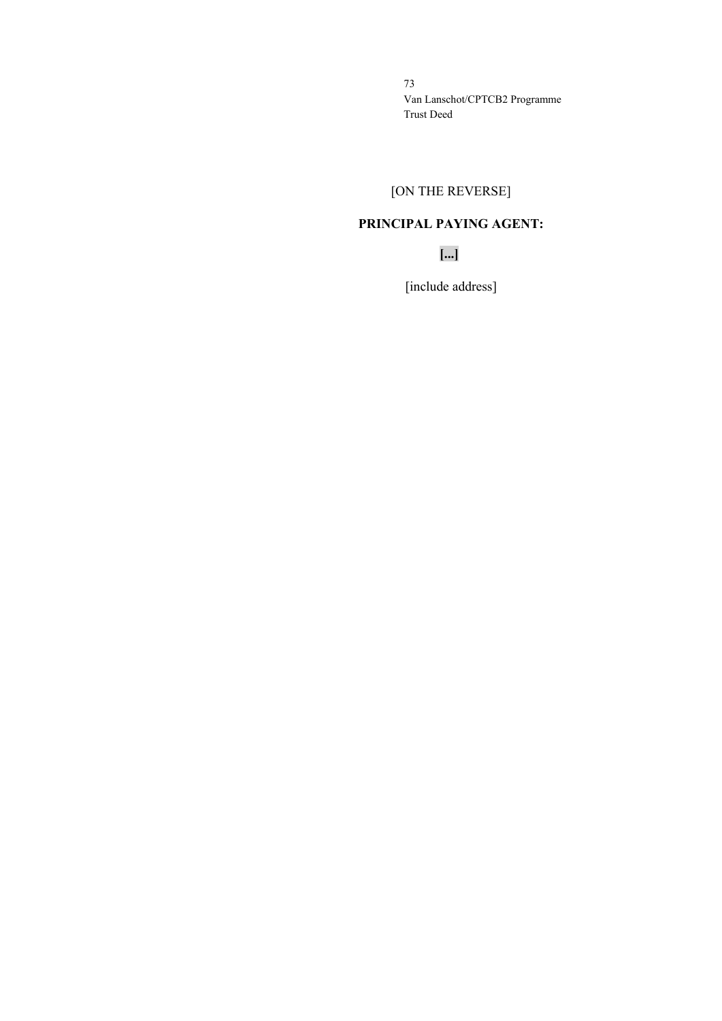# [ON THE REVERSE]

# **PRINCIPAL PAYING AGENT:**

**[...]**

[include address]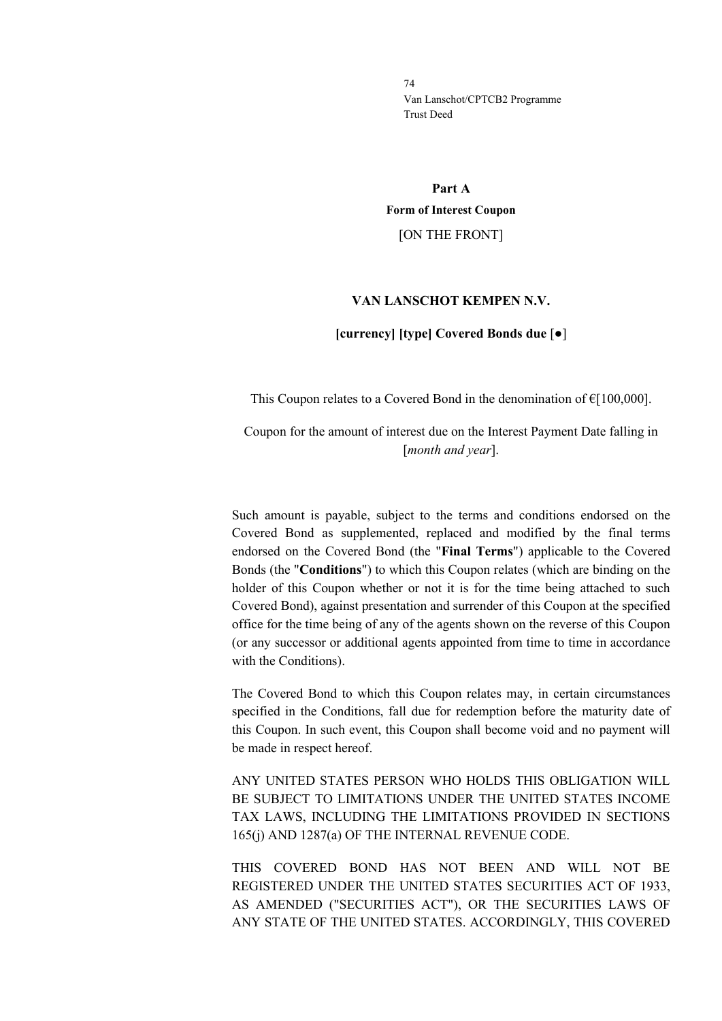**Part A Form of Interest Coupon** [ON THE FRONT]

### **VAN LANSCHOT KEMPEN N.V.**

### **[currency] [type] Covered Bonds due** [●]

This Coupon relates to a Covered Bond in the denomination of  $E[100,000]$ .

Coupon for the amount of interest due on the Interest Payment Date falling in [*month and year*].

Such amount is payable, subject to the terms and conditions endorsed on the Covered Bond as supplemented, replaced and modified by the final terms endorsed on the Covered Bond (the "**Final Terms**") applicable to the Covered Bonds (the "**Conditions**") to which this Coupon relates (which are binding on the holder of this Coupon whether or not it is for the time being attached to such Covered Bond), against presentation and surrender of this Coupon at the specified office for the time being of any of the agents shown on the reverse of this Coupon (or any successor or additional agents appointed from time to time in accordance with the Conditions).

The Covered Bond to which this Coupon relates may, in certain circumstances specified in the Conditions, fall due for redemption before the maturity date of this Coupon. In such event, this Coupon shall become void and no payment will be made in respect hereof.

ANY UNITED STATES PERSON WHO HOLDS THIS OBLIGATION WILL BE SUBJECT TO LIMITATIONS UNDER THE UNITED STATES INCOME TAX LAWS, INCLUDING THE LIMITATIONS PROVIDED IN SECTIONS 165(j) AND 1287(a) OF THE INTERNAL REVENUE CODE.

THIS COVERED BOND HAS NOT BEEN AND WILL NOT BE REGISTERED UNDER THE UNITED STATES SECURITIES ACT OF 1933, AS AMENDED ("SECURITIES ACT"), OR THE SECURITIES LAWS OF ANY STATE OF THE UNITED STATES. ACCORDINGLY, THIS COVERED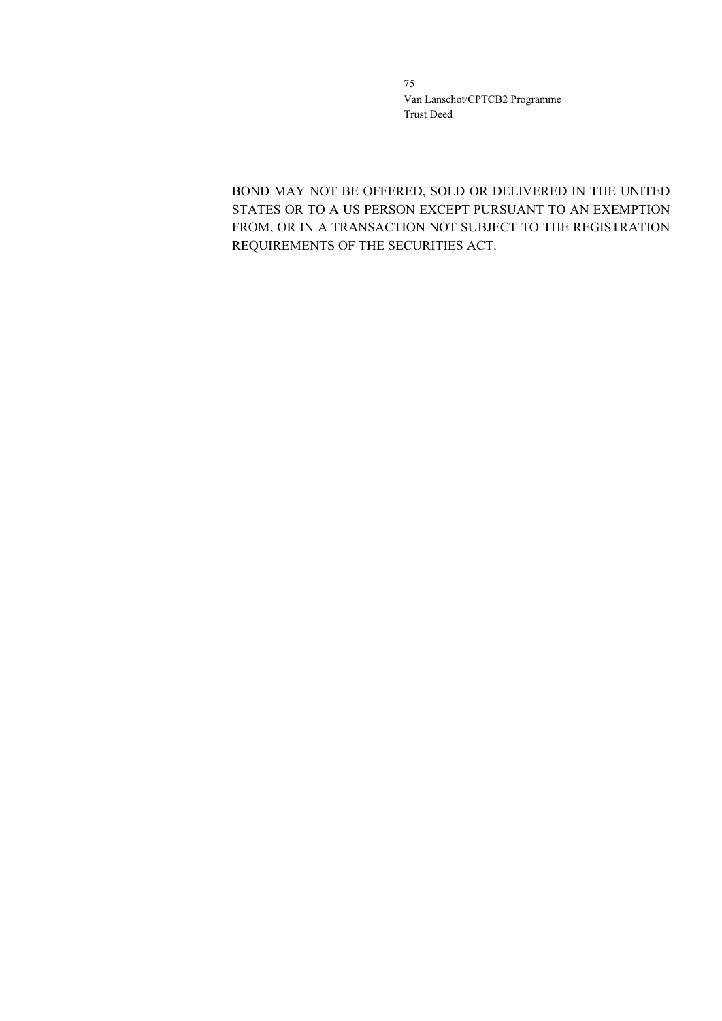BOND MAY NOT BE OFFERED, SOLD OR DELIVERED IN THE UNITED STATES OR TO A US PERSON EXCEPT PURSUANT TO AN EXEMPTION FROM, OR IN A TRANSACTION NOT SUBJECT TO THE REGISTRATION REQUIREMENTS OF THE SECURITIES ACT.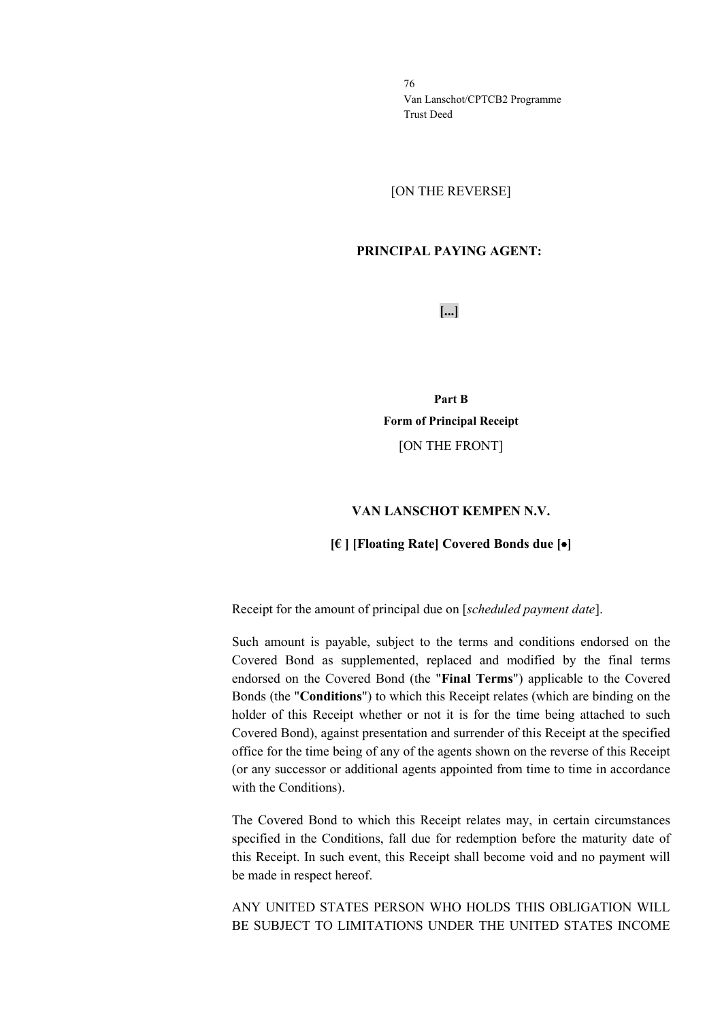[ON THE REVERSE]

## **PRINCIPAL PAYING AGENT:**

**[...]**

**Part B Form of Principal Receipt** [ON THE FRONT]

### **VAN LANSCHOT KEMPEN N.V.**

### **[€ ] [Floating Rate] Covered Bonds due [**•**]**

Receipt for the amount of principal due on [*scheduled payment date*].

Such amount is payable, subject to the terms and conditions endorsed on the Covered Bond as supplemented, replaced and modified by the final terms endorsed on the Covered Bond (the "**Final Terms**") applicable to the Covered Bonds (the "**Conditions**") to which this Receipt relates (which are binding on the holder of this Receipt whether or not it is for the time being attached to such Covered Bond), against presentation and surrender of this Receipt at the specified office for the time being of any of the agents shown on the reverse of this Receipt (or any successor or additional agents appointed from time to time in accordance with the Conditions).

The Covered Bond to which this Receipt relates may, in certain circumstances specified in the Conditions, fall due for redemption before the maturity date of this Receipt. In such event, this Receipt shall become void and no payment will be made in respect hereof.

ANY UNITED STATES PERSON WHO HOLDS THIS OBLIGATION WILL BE SUBJECT TO LIMITATIONS UNDER THE UNITED STATES INCOME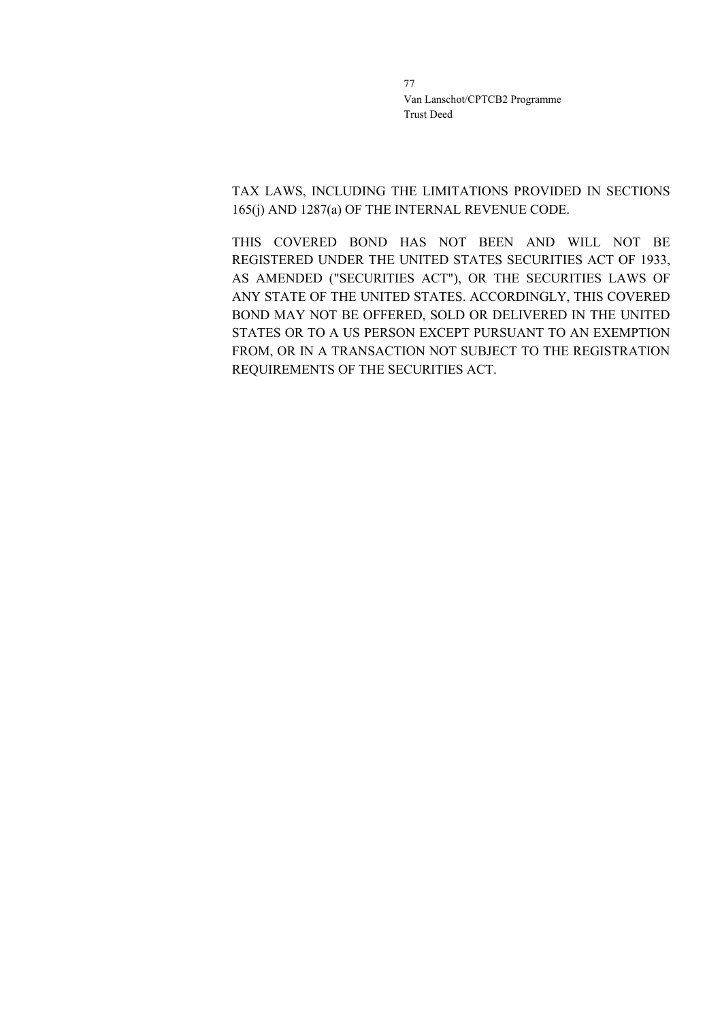TAX LAWS, INCLUDING THE LIMITATIONS PROVIDED IN SECTIONS 165(j) AND 1287(a) OF THE INTERNAL REVENUE CODE.

THIS COVERED BOND HAS NOT BEEN AND WILL NOT BE REGISTERED UNDER THE UNITED STATES SECURITIES ACT OF 1933, AS AMENDED ("SECURITIES ACT"), OR THE SECURITIES LAWS OF ANY STATE OF THE UNITED STATES. ACCORDINGLY, THIS COVERED BOND MAY NOT BE OFFERED, SOLD OR DELIVERED IN THE UNITED STATES OR TO A US PERSON EXCEPT PURSUANT TO AN EXEMPTION FROM, OR IN A TRANSACTION NOT SUBJECT TO THE REGISTRATION REQUIREMENTS OF THE SECURITIES ACT.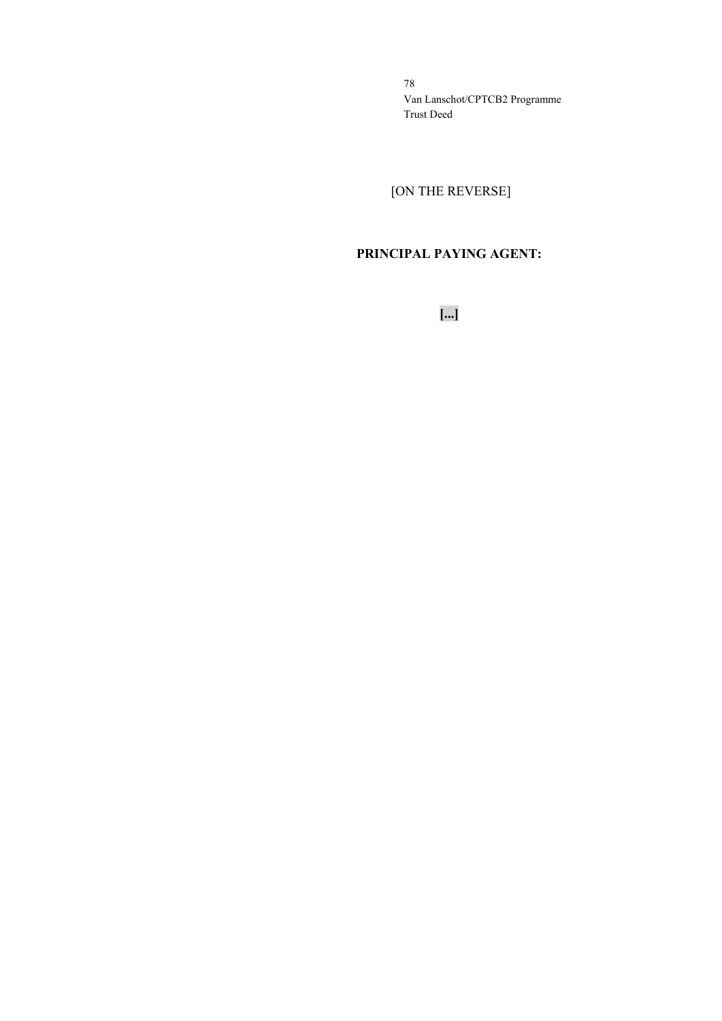[ON THE REVERSE]

# **PRINCIPAL PAYING AGENT:**

**[...]**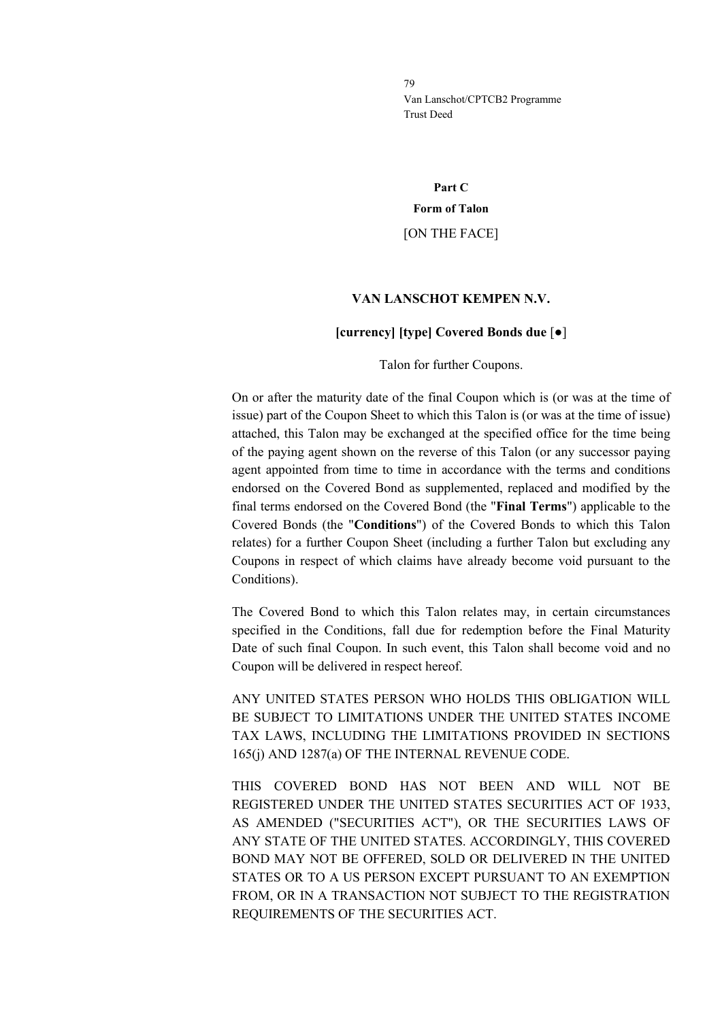**Part C Form of Talon** [ON THE FACE]

### **VAN LANSCHOT KEMPEN N.V.**

#### **[currency] [type] Covered Bonds due** [●]

Talon for further Coupons.

On or after the maturity date of the final Coupon which is (or was at the time of issue) part of the Coupon Sheet to which this Talon is (or was at the time of issue) attached, this Talon may be exchanged at the specified office for the time being of the paying agent shown on the reverse of this Talon (or any successor paying agent appointed from time to time in accordance with the terms and conditions endorsed on the Covered Bond as supplemented, replaced and modified by the final terms endorsed on the Covered Bond (the "**Final Terms**") applicable to the Covered Bonds (the "**Conditions**") of the Covered Bonds to which this Talon relates) for a further Coupon Sheet (including a further Talon but excluding any Coupons in respect of which claims have already become void pursuant to the Conditions).

The Covered Bond to which this Talon relates may, in certain circumstances specified in the Conditions, fall due for redemption before the Final Maturity Date of such final Coupon. In such event, this Talon shall become void and no Coupon will be delivered in respect hereof.

ANY UNITED STATES PERSON WHO HOLDS THIS OBLIGATION WILL BE SUBJECT TO LIMITATIONS UNDER THE UNITED STATES INCOME TAX LAWS, INCLUDING THE LIMITATIONS PROVIDED IN SECTIONS 165(j) AND 1287(a) OF THE INTERNAL REVENUE CODE.

THIS COVERED BOND HAS NOT BEEN AND WILL NOT BE REGISTERED UNDER THE UNITED STATES SECURITIES ACT OF 1933, AS AMENDED ("SECURITIES ACT"), OR THE SECURITIES LAWS OF ANY STATE OF THE UNITED STATES. ACCORDINGLY, THIS COVERED BOND MAY NOT BE OFFERED, SOLD OR DELIVERED IN THE UNITED STATES OR TO A US PERSON EXCEPT PURSUANT TO AN EXEMPTION FROM, OR IN A TRANSACTION NOT SUBJECT TO THE REGISTRATION REQUIREMENTS OF THE SECURITIES ACT.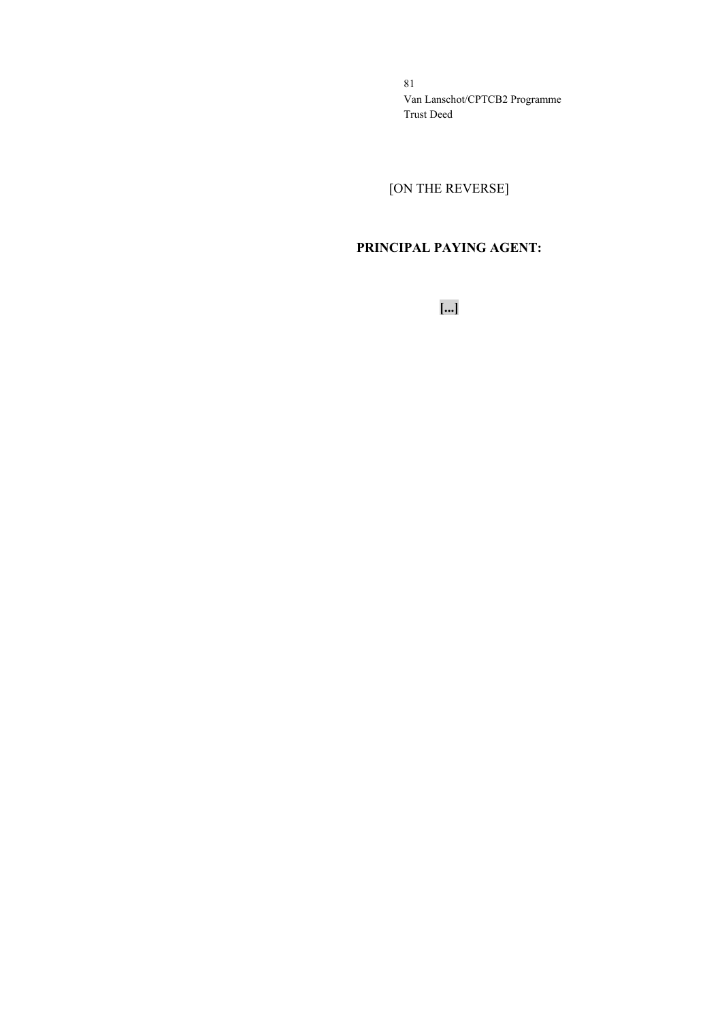[ON THE REVERSE]

# **PRINCIPAL PAYING AGENT:**

**[...]**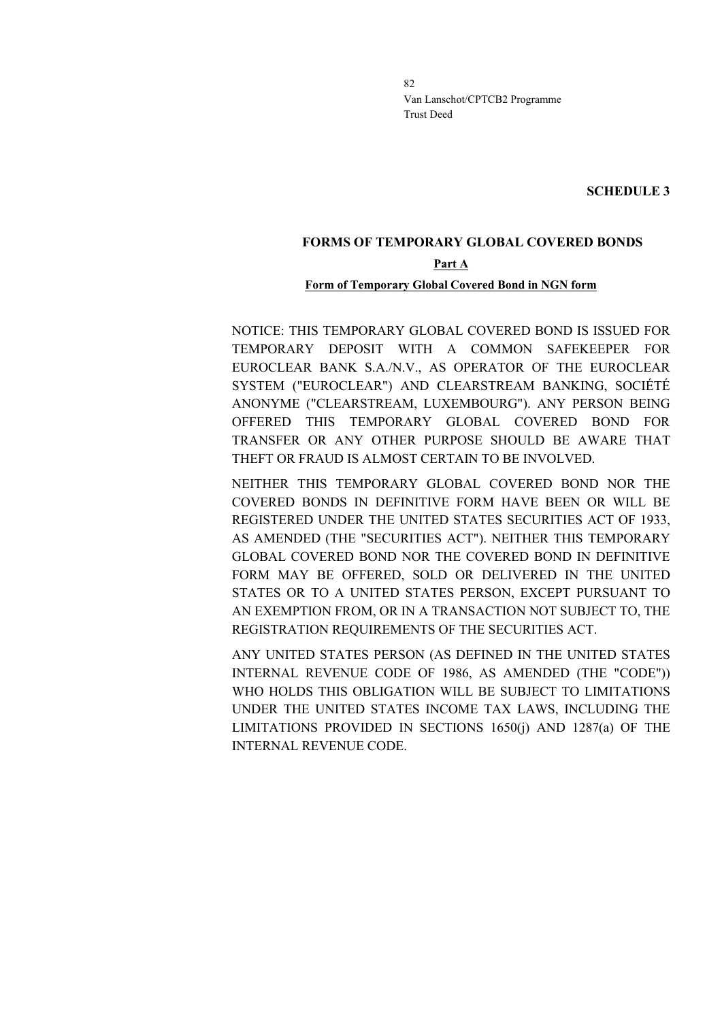**SCHEDULE 3**

# **FORMS OF TEMPORARY GLOBAL COVERED BONDS Part A**

### **Form of Temporary Global Covered Bond in NGN form**

NOTICE: THIS TEMPORARY GLOBAL COVERED BOND IS ISSUED FOR TEMPORARY DEPOSIT WITH A COMMON SAFEKEEPER FOR EUROCLEAR BANK S.A./N.V., AS OPERATOR OF THE EUROCLEAR SYSTEM ("EUROCLEAR") AND CLEARSTREAM BANKING, SOCIÉTÉ ANONYME ("CLEARSTREAM, LUXEMBOURG"). ANY PERSON BEING OFFERED THIS TEMPORARY GLOBAL COVERED BOND FOR TRANSFER OR ANY OTHER PURPOSE SHOULD BE AWARE THAT THEFT OR FRAUD IS ALMOST CERTAIN TO BE INVOLVED.

NEITHER THIS TEMPORARY GLOBAL COVERED BOND NOR THE COVERED BONDS IN DEFINITIVE FORM HAVE BEEN OR WILL BE REGISTERED UNDER THE UNITED STATES SECURITIES ACT OF 1933, AS AMENDED (THE "SECURITIES ACT"). NEITHER THIS TEMPORARY GLOBAL COVERED BOND NOR THE COVERED BOND IN DEFINITIVE FORM MAY BE OFFERED, SOLD OR DELIVERED IN THE UNITED STATES OR TO A UNITED STATES PERSON, EXCEPT PURSUANT TO AN EXEMPTION FROM, OR IN A TRANSACTION NOT SUBJECT TO, THE REGISTRATION REQUIREMENTS OF THE SECURITIES ACT.

ANY UNITED STATES PERSON (AS DEFINED IN THE UNITED STATES INTERNAL REVENUE CODE OF 1986, AS AMENDED (THE "CODE")) WHO HOLDS THIS OBLIGATION WILL BE SUBJECT TO LIMITATIONS UNDER THE UNITED STATES INCOME TAX LAWS, INCLUDING THE LIMITATIONS PROVIDED IN SECTIONS 1650(j) AND 1287(a) OF THE INTERNAL REVENUE CODE.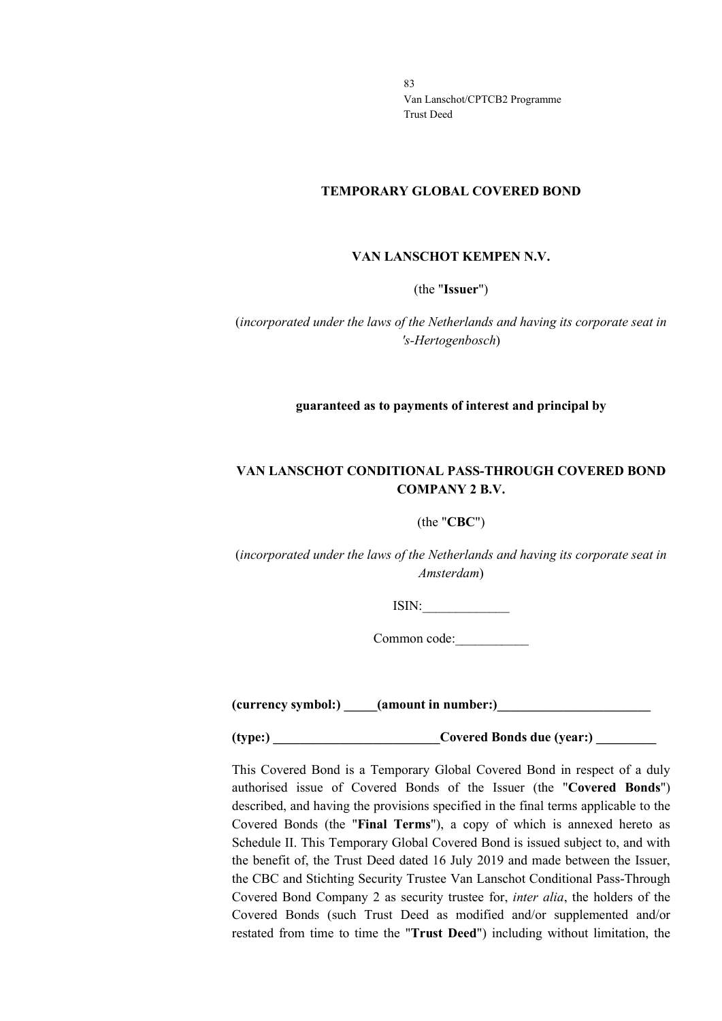### **TEMPORARY GLOBAL COVERED BOND**

### **VAN LANSCHOT KEMPEN N.V.**

(the "**Issuer**")

(*incorporated under the laws of the Netherlands and having its corporate seat in 's-Hertogenbosch*)

### **guaranteed as to payments of interest and principal by**

# **VAN LANSCHOT CONDITIONAL PASS-THROUGH COVERED BOND COMPANY 2 B.V.**

### (the "**CBC**")

(*incorporated under the laws of the Netherlands and having its corporate seat in Amsterdam*)

ISIN:\_\_\_\_\_\_\_\_\_\_\_\_\_

Common code:\_\_\_\_\_\_\_\_\_\_\_

**(currency symbol:) \_\_\_\_\_(amount in number:)\_\_\_\_\_\_\_\_\_\_\_\_\_\_\_\_\_\_\_\_\_\_\_**

**(type:)** Covered Bonds due (year:)

This Covered Bond is a Temporary Global Covered Bond in respect of a duly authorised issue of Covered Bonds of the Issuer (the "**Covered Bonds**") described, and having the provisions specified in the final terms applicable to the Covered Bonds (the "**Final Terms**"), a copy of which is annexed hereto as Schedule II. This Temporary Global Covered Bond is issued subject to, and with the benefit of, the Trust Deed dated 16 July 2019 and made between the Issuer, the CBC and Stichting Security Trustee Van Lanschot Conditional Pass-Through Covered Bond Company 2 as security trustee for, *inter alia*, the holders of the Covered Bonds (such Trust Deed as modified and/or supplemented and/or restated from time to time the "**Trust Deed**") including without limitation, the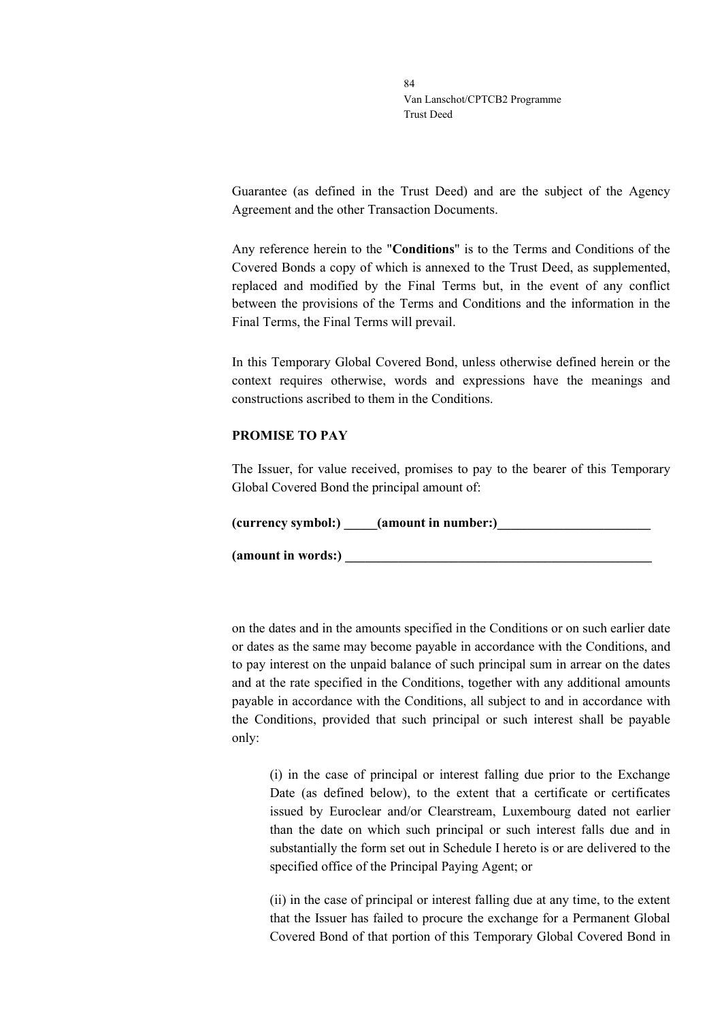Guarantee (as defined in the Trust Deed) and are the subject of the Agency Agreement and the other Transaction Documents.

Any reference herein to the "**Conditions**" is to the Terms and Conditions of the Covered Bonds a copy of which is annexed to the Trust Deed, as supplemented, replaced and modified by the Final Terms but, in the event of any conflict between the provisions of the Terms and Conditions and the information in the Final Terms, the Final Terms will prevail.

In this Temporary Global Covered Bond, unless otherwise defined herein or the context requires otherwise, words and expressions have the meanings and constructions ascribed to them in the Conditions.

### **PROMISE TO PAY**

The Issuer, for value received, promises to pay to the bearer of this Temporary Global Covered Bond the principal amount of:

| (currency symbol:) | (amount in number:) |  |
|--------------------|---------------------|--|
|                    |                     |  |

(amount in words:)

on the dates and in the amounts specified in the Conditions or on such earlier date or dates as the same may become payable in accordance with the Conditions, and to pay interest on the unpaid balance of such principal sum in arrear on the dates and at the rate specified in the Conditions, together with any additional amounts payable in accordance with the Conditions, all subject to and in accordance with the Conditions, provided that such principal or such interest shall be payable only:

(i) in the case of principal or interest falling due prior to the Exchange Date (as defined below), to the extent that a certificate or certificates issued by Euroclear and/or Clearstream, Luxembourg dated not earlier than the date on which such principal or such interest falls due and in substantially the form set out in Schedule I hereto is or are delivered to the specified office of the Principal Paying Agent; or

(ii) in the case of principal or interest falling due at any time, to the extent that the Issuer has failed to procure the exchange for a Permanent Global Covered Bond of that portion of this Temporary Global Covered Bond in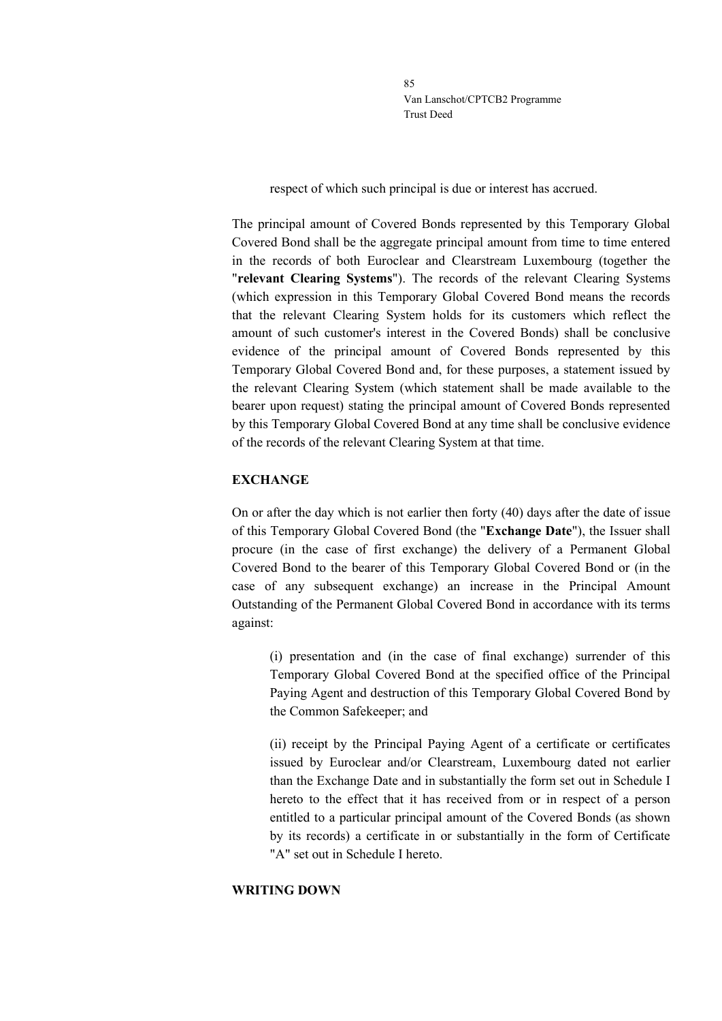respect of which such principal is due or interest has accrued.

The principal amount of Covered Bonds represented by this Temporary Global Covered Bond shall be the aggregate principal amount from time to time entered in the records of both Euroclear and Clearstream Luxembourg (together the "**relevant Clearing Systems**"). The records of the relevant Clearing Systems (which expression in this Temporary Global Covered Bond means the records that the relevant Clearing System holds for its customers which reflect the amount of such customer's interest in the Covered Bonds) shall be conclusive evidence of the principal amount of Covered Bonds represented by this Temporary Global Covered Bond and, for these purposes, a statement issued by the relevant Clearing System (which statement shall be made available to the bearer upon request) stating the principal amount of Covered Bonds represented by this Temporary Global Covered Bond at any time shall be conclusive evidence of the records of the relevant Clearing System at that time.

## **EXCHANGE**

On or after the day which is not earlier then forty (40) days after the date of issue of this Temporary Global Covered Bond (the "**Exchange Date**"), the Issuer shall procure (in the case of first exchange) the delivery of a Permanent Global Covered Bond to the bearer of this Temporary Global Covered Bond or (in the case of any subsequent exchange) an increase in the Principal Amount Outstanding of the Permanent Global Covered Bond in accordance with its terms against:

(i) presentation and (in the case of final exchange) surrender of this Temporary Global Covered Bond at the specified office of the Principal Paying Agent and destruction of this Temporary Global Covered Bond by the Common Safekeeper; and

(ii) receipt by the Principal Paying Agent of a certificate or certificates issued by Euroclear and/or Clearstream, Luxembourg dated not earlier than the Exchange Date and in substantially the form set out in Schedule I hereto to the effect that it has received from or in respect of a person entitled to a particular principal amount of the Covered Bonds (as shown by its records) a certificate in or substantially in the form of Certificate "A" set out in Schedule I hereto.

### **WRITING DOWN**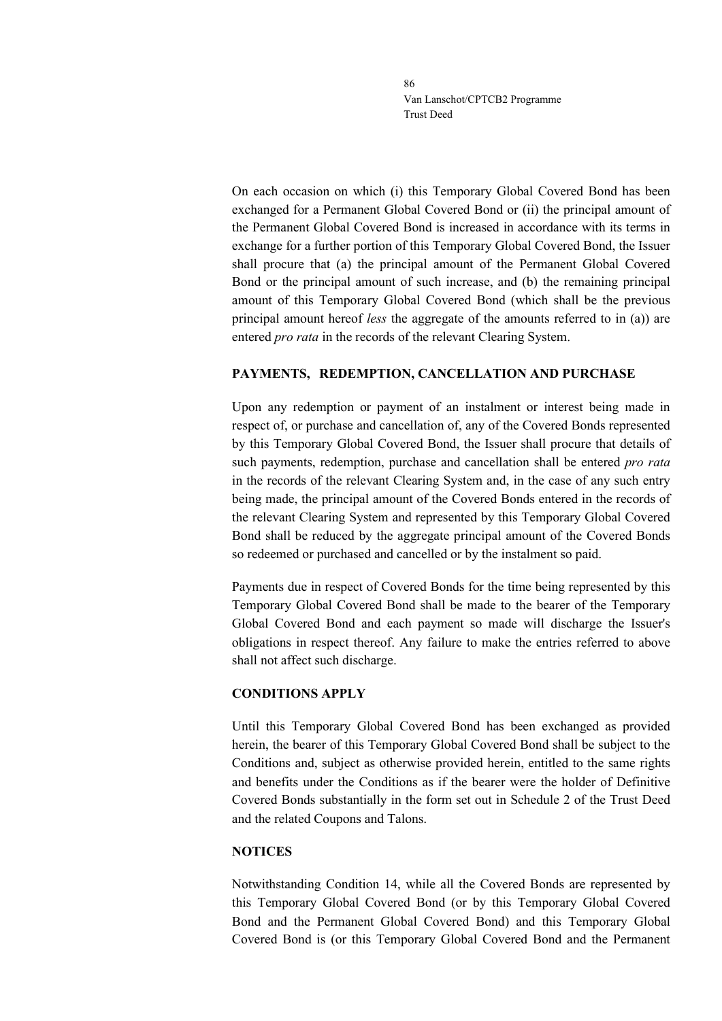On each occasion on which (i) this Temporary Global Covered Bond has been exchanged for a Permanent Global Covered Bond or (ii) the principal amount of the Permanent Global Covered Bond is increased in accordance with its terms in exchange for a further portion of this Temporary Global Covered Bond, the Issuer shall procure that (a) the principal amount of the Permanent Global Covered Bond or the principal amount of such increase, and (b) the remaining principal amount of this Temporary Global Covered Bond (which shall be the previous principal amount hereof *less* the aggregate of the amounts referred to in (a)) are entered *pro rata* in the records of the relevant Clearing System.

## **PAYMENTS, REDEMPTION, CANCELLATION AND PURCHASE**

Upon any redemption or payment of an instalment or interest being made in respect of, or purchase and cancellation of, any of the Covered Bonds represented by this Temporary Global Covered Bond, the Issuer shall procure that details of such payments, redemption, purchase and cancellation shall be entered *pro rata* in the records of the relevant Clearing System and, in the case of any such entry being made, the principal amount of the Covered Bonds entered in the records of the relevant Clearing System and represented by this Temporary Global Covered Bond shall be reduced by the aggregate principal amount of the Covered Bonds so redeemed or purchased and cancelled or by the instalment so paid.

Payments due in respect of Covered Bonds for the time being represented by this Temporary Global Covered Bond shall be made to the bearer of the Temporary Global Covered Bond and each payment so made will discharge the Issuer's obligations in respect thereof. Any failure to make the entries referred to above shall not affect such discharge.

### **CONDITIONS APPLY**

Until this Temporary Global Covered Bond has been exchanged as provided herein, the bearer of this Temporary Global Covered Bond shall be subject to the Conditions and, subject as otherwise provided herein, entitled to the same rights and benefits under the Conditions as if the bearer were the holder of Definitive Covered Bonds substantially in the form set out in Schedule 2 of the Trust Deed and the related Coupons and Talons.

### **NOTICES**

Notwithstanding Condition 14, while all the Covered Bonds are represented by this Temporary Global Covered Bond (or by this Temporary Global Covered Bond and the Permanent Global Covered Bond) and this Temporary Global Covered Bond is (or this Temporary Global Covered Bond and the Permanent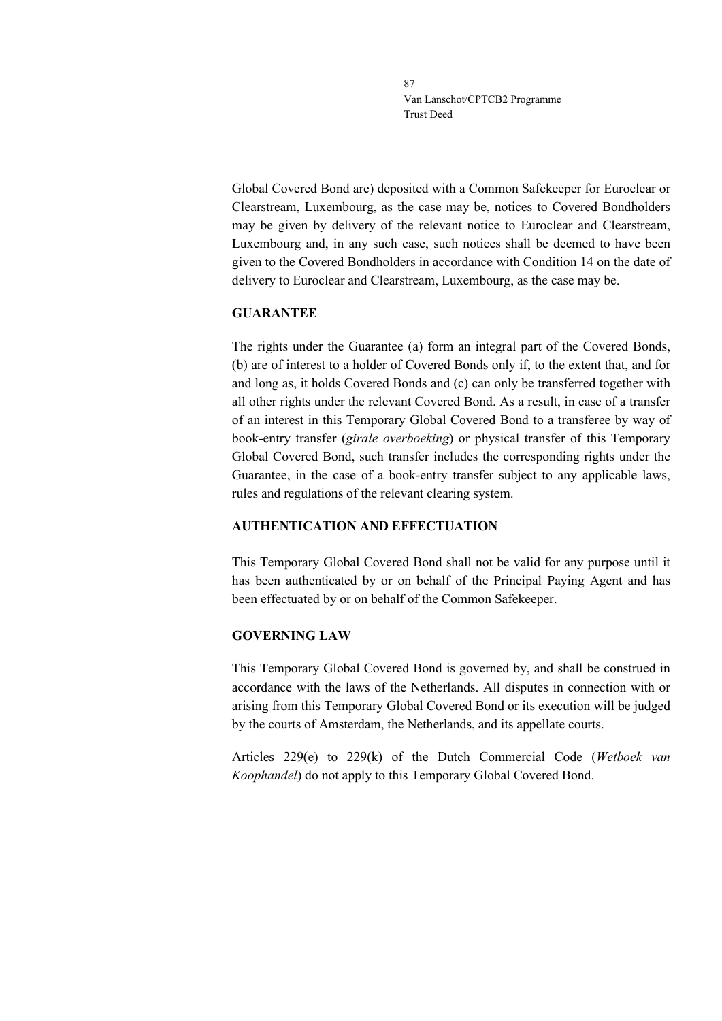Global Covered Bond are) deposited with a Common Safekeeper for Euroclear or Clearstream, Luxembourg, as the case may be, notices to Covered Bondholders may be given by delivery of the relevant notice to Euroclear and Clearstream, Luxembourg and, in any such case, such notices shall be deemed to have been given to the Covered Bondholders in accordance with Condition 14 on the date of delivery to Euroclear and Clearstream, Luxembourg, as the case may be.

## **GUARANTEE**

The rights under the Guarantee (a) form an integral part of the Covered Bonds, (b) are of interest to a holder of Covered Bonds only if, to the extent that, and for and long as, it holds Covered Bonds and (c) can only be transferred together with all other rights under the relevant Covered Bond. As a result, in case of a transfer of an interest in this Temporary Global Covered Bond to a transferee by way of book-entry transfer (*girale overboeking*) or physical transfer of this Temporary Global Covered Bond, such transfer includes the corresponding rights under the Guarantee, in the case of a book-entry transfer subject to any applicable laws, rules and regulations of the relevant clearing system.

# **AUTHENTICATION AND EFFECTUATION**

This Temporary Global Covered Bond shall not be valid for any purpose until it has been authenticated by or on behalf of the Principal Paying Agent and has been effectuated by or on behalf of the Common Safekeeper.

# **GOVERNING LAW**

This Temporary Global Covered Bond is governed by, and shall be construed in accordance with the laws of the Netherlands. All disputes in connection with or arising from this Temporary Global Covered Bond or its execution will be judged by the courts of Amsterdam, the Netherlands, and its appellate courts.

Articles 229(e) to 229(k) of the Dutch Commercial Code (*Wetboek van Koophandel*) do not apply to this Temporary Global Covered Bond.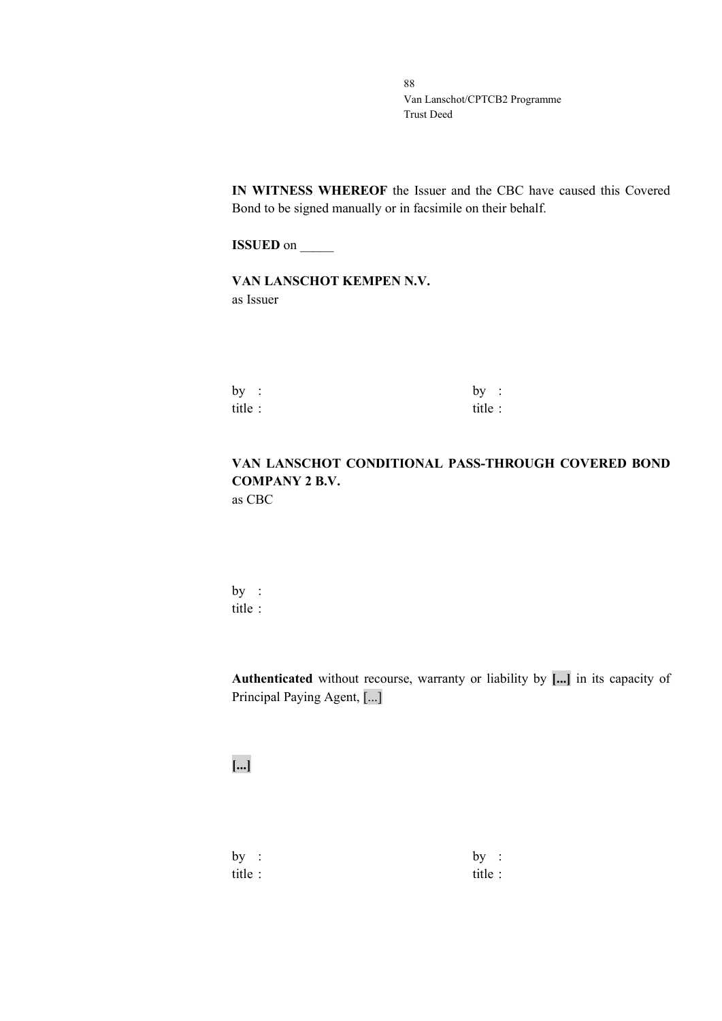**IN WITNESS WHEREOF** the Issuer and the CBC have caused this Covered Bond to be signed manually or in facsimile on their behalf.

**ISSUED** on \_\_\_\_\_\_

**VAN LANSCHOT KEMPEN N.V.** as Issuer

| by:    | by:     |  |
|--------|---------|--|
| title: | title : |  |

# **VAN LANSCHOT CONDITIONAL PASS-THROUGH COVERED BOND COMPANY 2 B.V.** as CBC

by : title :

**Authenticated** without recourse, warranty or liability by **[...]** in its capacity of Principal Paying Agent, [...]

**[...]**

 $by :$  by : title : title :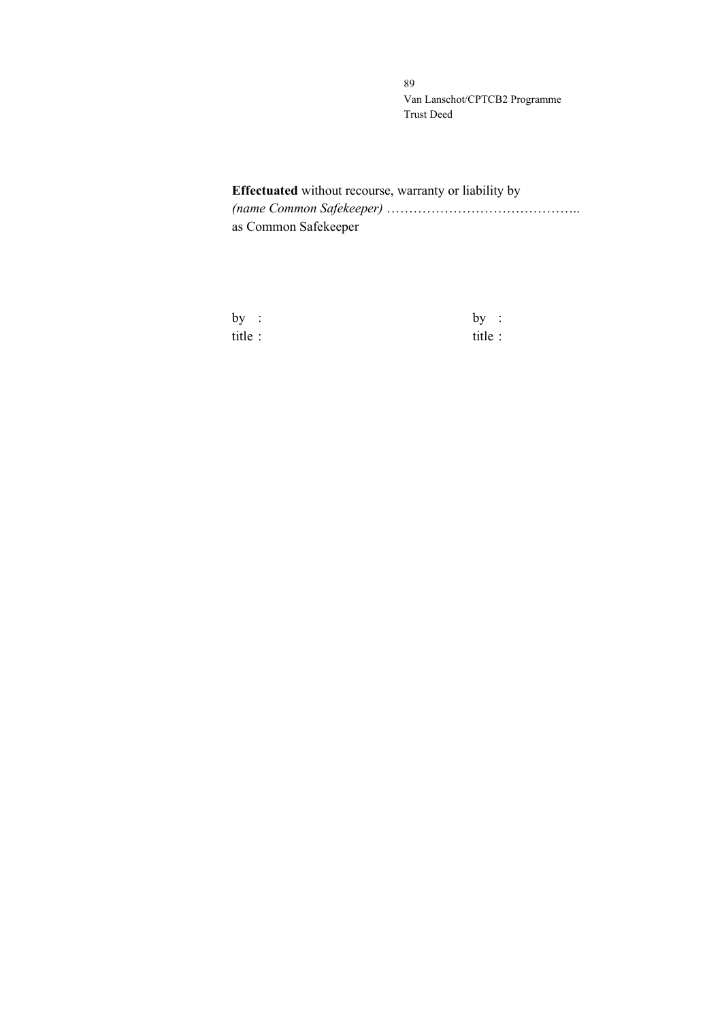# **Effectuated** without recourse, warranty or liability by *(name Common Safekeeper)* …………………………………….. as Common Safekeeper

| by      | $\mathbf{L}$ | by:    |  |
|---------|--------------|--------|--|
| title : |              | title: |  |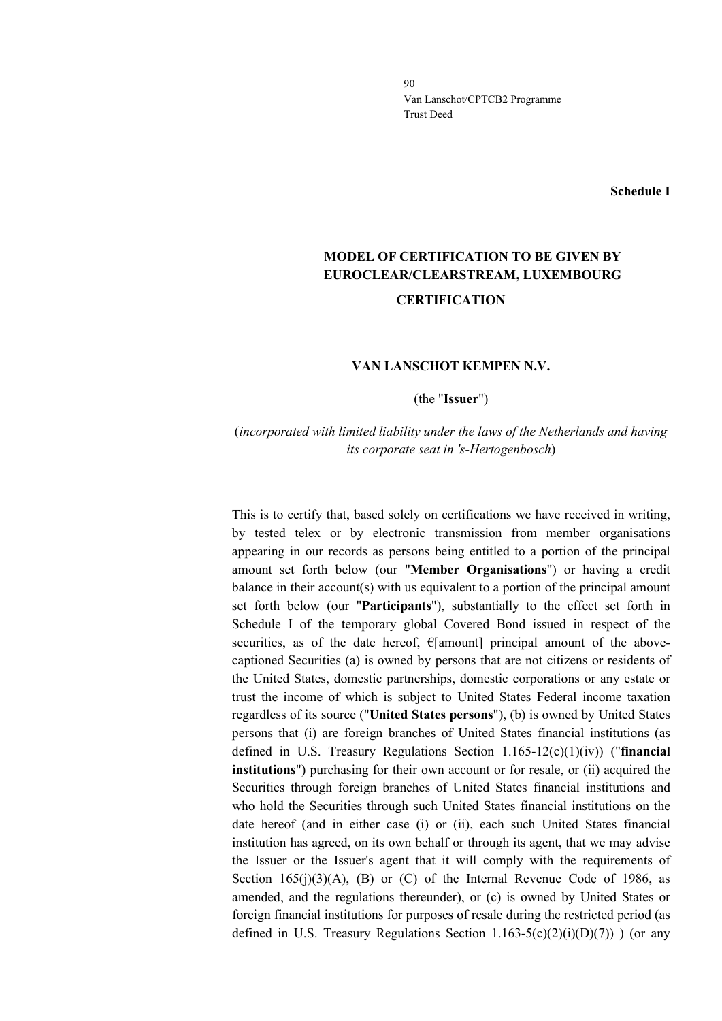**Schedule I**

# **MODEL OF CERTIFICATION TO BE GIVEN BY EUROCLEAR/CLEARSTREAM, LUXEMBOURG CERTIFICATION**

### **VAN LANSCHOT KEMPEN N.V.**

(the "**Issuer**")

# (*incorporated with limited liability under the laws of the Netherlands and having its corporate seat in 's-Hertogenbosch*)

This is to certify that, based solely on certifications we have received in writing, by tested telex or by electronic transmission from member organisations appearing in our records as persons being entitled to a portion of the principal amount set forth below (our "**Member Organisations**") or having a credit balance in their account(s) with us equivalent to a portion of the principal amount set forth below (our "**Participants**"), substantially to the effect set forth in Schedule I of the temporary global Covered Bond issued in respect of the securities, as of the date hereof,  $E$ [amount] principal amount of the abovecaptioned Securities (a) is owned by persons that are not citizens or residents of the United States, domestic partnerships, domestic corporations or any estate or trust the income of which is subject to United States Federal income taxation regardless of its source ("**United States persons**"), (b) is owned by United States persons that (i) are foreign branches of United States financial institutions (as defined in U.S. Treasury Regulations Section 1.165-12(c)(1)(iv)) ("**financial institutions**") purchasing for their own account or for resale, or (ii) acquired the Securities through foreign branches of United States financial institutions and who hold the Securities through such United States financial institutions on the date hereof (and in either case (i) or (ii), each such United States financial institution has agreed, on its own behalf or through its agent, that we may advise the Issuer or the Issuer's agent that it will comply with the requirements of Section  $165(i)(3)(A)$ , (B) or (C) of the Internal Revenue Code of 1986, as amended, and the regulations thereunder), or (c) is owned by United States or foreign financial institutions for purposes of resale during the restricted period (as defined in U.S. Treasury Regulations Section  $1.163-5(c)(2)(i)(D)(7)$ ) (or any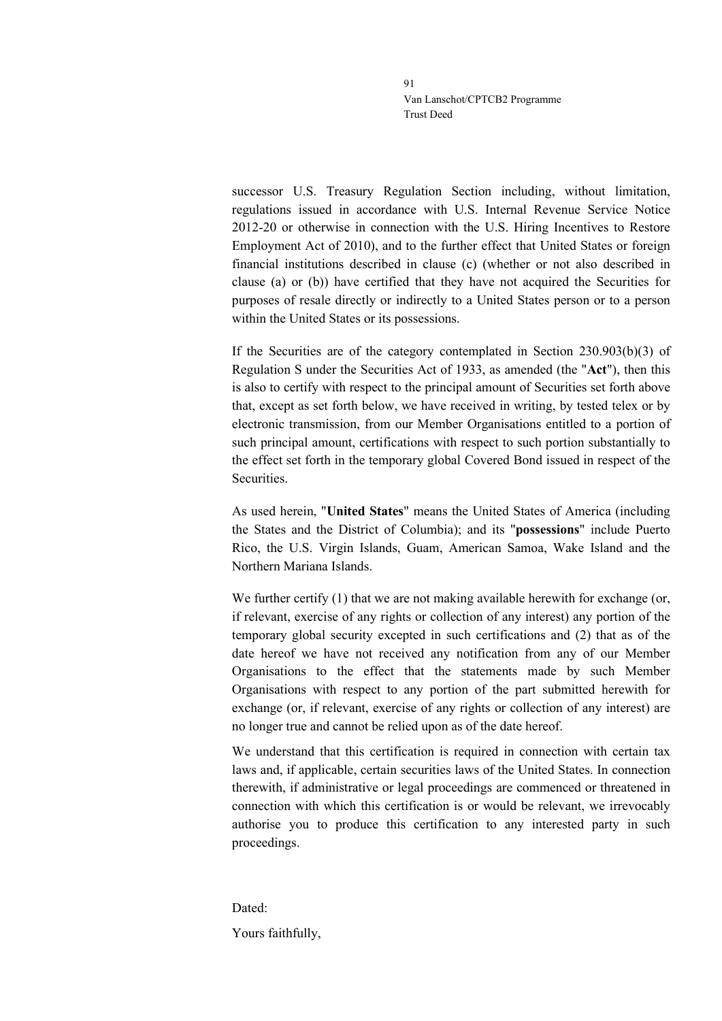successor U.S. Treasury Regulation Section including, without limitation, regulations issued in accordance with U.S. Internal Revenue Service Notice 2012-20 or otherwise in connection with the U.S. Hiring Incentives to Restore Employment Act of 2010), and to the further effect that United States or foreign financial institutions described in clause (c) (whether or not also described in clause (a) or (b)) have certified that they have not acquired the Securities for purposes of resale directly or indirectly to a United States person or to a person within the United States or its possessions.

If the Securities are of the category contemplated in Section 230.903(b)(3) of Regulation S under the Securities Act of 1933, as amended (the "**Act**"), then this is also to certify with respect to the principal amount of Securities set forth above that, except as set forth below, we have received in writing, by tested telex or by electronic transmission, from our Member Organisations entitled to a portion of such principal amount, certifications with respect to such portion substantially to the effect set forth in the temporary global Covered Bond issued in respect of the Securities.

As used herein, "**United States**" means the United States of America (including the States and the District of Columbia); and its "**possessions**" include Puerto Rico, the U.S. Virgin Islands, Guam, American Samoa, Wake Island and the Northern Mariana Islands.

We further certify  $(1)$  that we are not making available herewith for exchange (or, if relevant, exercise of any rights or collection of any interest) any portion of the temporary global security excepted in such certifications and (2) that as of the date hereof we have not received any notification from any of our Member Organisations to the effect that the statements made by such Member Organisations with respect to any portion of the part submitted herewith for exchange (or, if relevant, exercise of any rights or collection of any interest) are no longer true and cannot be relied upon as of the date hereof.

We understand that this certification is required in connection with certain tax laws and, if applicable, certain securities laws of the United States. In connection therewith, if administrative or legal proceedings are commenced or threatened in connection with which this certification is or would be relevant, we irrevocably authorise you to produce this certification to any interested party in such proceedings.

Dated: Yours faithfully,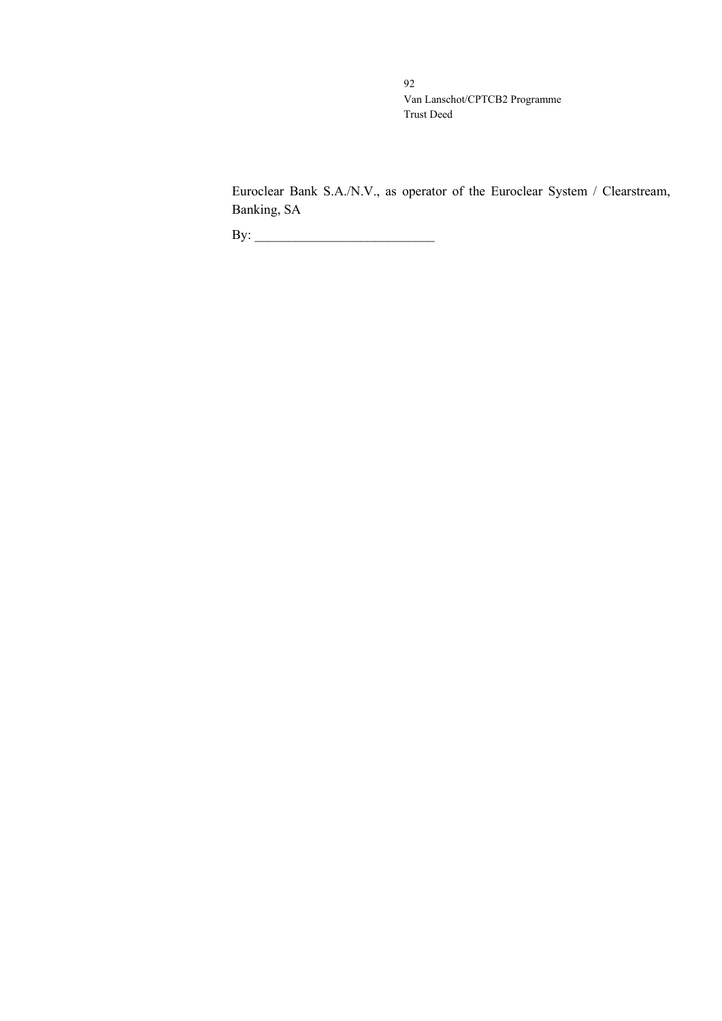Euroclear Bank S.A./N.V., as operator of the Euroclear System / Clearstream, Banking, SA

By: \_\_\_\_\_\_\_\_\_\_\_\_\_\_\_\_\_\_\_\_\_\_\_\_\_\_\_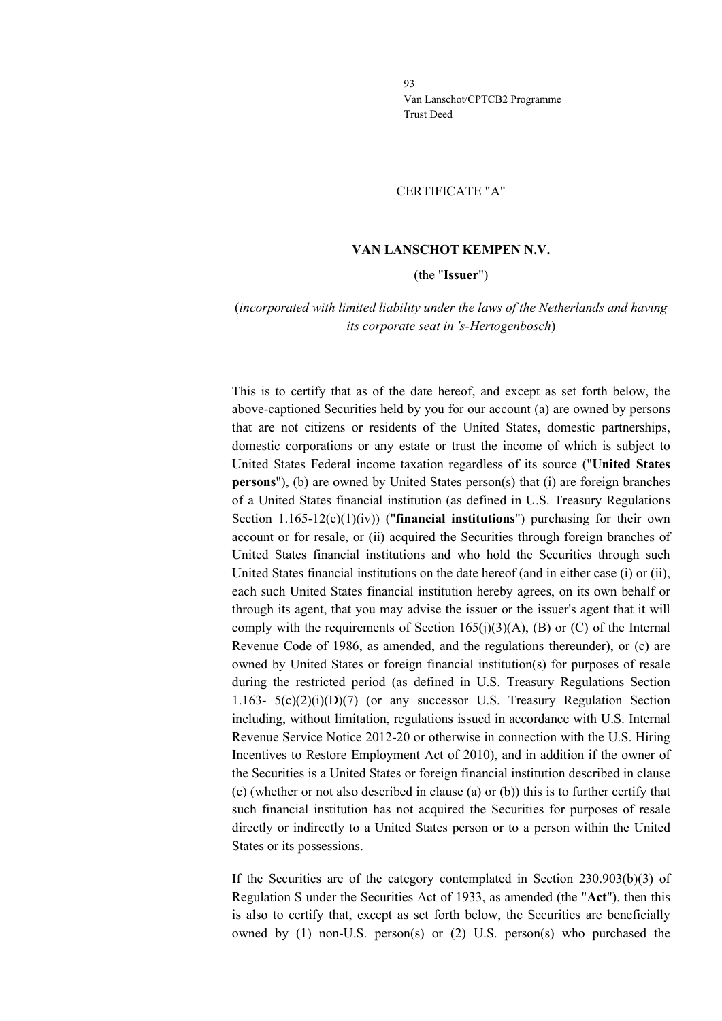#### CERTIFICATE "A"

### **VAN LANSCHOT KEMPEN N.V.**

#### (the "**Issuer**")

# (*incorporated with limited liability under the laws of the Netherlands and having its corporate seat in 's-Hertogenbosch*)

This is to certify that as of the date hereof, and except as set forth below, the above-captioned Securities held by you for our account (a) are owned by persons that are not citizens or residents of the United States, domestic partnerships, domestic corporations or any estate or trust the income of which is subject to United States Federal income taxation regardless of its source ("**United States persons**"), (b) are owned by United States person(s) that (i) are foreign branches of a United States financial institution (as defined in U.S. Treasury Regulations Section 1.165-12(c)(1)(iv)) ("**financial institutions**") purchasing for their own account or for resale, or (ii) acquired the Securities through foreign branches of United States financial institutions and who hold the Securities through such United States financial institutions on the date hereof (and in either case (i) or (ii), each such United States financial institution hereby agrees, on its own behalf or through its agent, that you may advise the issuer or the issuer's agent that it will comply with the requirements of Section 165(j)(3)(A), (B) or (C) of the Internal Revenue Code of 1986, as amended, and the regulations thereunder), or (c) are owned by United States or foreign financial institution(s) for purposes of resale during the restricted period (as defined in U.S. Treasury Regulations Section 1.163-  $5(c)(2)(i)(D)(7)$  (or any successor U.S. Treasury Regulation Section including, without limitation, regulations issued in accordance with U.S. Internal Revenue Service Notice 2012-20 or otherwise in connection with the U.S. Hiring Incentives to Restore Employment Act of 2010), and in addition if the owner of the Securities is a United States or foreign financial institution described in clause (c) (whether or not also described in clause (a) or (b)) this is to further certify that such financial institution has not acquired the Securities for purposes of resale directly or indirectly to a United States person or to a person within the United States or its possessions.

If the Securities are of the category contemplated in Section 230.903(b)(3) of Regulation S under the Securities Act of 1933, as amended (the "**Act**"), then this is also to certify that, except as set forth below, the Securities are beneficially owned by (1) non-U.S. person(s) or (2) U.S. person(s) who purchased the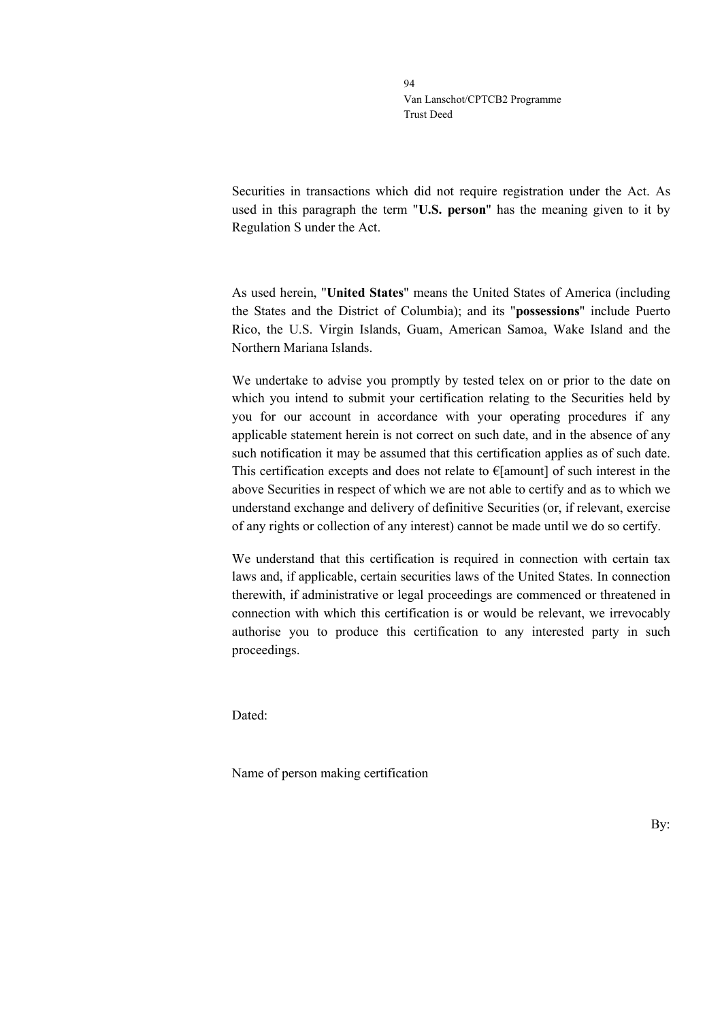Securities in transactions which did not require registration under the Act. As used in this paragraph the term "**U.S. person**" has the meaning given to it by Regulation S under the Act.

As used herein, "**United States**" means the United States of America (including the States and the District of Columbia); and its "**possessions**" include Puerto Rico, the U.S. Virgin Islands, Guam, American Samoa, Wake Island and the Northern Mariana Islands.

We undertake to advise you promptly by tested telex on or prior to the date on which you intend to submit your certification relating to the Securities held by you for our account in accordance with your operating procedures if any applicable statement herein is not correct on such date, and in the absence of any such notification it may be assumed that this certification applies as of such date. This certification excepts and does not relate to  $\epsilon$ [amount] of such interest in the above Securities in respect of which we are not able to certify and as to which we understand exchange and delivery of definitive Securities (or, if relevant, exercise of any rights or collection of any interest) cannot be made until we do so certify.

We understand that this certification is required in connection with certain tax laws and, if applicable, certain securities laws of the United States. In connection therewith, if administrative or legal proceedings are commenced or threatened in connection with which this certification is or would be relevant, we irrevocably authorise you to produce this certification to any interested party in such proceedings.

Dated:

Name of person making certification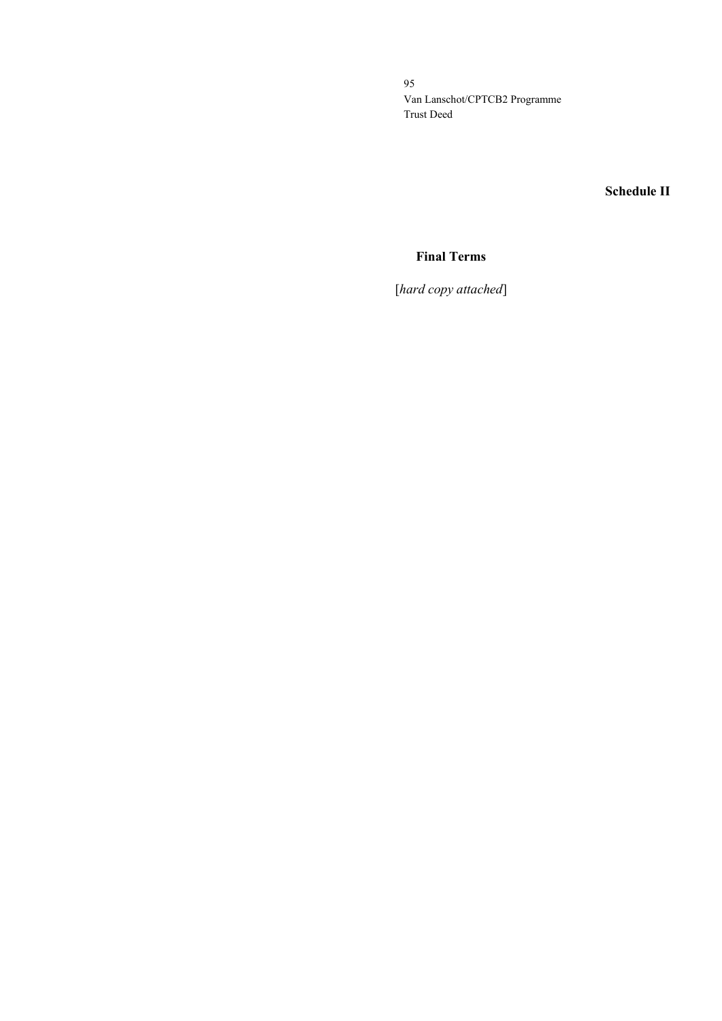**Schedule II**

# **Final Terms**

[*hard copy attached*]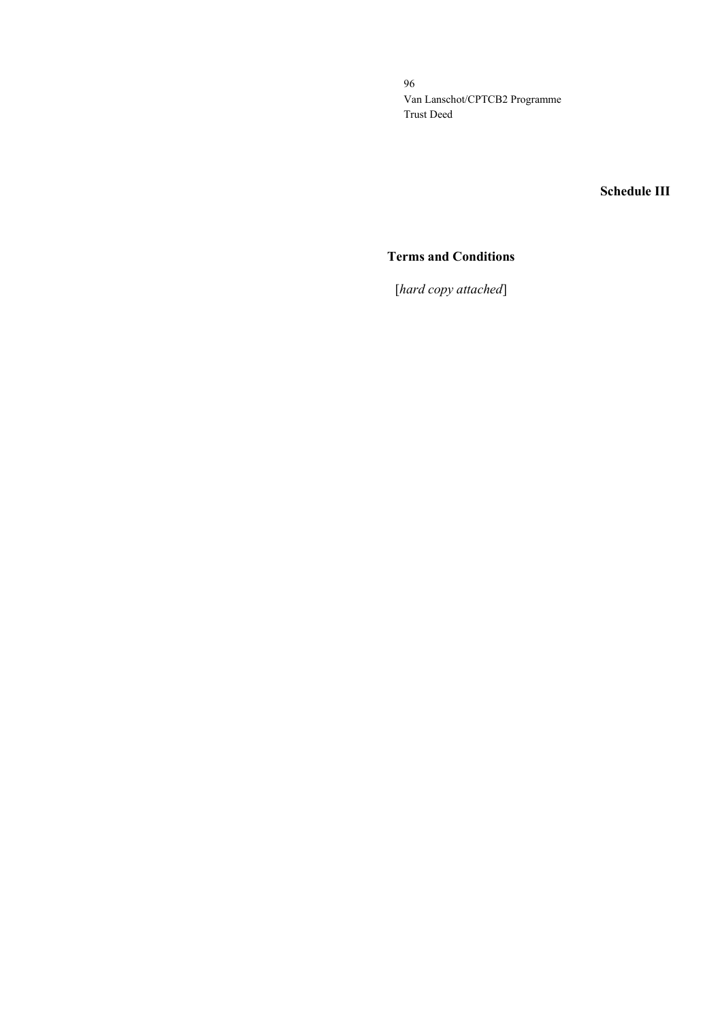**Schedule III**

# **Terms and Conditions**

[*hard copy attached*]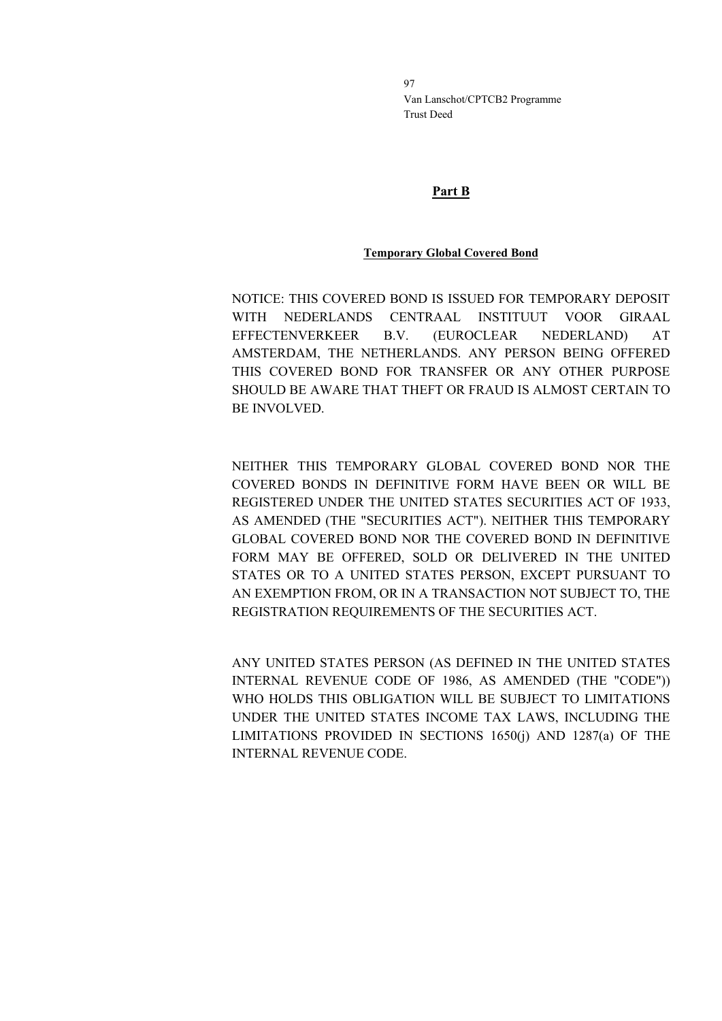# **Part B**

# **Temporary Global Covered Bond**

NOTICE: THIS COVERED BOND IS ISSUED FOR TEMPORARY DEPOSIT WITH NEDERLANDS CENTRAAL INSTITUUT VOOR GIRAAL EFFECTENVERKEER B.V. (EUROCLEAR NEDERLAND) AT AMSTERDAM, THE NETHERLANDS. ANY PERSON BEING OFFERED THIS COVERED BOND FOR TRANSFER OR ANY OTHER PURPOSE SHOULD BE AWARE THAT THEFT OR FRAUD IS ALMOST CERTAIN TO BE INVOLVED.

NEITHER THIS TEMPORARY GLOBAL COVERED BOND NOR THE COVERED BONDS IN DEFINITIVE FORM HAVE BEEN OR WILL BE REGISTERED UNDER THE UNITED STATES SECURITIES ACT OF 1933, AS AMENDED (THE "SECURITIES ACT"). NEITHER THIS TEMPORARY GLOBAL COVERED BOND NOR THE COVERED BOND IN DEFINITIVE FORM MAY BE OFFERED, SOLD OR DELIVERED IN THE UNITED STATES OR TO A UNITED STATES PERSON, EXCEPT PURSUANT TO AN EXEMPTION FROM, OR IN A TRANSACTION NOT SUBJECT TO, THE REGISTRATION REQUIREMENTS OF THE SECURITIES ACT.

ANY UNITED STATES PERSON (AS DEFINED IN THE UNITED STATES INTERNAL REVENUE CODE OF 1986, AS AMENDED (THE "CODE")) WHO HOLDS THIS OBLIGATION WILL BE SUBJECT TO LIMITATIONS UNDER THE UNITED STATES INCOME TAX LAWS, INCLUDING THE LIMITATIONS PROVIDED IN SECTIONS 1650(j) AND 1287(a) OF THE INTERNAL REVENUE CODE.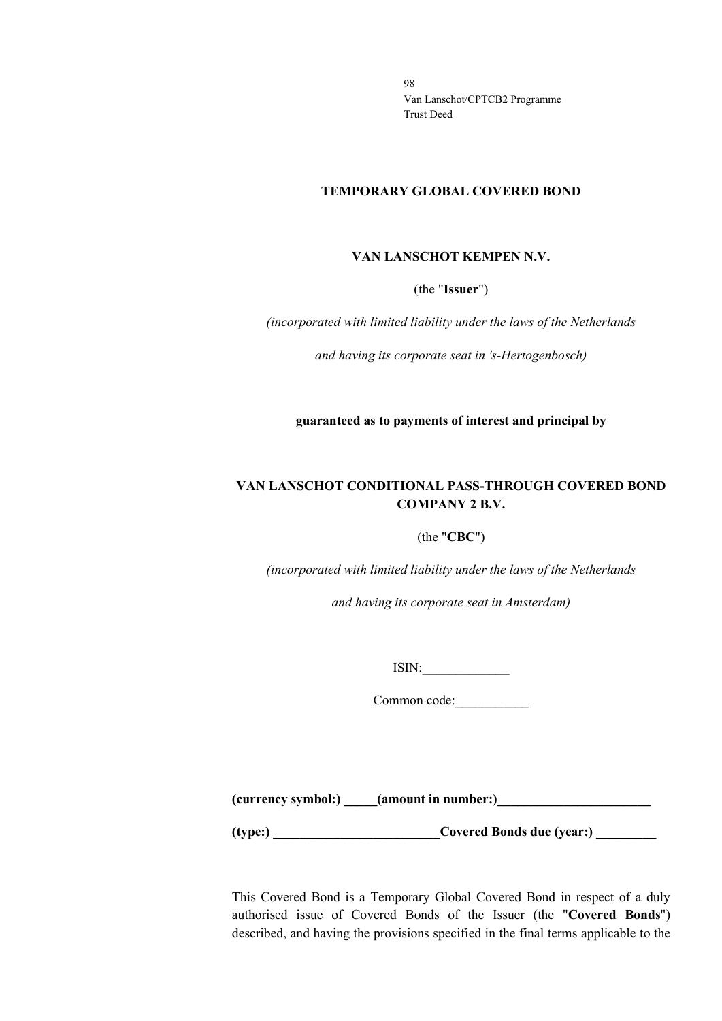### **TEMPORARY GLOBAL COVERED BOND**

### **VAN LANSCHOT KEMPEN N.V.**

(the "**Issuer**")

*(incorporated with limited liability under the laws of the Netherlands*

*and having its corporate seat in 's-Hertogenbosch)*

**guaranteed as to payments of interest and principal by**

# **VAN LANSCHOT CONDITIONAL PASS-THROUGH COVERED BOND COMPANY 2 B.V.**

### (the "**CBC**")

*(incorporated with limited liability under the laws of the Netherlands*

*and having its corporate seat in Amsterdam)*

 $ISIN:$ 

Common code:\_\_\_\_\_\_\_\_\_\_\_

**(currency symbol:) \_\_\_\_\_(amount in number:)\_\_\_\_\_\_\_\_\_\_\_\_\_\_\_\_\_\_\_\_\_\_\_**

(type:) Covered Bonds due (year:)

This Covered Bond is a Temporary Global Covered Bond in respect of a duly authorised issue of Covered Bonds of the Issuer (the "**Covered Bonds**") described, and having the provisions specified in the final terms applicable to the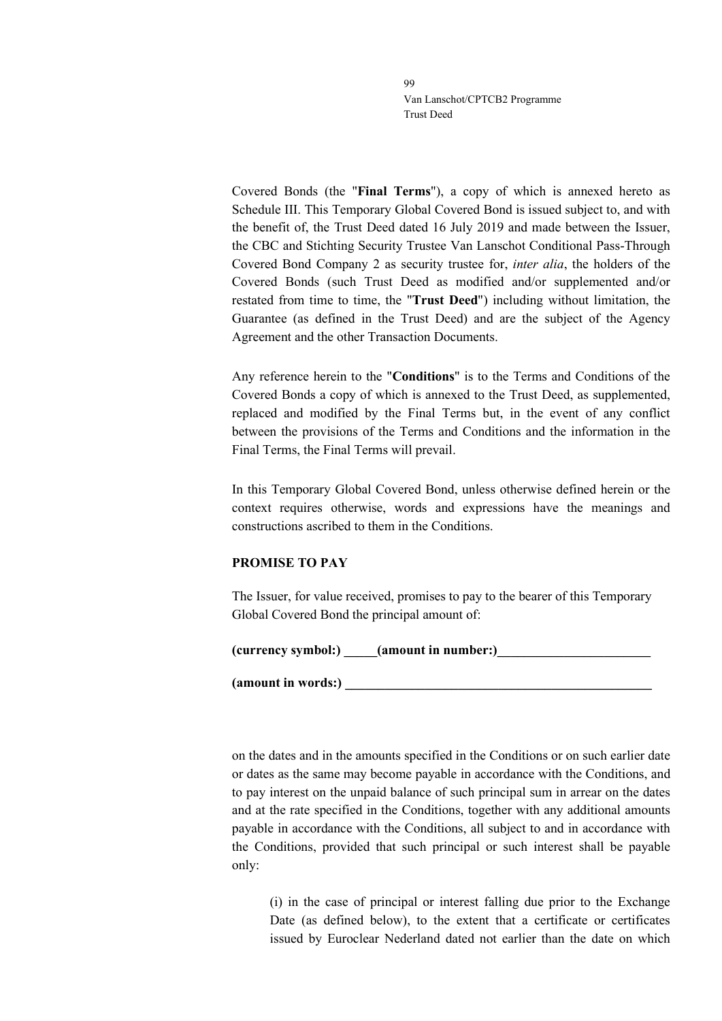Covered Bonds (the "**Final Terms**"), a copy of which is annexed hereto as Schedule III. This Temporary Global Covered Bond is issued subject to, and with the benefit of, the Trust Deed dated 16 July 2019 and made between the Issuer, the CBC and Stichting Security Trustee Van Lanschot Conditional Pass-Through Covered Bond Company 2 as security trustee for, *inter alia*, the holders of the Covered Bonds (such Trust Deed as modified and/or supplemented and/or restated from time to time, the "**Trust Deed**") including without limitation, the Guarantee (as defined in the Trust Deed) and are the subject of the Agency Agreement and the other Transaction Documents.

Any reference herein to the "**Conditions**" is to the Terms and Conditions of the Covered Bonds a copy of which is annexed to the Trust Deed, as supplemented, replaced and modified by the Final Terms but, in the event of any conflict between the provisions of the Terms and Conditions and the information in the Final Terms, the Final Terms will prevail.

In this Temporary Global Covered Bond, unless otherwise defined herein or the context requires otherwise, words and expressions have the meanings and constructions ascribed to them in the Conditions.

# **PROMISE TO PAY**

The Issuer, for value received, promises to pay to the bearer of this Temporary Global Covered Bond the principal amount of:

(currency symbol:) **a** (amount in number:)

**(amount in words:) \_\_\_\_\_\_\_\_\_\_\_\_\_\_\_\_\_\_\_\_\_\_\_\_\_\_\_\_\_\_\_\_\_\_\_\_\_\_\_\_\_\_\_\_\_\_**

on the dates and in the amounts specified in the Conditions or on such earlier date or dates as the same may become payable in accordance with the Conditions, and to pay interest on the unpaid balance of such principal sum in arrear on the dates and at the rate specified in the Conditions, together with any additional amounts payable in accordance with the Conditions, all subject to and in accordance with the Conditions, provided that such principal or such interest shall be payable only:

(i) in the case of principal or interest falling due prior to the Exchange Date (as defined below), to the extent that a certificate or certificates issued by Euroclear Nederland dated not earlier than the date on which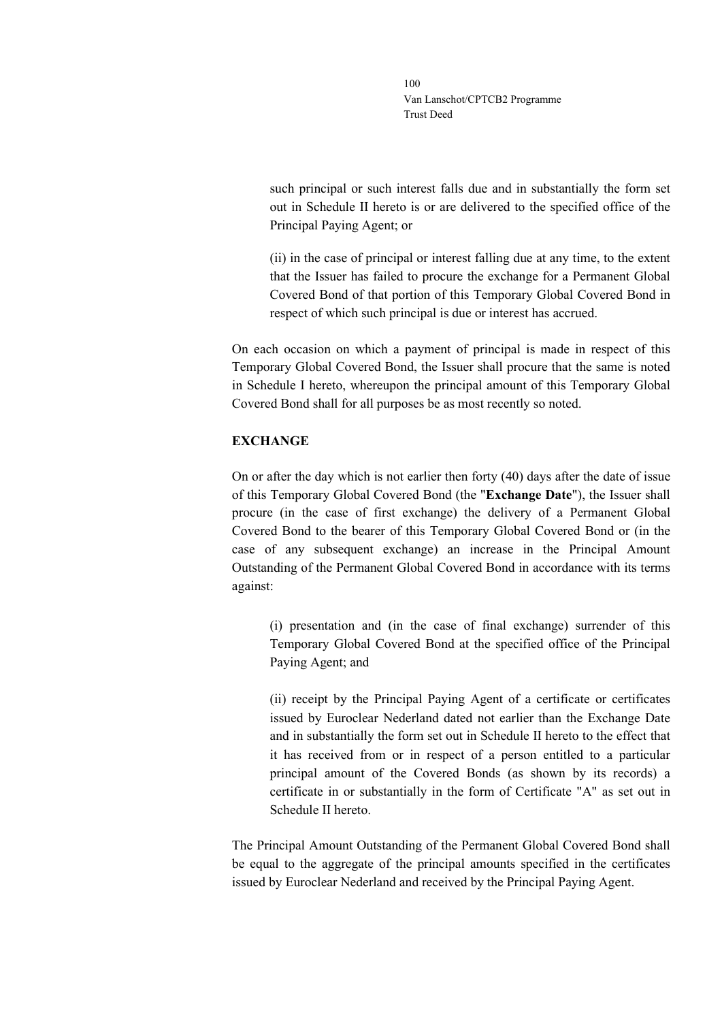such principal or such interest falls due and in substantially the form set out in Schedule II hereto is or are delivered to the specified office of the Principal Paying Agent; or

(ii) in the case of principal or interest falling due at any time, to the extent that the Issuer has failed to procure the exchange for a Permanent Global Covered Bond of that portion of this Temporary Global Covered Bond in respect of which such principal is due or interest has accrued.

On each occasion on which a payment of principal is made in respect of this Temporary Global Covered Bond, the Issuer shall procure that the same is noted in Schedule I hereto, whereupon the principal amount of this Temporary Global Covered Bond shall for all purposes be as most recently so noted.

# **EXCHANGE**

On or after the day which is not earlier then forty (40) days after the date of issue of this Temporary Global Covered Bond (the "**Exchange Date**"), the Issuer shall procure (in the case of first exchange) the delivery of a Permanent Global Covered Bond to the bearer of this Temporary Global Covered Bond or (in the case of any subsequent exchange) an increase in the Principal Amount Outstanding of the Permanent Global Covered Bond in accordance with its terms against:

(i) presentation and (in the case of final exchange) surrender of this Temporary Global Covered Bond at the specified office of the Principal Paying Agent; and

(ii) receipt by the Principal Paying Agent of a certificate or certificates issued by Euroclear Nederland dated not earlier than the Exchange Date and in substantially the form set out in Schedule II hereto to the effect that it has received from or in respect of a person entitled to a particular principal amount of the Covered Bonds (as shown by its records) a certificate in or substantially in the form of Certificate "A" as set out in Schedule II hereto.

The Principal Amount Outstanding of the Permanent Global Covered Bond shall be equal to the aggregate of the principal amounts specified in the certificates issued by Euroclear Nederland and received by the Principal Paying Agent.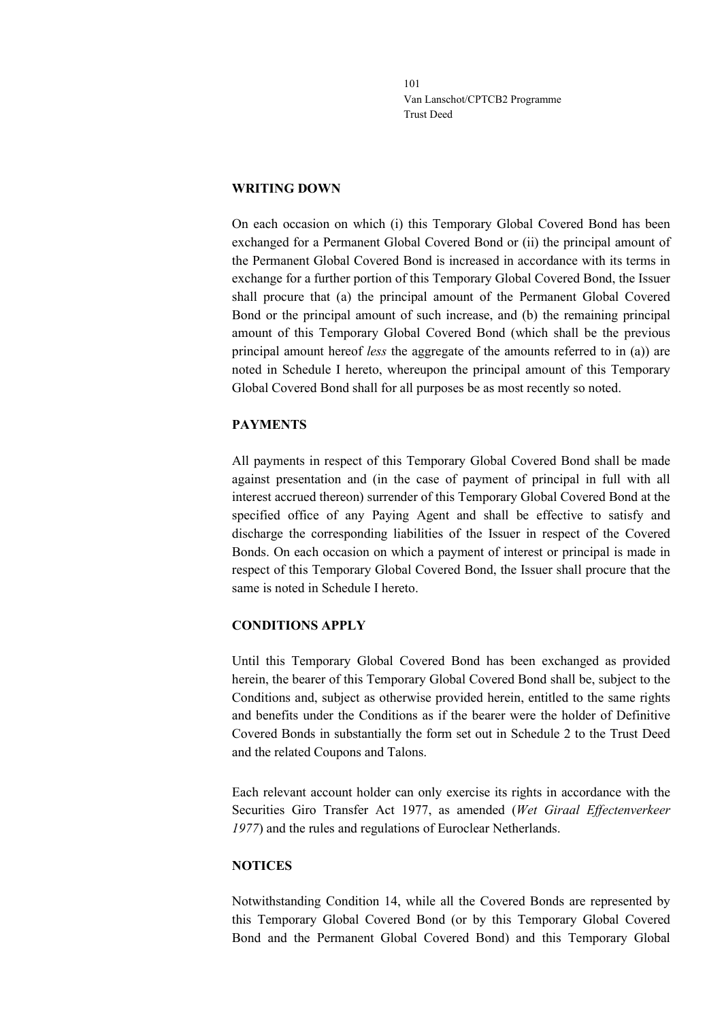### **WRITING DOWN**

On each occasion on which (i) this Temporary Global Covered Bond has been exchanged for a Permanent Global Covered Bond or (ii) the principal amount of the Permanent Global Covered Bond is increased in accordance with its terms in exchange for a further portion of this Temporary Global Covered Bond, the Issuer shall procure that (a) the principal amount of the Permanent Global Covered Bond or the principal amount of such increase, and (b) the remaining principal amount of this Temporary Global Covered Bond (which shall be the previous principal amount hereof *less* the aggregate of the amounts referred to in (a)) are noted in Schedule I hereto, whereupon the principal amount of this Temporary Global Covered Bond shall for all purposes be as most recently so noted.

## **PAYMENTS**

All payments in respect of this Temporary Global Covered Bond shall be made against presentation and (in the case of payment of principal in full with all interest accrued thereon) surrender of this Temporary Global Covered Bond at the specified office of any Paying Agent and shall be effective to satisfy and discharge the corresponding liabilities of the Issuer in respect of the Covered Bonds. On each occasion on which a payment of interest or principal is made in respect of this Temporary Global Covered Bond, the Issuer shall procure that the same is noted in Schedule I hereto.

## **CONDITIONS APPLY**

Until this Temporary Global Covered Bond has been exchanged as provided herein, the bearer of this Temporary Global Covered Bond shall be, subject to the Conditions and, subject as otherwise provided herein, entitled to the same rights and benefits under the Conditions as if the bearer were the holder of Definitive Covered Bonds in substantially the form set out in Schedule 2 to the Trust Deed and the related Coupons and Talons.

Each relevant account holder can only exercise its rights in accordance with the Securities Giro Transfer Act 1977, as amended (*Wet Giraal Effectenverkeer 1977*) and the rules and regulations of Euroclear Netherlands.

### **NOTICES**

Notwithstanding Condition 14, while all the Covered Bonds are represented by this Temporary Global Covered Bond (or by this Temporary Global Covered Bond and the Permanent Global Covered Bond) and this Temporary Global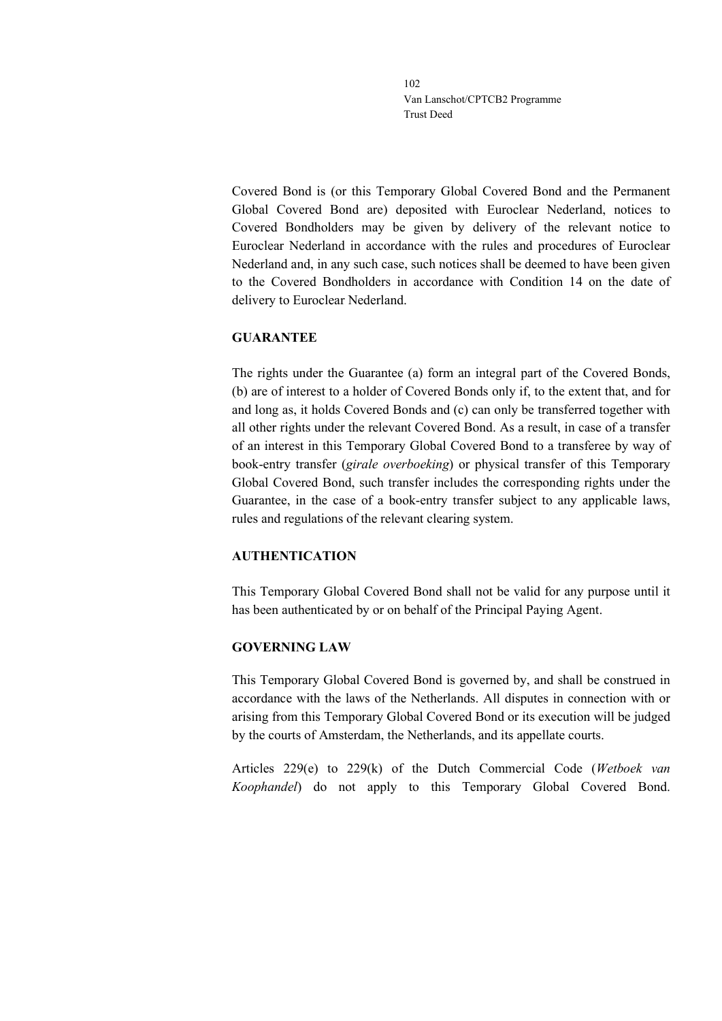Covered Bond is (or this Temporary Global Covered Bond and the Permanent Global Covered Bond are) deposited with Euroclear Nederland, notices to Covered Bondholders may be given by delivery of the relevant notice to Euroclear Nederland in accordance with the rules and procedures of Euroclear Nederland and, in any such case, such notices shall be deemed to have been given to the Covered Bondholders in accordance with Condition 14 on the date of delivery to Euroclear Nederland.

# **GUARANTEE**

The rights under the Guarantee (a) form an integral part of the Covered Bonds, (b) are of interest to a holder of Covered Bonds only if, to the extent that, and for and long as, it holds Covered Bonds and (c) can only be transferred together with all other rights under the relevant Covered Bond. As a result, in case of a transfer of an interest in this Temporary Global Covered Bond to a transferee by way of book-entry transfer (*girale overboeking*) or physical transfer of this Temporary Global Covered Bond, such transfer includes the corresponding rights under the Guarantee, in the case of a book-entry transfer subject to any applicable laws, rules and regulations of the relevant clearing system.

# **AUTHENTICATION**

This Temporary Global Covered Bond shall not be valid for any purpose until it has been authenticated by or on behalf of the Principal Paying Agent.

# **GOVERNING LAW**

This Temporary Global Covered Bond is governed by, and shall be construed in accordance with the laws of the Netherlands. All disputes in connection with or arising from this Temporary Global Covered Bond or its execution will be judged by the courts of Amsterdam, the Netherlands, and its appellate courts.

Articles 229(e) to 229(k) of the Dutch Commercial Code (*Wetboek van Koophandel*) do not apply to this Temporary Global Covered Bond.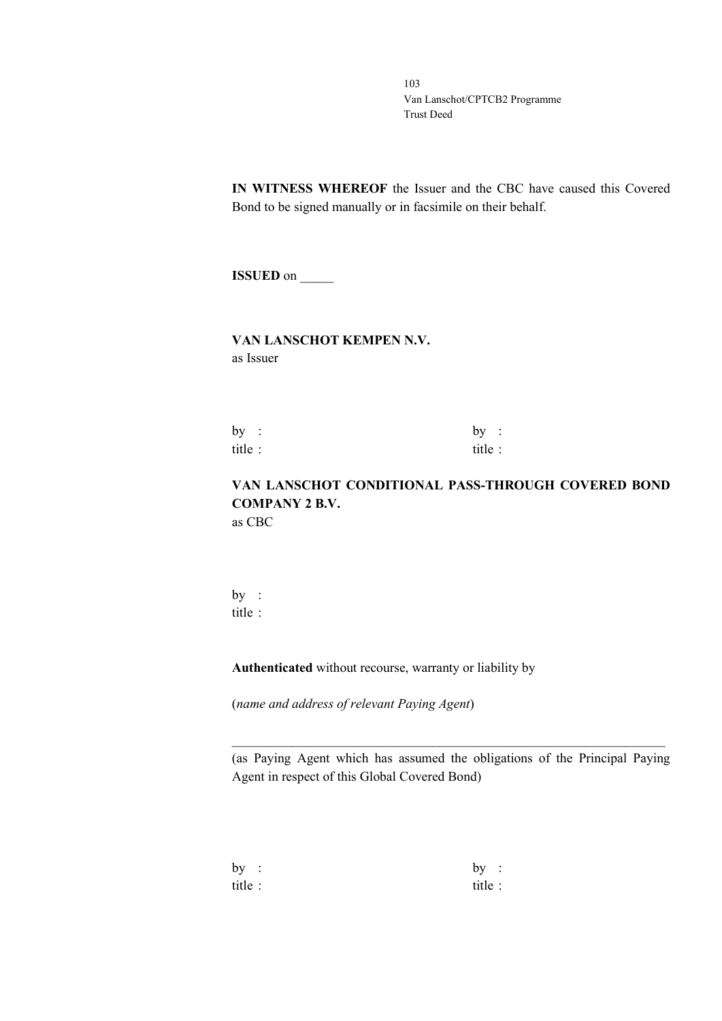**IN WITNESS WHEREOF** the Issuer and the CBC have caused this Covered Bond to be signed manually or in facsimile on their behalf.

**ISSUED** on \_\_\_\_\_

## **VAN LANSCHOT KEMPEN N.V.** as Issuer

by :  $by$  : title : title :

# **VAN LANSCHOT CONDITIONAL PASS-THROUGH COVERED BOND COMPANY 2 B.V.** as CBC

by : title :

**Authenticated** without recourse, warranty or liability by

(*name and address of relevant Paying Agent*)

(as Paying Agent which has assumed the obligations of the Principal Paying Agent in respect of this Global Covered Bond)

\_\_\_\_\_\_\_\_\_\_\_\_\_\_\_\_\_\_\_\_\_\_\_\_\_\_\_\_\_\_\_\_\_\_\_\_\_\_\_\_\_\_\_\_\_\_\_\_\_\_\_\_\_\_\_\_\_\_\_\_\_\_\_\_\_

| by:    | by      | $\mathbb{R}^2$ |
|--------|---------|----------------|
| title: | title : |                |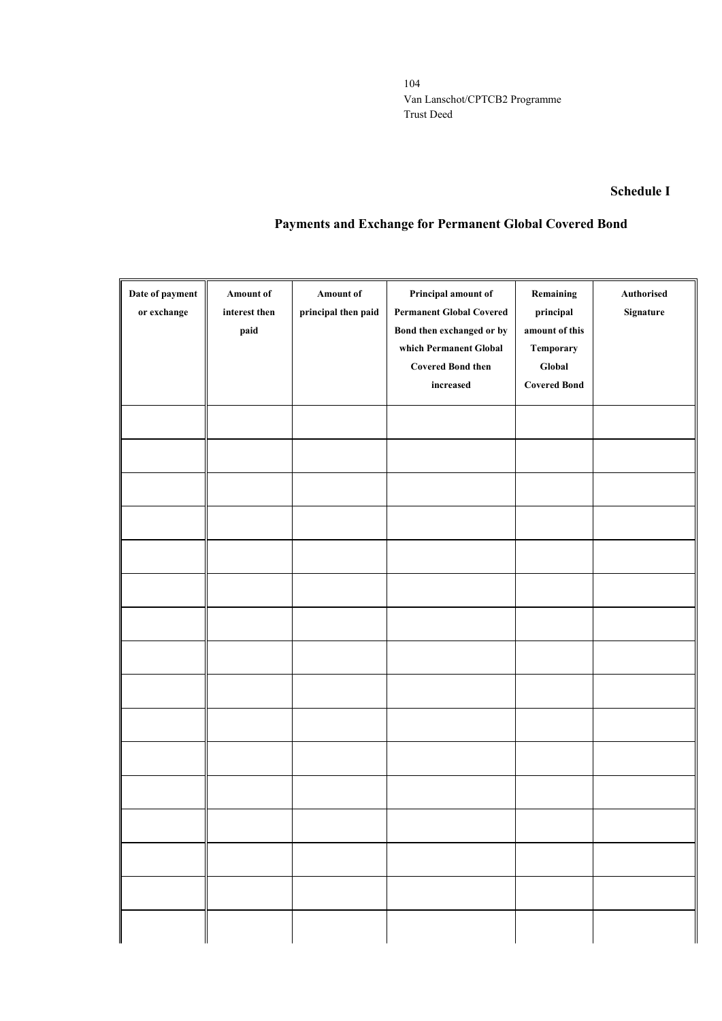## **Schedule I**

# **Payments and Exchange for Permanent Global Covered Bond**

| Date of payment<br>or exchange | <b>Amount of</b><br>interest then<br>paid | Amount of<br>principal then paid | Principal amount of<br><b>Permanent Global Covered</b><br>Bond then exchanged or by | Remaining<br>principal<br>amount of this   | Authorised<br>Signature |
|--------------------------------|-------------------------------------------|----------------------------------|-------------------------------------------------------------------------------------|--------------------------------------------|-------------------------|
|                                |                                           |                                  | which Permanent Global<br><b>Covered Bond then</b><br>increased                     | Temporary<br>Global<br><b>Covered Bond</b> |                         |
|                                |                                           |                                  |                                                                                     |                                            |                         |
|                                |                                           |                                  |                                                                                     |                                            |                         |
|                                |                                           |                                  |                                                                                     |                                            |                         |
|                                |                                           |                                  |                                                                                     |                                            |                         |
|                                |                                           |                                  |                                                                                     |                                            |                         |
|                                |                                           |                                  |                                                                                     |                                            |                         |
|                                |                                           |                                  |                                                                                     |                                            |                         |
|                                |                                           |                                  |                                                                                     |                                            |                         |
|                                |                                           |                                  |                                                                                     |                                            |                         |
|                                |                                           |                                  |                                                                                     |                                            |                         |
|                                |                                           |                                  |                                                                                     |                                            |                         |
|                                |                                           |                                  |                                                                                     |                                            |                         |
|                                |                                           |                                  |                                                                                     |                                            |                         |
|                                |                                           |                                  |                                                                                     |                                            |                         |
|                                |                                           |                                  |                                                                                     |                                            |                         |
|                                |                                           |                                  |                                                                                     |                                            |                         |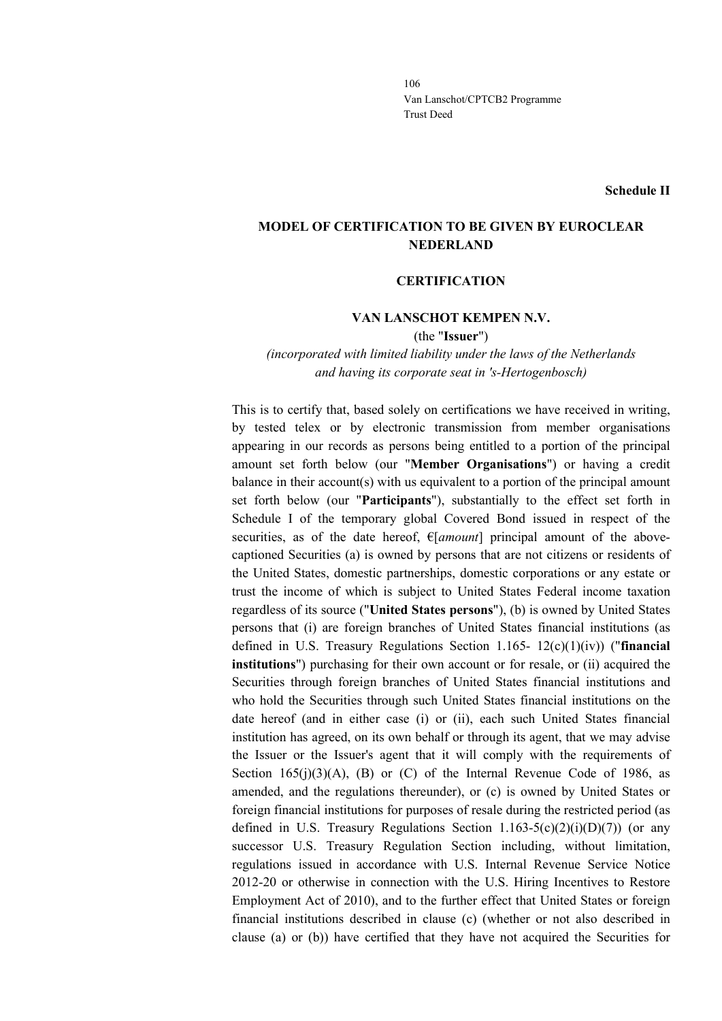**Schedule II**

# **MODEL OF CERTIFICATION TO BE GIVEN BY EUROCLEAR NEDERLAND**

### **CERTIFICATION**

### **VAN LANSCHOT KEMPEN N.V.**

(the "**Issuer**")

*(incorporated with limited liability under the laws of the Netherlands and having its corporate seat in 's-Hertogenbosch)*

This is to certify that, based solely on certifications we have received in writing, by tested telex or by electronic transmission from member organisations appearing in our records as persons being entitled to a portion of the principal amount set forth below (our "**Member Organisations**") or having a credit balance in their account(s) with us equivalent to a portion of the principal amount set forth below (our "**Participants**"), substantially to the effect set forth in Schedule I of the temporary global Covered Bond issued in respect of the securities, as of the date hereof, €[*amount*] principal amount of the abovecaptioned Securities (a) is owned by persons that are not citizens or residents of the United States, domestic partnerships, domestic corporations or any estate or trust the income of which is subject to United States Federal income taxation regardless of its source ("**United States persons**"), (b) is owned by United States persons that (i) are foreign branches of United States financial institutions (as defined in U.S. Treasury Regulations Section 1.165- 12(c)(1)(iv)) ("**financial institutions**") purchasing for their own account or for resale, or (ii) acquired the Securities through foreign branches of United States financial institutions and who hold the Securities through such United States financial institutions on the date hereof (and in either case (i) or (ii), each such United States financial institution has agreed, on its own behalf or through its agent, that we may advise the Issuer or the Issuer's agent that it will comply with the requirements of Section  $165(i)(3)(A)$ , (B) or (C) of the Internal Revenue Code of 1986, as amended, and the regulations thereunder), or (c) is owned by United States or foreign financial institutions for purposes of resale during the restricted period (as defined in U.S. Treasury Regulations Section  $1.163-5(c)(2)(i)(D)(7)$  (or any successor U.S. Treasury Regulation Section including, without limitation, regulations issued in accordance with U.S. Internal Revenue Service Notice 2012-20 or otherwise in connection with the U.S. Hiring Incentives to Restore Employment Act of 2010), and to the further effect that United States or foreign financial institutions described in clause (c) (whether or not also described in clause (a) or (b)) have certified that they have not acquired the Securities for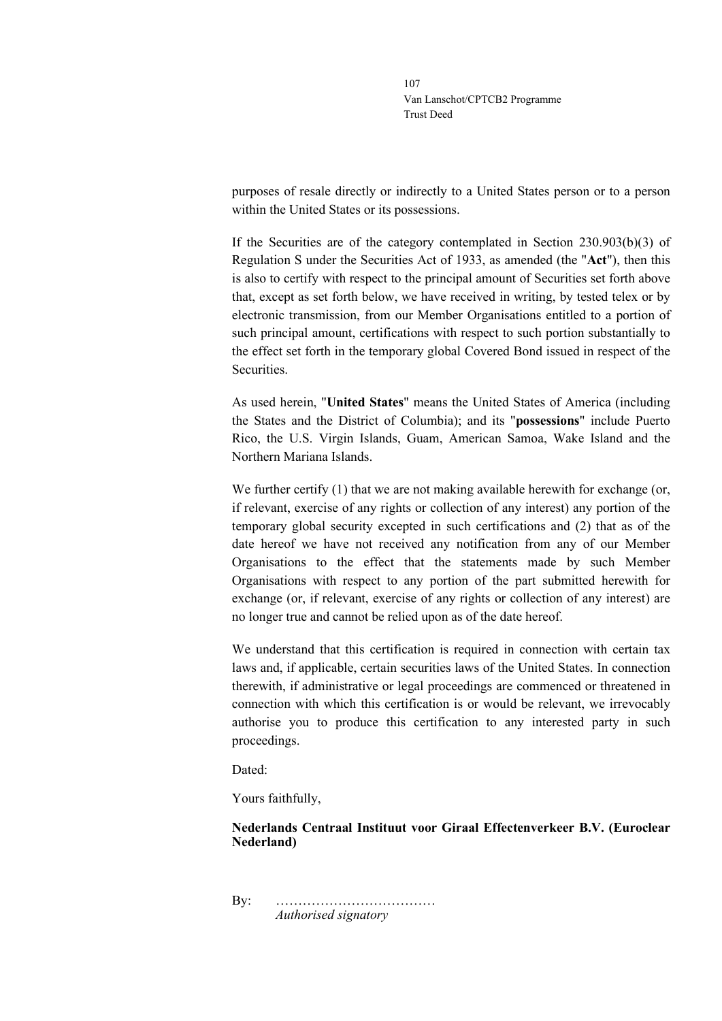purposes of resale directly or indirectly to a United States person or to a person within the United States or its possessions.

If the Securities are of the category contemplated in Section 230.903(b)(3) of Regulation S under the Securities Act of 1933, as amended (the "**Act**"), then this is also to certify with respect to the principal amount of Securities set forth above that, except as set forth below, we have received in writing, by tested telex or by electronic transmission, from our Member Organisations entitled to a portion of such principal amount, certifications with respect to such portion substantially to the effect set forth in the temporary global Covered Bond issued in respect of the Securities.

As used herein, "**United States**" means the United States of America (including the States and the District of Columbia); and its "**possessions**" include Puerto Rico, the U.S. Virgin Islands, Guam, American Samoa, Wake Island and the Northern Mariana Islands.

We further certify  $(1)$  that we are not making available herewith for exchange (or, if relevant, exercise of any rights or collection of any interest) any portion of the temporary global security excepted in such certifications and (2) that as of the date hereof we have not received any notification from any of our Member Organisations to the effect that the statements made by such Member Organisations with respect to any portion of the part submitted herewith for exchange (or, if relevant, exercise of any rights or collection of any interest) are no longer true and cannot be relied upon as of the date hereof.

We understand that this certification is required in connection with certain tax laws and, if applicable, certain securities laws of the United States. In connection therewith, if administrative or legal proceedings are commenced or threatened in connection with which this certification is or would be relevant, we irrevocably authorise you to produce this certification to any interested party in such proceedings.

Dated:

Yours faithfully,

## **Nederlands Centraal Instituut voor Giraal Effectenverkeer B.V. (Euroclear Nederland)**

By: ……………………………… *Authorised signatory*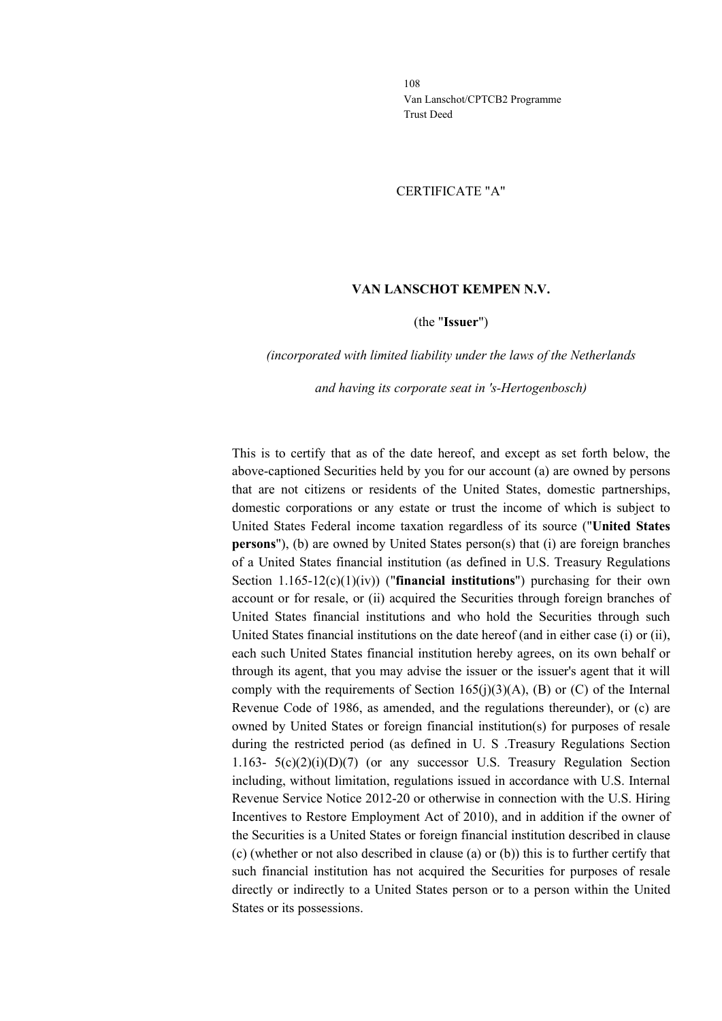#### CERTIFICATE "A"

### **VAN LANSCHOT KEMPEN N.V.**

#### (the "**Issuer**")

### *(incorporated with limited liability under the laws of the Netherlands*

#### *and having its corporate seat in 's-Hertogenbosch)*

This is to certify that as of the date hereof, and except as set forth below, the above-captioned Securities held by you for our account (a) are owned by persons that are not citizens or residents of the United States, domestic partnerships, domestic corporations or any estate or trust the income of which is subject to United States Federal income taxation regardless of its source ("**United States persons**"), (b) are owned by United States person(s) that (i) are foreign branches of a United States financial institution (as defined in U.S. Treasury Regulations Section 1.165-12(c)(1)(iv)) ("**financial institutions**") purchasing for their own account or for resale, or (ii) acquired the Securities through foreign branches of United States financial institutions and who hold the Securities through such United States financial institutions on the date hereof (and in either case (i) or (ii), each such United States financial institution hereby agrees, on its own behalf or through its agent, that you may advise the issuer or the issuer's agent that it will comply with the requirements of Section 165(j)(3)(A), (B) or (C) of the Internal Revenue Code of 1986, as amended, and the regulations thereunder), or (c) are owned by United States or foreign financial institution(s) for purposes of resale during the restricted period (as defined in U. S .Treasury Regulations Section 1.163-  $5(c)(2)(i)(D)(7)$  (or any successor U.S. Treasury Regulation Section including, without limitation, regulations issued in accordance with U.S. Internal Revenue Service Notice 2012-20 or otherwise in connection with the U.S. Hiring Incentives to Restore Employment Act of 2010), and in addition if the owner of the Securities is a United States or foreign financial institution described in clause (c) (whether or not also described in clause (a) or (b)) this is to further certify that such financial institution has not acquired the Securities for purposes of resale directly or indirectly to a United States person or to a person within the United States or its possessions.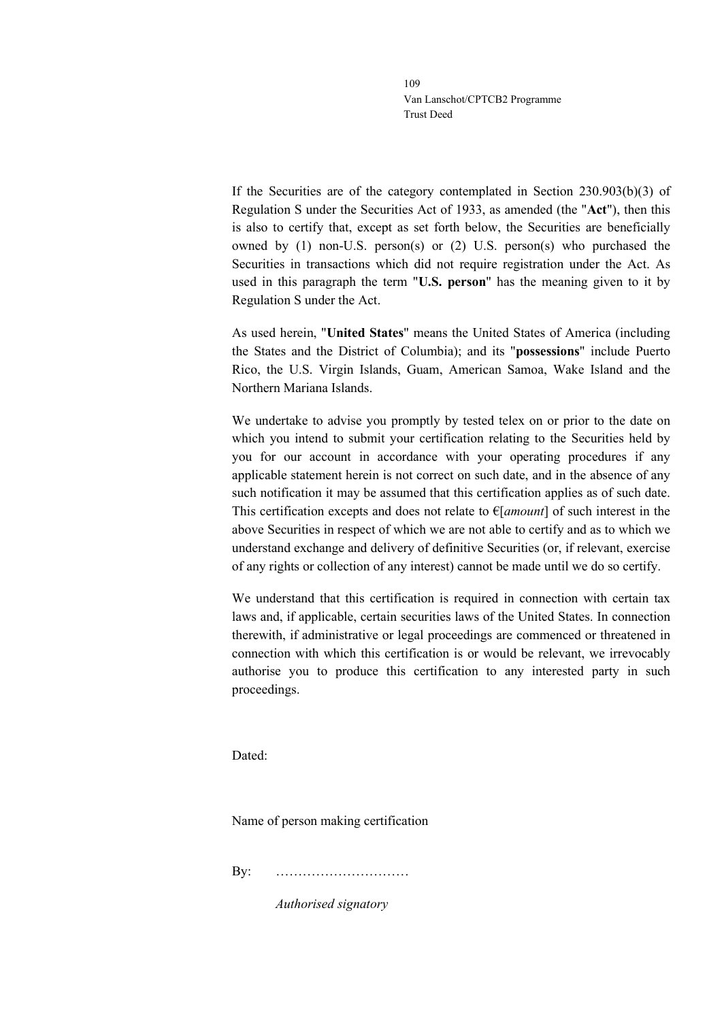If the Securities are of the category contemplated in Section 230.903(b)(3) of Regulation S under the Securities Act of 1933, as amended (the "**Act**"), then this is also to certify that, except as set forth below, the Securities are beneficially owned by (1) non-U.S. person(s) or (2) U.S. person(s) who purchased the Securities in transactions which did not require registration under the Act. As used in this paragraph the term "**U.S. person**" has the meaning given to it by Regulation S under the Act.

As used herein, "**United States**" means the United States of America (including the States and the District of Columbia); and its "**possessions**" include Puerto Rico, the U.S. Virgin Islands, Guam, American Samoa, Wake Island and the Northern Mariana Islands.

We undertake to advise you promptly by tested telex on or prior to the date on which you intend to submit your certification relating to the Securities held by you for our account in accordance with your operating procedures if any applicable statement herein is not correct on such date, and in the absence of any such notification it may be assumed that this certification applies as of such date. This certification excepts and does not relate to €[*amount*] of such interest in the above Securities in respect of which we are not able to certify and as to which we understand exchange and delivery of definitive Securities (or, if relevant, exercise of any rights or collection of any interest) cannot be made until we do so certify.

We understand that this certification is required in connection with certain tax laws and, if applicable, certain securities laws of the United States. In connection therewith, if administrative or legal proceedings are commenced or threatened in connection with which this certification is or would be relevant, we irrevocably authorise you to produce this certification to any interested party in such proceedings.

Dated:

Name of person making certification

By: …………………………

*Authorised signatory*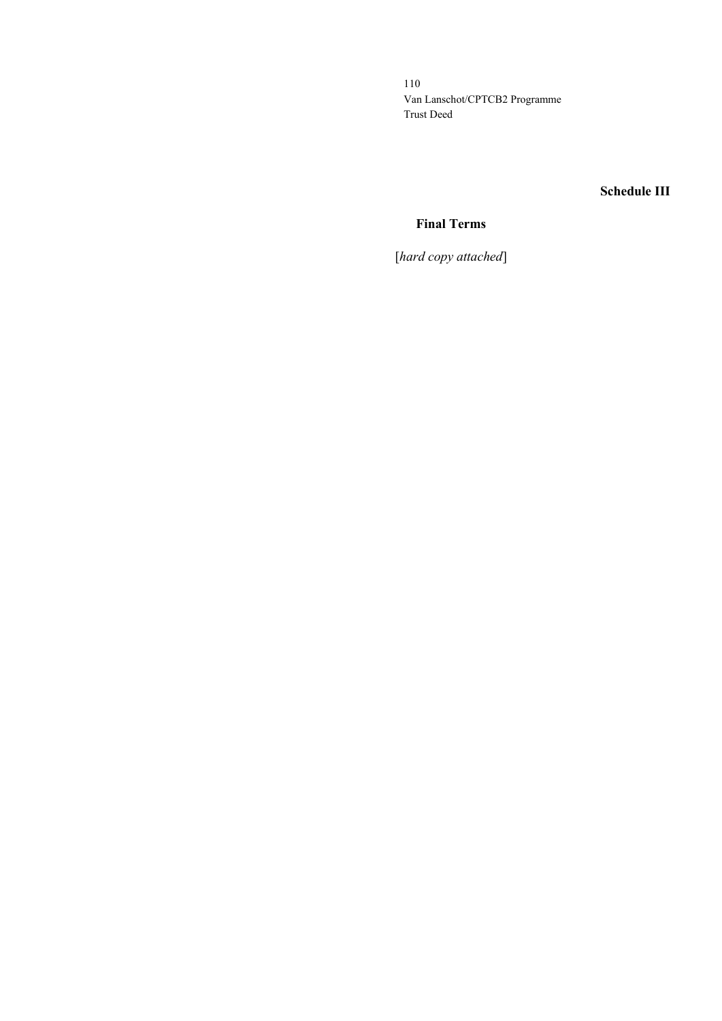**Schedule III**

# **Final Terms**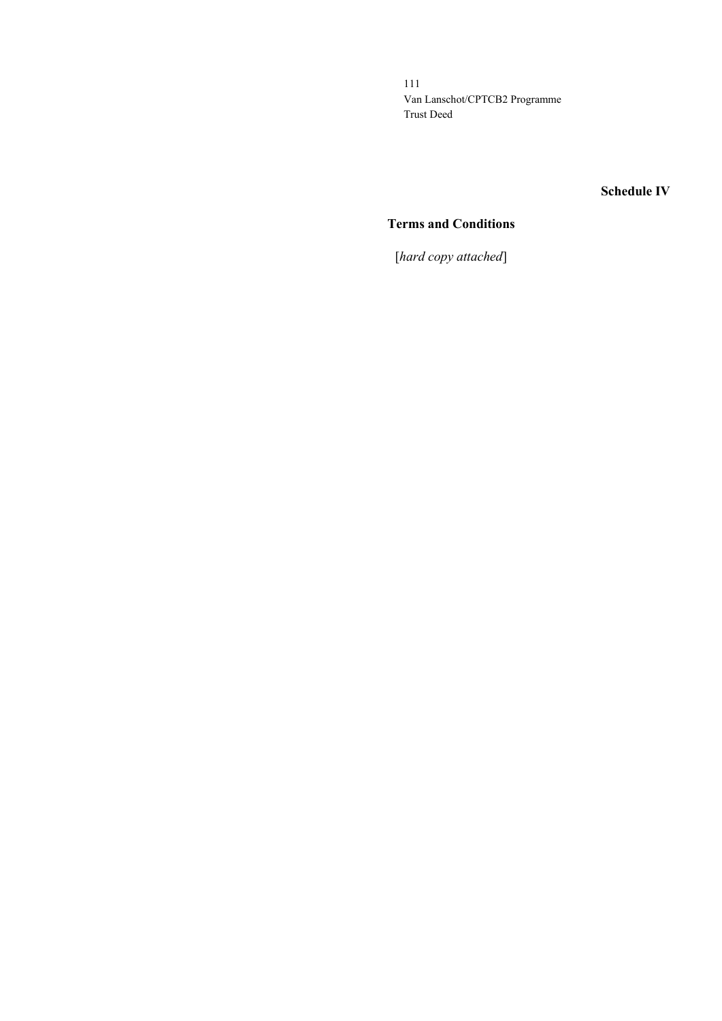**Schedule IV**

# **Terms and Conditions**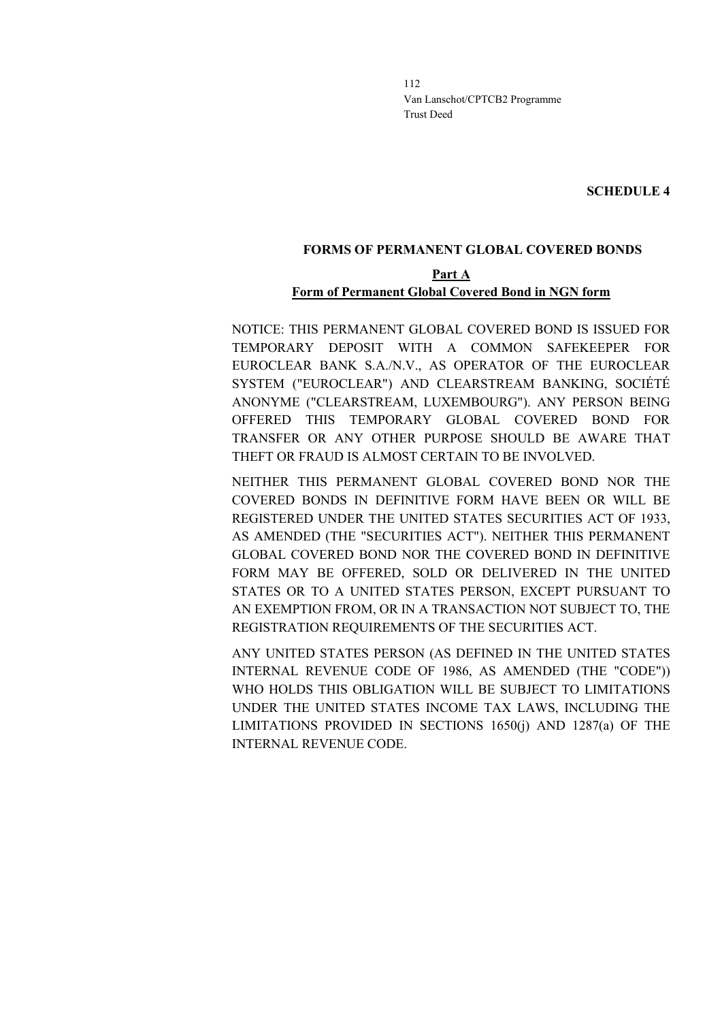**SCHEDULE 4**

#### **FORMS OF PERMANENT GLOBAL COVERED BONDS**

# **Part A Form of Permanent Global Covered Bond in NGN form**

NOTICE: THIS PERMANENT GLOBAL COVERED BOND IS ISSUED FOR TEMPORARY DEPOSIT WITH A COMMON SAFEKEEPER FOR EUROCLEAR BANK S.A./N.V., AS OPERATOR OF THE EUROCLEAR SYSTEM ("EUROCLEAR") AND CLEARSTREAM BANKING, SOCIÉTÉ ANONYME ("CLEARSTREAM, LUXEMBOURG"). ANY PERSON BEING OFFERED THIS TEMPORARY GLOBAL COVERED BOND FOR TRANSFER OR ANY OTHER PURPOSE SHOULD BE AWARE THAT THEFT OR FRAUD IS ALMOST CERTAIN TO BE INVOLVED.

NEITHER THIS PERMANENT GLOBAL COVERED BOND NOR THE COVERED BONDS IN DEFINITIVE FORM HAVE BEEN OR WILL BE REGISTERED UNDER THE UNITED STATES SECURITIES ACT OF 1933, AS AMENDED (THE "SECURITIES ACT"). NEITHER THIS PERMANENT GLOBAL COVERED BOND NOR THE COVERED BOND IN DEFINITIVE FORM MAY BE OFFERED, SOLD OR DELIVERED IN THE UNITED STATES OR TO A UNITED STATES PERSON, EXCEPT PURSUANT TO AN EXEMPTION FROM, OR IN A TRANSACTION NOT SUBJECT TO, THE REGISTRATION REQUIREMENTS OF THE SECURITIES ACT.

ANY UNITED STATES PERSON (AS DEFINED IN THE UNITED STATES INTERNAL REVENUE CODE OF 1986, AS AMENDED (THE "CODE")) WHO HOLDS THIS OBLIGATION WILL BE SUBJECT TO LIMITATIONS UNDER THE UNITED STATES INCOME TAX LAWS, INCLUDING THE LIMITATIONS PROVIDED IN SECTIONS 1650(j) AND 1287(a) OF THE INTERNAL REVENUE CODE.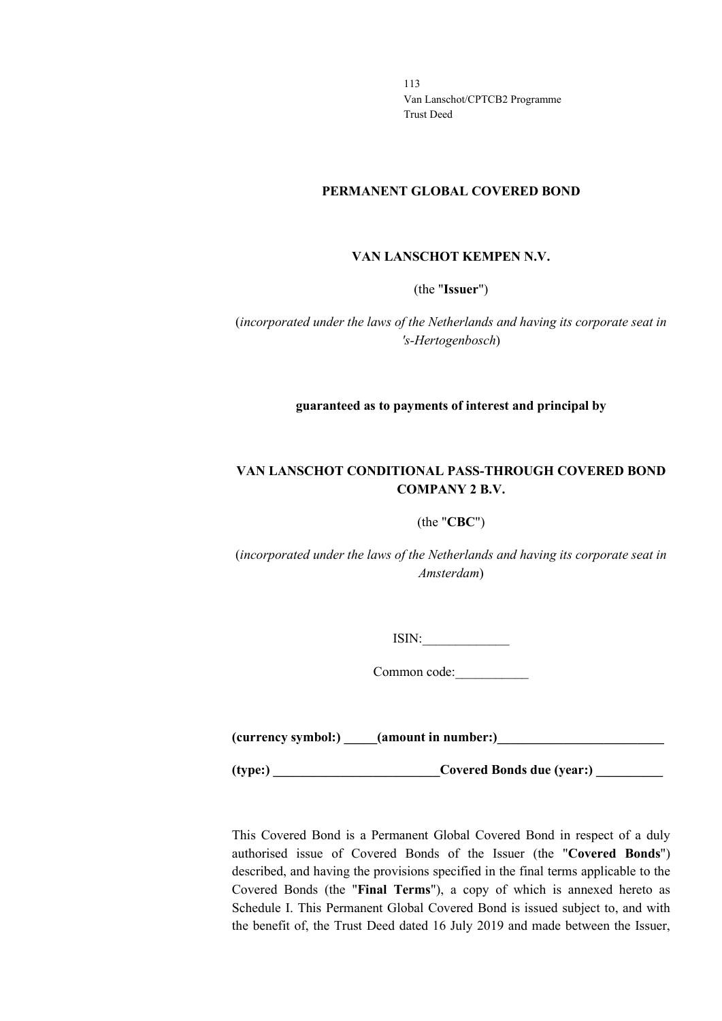#### **PERMANENT GLOBAL COVERED BOND**

#### **VAN LANSCHOT KEMPEN N.V.**

(the "**Issuer**")

(*incorporated under the laws of the Netherlands and having its corporate seat in 's-Hertogenbosch*)

**guaranteed as to payments of interest and principal by**

# **VAN LANSCHOT CONDITIONAL PASS-THROUGH COVERED BOND COMPANY 2 B.V.**

#### (the "**CBC**")

(*incorporated under the laws of the Netherlands and having its corporate seat in Amsterdam*)

 $ISIN:$ 

Common code:\_\_\_\_\_\_\_\_\_\_\_

(currency symbol:) **all (amount in number:)** 

**(type:) \_\_\_\_\_\_\_\_\_\_\_\_\_\_\_\_\_\_\_\_\_\_\_\_\_Covered Bonds due (year:) \_\_\_\_\_\_\_\_\_\_**

This Covered Bond is a Permanent Global Covered Bond in respect of a duly authorised issue of Covered Bonds of the Issuer (the "**Covered Bonds**") described, and having the provisions specified in the final terms applicable to the Covered Bonds (the "**Final Terms**"), a copy of which is annexed hereto as Schedule I. This Permanent Global Covered Bond is issued subject to, and with the benefit of, the Trust Deed dated 16 July 2019 and made between the Issuer,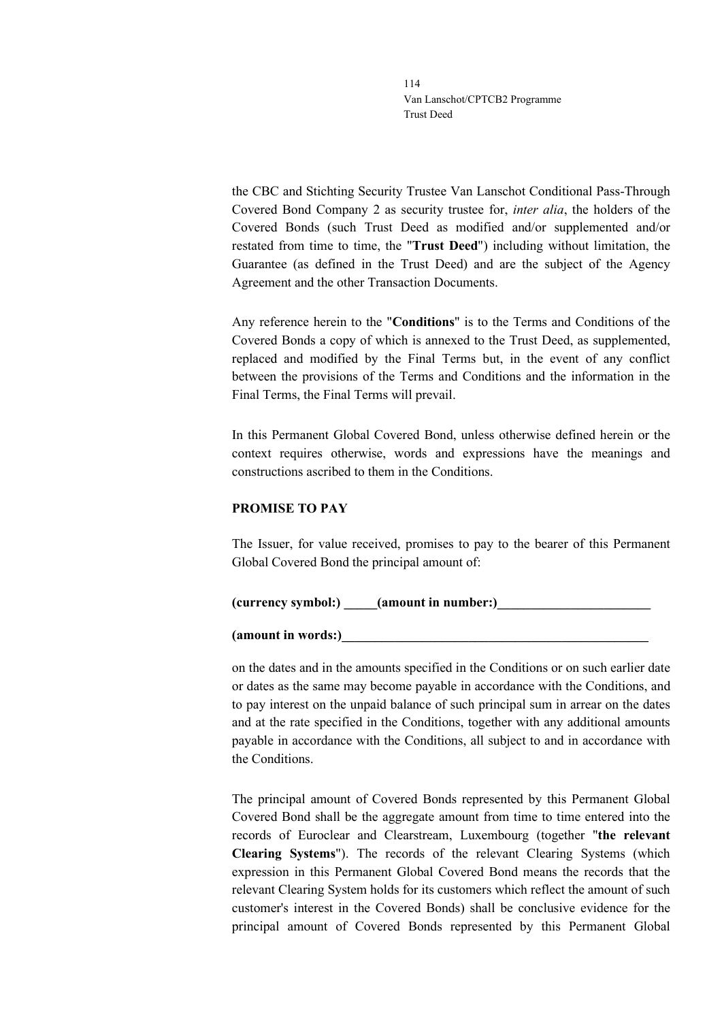the CBC and Stichting Security Trustee Van Lanschot Conditional Pass-Through Covered Bond Company 2 as security trustee for, *inter alia*, the holders of the Covered Bonds (such Trust Deed as modified and/or supplemented and/or restated from time to time, the "**Trust Deed**") including without limitation, the Guarantee (as defined in the Trust Deed) and are the subject of the Agency Agreement and the other Transaction Documents.

Any reference herein to the "**Conditions**" is to the Terms and Conditions of the Covered Bonds a copy of which is annexed to the Trust Deed, as supplemented, replaced and modified by the Final Terms but, in the event of any conflict between the provisions of the Terms and Conditions and the information in the Final Terms, the Final Terms will prevail.

In this Permanent Global Covered Bond, unless otherwise defined herein or the context requires otherwise, words and expressions have the meanings and constructions ascribed to them in the Conditions.

## **PROMISE TO PAY**

The Issuer, for value received, promises to pay to the bearer of this Permanent Global Covered Bond the principal amount of:

**(currency symbol:) \_\_\_\_\_(amount in number:)\_\_\_\_\_\_\_\_\_\_\_\_\_\_\_\_\_\_\_\_\_\_\_**

**(amount in words:)\_\_\_\_\_\_\_\_\_\_\_\_\_\_\_\_\_\_\_\_\_\_\_\_\_\_\_\_\_\_\_\_\_\_\_\_\_\_\_\_\_\_\_\_\_\_**

on the dates and in the amounts specified in the Conditions or on such earlier date or dates as the same may become payable in accordance with the Conditions, and to pay interest on the unpaid balance of such principal sum in arrear on the dates and at the rate specified in the Conditions, together with any additional amounts payable in accordance with the Conditions, all subject to and in accordance with the Conditions.

The principal amount of Covered Bonds represented by this Permanent Global Covered Bond shall be the aggregate amount from time to time entered into the records of Euroclear and Clearstream, Luxembourg (together "**the relevant Clearing Systems**"). The records of the relevant Clearing Systems (which expression in this Permanent Global Covered Bond means the records that the relevant Clearing System holds for its customers which reflect the amount of such customer's interest in the Covered Bonds) shall be conclusive evidence for the principal amount of Covered Bonds represented by this Permanent Global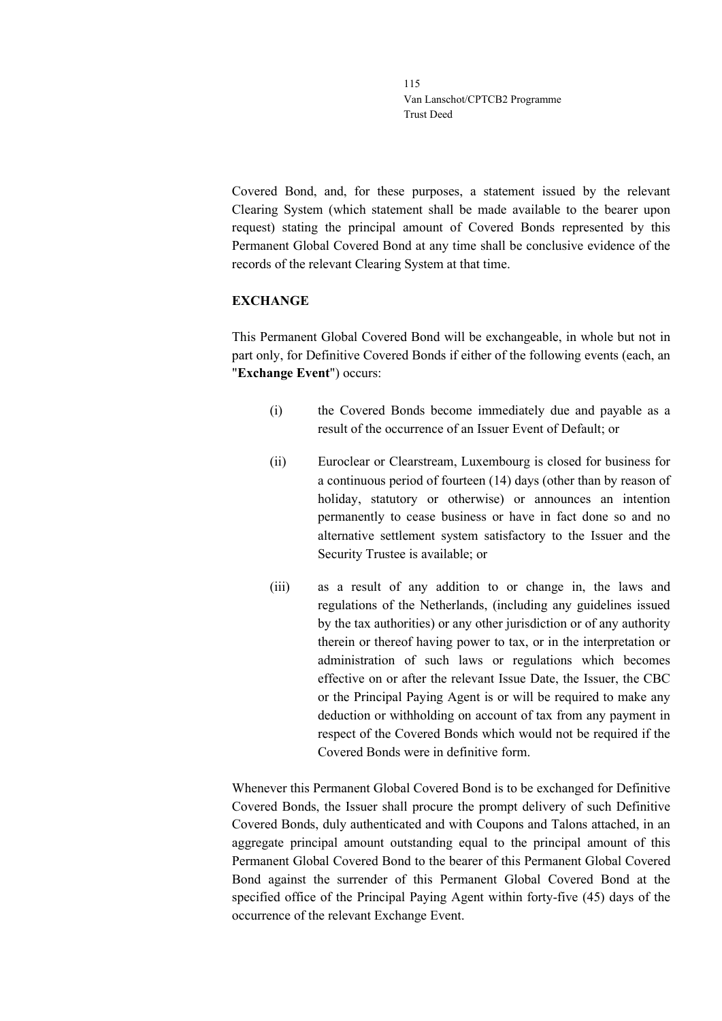Covered Bond, and, for these purposes, a statement issued by the relevant Clearing System (which statement shall be made available to the bearer upon request) stating the principal amount of Covered Bonds represented by this Permanent Global Covered Bond at any time shall be conclusive evidence of the records of the relevant Clearing System at that time.

## **EXCHANGE**

This Permanent Global Covered Bond will be exchangeable, in whole but not in part only, for Definitive Covered Bonds if either of the following events (each, an "**Exchange Event**") occurs:

- (i) the Covered Bonds become immediately due and payable as a result of the occurrence of an Issuer Event of Default; or
- (ii) Euroclear or Clearstream, Luxembourg is closed for business for a continuous period of fourteen (14) days (other than by reason of holiday, statutory or otherwise) or announces an intention permanently to cease business or have in fact done so and no alternative settlement system satisfactory to the Issuer and the Security Trustee is available; or
- (iii) as a result of any addition to or change in, the laws and regulations of the Netherlands, (including any guidelines issued by the tax authorities) or any other jurisdiction or of any authority therein or thereof having power to tax, or in the interpretation or administration of such laws or regulations which becomes effective on or after the relevant Issue Date, the Issuer, the CBC or the Principal Paying Agent is or will be required to make any deduction or withholding on account of tax from any payment in respect of the Covered Bonds which would not be required if the Covered Bonds were in definitive form.

Whenever this Permanent Global Covered Bond is to be exchanged for Definitive Covered Bonds, the Issuer shall procure the prompt delivery of such Definitive Covered Bonds, duly authenticated and with Coupons and Talons attached, in an aggregate principal amount outstanding equal to the principal amount of this Permanent Global Covered Bond to the bearer of this Permanent Global Covered Bond against the surrender of this Permanent Global Covered Bond at the specified office of the Principal Paying Agent within forty-five (45) days of the occurrence of the relevant Exchange Event.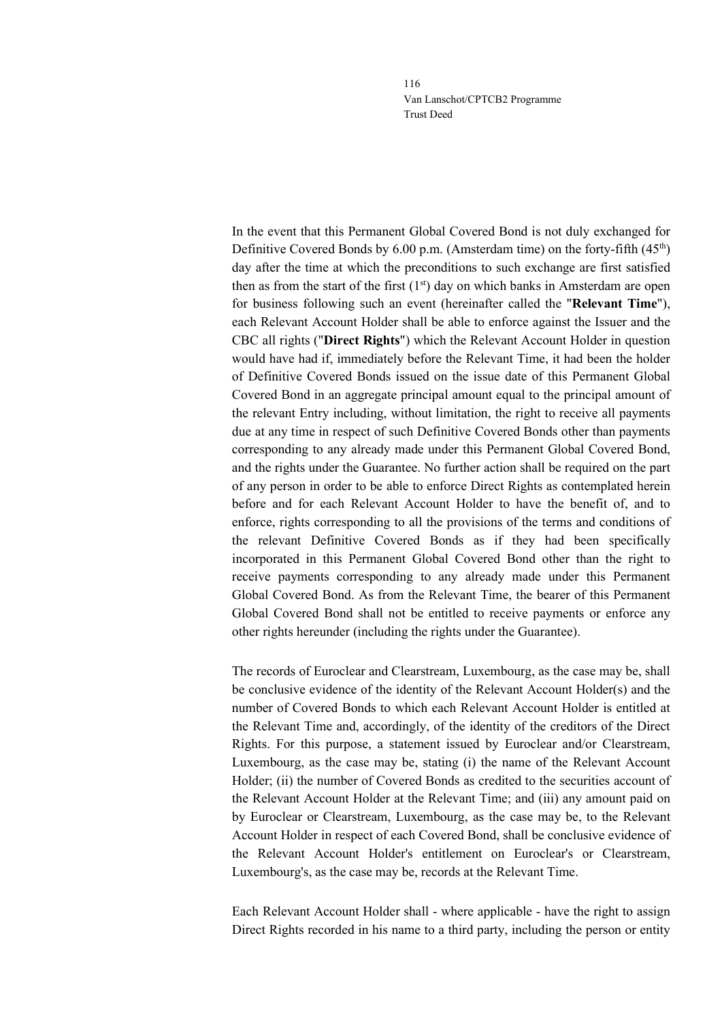In the event that this Permanent Global Covered Bond is not duly exchanged for Definitive Covered Bonds by 6.00 p.m. (Amsterdam time) on the forty-fifth (45th) day after the time at which the preconditions to such exchange are first satisfied then as from the start of the first  $(1<sup>st</sup>)$  day on which banks in Amsterdam are open for business following such an event (hereinafter called the "**Relevant Time**"), each Relevant Account Holder shall be able to enforce against the Issuer and the CBC all rights ("**Direct Rights**") which the Relevant Account Holder in question would have had if, immediately before the Relevant Time, it had been the holder of Definitive Covered Bonds issued on the issue date of this Permanent Global Covered Bond in an aggregate principal amount equal to the principal amount of the relevant Entry including, without limitation, the right to receive all payments due at any time in respect of such Definitive Covered Bonds other than payments corresponding to any already made under this Permanent Global Covered Bond, and the rights under the Guarantee. No further action shall be required on the part of any person in order to be able to enforce Direct Rights as contemplated herein before and for each Relevant Account Holder to have the benefit of, and to enforce, rights corresponding to all the provisions of the terms and conditions of the relevant Definitive Covered Bonds as if they had been specifically incorporated in this Permanent Global Covered Bond other than the right to receive payments corresponding to any already made under this Permanent Global Covered Bond. As from the Relevant Time, the bearer of this Permanent Global Covered Bond shall not be entitled to receive payments or enforce any other rights hereunder (including the rights under the Guarantee).

The records of Euroclear and Clearstream, Luxembourg, as the case may be, shall be conclusive evidence of the identity of the Relevant Account Holder(s) and the number of Covered Bonds to which each Relevant Account Holder is entitled at the Relevant Time and, accordingly, of the identity of the creditors of the Direct Rights. For this purpose, a statement issued by Euroclear and/or Clearstream, Luxembourg, as the case may be, stating (i) the name of the Relevant Account Holder; (ii) the number of Covered Bonds as credited to the securities account of the Relevant Account Holder at the Relevant Time; and (iii) any amount paid on by Euroclear or Clearstream, Luxembourg, as the case may be, to the Relevant Account Holder in respect of each Covered Bond, shall be conclusive evidence of the Relevant Account Holder's entitlement on Euroclear's or Clearstream, Luxembourg's, as the case may be, records at the Relevant Time.

Each Relevant Account Holder shall - where applicable - have the right to assign Direct Rights recorded in his name to a third party, including the person or entity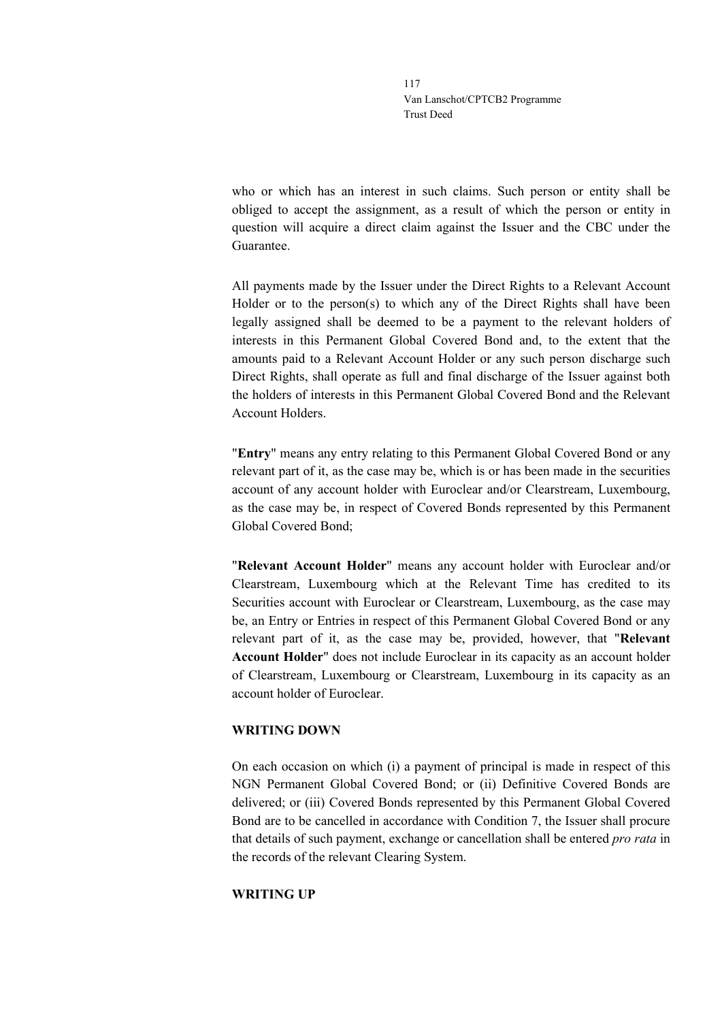who or which has an interest in such claims. Such person or entity shall be obliged to accept the assignment, as a result of which the person or entity in question will acquire a direct claim against the Issuer and the CBC under the Guarantee.

All payments made by the Issuer under the Direct Rights to a Relevant Account Holder or to the person(s) to which any of the Direct Rights shall have been legally assigned shall be deemed to be a payment to the relevant holders of interests in this Permanent Global Covered Bond and, to the extent that the amounts paid to a Relevant Account Holder or any such person discharge such Direct Rights, shall operate as full and final discharge of the Issuer against both the holders of interests in this Permanent Global Covered Bond and the Relevant Account Holders.

"**Entry**" means any entry relating to this Permanent Global Covered Bond or any relevant part of it, as the case may be, which is or has been made in the securities account of any account holder with Euroclear and/or Clearstream, Luxembourg, as the case may be, in respect of Covered Bonds represented by this Permanent Global Covered Bond;

"**Relevant Account Holder**" means any account holder with Euroclear and/or Clearstream, Luxembourg which at the Relevant Time has credited to its Securities account with Euroclear or Clearstream, Luxembourg, as the case may be, an Entry or Entries in respect of this Permanent Global Covered Bond or any relevant part of it, as the case may be, provided, however, that "**Relevant Account Holder**" does not include Euroclear in its capacity as an account holder of Clearstream, Luxembourg or Clearstream, Luxembourg in its capacity as an account holder of Euroclear.

## **WRITING DOWN**

On each occasion on which (i) a payment of principal is made in respect of this NGN Permanent Global Covered Bond; or (ii) Definitive Covered Bonds are delivered; or (iii) Covered Bonds represented by this Permanent Global Covered Bond are to be cancelled in accordance with Condition 7, the Issuer shall procure that details of such payment, exchange or cancellation shall be entered *pro rata* in the records of the relevant Clearing System.

## **WRITING UP**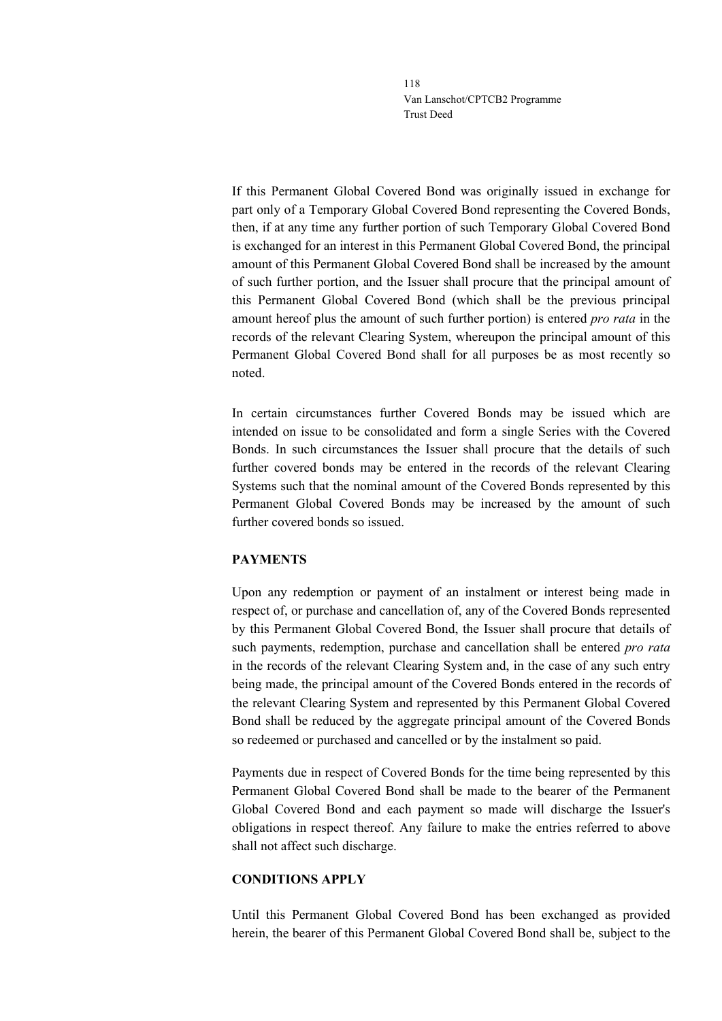If this Permanent Global Covered Bond was originally issued in exchange for part only of a Temporary Global Covered Bond representing the Covered Bonds, then, if at any time any further portion of such Temporary Global Covered Bond is exchanged for an interest in this Permanent Global Covered Bond, the principal amount of this Permanent Global Covered Bond shall be increased by the amount of such further portion, and the Issuer shall procure that the principal amount of this Permanent Global Covered Bond (which shall be the previous principal amount hereof plus the amount of such further portion) is entered *pro rata* in the records of the relevant Clearing System, whereupon the principal amount of this Permanent Global Covered Bond shall for all purposes be as most recently so noted.

In certain circumstances further Covered Bonds may be issued which are intended on issue to be consolidated and form a single Series with the Covered Bonds. In such circumstances the Issuer shall procure that the details of such further covered bonds may be entered in the records of the relevant Clearing Systems such that the nominal amount of the Covered Bonds represented by this Permanent Global Covered Bonds may be increased by the amount of such further covered bonds so issued.

## **PAYMENTS**

Upon any redemption or payment of an instalment or interest being made in respect of, or purchase and cancellation of, any of the Covered Bonds represented by this Permanent Global Covered Bond, the Issuer shall procure that details of such payments, redemption, purchase and cancellation shall be entered *pro rata* in the records of the relevant Clearing System and, in the case of any such entry being made, the principal amount of the Covered Bonds entered in the records of the relevant Clearing System and represented by this Permanent Global Covered Bond shall be reduced by the aggregate principal amount of the Covered Bonds so redeemed or purchased and cancelled or by the instalment so paid.

Payments due in respect of Covered Bonds for the time being represented by this Permanent Global Covered Bond shall be made to the bearer of the Permanent Global Covered Bond and each payment so made will discharge the Issuer's obligations in respect thereof. Any failure to make the entries referred to above shall not affect such discharge.

#### **CONDITIONS APPLY**

Until this Permanent Global Covered Bond has been exchanged as provided herein, the bearer of this Permanent Global Covered Bond shall be, subject to the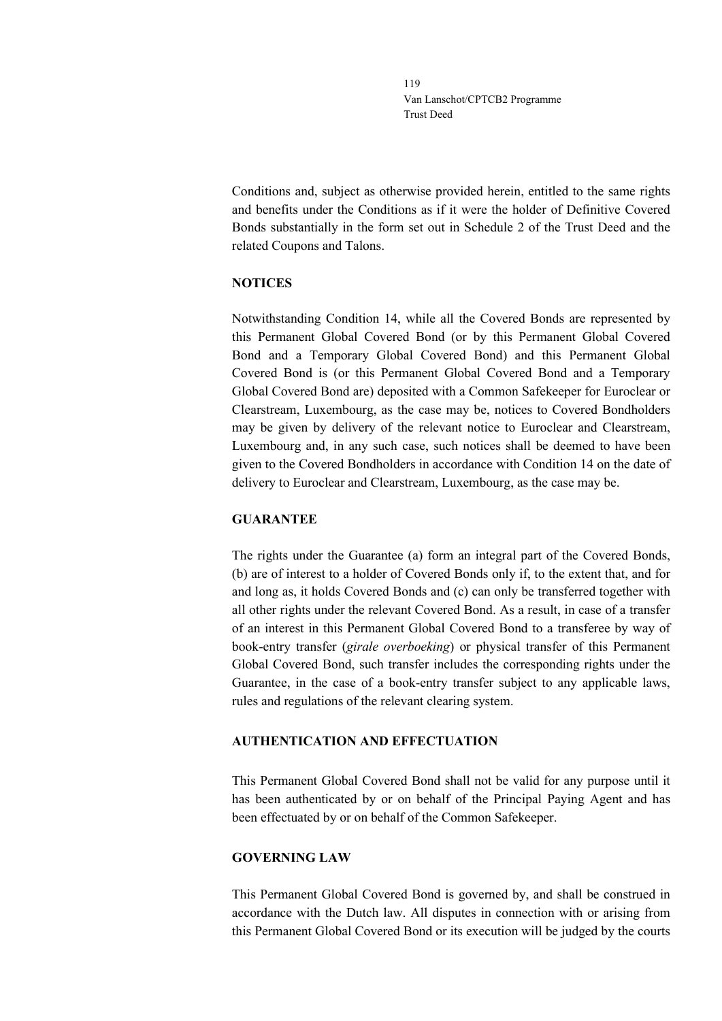Conditions and, subject as otherwise provided herein, entitled to the same rights and benefits under the Conditions as if it were the holder of Definitive Covered Bonds substantially in the form set out in Schedule 2 of the Trust Deed and the related Coupons and Talons.

### **NOTICES**

Notwithstanding Condition 14, while all the Covered Bonds are represented by this Permanent Global Covered Bond (or by this Permanent Global Covered Bond and a Temporary Global Covered Bond) and this Permanent Global Covered Bond is (or this Permanent Global Covered Bond and a Temporary Global Covered Bond are) deposited with a Common Safekeeper for Euroclear or Clearstream, Luxembourg, as the case may be, notices to Covered Bondholders may be given by delivery of the relevant notice to Euroclear and Clearstream, Luxembourg and, in any such case, such notices shall be deemed to have been given to the Covered Bondholders in accordance with Condition 14 on the date of delivery to Euroclear and Clearstream, Luxembourg, as the case may be.

#### **GUARANTEE**

The rights under the Guarantee (a) form an integral part of the Covered Bonds, (b) are of interest to a holder of Covered Bonds only if, to the extent that, and for and long as, it holds Covered Bonds and (c) can only be transferred together with all other rights under the relevant Covered Bond. As a result, in case of a transfer of an interest in this Permanent Global Covered Bond to a transferee by way of book-entry transfer (*girale overboeking*) or physical transfer of this Permanent Global Covered Bond, such transfer includes the corresponding rights under the Guarantee, in the case of a book-entry transfer subject to any applicable laws, rules and regulations of the relevant clearing system.

## **AUTHENTICATION AND EFFECTUATION**

This Permanent Global Covered Bond shall not be valid for any purpose until it has been authenticated by or on behalf of the Principal Paying Agent and has been effectuated by or on behalf of the Common Safekeeper.

#### **GOVERNING LAW**

This Permanent Global Covered Bond is governed by, and shall be construed in accordance with the Dutch law. All disputes in connection with or arising from this Permanent Global Covered Bond or its execution will be judged by the courts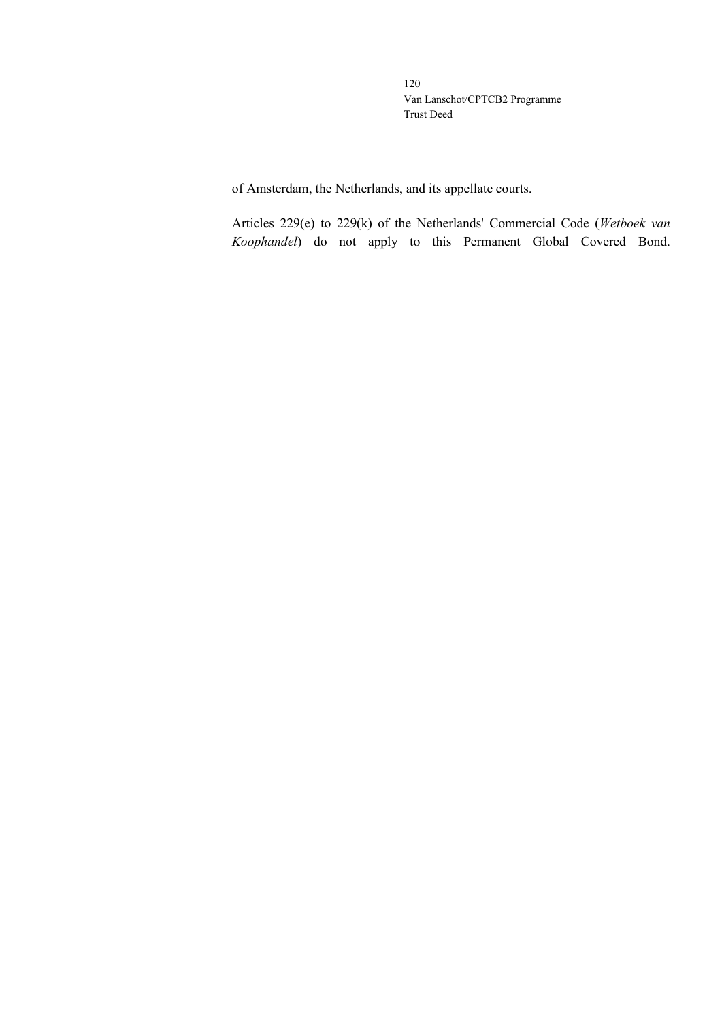of Amsterdam, the Netherlands, and its appellate courts.

Articles 229(e) to 229(k) of the Netherlands' Commercial Code (*Wetboek van Koophandel*) do not apply to this Permanent Global Covered Bond.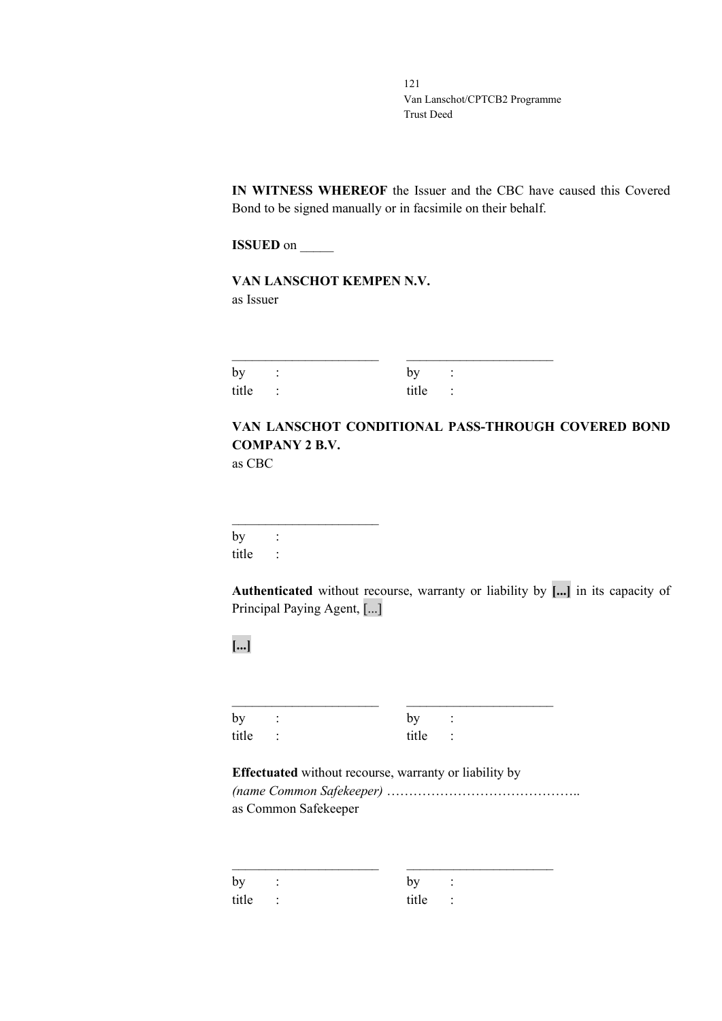**IN WITNESS WHEREOF** the Issuer and the CBC have caused this Covered Bond to be signed manually or in facsimile on their behalf.

**ISSUED** on \_\_\_\_\_\_

**VAN LANSCHOT KEMPEN N.V.** as Issuer

| by :    | by :    |  |
|---------|---------|--|
| title : | title : |  |

# **VAN LANSCHOT CONDITIONAL PASS-THROUGH COVERED BOND COMPANY 2 B.V.**

as CBC

 $\overline{\phantom{a}}$  , where  $\overline{\phantom{a}}$  , where  $\overline{\phantom{a}}$  , where  $\overline{\phantom{a}}$  $by$  : title :

**Authenticated** without recourse, warranty or liability by **[...]** in its capacity of Principal Paying Agent, [...]

**[...]**

| by :    | by :    |  |
|---------|---------|--|
| title : | title : |  |

**Effectuated** without recourse, warranty or liability by *(name Common Safekeeper)* …………………………………….. as Common Safekeeper

| by<br>$\sim$ $\sim$ $\sim$ $\sim$ | by<br>$\sim$ $\sim$ $\sim$ $\sim$ |  |
|-----------------------------------|-----------------------------------|--|
| title :                           | title :                           |  |

\_\_\_\_\_\_\_\_\_\_\_\_\_\_\_\_\_\_\_\_\_\_ \_\_\_\_\_\_\_\_\_\_\_\_\_\_\_\_\_\_\_\_\_\_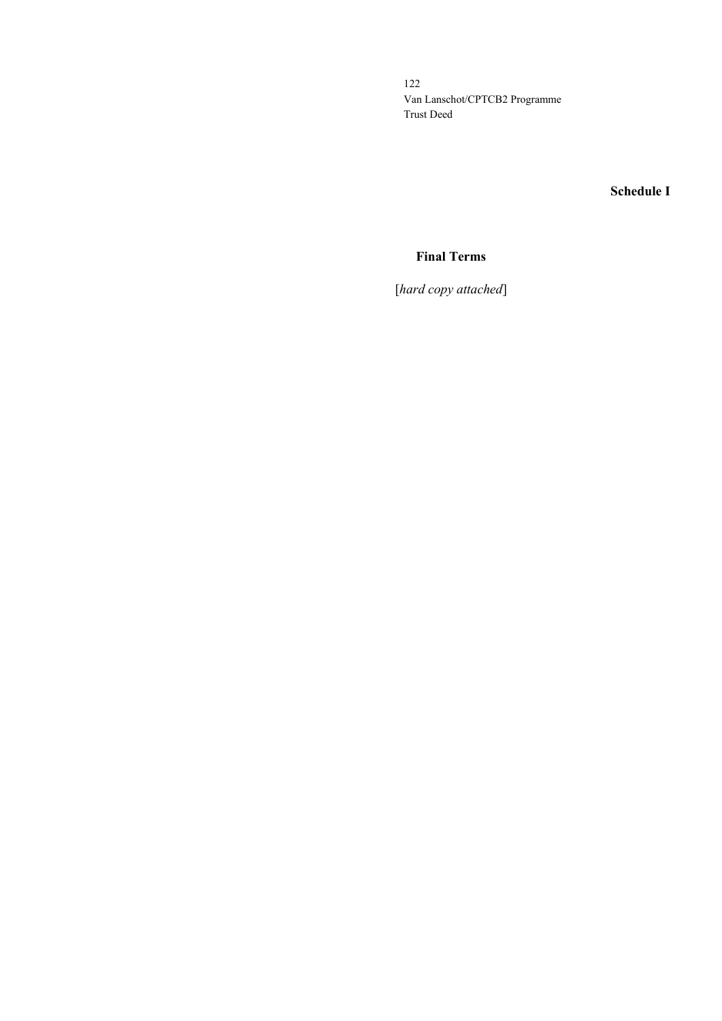**Schedule I**

# **Final Terms**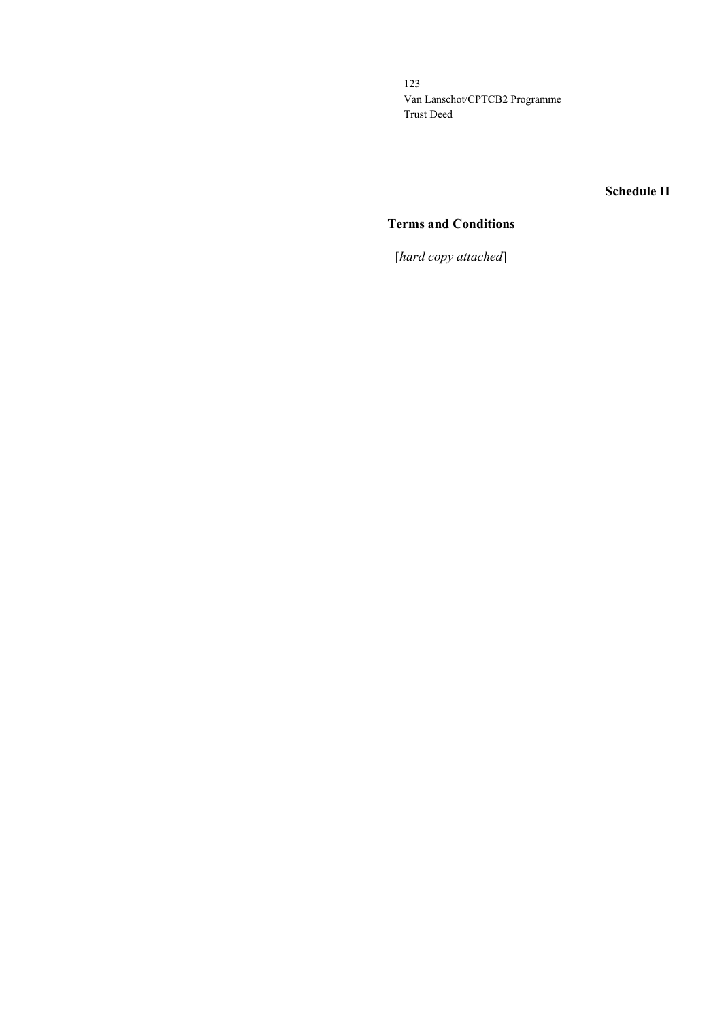# **Schedule II**

# **Terms and Conditions**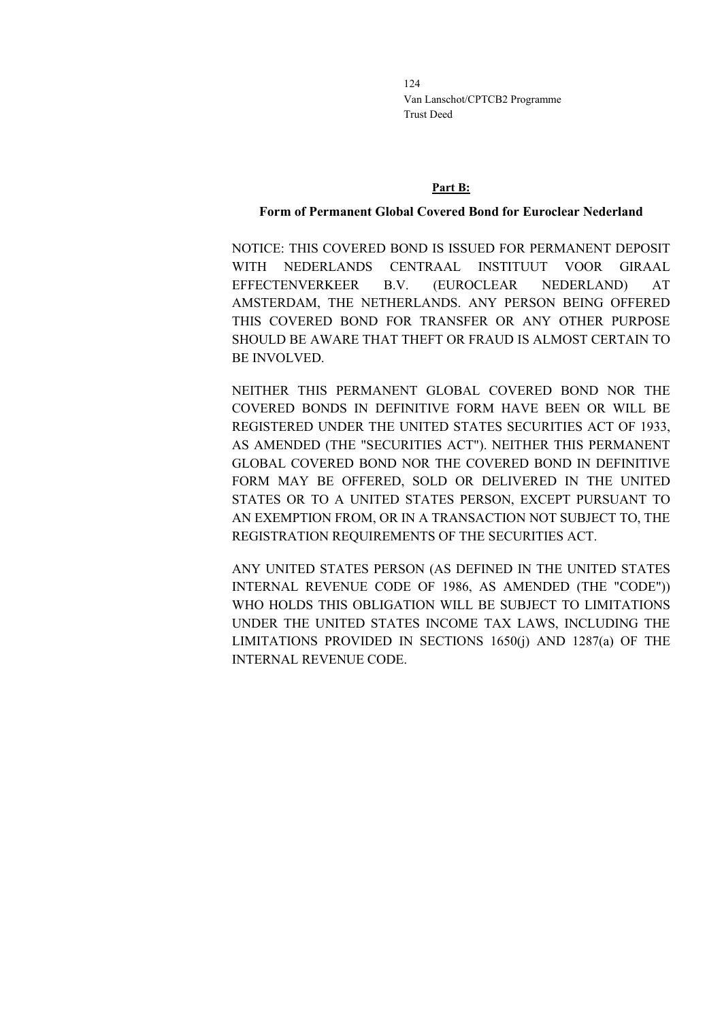#### **Part B:**

#### **Form of Permanent Global Covered Bond for Euroclear Nederland**

NOTICE: THIS COVERED BOND IS ISSUED FOR PERMANENT DEPOSIT WITH NEDERLANDS CENTRAAL INSTITUUT VOOR GIRAAL EFFECTENVERKEER B.V. (EUROCLEAR NEDERLAND) AT AMSTERDAM, THE NETHERLANDS. ANY PERSON BEING OFFERED THIS COVERED BOND FOR TRANSFER OR ANY OTHER PURPOSE SHOULD BE AWARE THAT THEFT OR FRAUD IS ALMOST CERTAIN TO BE INVOLVED.

NEITHER THIS PERMANENT GLOBAL COVERED BOND NOR THE COVERED BONDS IN DEFINITIVE FORM HAVE BEEN OR WILL BE REGISTERED UNDER THE UNITED STATES SECURITIES ACT OF 1933, AS AMENDED (THE "SECURITIES ACT"). NEITHER THIS PERMANENT GLOBAL COVERED BOND NOR THE COVERED BOND IN DEFINITIVE FORM MAY BE OFFERED, SOLD OR DELIVERED IN THE UNITED STATES OR TO A UNITED STATES PERSON, EXCEPT PURSUANT TO AN EXEMPTION FROM, OR IN A TRANSACTION NOT SUBJECT TO, THE REGISTRATION REQUIREMENTS OF THE SECURITIES ACT.

ANY UNITED STATES PERSON (AS DEFINED IN THE UNITED STATES INTERNAL REVENUE CODE OF 1986, AS AMENDED (THE "CODE")) WHO HOLDS THIS OBLIGATION WILL BE SUBJECT TO LIMITATIONS UNDER THE UNITED STATES INCOME TAX LAWS, INCLUDING THE LIMITATIONS PROVIDED IN SECTIONS 1650(j) AND 1287(a) OF THE INTERNAL REVENUE CODE.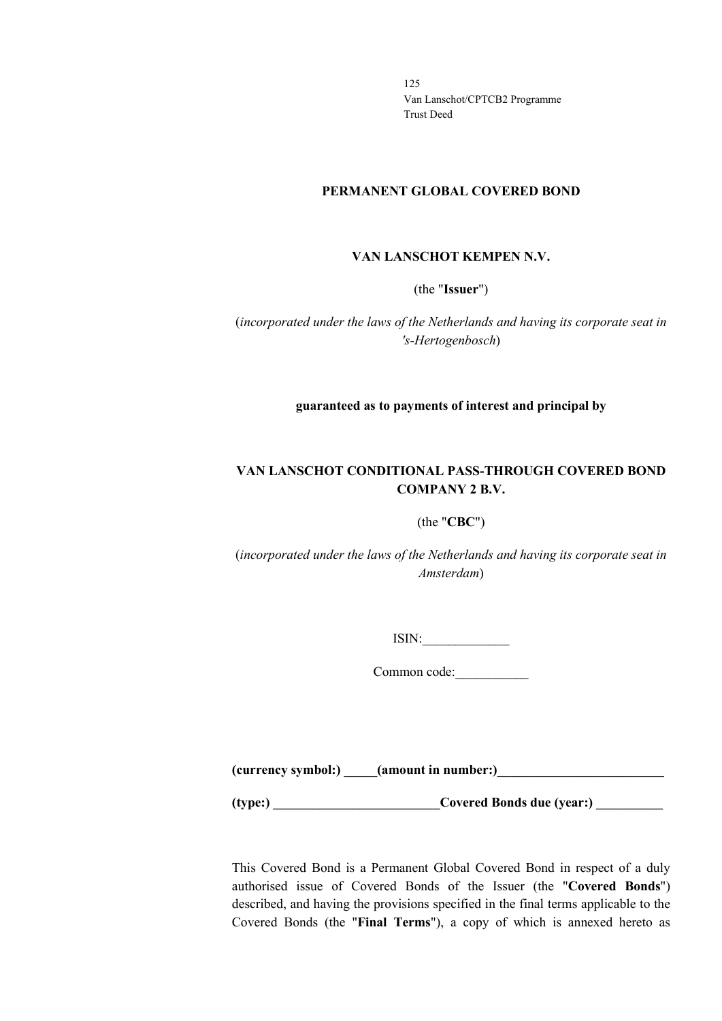#### **PERMANENT GLOBAL COVERED BOND**

#### **VAN LANSCHOT KEMPEN N.V.**

(the "**Issuer**")

(*incorporated under the laws of the Netherlands and having its corporate seat in 's-Hertogenbosch*)

**guaranteed as to payments of interest and principal by**

# **VAN LANSCHOT CONDITIONAL PASS-THROUGH COVERED BOND COMPANY 2 B.V.**

#### (the "**CBC**")

(*incorporated under the laws of the Netherlands and having its corporate seat in Amsterdam*)

 $ISIN:$ 

Common code:\_\_\_\_\_\_\_\_\_\_\_

**(currency symbol:) \_\_\_\_\_(amount in number:)\_\_\_\_\_\_\_\_\_\_\_\_\_\_\_\_\_\_\_\_\_\_\_\_\_**

**(type:) \_\_\_\_\_\_\_\_\_\_\_\_\_\_\_\_\_\_\_\_\_\_\_\_\_Covered Bonds due (year:) \_\_\_\_\_\_\_\_\_\_**

This Covered Bond is a Permanent Global Covered Bond in respect of a duly authorised issue of Covered Bonds of the Issuer (the "**Covered Bonds**") described, and having the provisions specified in the final terms applicable to the Covered Bonds (the "**Final Terms**"), a copy of which is annexed hereto as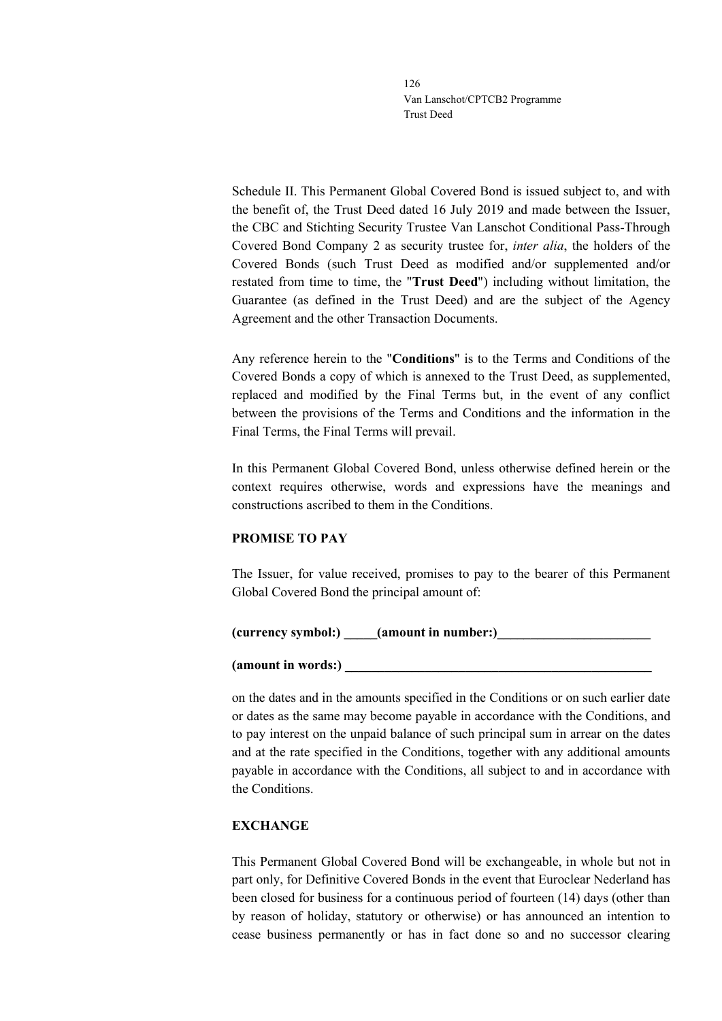Schedule II. This Permanent Global Covered Bond is issued subject to, and with the benefit of, the Trust Deed dated 16 July 2019 and made between the Issuer, the CBC and Stichting Security Trustee Van Lanschot Conditional Pass-Through Covered Bond Company 2 as security trustee for, *inter alia*, the holders of the Covered Bonds (such Trust Deed as modified and/or supplemented and/or restated from time to time, the "**Trust Deed**") including without limitation, the Guarantee (as defined in the Trust Deed) and are the subject of the Agency Agreement and the other Transaction Documents.

Any reference herein to the "**Conditions**" is to the Terms and Conditions of the Covered Bonds a copy of which is annexed to the Trust Deed, as supplemented, replaced and modified by the Final Terms but, in the event of any conflict between the provisions of the Terms and Conditions and the information in the Final Terms, the Final Terms will prevail.

In this Permanent Global Covered Bond, unless otherwise defined herein or the context requires otherwise, words and expressions have the meanings and constructions ascribed to them in the Conditions.

## **PROMISE TO PAY**

The Issuer, for value received, promises to pay to the bearer of this Permanent Global Covered Bond the principal amount of:

## **(currency symbol:) \_\_\_\_\_(amount in number:)\_\_\_\_\_\_\_\_\_\_\_\_\_\_\_\_\_\_\_\_\_\_\_**

#### **(amount in words:) \_\_\_\_\_\_\_\_\_\_\_\_\_\_\_\_\_\_\_\_\_\_\_\_\_\_\_\_\_\_\_\_\_\_\_\_\_\_\_\_\_\_\_\_\_\_**

on the dates and in the amounts specified in the Conditions or on such earlier date or dates as the same may become payable in accordance with the Conditions, and to pay interest on the unpaid balance of such principal sum in arrear on the dates and at the rate specified in the Conditions, together with any additional amounts payable in accordance with the Conditions, all subject to and in accordance with the Conditions.

#### **EXCHANGE**

This Permanent Global Covered Bond will be exchangeable, in whole but not in part only, for Definitive Covered Bonds in the event that Euroclear Nederland has been closed for business for a continuous period of fourteen (14) days (other than by reason of holiday, statutory or otherwise) or has announced an intention to cease business permanently or has in fact done so and no successor clearing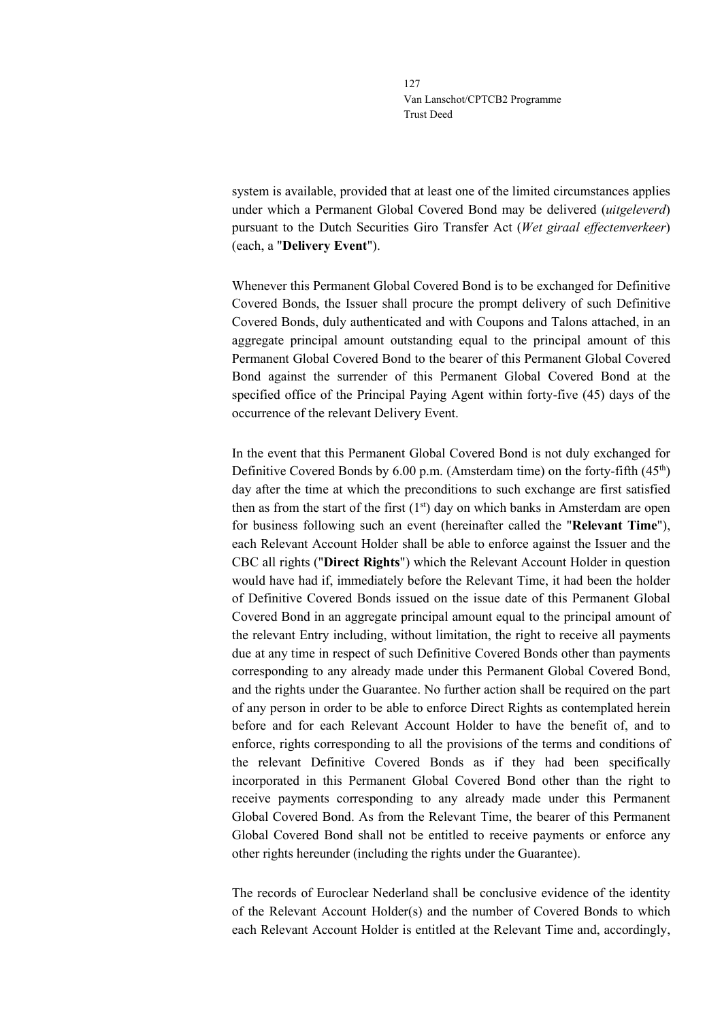system is available, provided that at least one of the limited circumstances applies under which a Permanent Global Covered Bond may be delivered (*uitgeleverd*) pursuant to the Dutch Securities Giro Transfer Act (*Wet giraal effectenverkeer*) (each, a "**Delivery Event**").

Whenever this Permanent Global Covered Bond is to be exchanged for Definitive Covered Bonds, the Issuer shall procure the prompt delivery of such Definitive Covered Bonds, duly authenticated and with Coupons and Talons attached, in an aggregate principal amount outstanding equal to the principal amount of this Permanent Global Covered Bond to the bearer of this Permanent Global Covered Bond against the surrender of this Permanent Global Covered Bond at the specified office of the Principal Paying Agent within forty-five (45) days of the occurrence of the relevant Delivery Event.

In the event that this Permanent Global Covered Bond is not duly exchanged for Definitive Covered Bonds by 6.00 p.m. (Amsterdam time) on the forty-fifth (45<sup>th</sup>) day after the time at which the preconditions to such exchange are first satisfied then as from the start of the first  $(1<sup>st</sup>)$  day on which banks in Amsterdam are open for business following such an event (hereinafter called the "**Relevant Time**"), each Relevant Account Holder shall be able to enforce against the Issuer and the CBC all rights ("**Direct Rights**") which the Relevant Account Holder in question would have had if, immediately before the Relevant Time, it had been the holder of Definitive Covered Bonds issued on the issue date of this Permanent Global Covered Bond in an aggregate principal amount equal to the principal amount of the relevant Entry including, without limitation, the right to receive all payments due at any time in respect of such Definitive Covered Bonds other than payments corresponding to any already made under this Permanent Global Covered Bond, and the rights under the Guarantee. No further action shall be required on the part of any person in order to be able to enforce Direct Rights as contemplated herein before and for each Relevant Account Holder to have the benefit of, and to enforce, rights corresponding to all the provisions of the terms and conditions of the relevant Definitive Covered Bonds as if they had been specifically incorporated in this Permanent Global Covered Bond other than the right to receive payments corresponding to any already made under this Permanent Global Covered Bond. As from the Relevant Time, the bearer of this Permanent Global Covered Bond shall not be entitled to receive payments or enforce any other rights hereunder (including the rights under the Guarantee).

The records of Euroclear Nederland shall be conclusive evidence of the identity of the Relevant Account Holder(s) and the number of Covered Bonds to which each Relevant Account Holder is entitled at the Relevant Time and, accordingly,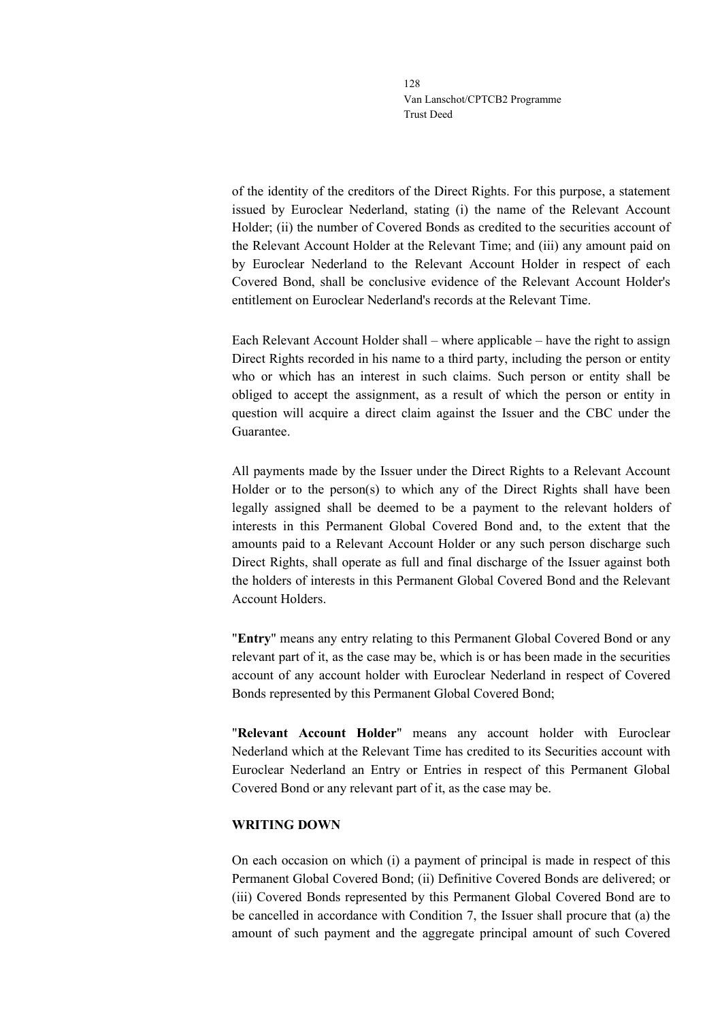of the identity of the creditors of the Direct Rights. For this purpose, a statement issued by Euroclear Nederland, stating (i) the name of the Relevant Account Holder; (ii) the number of Covered Bonds as credited to the securities account of the Relevant Account Holder at the Relevant Time; and (iii) any amount paid on by Euroclear Nederland to the Relevant Account Holder in respect of each Covered Bond, shall be conclusive evidence of the Relevant Account Holder's entitlement on Euroclear Nederland's records at the Relevant Time.

Each Relevant Account Holder shall – where applicable – have the right to assign Direct Rights recorded in his name to a third party, including the person or entity who or which has an interest in such claims. Such person or entity shall be obliged to accept the assignment, as a result of which the person or entity in question will acquire a direct claim against the Issuer and the CBC under the Guarantee.

All payments made by the Issuer under the Direct Rights to a Relevant Account Holder or to the person(s) to which any of the Direct Rights shall have been legally assigned shall be deemed to be a payment to the relevant holders of interests in this Permanent Global Covered Bond and, to the extent that the amounts paid to a Relevant Account Holder or any such person discharge such Direct Rights, shall operate as full and final discharge of the Issuer against both the holders of interests in this Permanent Global Covered Bond and the Relevant Account Holders.

"**Entry**" means any entry relating to this Permanent Global Covered Bond or any relevant part of it, as the case may be, which is or has been made in the securities account of any account holder with Euroclear Nederland in respect of Covered Bonds represented by this Permanent Global Covered Bond;

"**Relevant Account Holder**" means any account holder with Euroclear Nederland which at the Relevant Time has credited to its Securities account with Euroclear Nederland an Entry or Entries in respect of this Permanent Global Covered Bond or any relevant part of it, as the case may be.

#### **WRITING DOWN**

On each occasion on which (i) a payment of principal is made in respect of this Permanent Global Covered Bond; (ii) Definitive Covered Bonds are delivered; or (iii) Covered Bonds represented by this Permanent Global Covered Bond are to be cancelled in accordance with Condition 7, the Issuer shall procure that (a) the amount of such payment and the aggregate principal amount of such Covered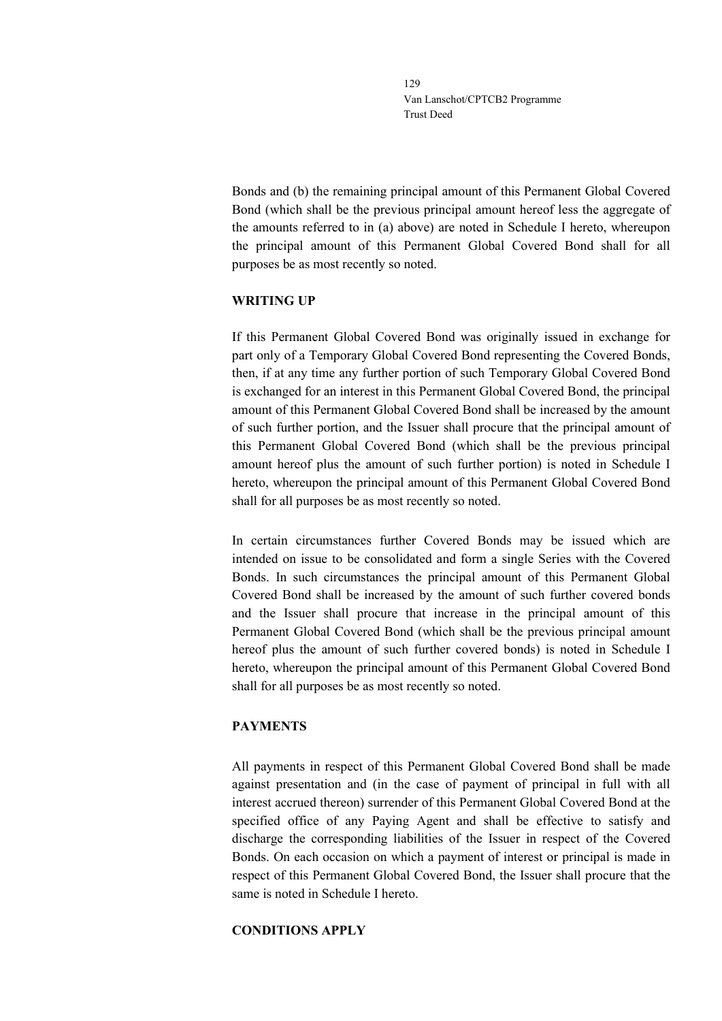Bonds and (b) the remaining principal amount of this Permanent Global Covered Bond (which shall be the previous principal amount hereof less the aggregate of the amounts referred to in (a) above) are noted in Schedule I hereto, whereupon the principal amount of this Permanent Global Covered Bond shall for all purposes be as most recently so noted.

#### **WRITING UP**

If this Permanent Global Covered Bond was originally issued in exchange for part only of a Temporary Global Covered Bond representing the Covered Bonds, then, if at any time any further portion of such Temporary Global Covered Bond is exchanged for an interest in this Permanent Global Covered Bond, the principal amount of this Permanent Global Covered Bond shall be increased by the amount of such further portion, and the Issuer shall procure that the principal amount of this Permanent Global Covered Bond (which shall be the previous principal amount hereof plus the amount of such further portion) is noted in Schedule I hereto, whereupon the principal amount of this Permanent Global Covered Bond shall for all purposes be as most recently so noted.

In certain circumstances further Covered Bonds may be issued which are intended on issue to be consolidated and form a single Series with the Covered Bonds. In such circumstances the principal amount of this Permanent Global Covered Bond shall be increased by the amount of such further covered bonds and the Issuer shall procure that increase in the principal amount of this Permanent Global Covered Bond (which shall be the previous principal amount hereof plus the amount of such further covered bonds) is noted in Schedule I hereto, whereupon the principal amount of this Permanent Global Covered Bond shall for all purposes be as most recently so noted.

## **PAYMENTS**

All payments in respect of this Permanent Global Covered Bond shall be made against presentation and (in the case of payment of principal in full with all interest accrued thereon) surrender of this Permanent Global Covered Bond at the specified office of any Paying Agent and shall be effective to satisfy and discharge the corresponding liabilities of the Issuer in respect of the Covered Bonds. On each occasion on which a payment of interest or principal is made in respect of this Permanent Global Covered Bond, the Issuer shall procure that the same is noted in Schedule I hereto.

## **CONDITIONS APPLY**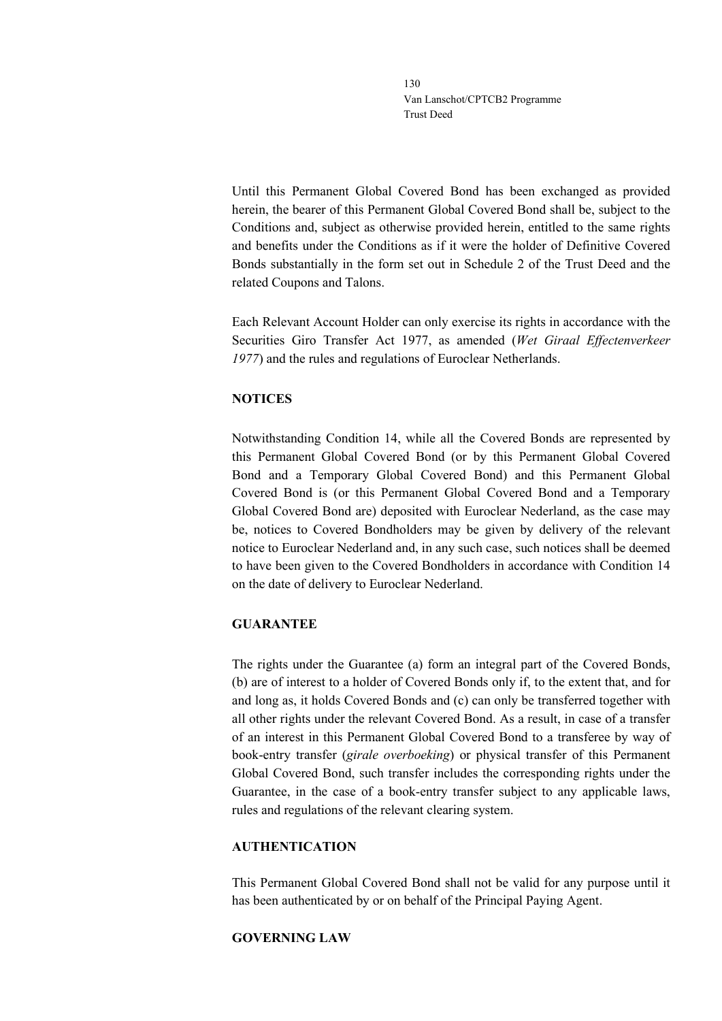Until this Permanent Global Covered Bond has been exchanged as provided herein, the bearer of this Permanent Global Covered Bond shall be, subject to the Conditions and, subject as otherwise provided herein, entitled to the same rights and benefits under the Conditions as if it were the holder of Definitive Covered Bonds substantially in the form set out in Schedule 2 of the Trust Deed and the related Coupons and Talons.

Each Relevant Account Holder can only exercise its rights in accordance with the Securities Giro Transfer Act 1977, as amended (*Wet Giraal Effectenverkeer 1977*) and the rules and regulations of Euroclear Netherlands.

## **NOTICES**

Notwithstanding Condition 14, while all the Covered Bonds are represented by this Permanent Global Covered Bond (or by this Permanent Global Covered Bond and a Temporary Global Covered Bond) and this Permanent Global Covered Bond is (or this Permanent Global Covered Bond and a Temporary Global Covered Bond are) deposited with Euroclear Nederland, as the case may be, notices to Covered Bondholders may be given by delivery of the relevant notice to Euroclear Nederland and, in any such case, such notices shall be deemed to have been given to the Covered Bondholders in accordance with Condition 14 on the date of delivery to Euroclear Nederland.

#### **GUARANTEE**

The rights under the Guarantee (a) form an integral part of the Covered Bonds, (b) are of interest to a holder of Covered Bonds only if, to the extent that, and for and long as, it holds Covered Bonds and (c) can only be transferred together with all other rights under the relevant Covered Bond. As a result, in case of a transfer of an interest in this Permanent Global Covered Bond to a transferee by way of book-entry transfer (*girale overboeking*) or physical transfer of this Permanent Global Covered Bond, such transfer includes the corresponding rights under the Guarantee, in the case of a book-entry transfer subject to any applicable laws, rules and regulations of the relevant clearing system.

## **AUTHENTICATION**

This Permanent Global Covered Bond shall not be valid for any purpose until it has been authenticated by or on behalf of the Principal Paying Agent.

## **GOVERNING LAW**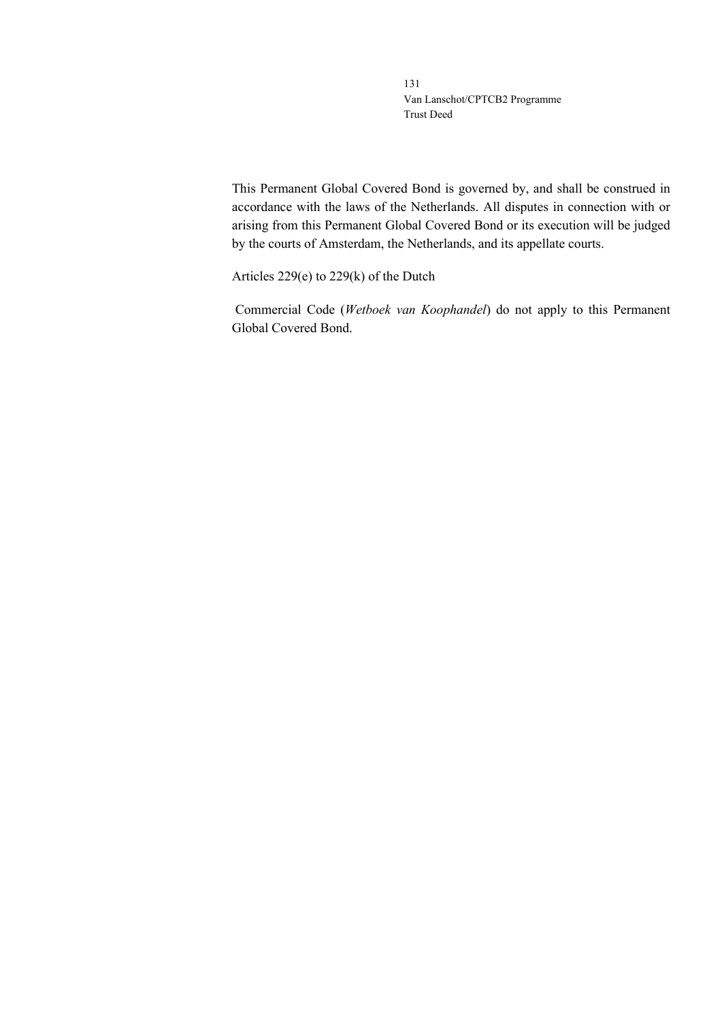This Permanent Global Covered Bond is governed by, and shall be construed in accordance with the laws of the Netherlands. All disputes in connection with or arising from this Permanent Global Covered Bond or its execution will be judged by the courts of Amsterdam, the Netherlands, and its appellate courts.

Articles 229(e) to 229(k) of the Dutch

Commercial Code (*Wetboek van Koophandel*) do not apply to this Permanent Global Covered Bond.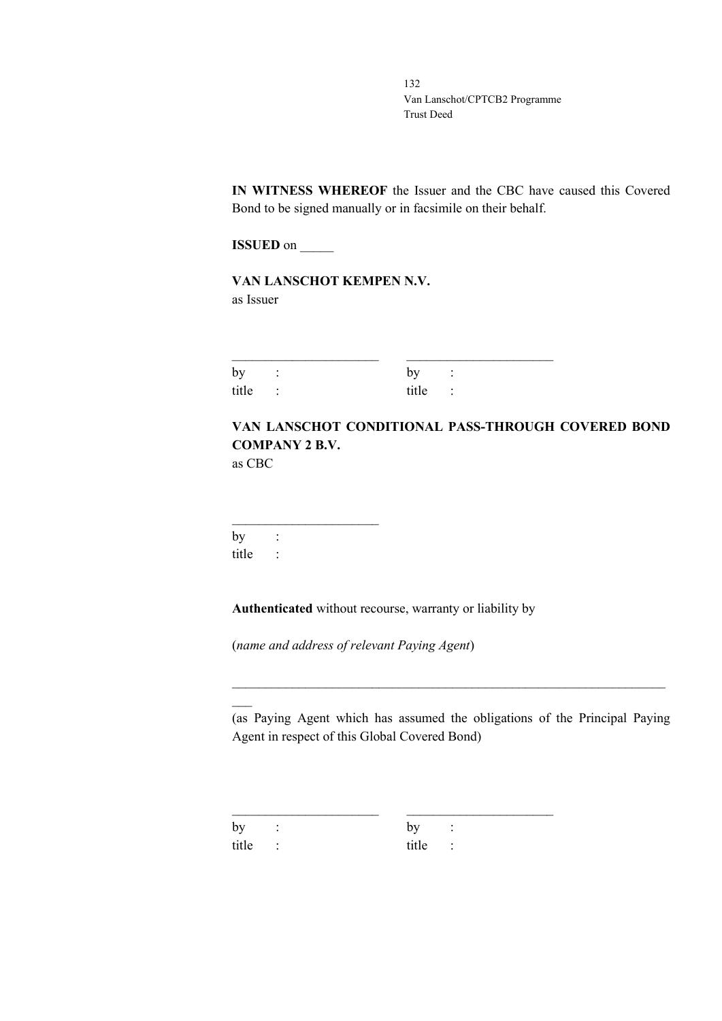**IN WITNESS WHEREOF** the Issuer and the CBC have caused this Covered Bond to be signed manually or in facsimile on their behalf.

**ISSUED** on \_\_\_\_\_\_\_

**VAN LANSCHOT KEMPEN N.V.** as Issuer

| by :    | by :    |  |
|---------|---------|--|
| title : | title : |  |

# **VAN LANSCHOT CONDITIONAL PASS-THROUGH COVERED BOND COMPANY 2 B.V.**

as CBC

 $\overline{\phantom{a}}$ 

 $\overline{\phantom{a}}$  , where  $\overline{\phantom{a}}$  , where  $\overline{\phantom{a}}$  , where  $\overline{\phantom{a}}$ by : title :

**Authenticated** without recourse, warranty or liability by

(*name and address of relevant Paying Agent*)

(as Paying Agent which has assumed the obligations of the Principal Paying Agent in respect of this Global Covered Bond)

\_\_\_\_\_\_\_\_\_\_\_\_\_\_\_\_\_\_\_\_\_\_\_\_\_\_\_\_\_\_\_\_\_\_\_\_\_\_\_\_\_\_\_\_\_\_\_\_\_\_\_\_\_\_\_\_\_\_\_\_\_\_\_\_\_

\_\_\_\_\_\_\_\_\_\_\_\_\_\_\_\_\_\_\_\_\_\_ \_\_\_\_\_\_\_\_\_\_\_\_\_\_\_\_\_\_\_\_\_\_ by : by : title : title :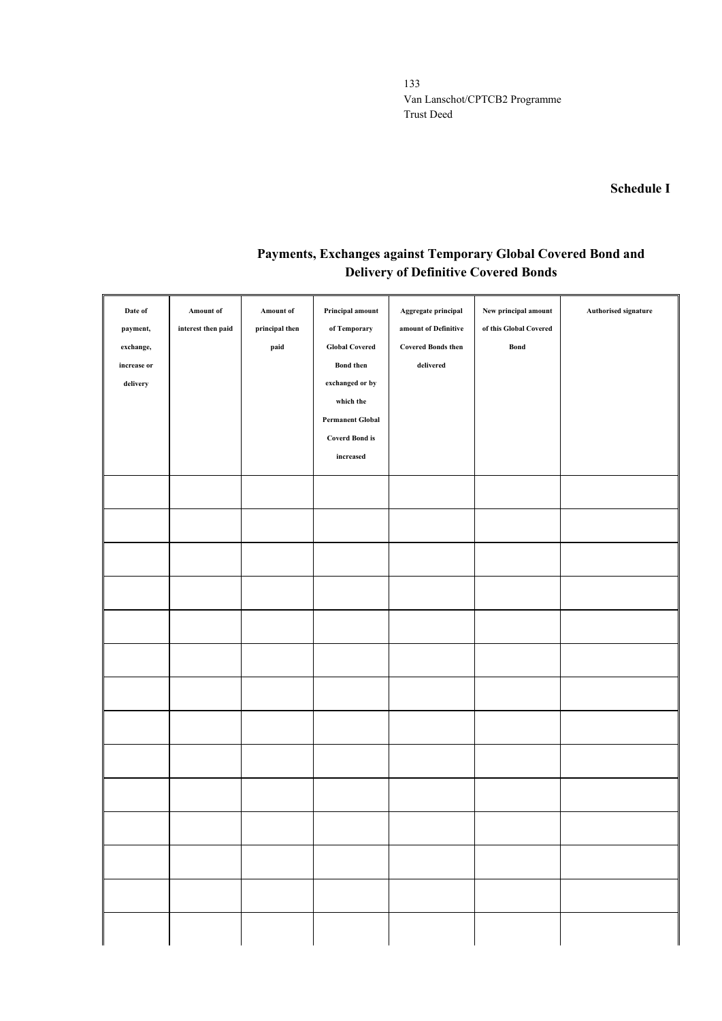#### **Schedule I**

# **Payments, Exchanges against Temporary Global Covered Bond and Delivery of Definitive Covered Bonds**

| Date of<br>payment,<br>exchange,<br>increase or<br>${\bf delivery}$ | Amount of<br>interest then paid | Amount of<br>principal then<br>paid | Principal amount<br>of Temporary<br><b>Global Covered</b><br><b>Bond</b> then<br>exchanged or by<br>which the<br><b>Permanent Global</b><br><b>Coverd Bond is</b><br>increased | Aggregate principal<br>amount of Definitive<br><b>Covered Bonds then</b><br>delivered | New principal amount<br>of this Global Covered<br>Bond | Authorised signature |
|---------------------------------------------------------------------|---------------------------------|-------------------------------------|--------------------------------------------------------------------------------------------------------------------------------------------------------------------------------|---------------------------------------------------------------------------------------|--------------------------------------------------------|----------------------|
|                                                                     |                                 |                                     |                                                                                                                                                                                |                                                                                       |                                                        |                      |
|                                                                     |                                 |                                     |                                                                                                                                                                                |                                                                                       |                                                        |                      |
|                                                                     |                                 |                                     |                                                                                                                                                                                |                                                                                       |                                                        |                      |
|                                                                     |                                 |                                     |                                                                                                                                                                                |                                                                                       |                                                        |                      |
|                                                                     |                                 |                                     |                                                                                                                                                                                |                                                                                       |                                                        |                      |
|                                                                     |                                 |                                     |                                                                                                                                                                                |                                                                                       |                                                        |                      |
|                                                                     |                                 |                                     |                                                                                                                                                                                |                                                                                       |                                                        |                      |
|                                                                     |                                 |                                     |                                                                                                                                                                                |                                                                                       |                                                        |                      |
|                                                                     |                                 |                                     |                                                                                                                                                                                |                                                                                       |                                                        |                      |
|                                                                     |                                 |                                     |                                                                                                                                                                                |                                                                                       |                                                        |                      |
|                                                                     |                                 |                                     |                                                                                                                                                                                |                                                                                       |                                                        |                      |
|                                                                     |                                 |                                     |                                                                                                                                                                                |                                                                                       |                                                        |                      |
|                                                                     |                                 |                                     |                                                                                                                                                                                |                                                                                       |                                                        |                      |
|                                                                     |                                 |                                     |                                                                                                                                                                                |                                                                                       |                                                        |                      |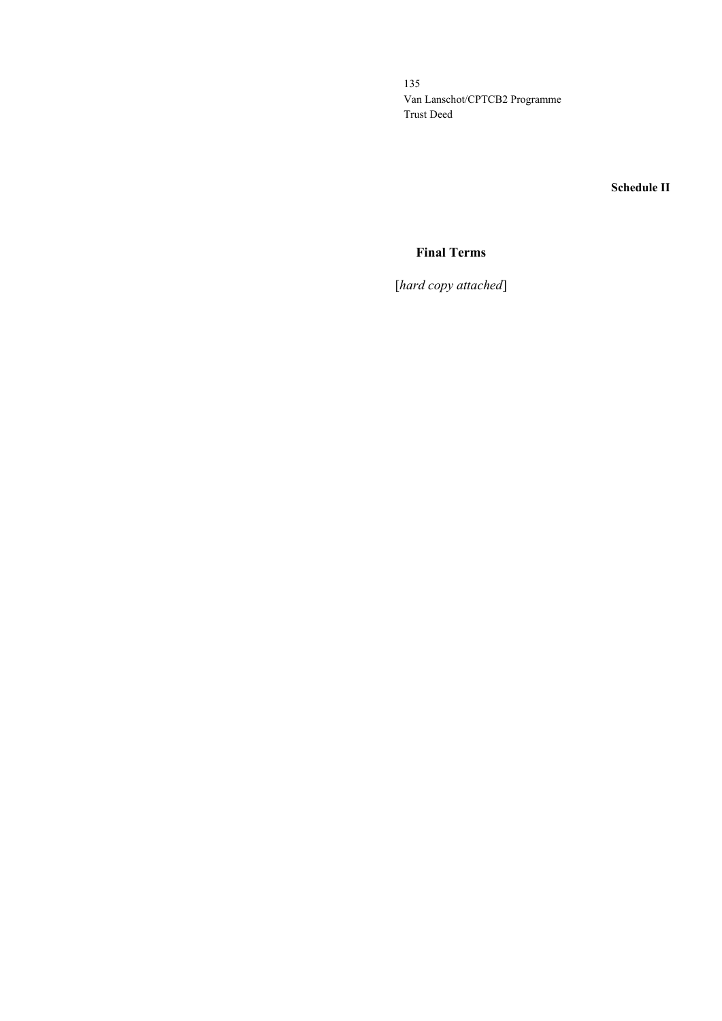**Schedule II**

# **Final Terms**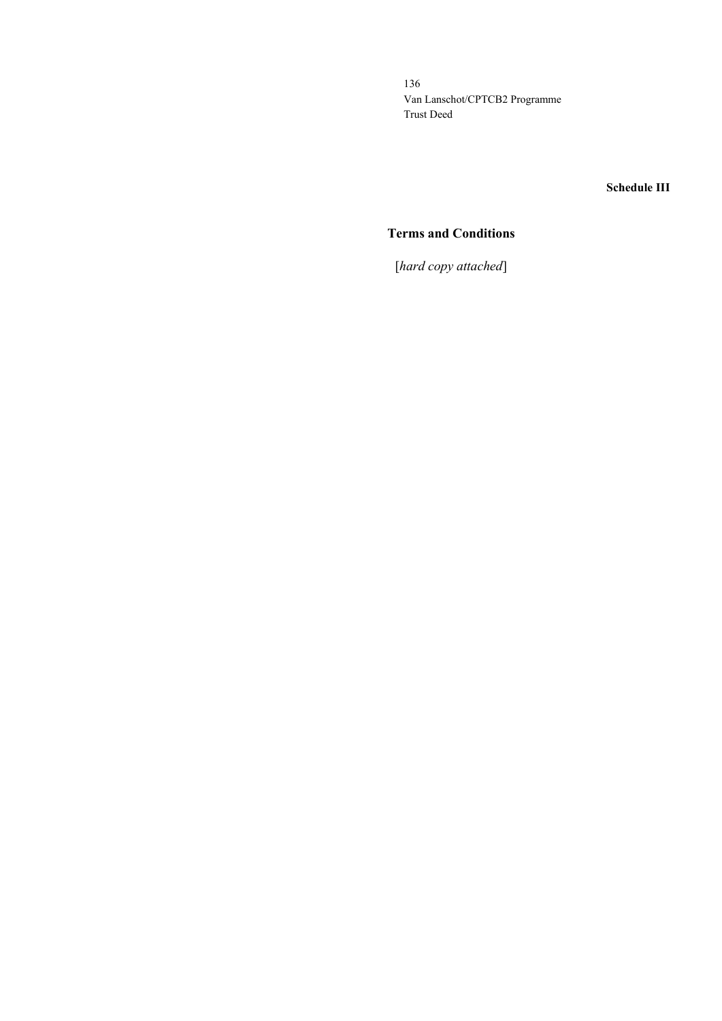#### **Schedule III**

## **Terms and Conditions**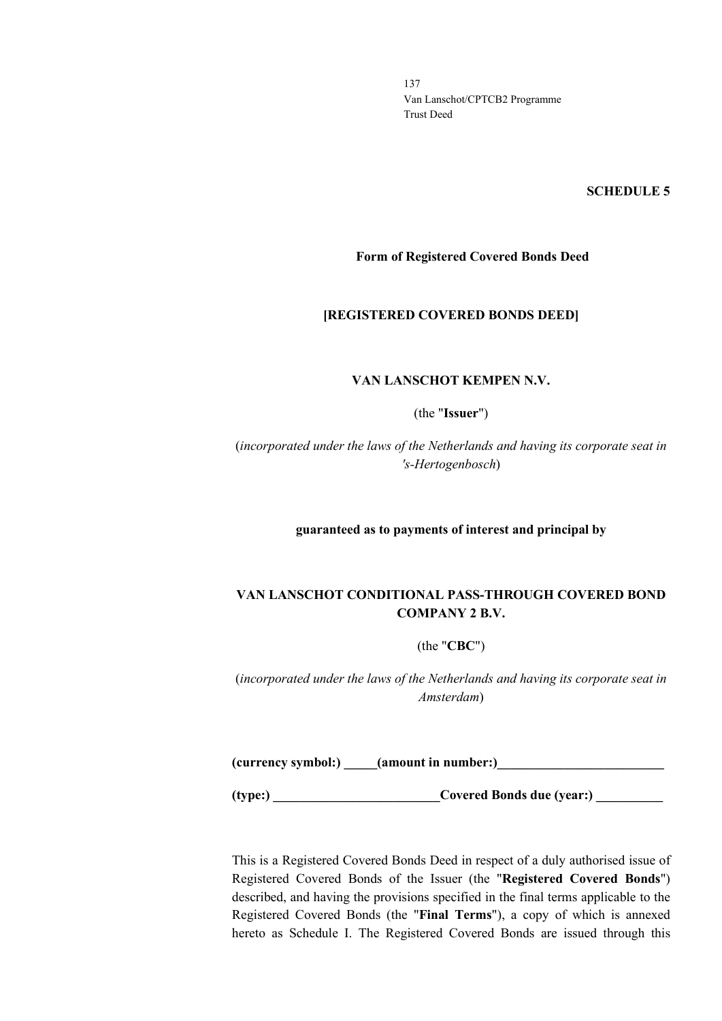#### **SCHEDULE 5**

#### **Form of Registered Covered Bonds Deed**

#### **[REGISTERED COVERED BONDS DEED]**

#### **VAN LANSCHOT KEMPEN N.V.**

(the "**Issuer**")

(*incorporated under the laws of the Netherlands and having its corporate seat in 's-Hertogenbosch*)

**guaranteed as to payments of interest and principal by**

## **VAN LANSCHOT CONDITIONAL PASS-THROUGH COVERED BOND COMPANY 2 B.V.**

(the "**CBC**")

(*incorporated under the laws of the Netherlands and having its corporate seat in Amsterdam*)

**(currency symbol:) \_\_\_\_\_(amount in number:)\_\_\_\_\_\_\_\_\_\_\_\_\_\_\_\_\_\_\_\_\_\_\_\_\_**

**(type:) \_\_\_\_\_\_\_\_\_\_\_\_\_\_\_\_\_\_\_\_\_\_\_\_\_\_\_\_Covered Bonds due (year:) \_\_\_\_\_\_\_\_\_\_\_** 

This is a Registered Covered Bonds Deed in respect of a duly authorised issue of Registered Covered Bonds of the Issuer (the "**Registered Covered Bonds**") described, and having the provisions specified in the final terms applicable to the Registered Covered Bonds (the "**Final Terms**"), a copy of which is annexed hereto as Schedule I. The Registered Covered Bonds are issued through this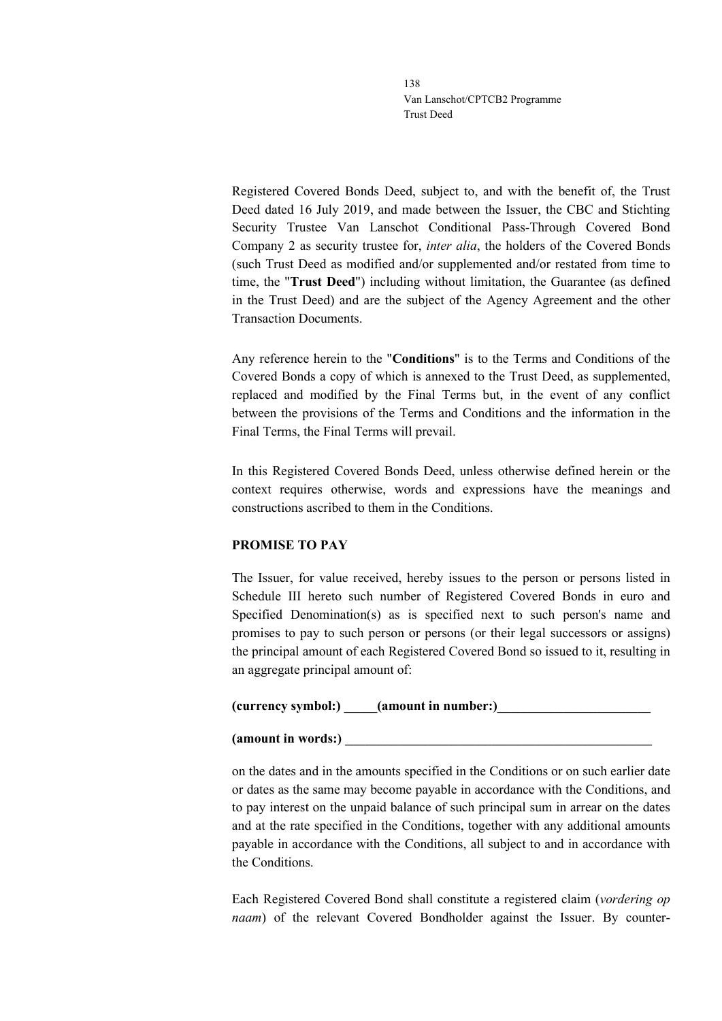Registered Covered Bonds Deed, subject to, and with the benefit of, the Trust Deed dated 16 July 2019, and made between the Issuer, the CBC and Stichting Security Trustee Van Lanschot Conditional Pass-Through Covered Bond Company 2 as security trustee for, *inter alia*, the holders of the Covered Bonds (such Trust Deed as modified and/or supplemented and/or restated from time to time, the "**Trust Deed**") including without limitation, the Guarantee (as defined in the Trust Deed) and are the subject of the Agency Agreement and the other Transaction Documents.

Any reference herein to the "**Conditions**" is to the Terms and Conditions of the Covered Bonds a copy of which is annexed to the Trust Deed, as supplemented, replaced and modified by the Final Terms but, in the event of any conflict between the provisions of the Terms and Conditions and the information in the Final Terms, the Final Terms will prevail.

In this Registered Covered Bonds Deed, unless otherwise defined herein or the context requires otherwise, words and expressions have the meanings and constructions ascribed to them in the Conditions.

## **PROMISE TO PAY**

The Issuer, for value received, hereby issues to the person or persons listed in Schedule III hereto such number of Registered Covered Bonds in euro and Specified Denomination(s) as is specified next to such person's name and promises to pay to such person or persons (or their legal successors or assigns) the principal amount of each Registered Covered Bond so issued to it, resulting in an aggregate principal amount of:

## **(currency symbol:) \_\_\_\_\_(amount in number:)\_\_\_\_\_\_\_\_\_\_\_\_\_\_\_\_\_\_\_\_\_\_\_**

### **(amount in words:) \_\_\_\_\_\_\_\_\_\_\_\_\_\_\_\_\_\_\_\_\_\_\_\_\_\_\_\_\_\_\_\_\_\_\_\_\_\_\_\_\_\_\_\_\_\_**

on the dates and in the amounts specified in the Conditions or on such earlier date or dates as the same may become payable in accordance with the Conditions, and to pay interest on the unpaid balance of such principal sum in arrear on the dates and at the rate specified in the Conditions, together with any additional amounts payable in accordance with the Conditions, all subject to and in accordance with the Conditions.

Each Registered Covered Bond shall constitute a registered claim (*vordering op naam*) of the relevant Covered Bondholder against the Issuer. By counter-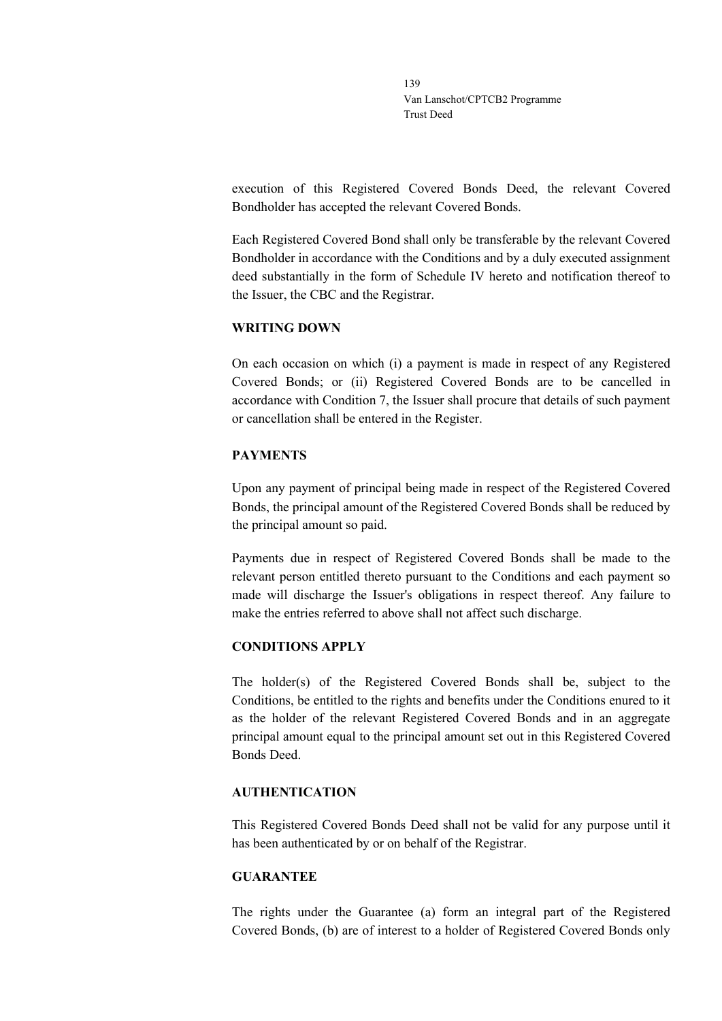execution of this Registered Covered Bonds Deed, the relevant Covered Bondholder has accepted the relevant Covered Bonds.

Each Registered Covered Bond shall only be transferable by the relevant Covered Bondholder in accordance with the Conditions and by a duly executed assignment deed substantially in the form of Schedule IV hereto and notification thereof to the Issuer, the CBC and the Registrar.

### **WRITING DOWN**

On each occasion on which (i) a payment is made in respect of any Registered Covered Bonds; or (ii) Registered Covered Bonds are to be cancelled in accordance with Condition 7, the Issuer shall procure that details of such payment or cancellation shall be entered in the Register.

## **PAYMENTS**

Upon any payment of principal being made in respect of the Registered Covered Bonds, the principal amount of the Registered Covered Bonds shall be reduced by the principal amount so paid.

Payments due in respect of Registered Covered Bonds shall be made to the relevant person entitled thereto pursuant to the Conditions and each payment so made will discharge the Issuer's obligations in respect thereof. Any failure to make the entries referred to above shall not affect such discharge.

## **CONDITIONS APPLY**

The holder(s) of the Registered Covered Bonds shall be, subject to the Conditions, be entitled to the rights and benefits under the Conditions enured to it as the holder of the relevant Registered Covered Bonds and in an aggregate principal amount equal to the principal amount set out in this Registered Covered Bonds Deed.

## **AUTHENTICATION**

This Registered Covered Bonds Deed shall not be valid for any purpose until it has been authenticated by or on behalf of the Registrar.

#### **GUARANTEE**

The rights under the Guarantee (a) form an integral part of the Registered Covered Bonds, (b) are of interest to a holder of Registered Covered Bonds only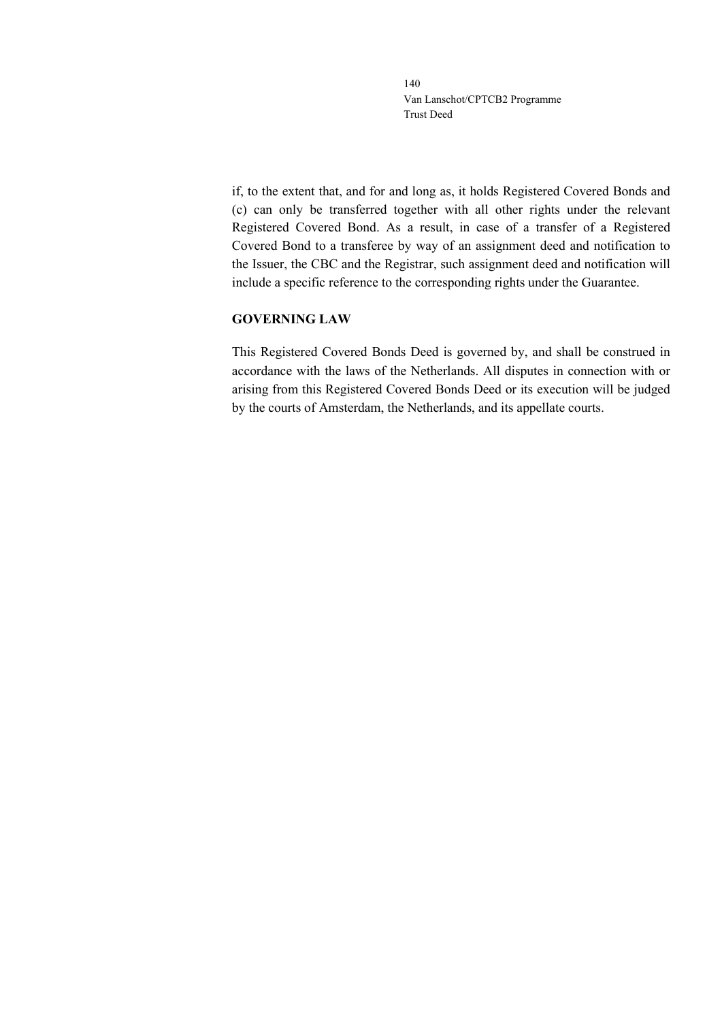if, to the extent that, and for and long as, it holds Registered Covered Bonds and (c) can only be transferred together with all other rights under the relevant Registered Covered Bond. As a result, in case of a transfer of a Registered Covered Bond to a transferee by way of an assignment deed and notification to the Issuer, the CBC and the Registrar, such assignment deed and notification will include a specific reference to the corresponding rights under the Guarantee.

#### **GOVERNING LAW**

This Registered Covered Bonds Deed is governed by, and shall be construed in accordance with the laws of the Netherlands. All disputes in connection with or arising from this Registered Covered Bonds Deed or its execution will be judged by the courts of Amsterdam, the Netherlands, and its appellate courts.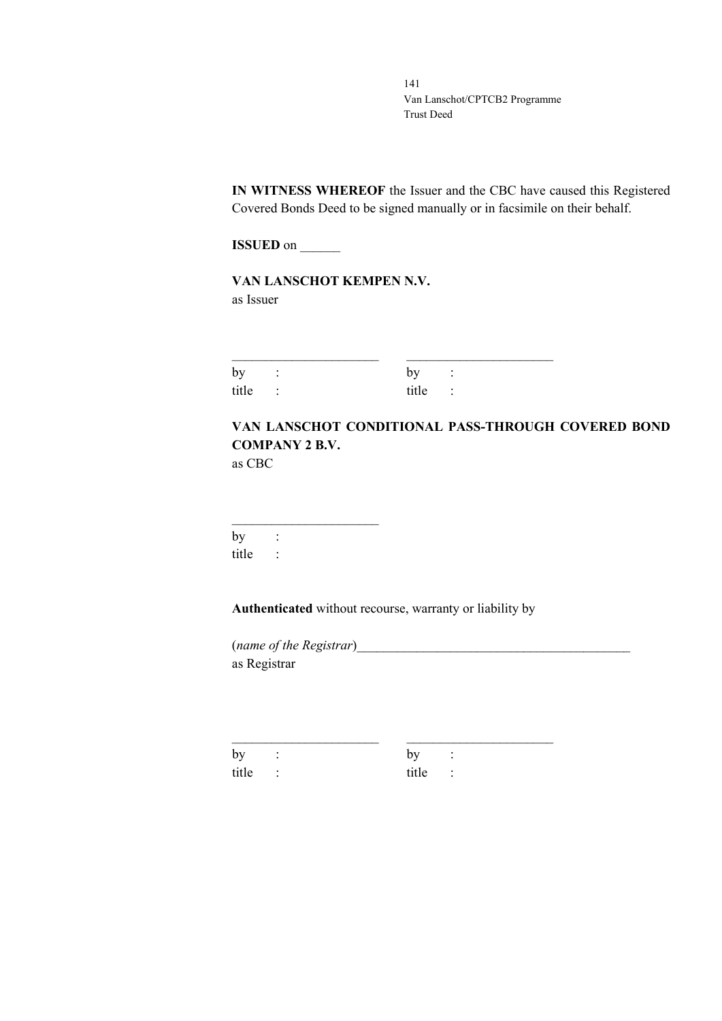**IN WITNESS WHEREOF** the Issuer and the CBC have caused this Registered Covered Bonds Deed to be signed manually or in facsimile on their behalf.

**ISSUED** on \_\_\_\_\_\_

**VAN LANSCHOT KEMPEN N.V.** as Issuer

| by :    | by :    |  |
|---------|---------|--|
| title : | title : |  |

# **VAN LANSCHOT CONDITIONAL PASS-THROUGH COVERED BOND COMPANY 2 B.V.**

as CBC

 $\overline{\phantom{a}}$  , where  $\overline{\phantom{a}}$  , where  $\overline{\phantom{a}}$  ,  $\overline{\phantom{a}}$  ,  $\overline{\phantom{a}}$  ,  $\overline{\phantom{a}}$  ,  $\overline{\phantom{a}}$  ,  $\overline{\phantom{a}}$  ,  $\overline{\phantom{a}}$  ,  $\overline{\phantom{a}}$  ,  $\overline{\phantom{a}}$  ,  $\overline{\phantom{a}}$  ,  $\overline{\phantom{a}}$  ,  $\overline{\phantom{a}}$  ,  $\overline{\phantom{a}}$  , by : title :

**Authenticated** without recourse, warranty or liability by

\_\_\_\_\_\_\_\_\_\_\_\_\_\_\_\_\_\_\_\_\_\_ \_\_\_\_\_\_\_\_\_\_\_\_\_\_\_\_\_\_\_\_\_\_

(*name of the Registrar*)\_\_\_\_\_\_\_\_\_\_\_\_\_\_\_\_\_\_\_\_\_\_\_\_\_\_\_\_\_\_\_\_\_\_\_\_\_\_\_\_\_ as Registrar

by : by : title : title :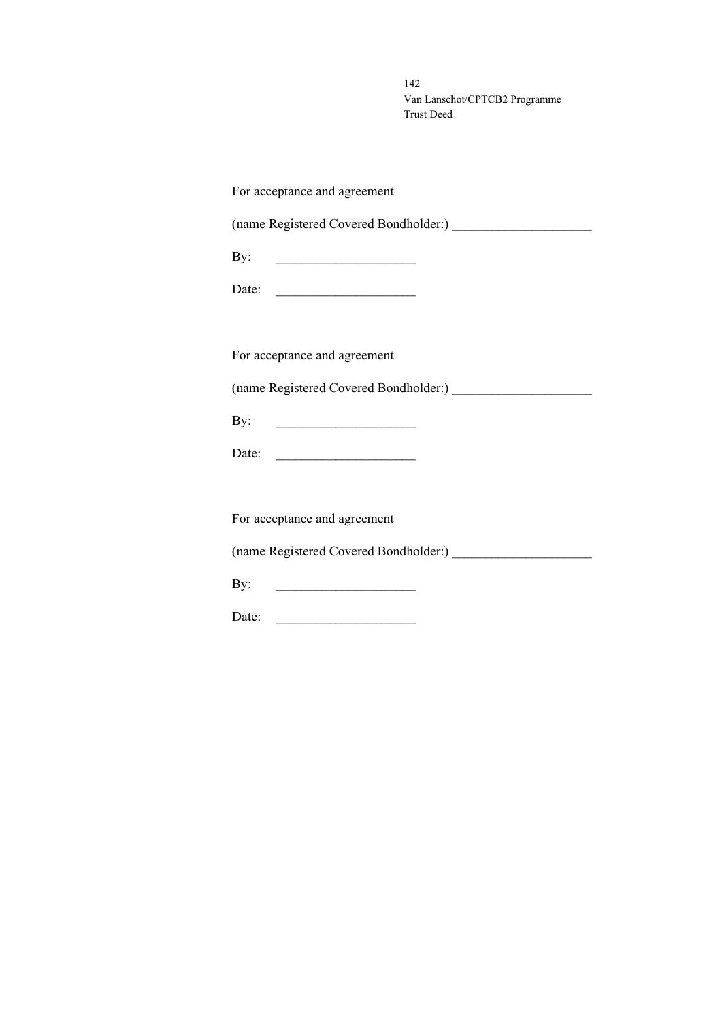| For acceptance and agreement |
|------------------------------|
|                              |
| By:                          |
| Date:                        |
|                              |
| For acceptance and agreement |
|                              |
| By:                          |
| Date:                        |
|                              |
| For acceptance and agreement |
|                              |
| By:                          |
| Date:                        |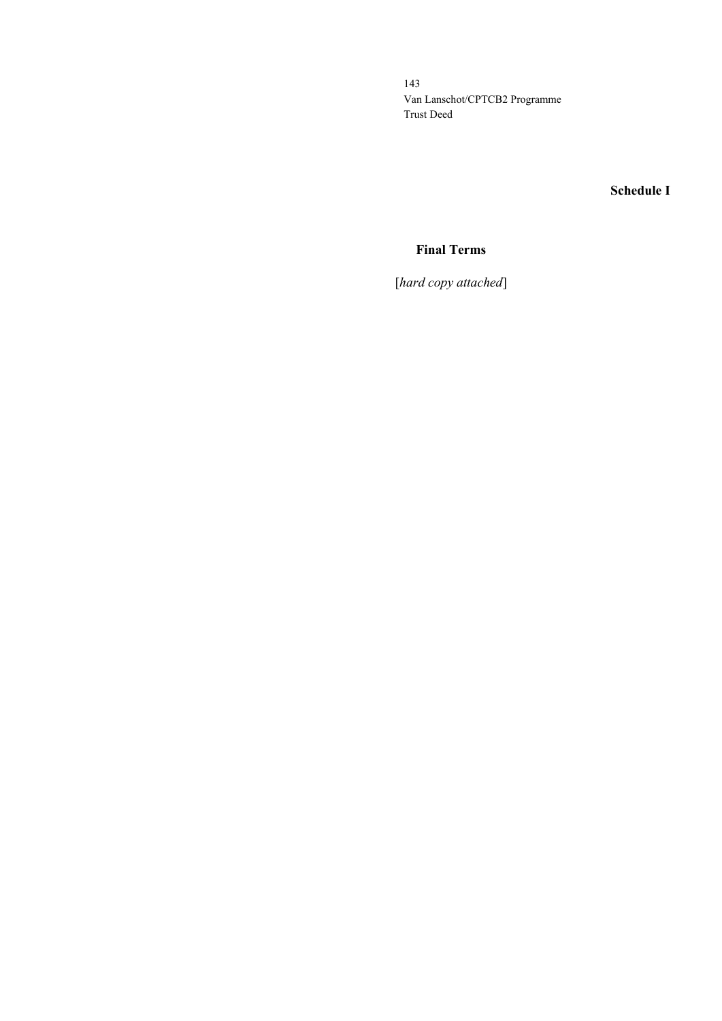# **Schedule I**

# **Final Terms**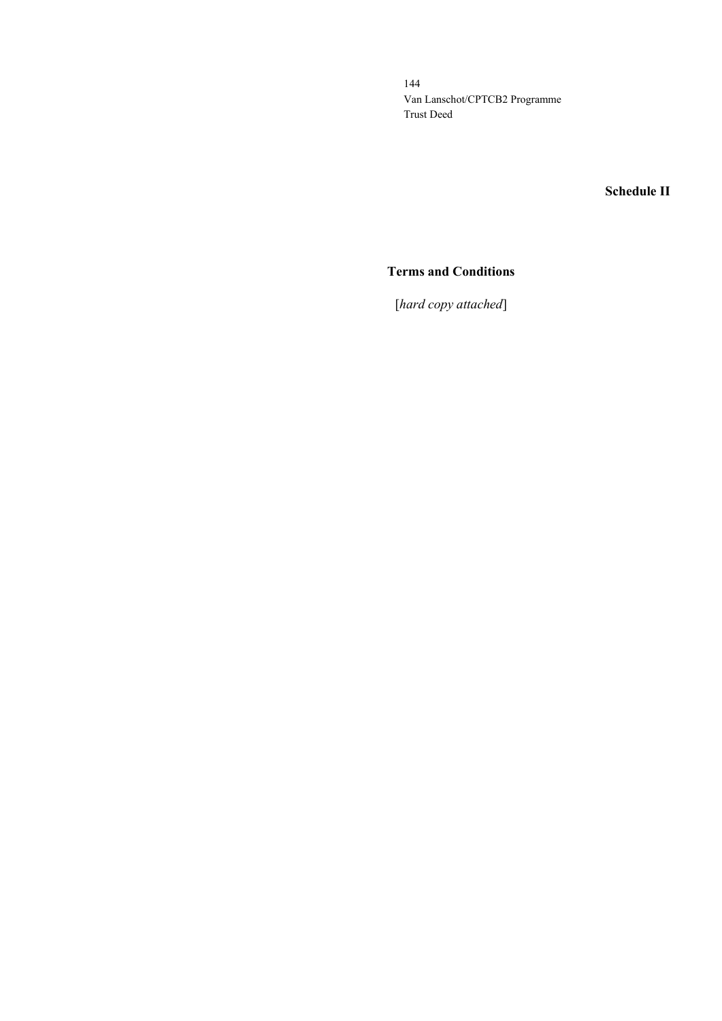**Schedule II**

## **Terms and Conditions**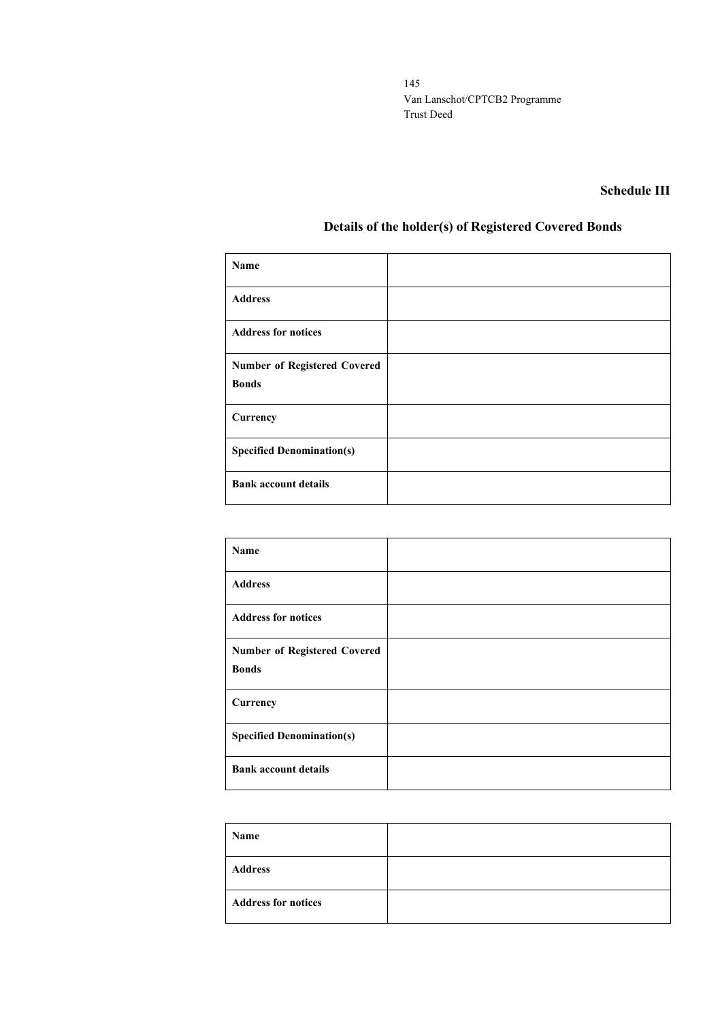## **Schedule III**

# **Details of the holder(s) of Registered Covered Bonds**

| Name                                                |  |
|-----------------------------------------------------|--|
| <b>Address</b>                                      |  |
| <b>Address for notices</b>                          |  |
| <b>Number of Registered Covered</b><br><b>Bonds</b> |  |
| Currency                                            |  |
| <b>Specified Denomination(s)</b>                    |  |
| <b>Bank account details</b>                         |  |

| Name                                |  |
|-------------------------------------|--|
| <b>Address</b>                      |  |
| <b>Address for notices</b>          |  |
| <b>Number of Registered Covered</b> |  |
| <b>Bonds</b>                        |  |
| Currency                            |  |
| <b>Specified Denomination(s)</b>    |  |
| <b>Bank account details</b>         |  |

| Name                       |  |
|----------------------------|--|
| <b>Address</b>             |  |
| <b>Address for notices</b> |  |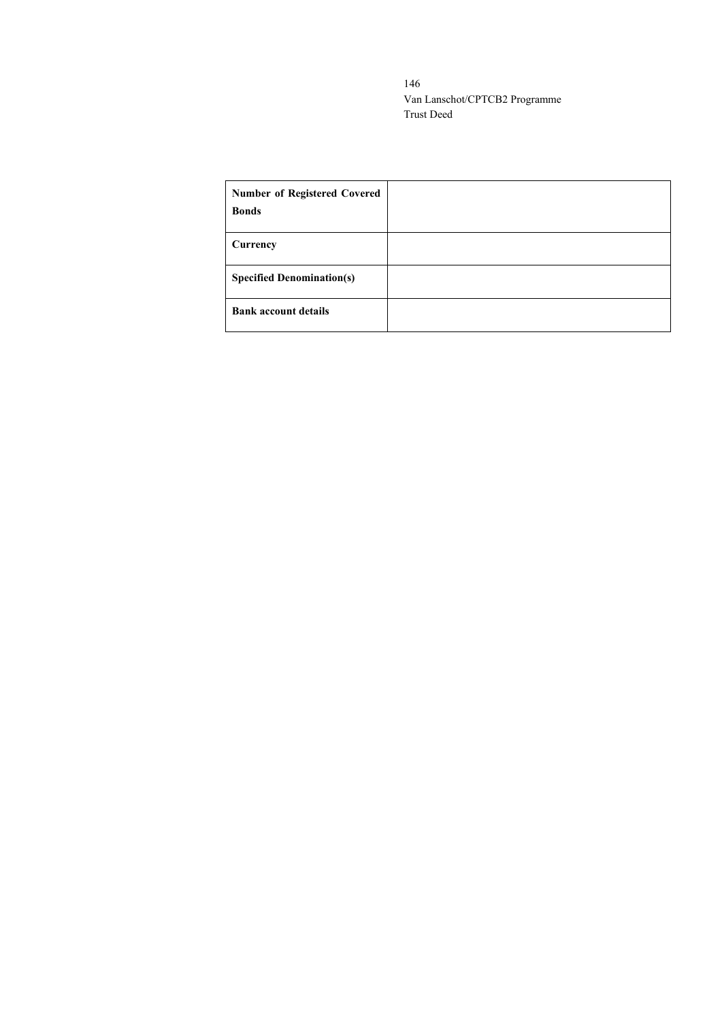| <b>Number of Registered Covered</b><br><b>Bonds</b> |  |
|-----------------------------------------------------|--|
| Currency                                            |  |
| <b>Specified Denomination(s)</b>                    |  |
| <b>Bank account details</b>                         |  |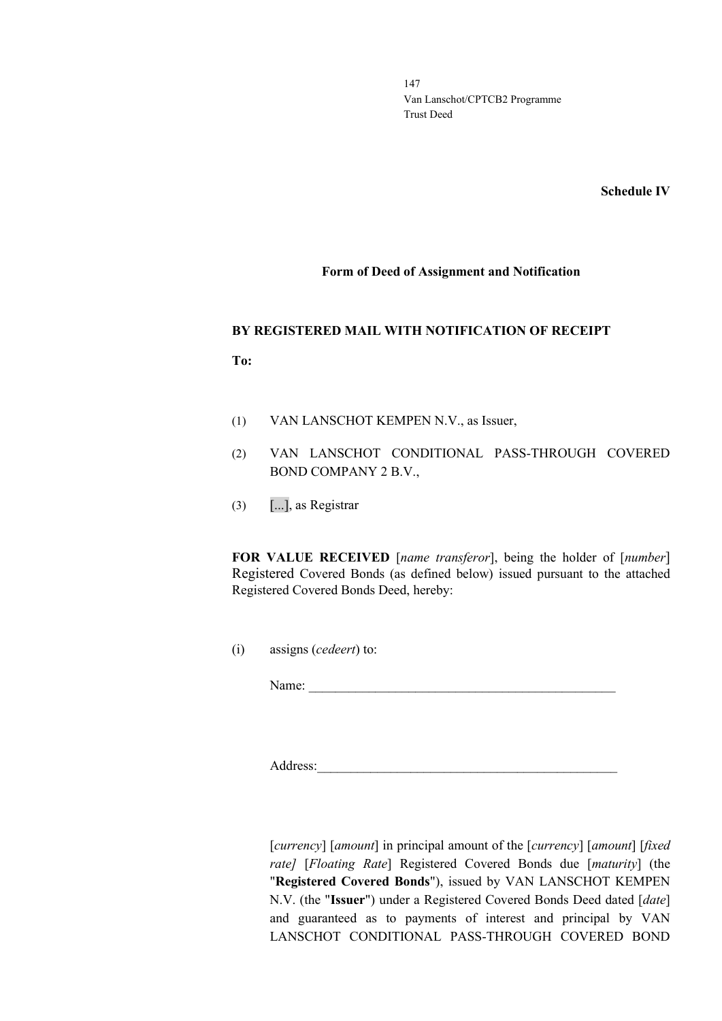**Schedule IV**

#### **Form of Deed of Assignment and Notification**

#### **BY REGISTERED MAIL WITH NOTIFICATION OF RECEIPT**

**To:**

- (1) VAN LANSCHOT KEMPEN N.V., as Issuer,
- (2) VAN LANSCHOT CONDITIONAL PASS-THROUGH COVERED BOND COMPANY 2 B.V.,
- (3) [...], as Registrar

**FOR VALUE RECEIVED** [*name transferor*], being the holder of [*number*] Registered Covered Bonds (as defined below) issued pursuant to the attached Registered Covered Bonds Deed, hereby:

(i) assigns (*cedeert*) to:

Name:

Address:\_\_\_\_\_\_\_\_\_\_\_\_\_\_\_\_\_\_\_\_\_\_\_\_\_\_\_\_\_\_\_\_\_\_\_\_\_\_\_\_\_\_\_\_\_

[*currency*] [*amount*] in principal amount of the [*currency*] [*amount*] [*fixed rate]* [*Floating Rate*] Registered Covered Bonds due [*maturity*] (the "**Registered Covered Bonds**"), issued by VAN LANSCHOT KEMPEN N.V. (the "**Issuer**") under a Registered Covered Bonds Deed dated [*date*] and guaranteed as to payments of interest and principal by VAN LANSCHOT CONDITIONAL PASS-THROUGH COVERED BOND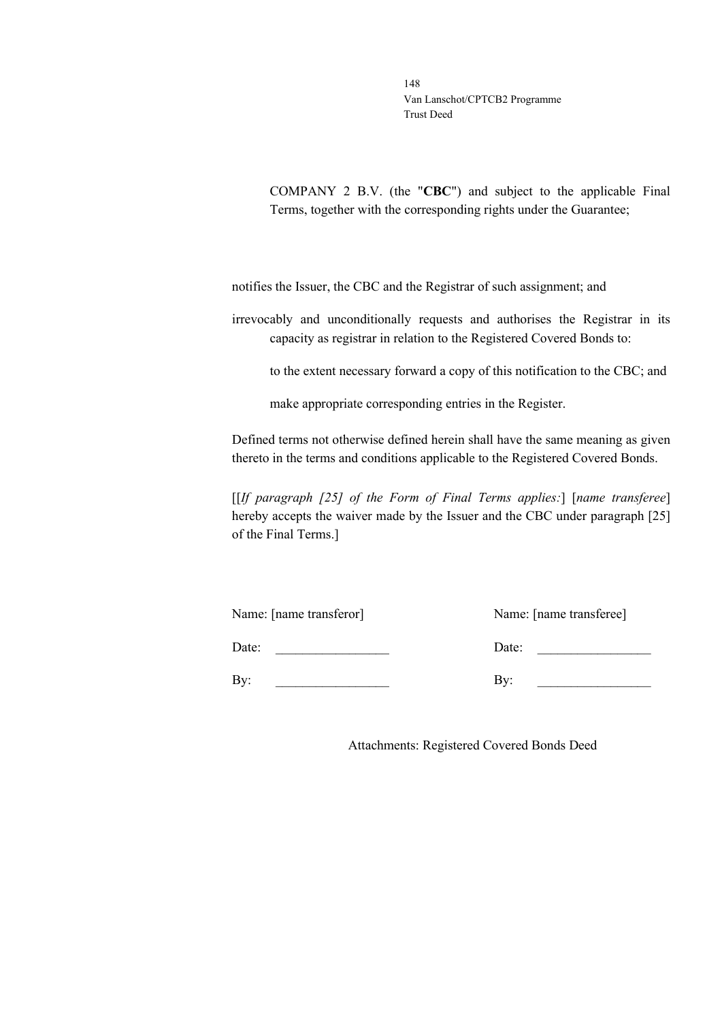COMPANY 2 B.V. (the "**CBC**") and subject to the applicable Final Terms, together with the corresponding rights under the Guarantee;

notifies the Issuer, the CBC and the Registrar of such assignment; and

irrevocably and unconditionally requests and authorises the Registrar in its capacity as registrar in relation to the Registered Covered Bonds to:

to the extent necessary forward a copy of this notification to the CBC; and

make appropriate corresponding entries in the Register.

Defined terms not otherwise defined herein shall have the same meaning as given thereto in the terms and conditions applicable to the Registered Covered Bonds.

[[*If paragraph [25] of the Form of Final Terms applies:*] [*name transferee*] hereby accepts the waiver made by the Issuer and the CBC under paragraph [25] of the Final Terms.]

| Name: [name transferor] | Name: [name transferee] |
|-------------------------|-------------------------|
| Date:                   | Date:                   |
| $\rm{By:}$              | By:                     |

Attachments: Registered Covered Bonds Deed